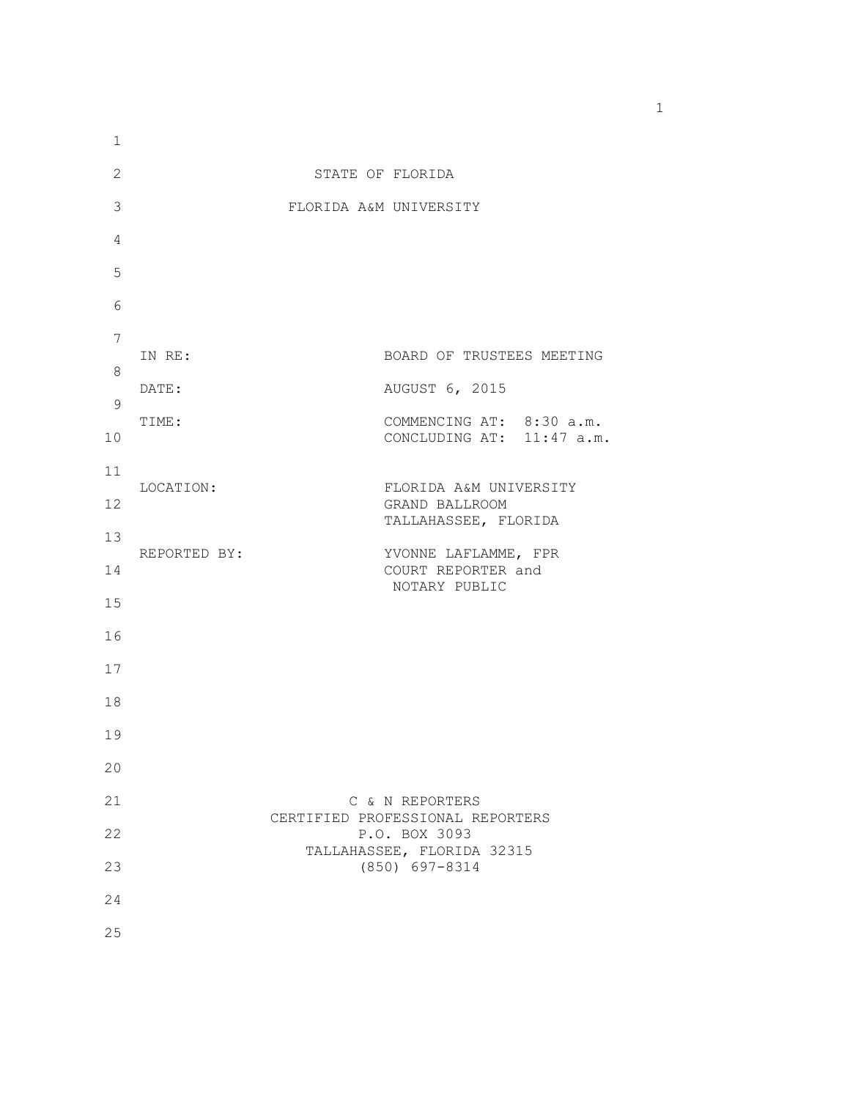| $\mathbf 1$ |              |                                                             |
|-------------|--------------|-------------------------------------------------------------|
| 2           |              | STATE OF FLORIDA                                            |
| 3           |              | FLORIDA A&M UNIVERSITY                                      |
| 4           |              |                                                             |
| 5           |              |                                                             |
| 6           |              |                                                             |
| 7           |              |                                                             |
| 8           | IN RE:       | BOARD OF TRUSTEES MEETING                                   |
| 9           | DATE:        | AUGUST 6, 2015                                              |
| 10          | TIME:        | COMMENCING AT: 8:30 a.m.<br>CONCLUDING AT: 11:47 a.m.       |
| 11          |              |                                                             |
| 12          | LOCATION:    | FLORIDA A&M UNIVERSITY<br>GRAND BALLROOM                    |
| 13          |              | TALLAHASSEE, FLORIDA                                        |
| 14          | REPORTED BY: | YVONNE LAFLAMME, FPR<br>COURT REPORTER and<br>NOTARY PUBLIC |
| 15          |              |                                                             |
| 16          |              |                                                             |
| 17          |              |                                                             |
| 18          |              |                                                             |
| 19          |              |                                                             |
| 20          |              |                                                             |
| 21          |              | C & N REPORTERS                                             |
| 22          |              | CERTIFIED PROFESSIONAL REPORTERS<br>P.O. BOX 3093           |
| 23          |              | TALLAHASSEE, FLORIDA 32315<br>$(850)$ 697-8314              |
| 24          |              |                                                             |
| 25          |              |                                                             |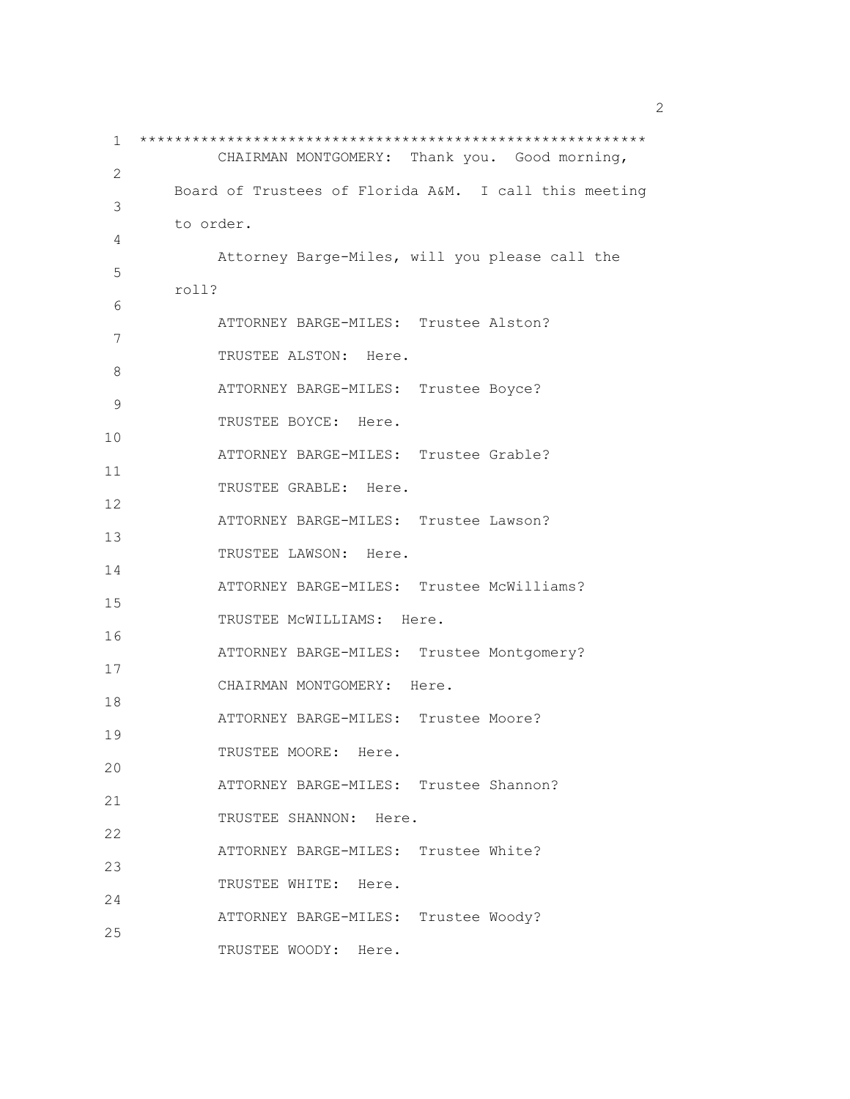1 \*\*\*\*\*\*\*\*\*\*\*\*\*\*\*\*\*\*\*\*\*\*\*\*\*\*\*\*\*\*\*\*\*\*\*\*\*\*\*\*\*\*\*\*\*\*\*\*\*\*\*\*\*\*\*\*\*\* CHAIRMAN MONTGOMERY: Thank you. Good morning,  $\mathcal{L}$  Board of Trustees of Florida A&M. I call this meeting 3 to order. 4 Attorney Barge-Miles, will you please call the 5 roll? 6 ATTORNEY BARGE-MILES: Trustee Alston? 7 TRUSTEE ALSTON: Here. 8 ATTORNEY BARGE-MILES: Trustee Boyce? 9 TRUSTEE BOYCE: Here. 10 ATTORNEY BARGE-MILES: Trustee Grable? 11 TRUSTEE GRABLE: Here. 12 ATTORNEY BARGE-MILES: Trustee Lawson? 13 TRUSTEE LAWSON: Here. 14 ATTORNEY BARGE-MILES: Trustee McWilliams? 15 TRUSTEE McWILLIAMS: Here. 16 ATTORNEY BARGE-MILES: Trustee Montgomery? 17 CHAIRMAN MONTGOMERY: Here. 18 ATTORNEY BARGE-MILES: Trustee Moore? 19 TRUSTEE MOORE: Here.  $20$  ATTORNEY BARGE-MILES: Trustee Shannon? 21 TRUSTEE SHANNON: Here. 22 ATTORNEY BARGE-MILES: Trustee White? 23 TRUSTEE WHITE: Here. 24 ATTORNEY BARGE-MILES: Trustee Woody? 25 TRUSTEE WOODY: Here.

 $\sim$  2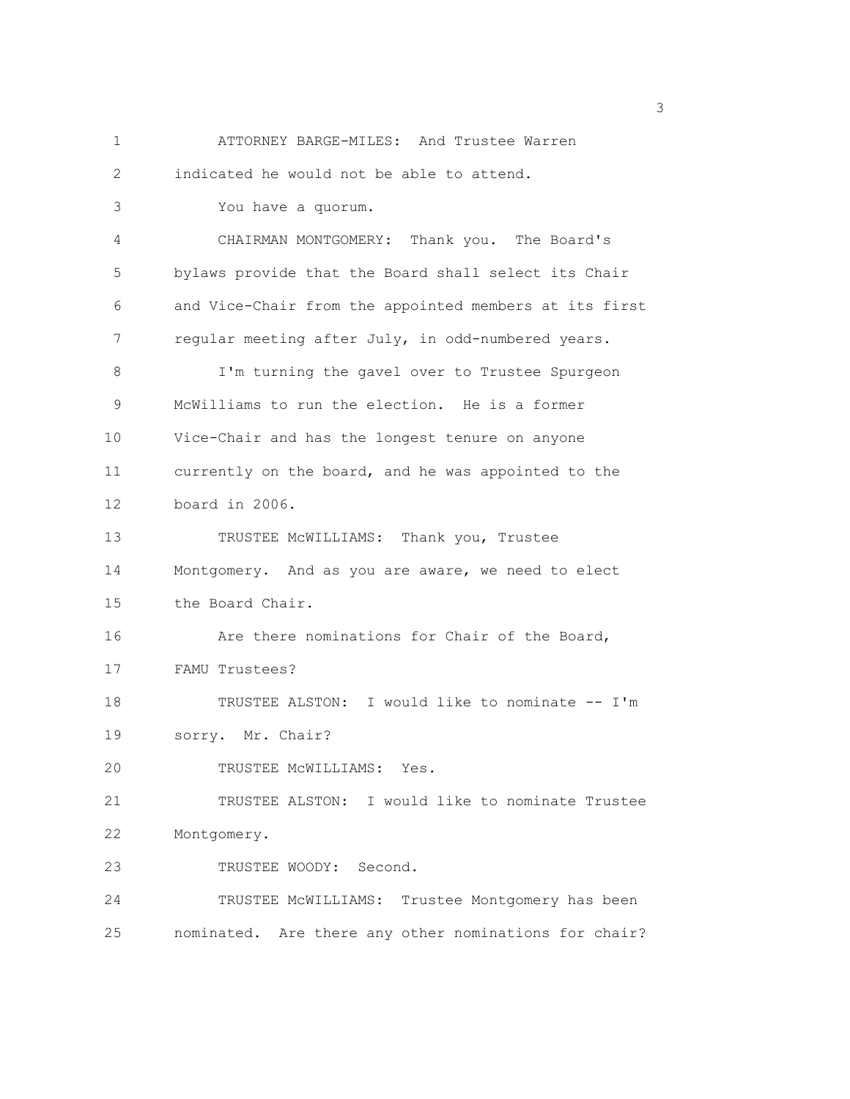1 ATTORNEY BARGE-MILES: And Trustee Warren 2 indicated he would not be able to attend. 3 You have a quorum. 4 CHAIRMAN MONTGOMERY: Thank you. The Board's 5 bylaws provide that the Board shall select its Chair 6 and Vice-Chair from the appointed members at its first 7 regular meeting after July, in odd-numbered years. 8 I'm turning the gavel over to Trustee Spurgeon 9 McWilliams to run the election. He is a former 10 Vice-Chair and has the longest tenure on anyone 11 currently on the board, and he was appointed to the 12 board in 2006. 13 TRUSTEE McWILLIAMS: Thank you, Trustee 14 Montgomery. And as you are aware, we need to elect 15 the Board Chair. 16 Are there nominations for Chair of the Board, 17 FAMU Trustees? 18 TRUSTEE ALSTON: I would like to nominate -- I'm 19 sorry. Mr. Chair? 20 TRUSTEE McWILLIAMS: Yes. 21 TRUSTEE ALSTON: I would like to nominate Trustee 22 Montgomery. 23 TRUSTEE WOODY: Second. 24 TRUSTEE McWILLIAMS: Trustee Montgomery has been 25 nominated. Are there any other nominations for chair?

 $\sim$  3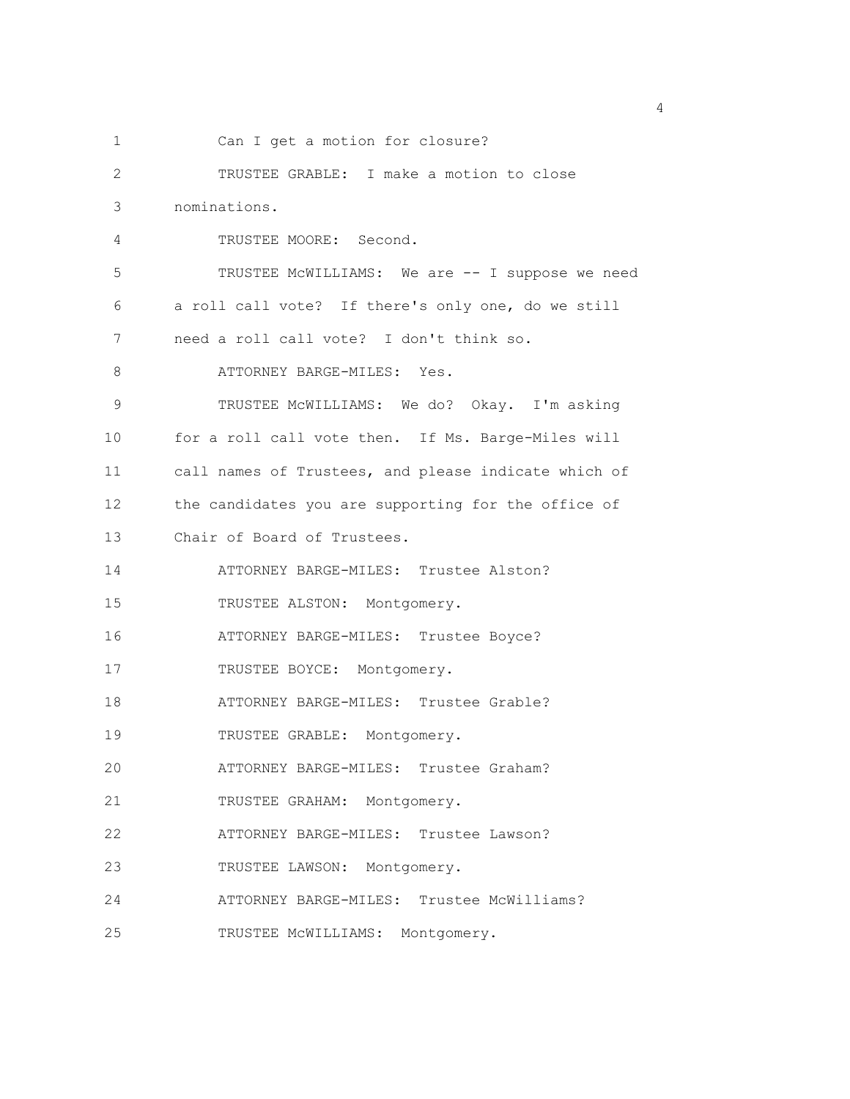4 1 Can I get a motion for closure? 2 TRUSTEE GRABLE: I make a motion to close 3 nominations. 4 TRUSTEE MOORE: Second. 5 TRUSTEE McWILLIAMS: We are -- I suppose we need 6 a roll call vote? If there's only one, do we still 7 need a roll call vote? I don't think so. 8 **ATTORNEY BARGE-MILES:** Yes. 9 TRUSTEE McWILLIAMS: We do? Okay. I'm asking 10 for a roll call vote then. If Ms. Barge-Miles will 11 call names of Trustees, and please indicate which of 12 the candidates you are supporting for the office of 13 Chair of Board of Trustees. 14 ATTORNEY BARGE-MILES: Trustee Alston? 15 TRUSTEE ALSTON: Montgomery. 16 ATTORNEY BARGE-MILES: Trustee Boyce? 17 TRUSTEE BOYCE: Montgomery. 18 ATTORNEY BARGE-MILES: Trustee Grable? 19 TRUSTEE GRABLE: Montgomery. 20 ATTORNEY BARGE-MILES: Trustee Graham? 21 TRUSTEE GRAHAM: Montgomery. 22 ATTORNEY BARGE-MILES: Trustee Lawson? 23 TRUSTEE LAWSON: Montgomery. 24 ATTORNEY BARGE-MILES: Trustee McWilliams? 25 TRUSTEE McWILLIAMS: Montgomery.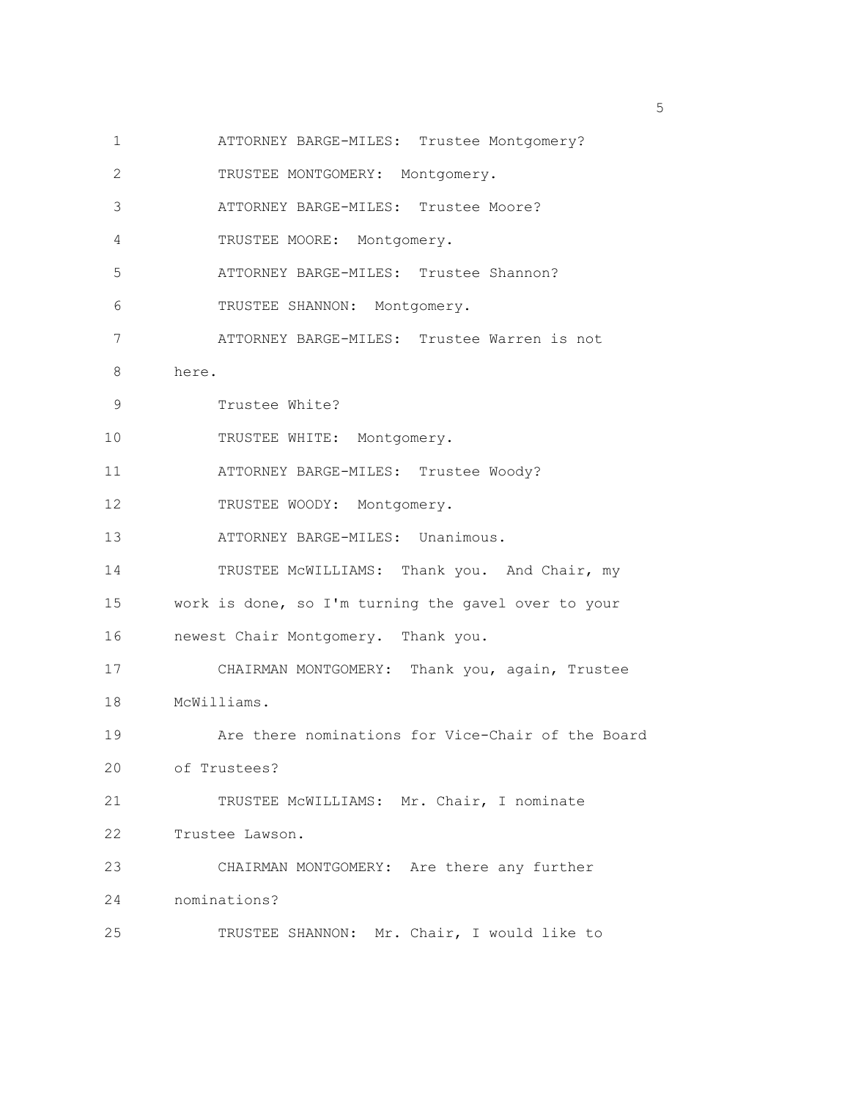| 1  | ATTORNEY BARGE-MILES: Trustee Montgomery?           |
|----|-----------------------------------------------------|
| 2  | TRUSTEE MONTGOMERY: Montgomery.                     |
| 3  | ATTORNEY BARGE-MILES: Trustee Moore?                |
| 4  | TRUSTEE MOORE: Montgomery.                          |
| 5  | ATTORNEY BARGE-MILES: Trustee Shannon?              |
| 6  | TRUSTEE SHANNON: Montgomery.                        |
| 7  | ATTORNEY BARGE-MILES: Trustee Warren is not         |
| 8  | here.                                               |
| 9  | Trustee White?                                      |
| 10 | TRUSTEE WHITE: Montgomery.                          |
| 11 | ATTORNEY BARGE-MILES: Trustee Woody?                |
| 12 | TRUSTEE WOODY: Montgomery.                          |
| 13 | ATTORNEY BARGE-MILES: Unanimous.                    |
| 14 | TRUSTEE MCWILLIAMS: Thank you. And Chair, my        |
| 15 | work is done, so I'm turning the gavel over to your |
| 16 | newest Chair Montgomery. Thank you.                 |
| 17 | CHAIRMAN MONTGOMERY: Thank you, again, Trustee      |
| 18 | McWilliams.                                         |
| 19 | Are there nominations for Vice-Chair of the Board   |
| 20 | of Trustees?                                        |
| 21 | TRUSTEE MCWILLIAMS: Mr. Chair, I nominate           |
| 22 | Trustee Lawson.                                     |
| 23 | CHAIRMAN MONTGOMERY: Are there any further          |
| 24 | nominations?                                        |
| 25 | TRUSTEE SHANNON: Mr. Chair, I would like to         |

<u>5</u> September 2005 and 2006 and 2007 and 2007 and 2008 and 2007 and 2008 and 2008 and 2008 and 2008 and 2008 and 2008 and 2008 and 2008 and 2008 and 2008 and 2008 and 2008 and 2008 and 2008 and 2008 and 2008 and 2008 and 2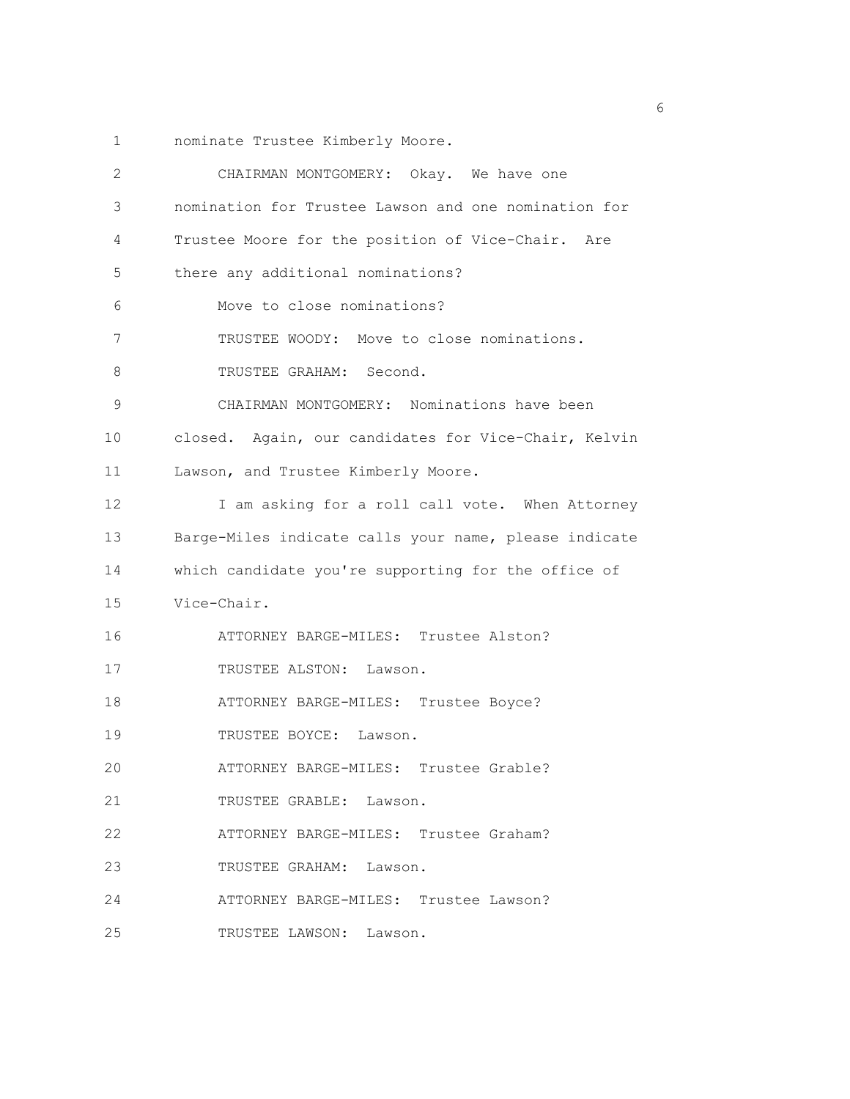1 nominate Trustee Kimberly Moore.

| 2  | CHAIRMAN MONTGOMERY: Okay. We have one                |
|----|-------------------------------------------------------|
| 3  | nomination for Trustee Lawson and one nomination for  |
| 4  | Trustee Moore for the position of Vice-Chair. Are     |
| 5  | there any additional nominations?                     |
| 6  | Move to close nominations?                            |
| 7  | TRUSTEE WOODY: Move to close nominations.             |
| 8  | TRUSTEE GRAHAM: Second.                               |
| 9  | CHAIRMAN MONTGOMERY: Nominations have been            |
| 10 | closed. Again, our candidates for Vice-Chair, Kelvin  |
| 11 | Lawson, and Trustee Kimberly Moore.                   |
| 12 | I am asking for a roll call vote. When Attorney       |
| 13 | Barge-Miles indicate calls your name, please indicate |
| 14 | which candidate you're supporting for the office of   |
| 15 | Vice-Chair.                                           |
| 16 | ATTORNEY BARGE-MILES: Trustee Alston?                 |
| 17 | TRUSTEE ALSTON: Lawson.                               |
| 18 | ATTORNEY BARGE-MILES: Trustee Boyce?                  |
| 19 | TRUSTEE BOYCE: Lawson.                                |
| 20 | ATTORNEY BARGE-MILES: Trustee Grable?                 |
| 21 | TRUSTEE GRABLE: Lawson.                               |
| 22 | ATTORNEY BARGE-MILES: Trustee Graham?                 |
| 23 | TRUSTEE GRAHAM: Lawson.                               |
| 24 | ATTORNEY BARGE-MILES: Trustee Lawson?                 |
| 25 | TRUSTEE LAWSON: Lawson.                               |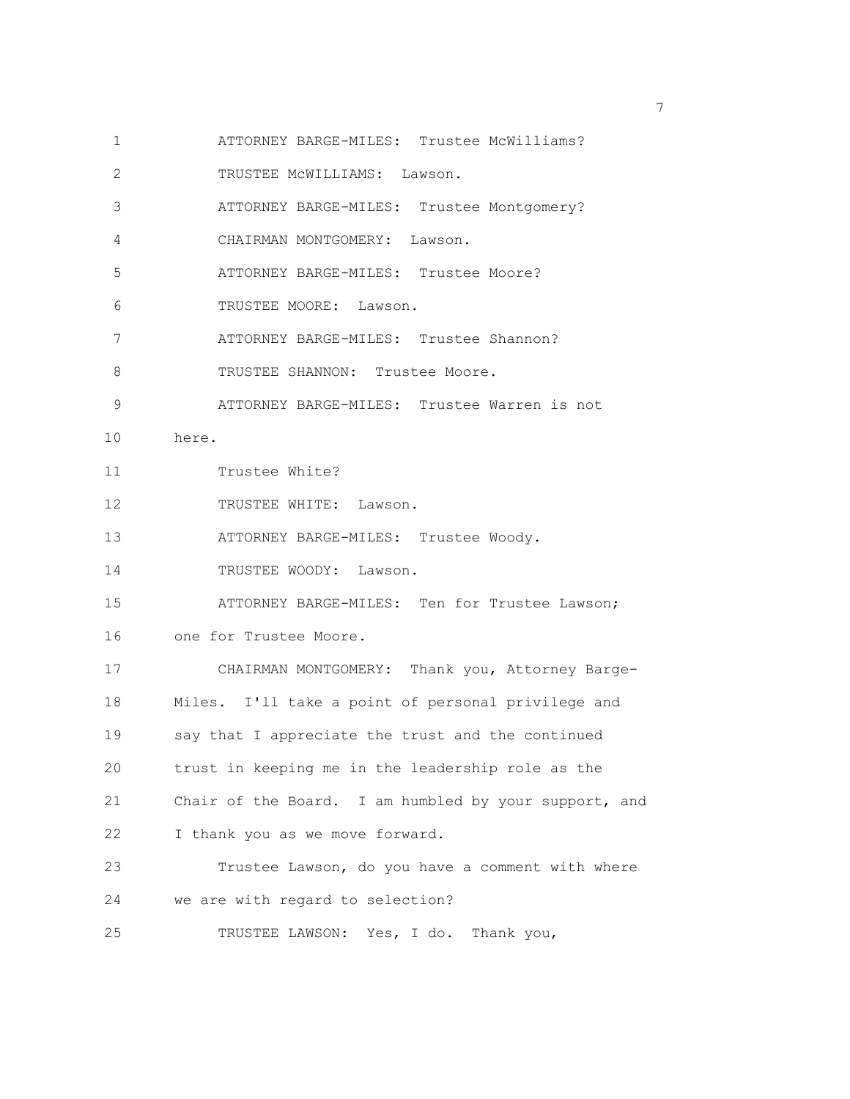| 1  | ATTORNEY BARGE-MILES: Trustee McWilliams?             |
|----|-------------------------------------------------------|
| 2  | TRUSTEE MCWILLIAMS: Lawson.                           |
| 3  | ATTORNEY BARGE-MILES: Trustee Montgomery?             |
| 4  | CHAIRMAN MONTGOMERY: Lawson.                          |
| 5  | ATTORNEY BARGE-MILES: Trustee Moore?                  |
| 6  | TRUSTEE MOORE: Lawson.                                |
| 7  | ATTORNEY BARGE-MILES: Trustee Shannon?                |
| 8  | TRUSTEE SHANNON: Trustee Moore.                       |
| 9  | ATTORNEY BARGE-MILES: Trustee Warren is not           |
| 10 | here.                                                 |
| 11 | Trustee White?                                        |
| 12 | TRUSTEE WHITE: Lawson.                                |
| 13 | ATTORNEY BARGE-MILES: Trustee Woody.                  |
| 14 | TRUSTEE WOODY: Lawson.                                |
| 15 | ATTORNEY BARGE-MILES: Ten for Trustee Lawson;         |
| 16 | one for Trustee Moore.                                |
| 17 | CHAIRMAN MONTGOMERY: Thank you, Attorney Barge-       |
| 18 | Miles. I'll take a point of personal privilege and    |
| 19 | say that I appreciate the trust and the continued     |
| 20 | trust in keeping me in the leadership role as the     |
| 21 | Chair of the Board. I am humbled by your support, and |
| 22 | I thank you as we move forward.                       |
| 23 | Trustee Lawson, do you have a comment with where      |
| 24 | we are with regard to selection?                      |
| 25 | Yes, I do. Thank you,<br>TRUSTEE LAWSON:              |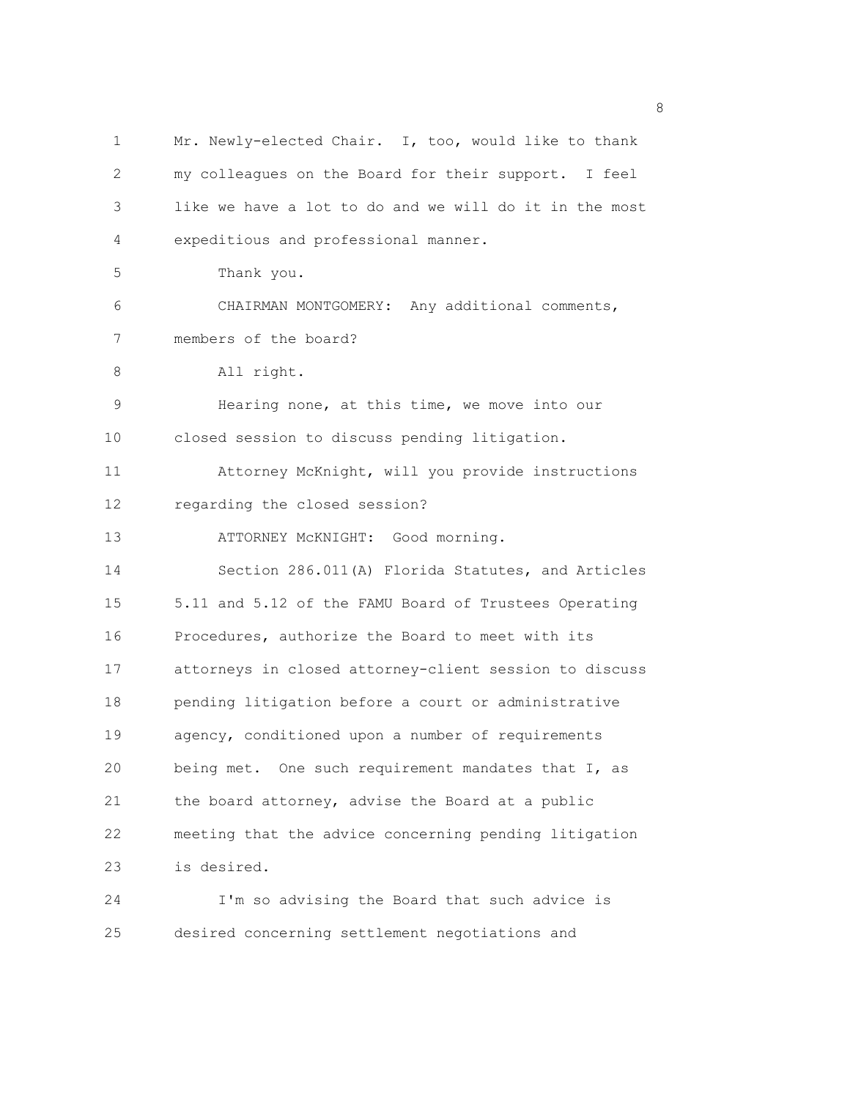1 Mr. Newly-elected Chair. I, too, would like to thank 2 my colleagues on the Board for their support. I feel 3 like we have a lot to do and we will do it in the most 4 expeditious and professional manner. 5 Thank you. 6 CHAIRMAN MONTGOMERY: Any additional comments, 7 members of the board? 8 All right. 9 Hearing none, at this time, we move into our 10 closed session to discuss pending litigation. 11 Attorney McKnight, will you provide instructions 12 regarding the closed session? 13 ATTORNEY McKNIGHT: Good morning. 14 Section 286.011(A) Florida Statutes, and Articles 15 5.11 and 5.12 of the FAMU Board of Trustees Operating 16 Procedures, authorize the Board to meet with its 17 attorneys in closed attorney-client session to discuss 18 pending litigation before a court or administrative 19 agency, conditioned upon a number of requirements 20 being met. One such requirement mandates that I, as 21 the board attorney, advise the Board at a public 22 meeting that the advice concerning pending litigation 23 is desired. 24 I'm so advising the Board that such advice is 25 desired concerning settlement negotiations and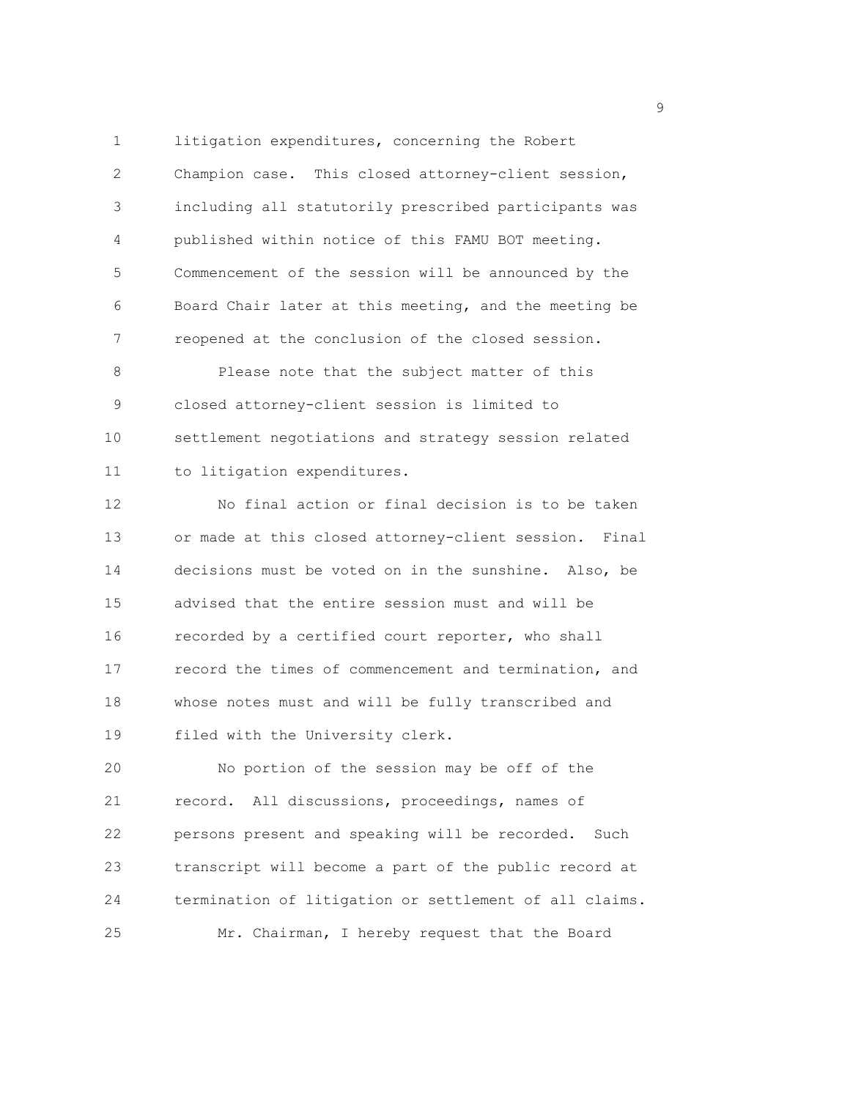1 litigation expenditures, concerning the Robert 2 Champion case. This closed attorney-client session, 3 including all statutorily prescribed participants was 4 published within notice of this FAMU BOT meeting. 5 Commencement of the session will be announced by the 6 Board Chair later at this meeting, and the meeting be 7 reopened at the conclusion of the closed session. 8 Please note that the subject matter of this 9 closed attorney-client session is limited to

10 settlement negotiations and strategy session related 11 to litigation expenditures.

12 No final action or final decision is to be taken 13 or made at this closed attorney-client session. Final 14 decisions must be voted on in the sunshine. Also, be 15 advised that the entire session must and will be 16 recorded by a certified court reporter, who shall 17 record the times of commencement and termination, and 18 whose notes must and will be fully transcribed and 19 filed with the University clerk.

20 No portion of the session may be off of the 21 record. All discussions, proceedings, names of 22 persons present and speaking will be recorded. Such 23 transcript will become a part of the public record at 24 termination of litigation or settlement of all claims. 25 Mr. Chairman, I hereby request that the Board

en de la provincia de la provincia de la provincia de la provincia de la provincia de la provincia de la provi<br>1900 : la provincia de la provincia de la provincia de la provincia de la provincia de la provincia de la prov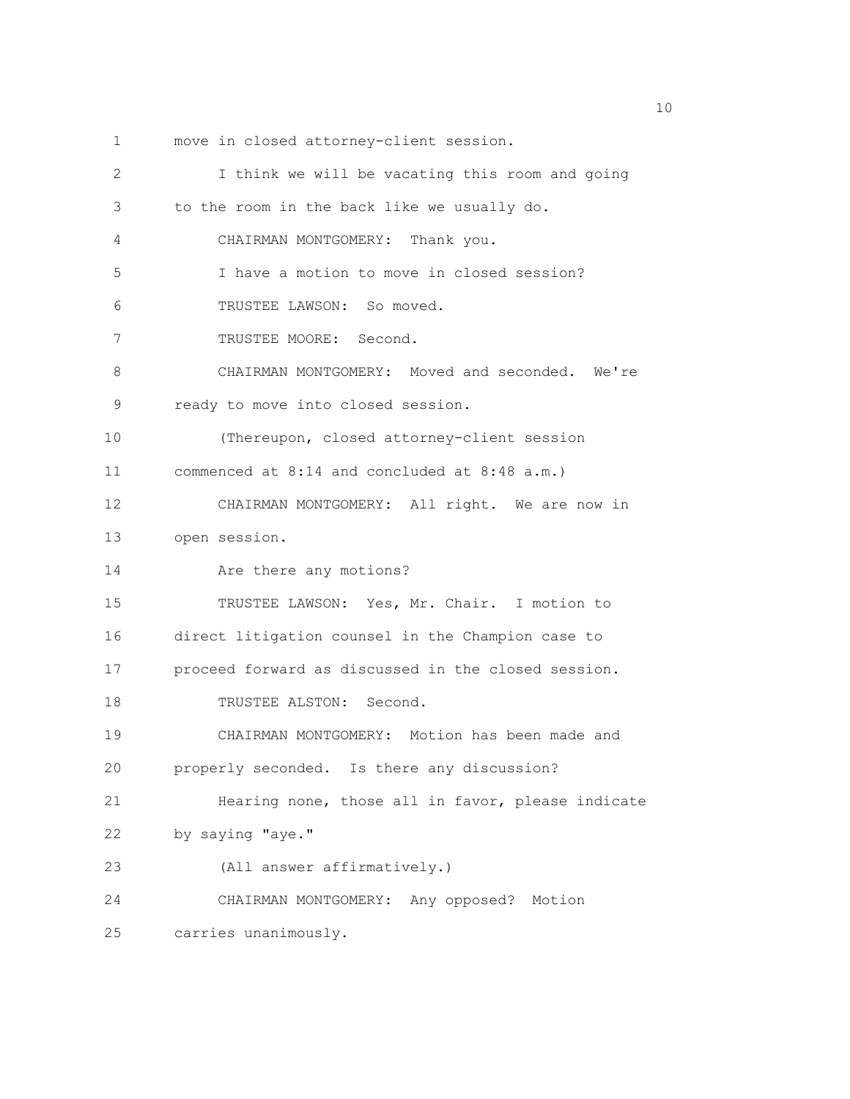1 move in closed attorney-client session.

| 2  | I think we will be vacating this room and going     |
|----|-----------------------------------------------------|
| 3  | to the room in the back like we usually do.         |
| 4  | CHAIRMAN MONTGOMERY: Thank you.                     |
| 5  | I have a motion to move in closed session?          |
| 6  | TRUSTEE LAWSON: So moved.                           |
| 7  | TRUSTEE MOORE: Second.                              |
| 8  | CHAIRMAN MONTGOMERY: Moved and seconded. We're      |
| 9  | ready to move into closed session.                  |
| 10 | (Thereupon, closed attorney-client session          |
| 11 | commenced at 8:14 and concluded at 8:48 a.m.)       |
| 12 | CHAIRMAN MONTGOMERY: All right. We are now in       |
| 13 | open session.                                       |
| 14 | Are there any motions?                              |
| 15 | TRUSTEE LAWSON: Yes, Mr. Chair. I motion to         |
| 16 | direct litigation counsel in the Champion case to   |
| 17 | proceed forward as discussed in the closed session. |
| 18 | TRUSTEE ALSTON: Second.                             |
| 19 | CHAIRMAN MONTGOMERY: Motion has been made and       |
| 20 | properly seconded. Is there any discussion?         |
| 21 | Hearing none, those all in favor, please indicate   |
| 22 | by saying "aye."                                    |
| 23 | (All answer affirmatively.)                         |
| 24 | CHAIRMAN MONTGOMERY: Any opposed? Motion            |
| 25 | carries unanimously.                                |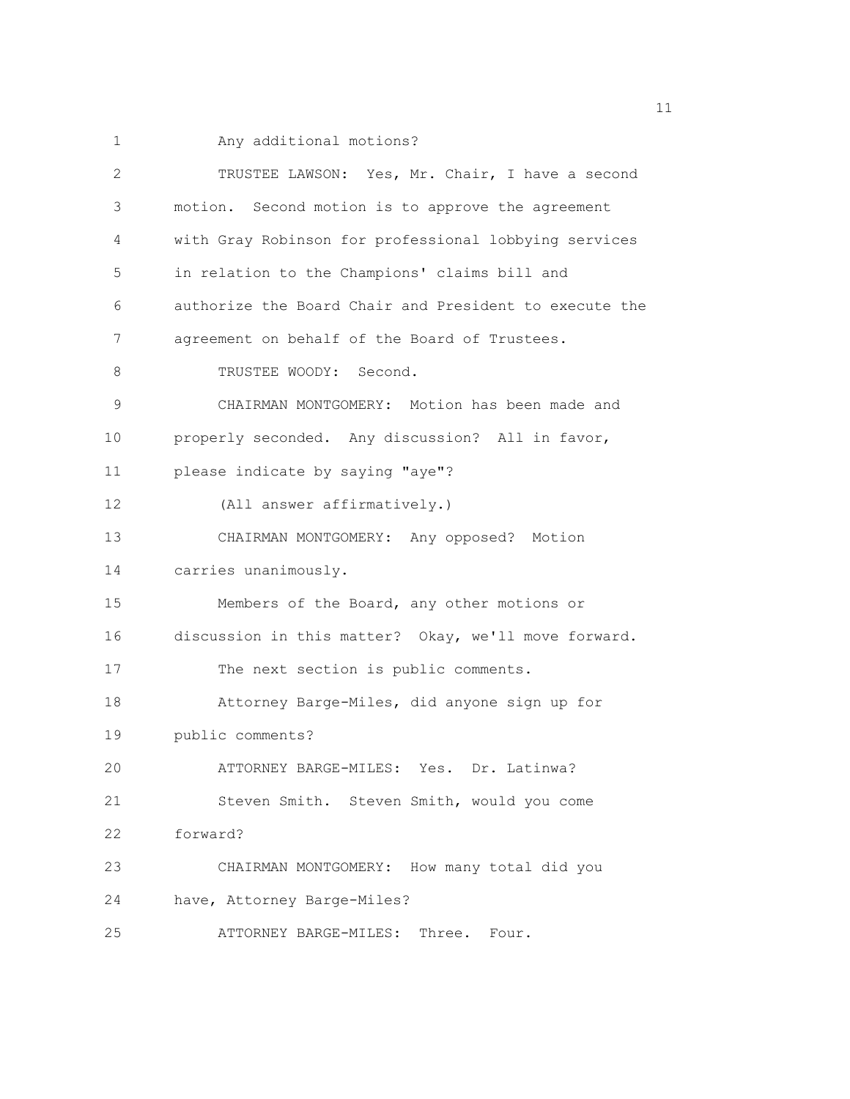1 Any additional motions?

| 2  | TRUSTEE LAWSON: Yes, Mr. Chair, I have a second        |
|----|--------------------------------------------------------|
| 3  | motion. Second motion is to approve the agreement      |
| 4  | with Gray Robinson for professional lobbying services  |
| 5  | in relation to the Champions' claims bill and          |
| 6  | authorize the Board Chair and President to execute the |
| 7  | agreement on behalf of the Board of Trustees.          |
| 8  | TRUSTEE WOODY: Second.                                 |
| 9  | CHAIRMAN MONTGOMERY: Motion has been made and          |
| 10 | properly seconded. Any discussion? All in favor,       |
| 11 | please indicate by saying "aye"?                       |
| 12 | (All answer affirmatively.)                            |
| 13 | CHAIRMAN MONTGOMERY: Any opposed? Motion               |
| 14 | carries unanimously.                                   |
| 15 | Members of the Board, any other motions or             |
| 16 | discussion in this matter? Okay, we'll move forward.   |
| 17 | The next section is public comments.                   |
| 18 | Attorney Barge-Miles, did anyone sign up for           |
| 19 | public comments?                                       |
| 20 | ATTORNEY BARGE-MILES: Yes. Dr. Latinwa?                |
| 21 | Steven Smith. Steven Smith, would you come             |
| 22 | forward?                                               |
| 23 | CHAIRMAN MONTGOMERY: How many total did you            |
| 24 | have, Attorney Barge-Miles?                            |
| 25 | ATTORNEY BARGE-MILES:<br>Three.<br>Four.               |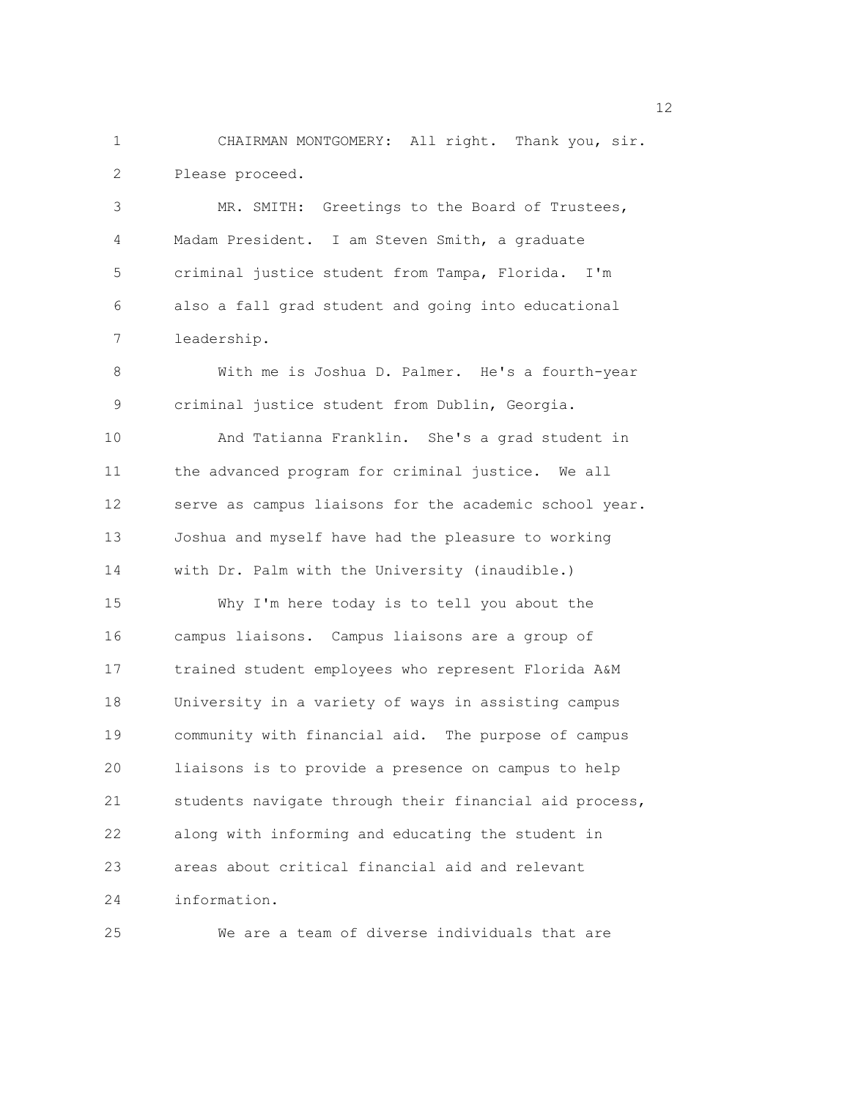1 CHAIRMAN MONTGOMERY: All right. Thank you, sir. 2 Please proceed.

3 MR. SMITH: Greetings to the Board of Trustees, 4 Madam President. I am Steven Smith, a graduate 5 criminal justice student from Tampa, Florida. I'm 6 also a fall grad student and going into educational 7 leadership.

8 With me is Joshua D. Palmer. He's a fourth-year 9 criminal justice student from Dublin, Georgia. 10 And Tatianna Franklin. She's a grad student in 11 the advanced program for criminal justice. We all 12 serve as campus liaisons for the academic school year. 13 Joshua and myself have had the pleasure to working 14 with Dr. Palm with the University (inaudible.) 15 Why I'm here today is to tell you about the 16 campus liaisons. Campus liaisons are a group of 17 trained student employees who represent Florida A&M 18 University in a variety of ways in assisting campus 19 community with financial aid. The purpose of campus 20 liaisons is to provide a presence on campus to help 21 students navigate through their financial aid process, 22 along with informing and educating the student in 23 areas about critical financial aid and relevant 24 information.

25 We are a team of diverse individuals that are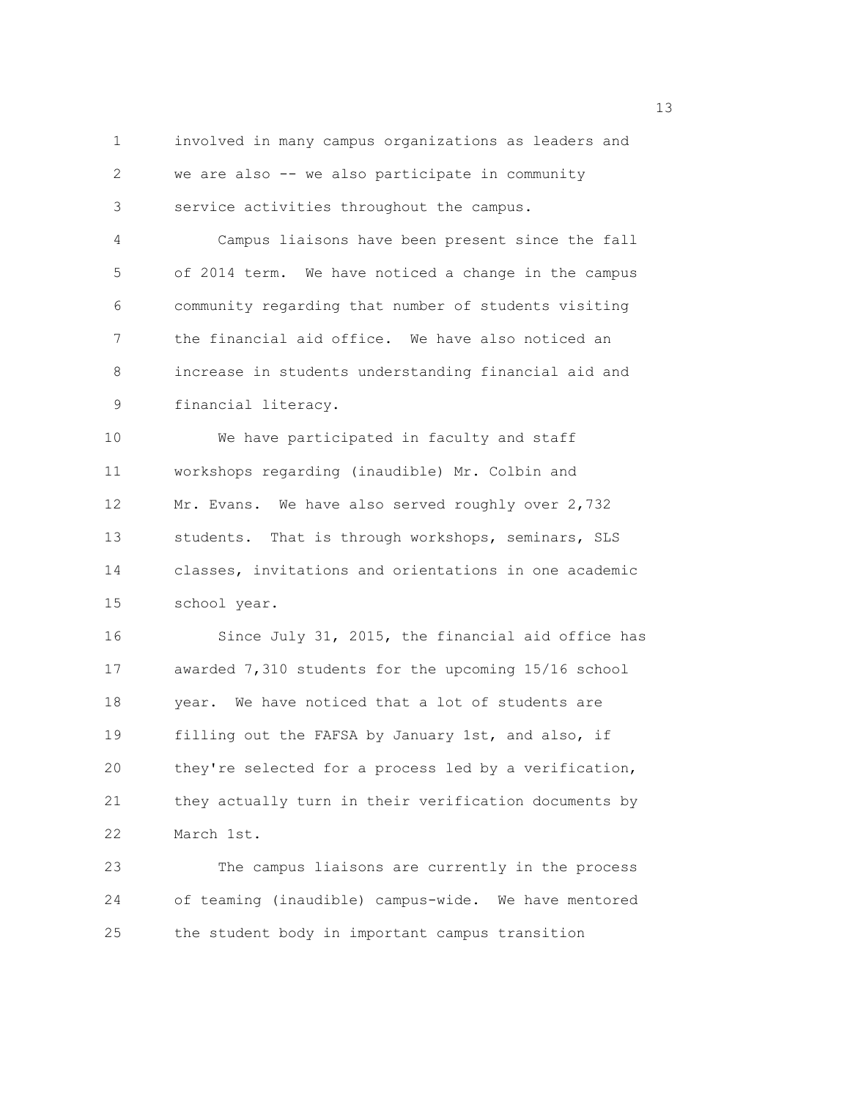1 involved in many campus organizations as leaders and 2 we are also -- we also participate in community

3 service activities throughout the campus.

4 Campus liaisons have been present since the fall 5 of 2014 term. We have noticed a change in the campus 6 community regarding that number of students visiting 7 the financial aid office. We have also noticed an 8 increase in students understanding financial aid and 9 financial literacy.

10 We have participated in faculty and staff 11 workshops regarding (inaudible) Mr. Colbin and 12 Mr. Evans. We have also served roughly over 2,732 13 students. That is through workshops, seminars, SLS 14 classes, invitations and orientations in one academic 15 school year.

16 Since July 31, 2015, the financial aid office has 17 awarded 7,310 students for the upcoming 15/16 school 18 year. We have noticed that a lot of students are 19 filling out the FAFSA by January 1st, and also, if 20 they're selected for a process led by a verification, 21 they actually turn in their verification documents by 22 March 1st.

23 The campus liaisons are currently in the process 24 of teaming (inaudible) campus-wide. We have mentored 25 the student body in important campus transition

13 and 13 and 13 and 13 and 13 and 13 and 13 and 13 and 13 and 13 and 13 and 13 and 13 and 13 and 13 and 13 and 13 and 13 and 13 and 13 and 13 and 13 and 13 and 13 and 13 and 13 and 13 and 13 and 13 and 13 and 13 and 13 an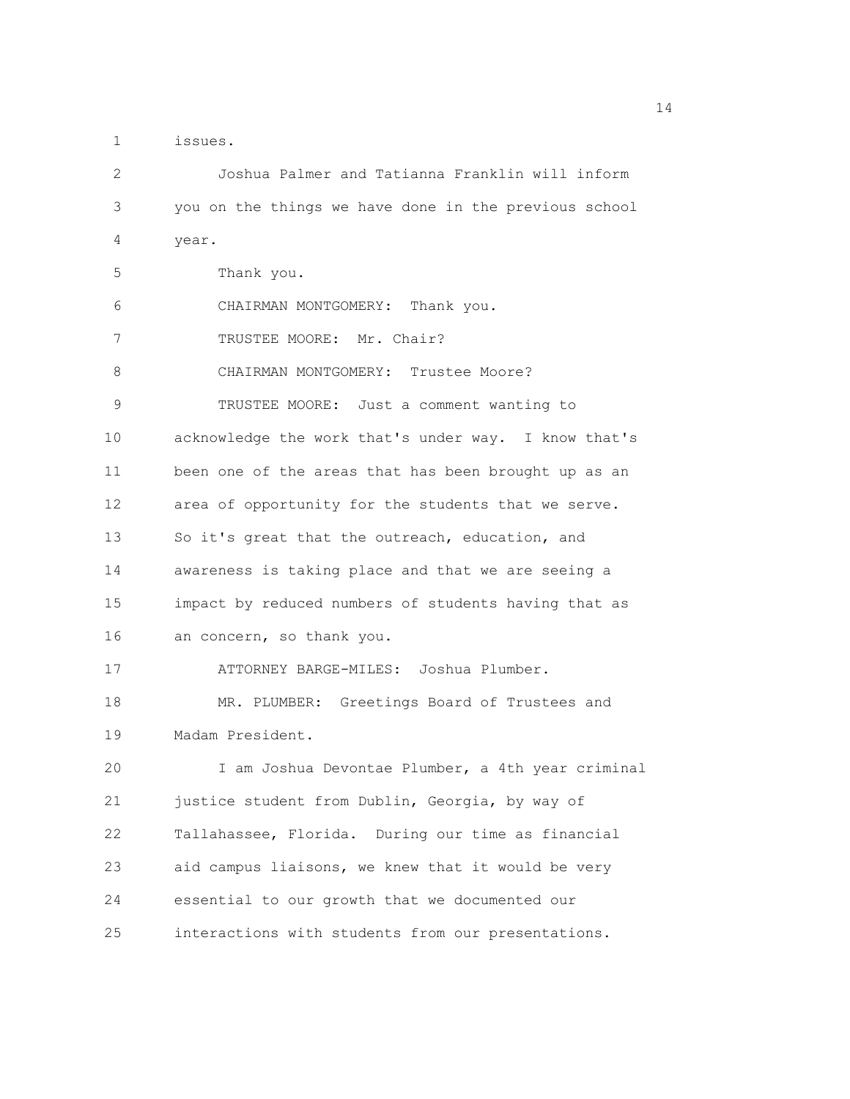1 issues.

| $\overline{2}$ | Joshua Palmer and Tatianna Franklin will inform       |
|----------------|-------------------------------------------------------|
| 3              | you on the things we have done in the previous school |
| 4              | year.                                                 |
| 5              | Thank you.                                            |
| 6              | CHAIRMAN MONTGOMERY: Thank you.                       |
| 7              | TRUSTEE MOORE: Mr. Chair?                             |
| 8              | CHAIRMAN MONTGOMERY: Trustee Moore?                   |
| 9              | TRUSTEE MOORE: Just a comment wanting to              |
| 10             | acknowledge the work that's under way. I know that's  |
| 11             | been one of the areas that has been brought up as an  |
| 12             | area of opportunity for the students that we serve.   |
| 13             | So it's great that the outreach, education, and       |
| 14             | awareness is taking place and that we are seeing a    |
| 15             | impact by reduced numbers of students having that as  |
| 16             | an concern, so thank you.                             |
| 17             | ATTORNEY BARGE-MILES: Joshua Plumber.                 |
| 18             | MR. PLUMBER: Greetings Board of Trustees and          |
| 19             | Madam President.                                      |
| 20             | I am Joshua Devontae Plumber, a 4th year criminal     |
| 21             | justice student from Dublin, Georgia, by way of       |
| 22             | Tallahassee, Florida. During our time as financial    |
| 23             | aid campus liaisons, we knew that it would be very    |
| 24             | essential to our growth that we documented our        |
| 25             | interactions with students from our presentations.    |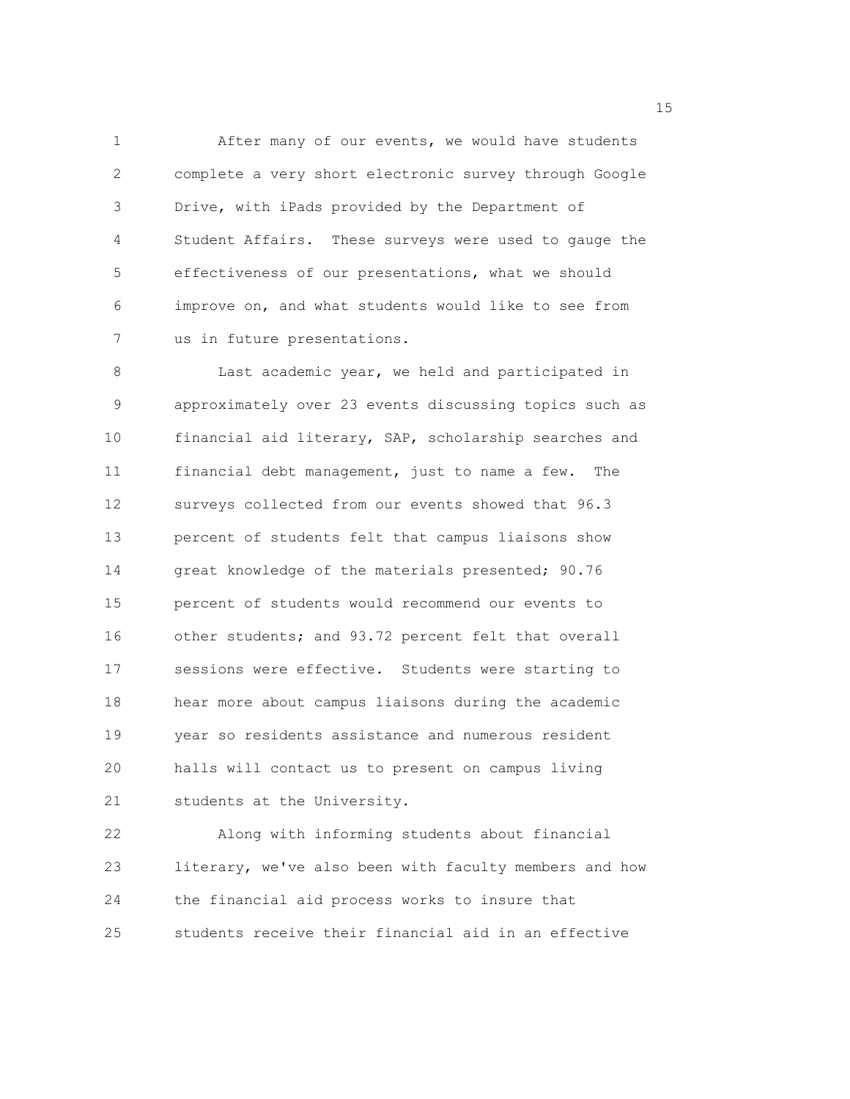1 After many of our events, we would have students 2 complete a very short electronic survey through Google 3 Drive, with iPads provided by the Department of 4 Student Affairs. These surveys were used to gauge the 5 effectiveness of our presentations, what we should 6 improve on, and what students would like to see from 7 us in future presentations.

8 Last academic year, we held and participated in 9 approximately over 23 events discussing topics such as 10 financial aid literary, SAP, scholarship searches and 11 financial debt management, just to name a few. The 12 surveys collected from our events showed that 96.3 13 percent of students felt that campus liaisons show 14 great knowledge of the materials presented; 90.76 15 percent of students would recommend our events to 16 other students; and 93.72 percent felt that overall 17 sessions were effective. Students were starting to 18 hear more about campus liaisons during the academic 19 year so residents assistance and numerous resident 20 halls will contact us to present on campus living 21 students at the University.

22 Along with informing students about financial 23 literary, we've also been with faculty members and how 24 the financial aid process works to insure that 25 students receive their financial aid in an effective

n 15 ann an 15 an t-Òire ann an 15 an t-Òire an t-Òire an t-Òire an t-Òire ann an 15 an t-Òire an t-Òire an t-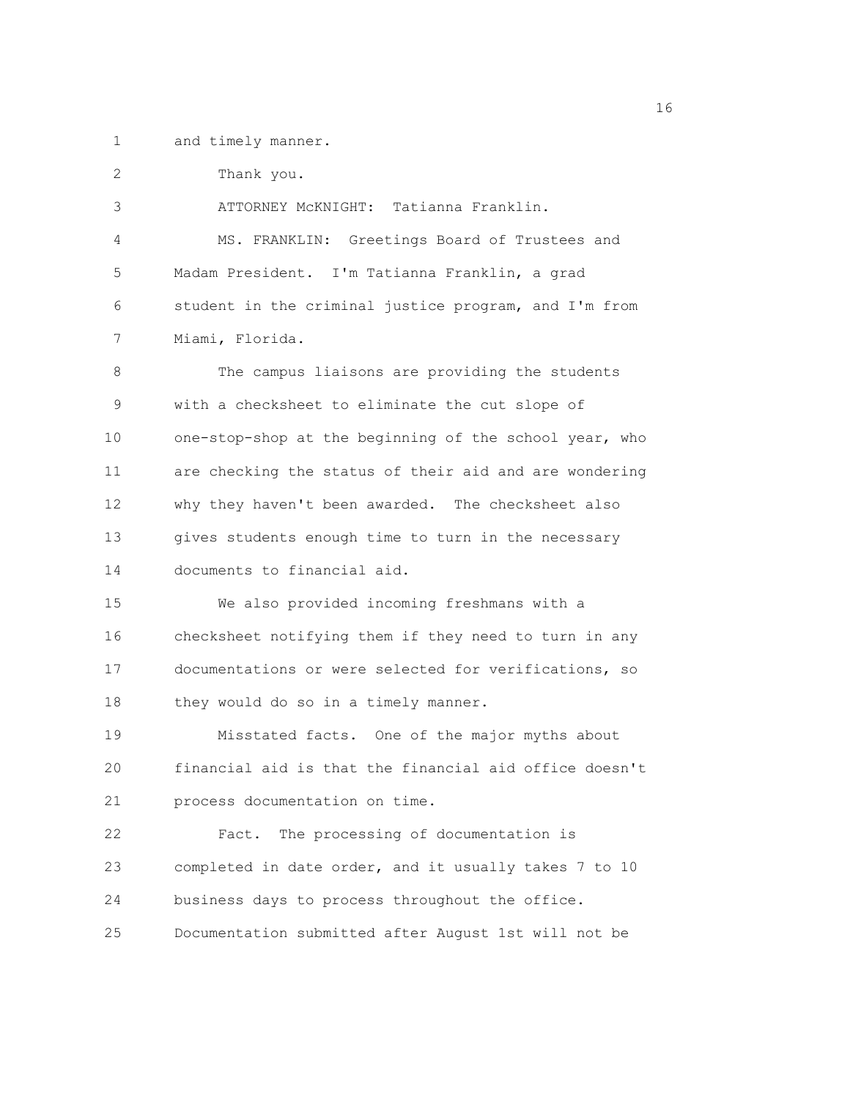1 and timely manner.

| 2  | Thank you.                                             |
|----|--------------------------------------------------------|
| 3  | ATTORNEY MCKNIGHT: Tatianna Franklin.                  |
| 4  | MS. FRANKLIN: Greetings Board of Trustees and          |
| 5  | Madam President. I'm Tatianna Franklin, a grad         |
| 6  | student in the criminal justice program, and I'm from  |
| 7  | Miami, Florida.                                        |
| 8  | The campus liaisons are providing the students         |
| 9  | with a checksheet to eliminate the cut slope of        |
| 10 | one-stop-shop at the beginning of the school year, who |
| 11 | are checking the status of their aid and are wondering |
| 12 | why they haven't been awarded. The checksheet also     |
| 13 | gives students enough time to turn in the necessary    |
| 14 | documents to financial aid.                            |
| 15 | We also provided incoming freshmans with a             |
| 16 | checksheet notifying them if they need to turn in any  |
| 17 | documentations or were selected for verifications, so  |
| 18 | they would do so in a timely manner.                   |
| 19 | Misstated facts. One of the major myths about          |
| 20 | financial aid is that the financial aid office doesn't |
| 21 | process documentation on time.                         |
| 22 | The processing of documentation is<br>Fact.            |
| 23 | completed in date order, and it usually takes 7 to 10  |
| 24 | business days to process throughout the office.        |
| 25 | Documentation submitted after August 1st will not be   |
|    |                                                        |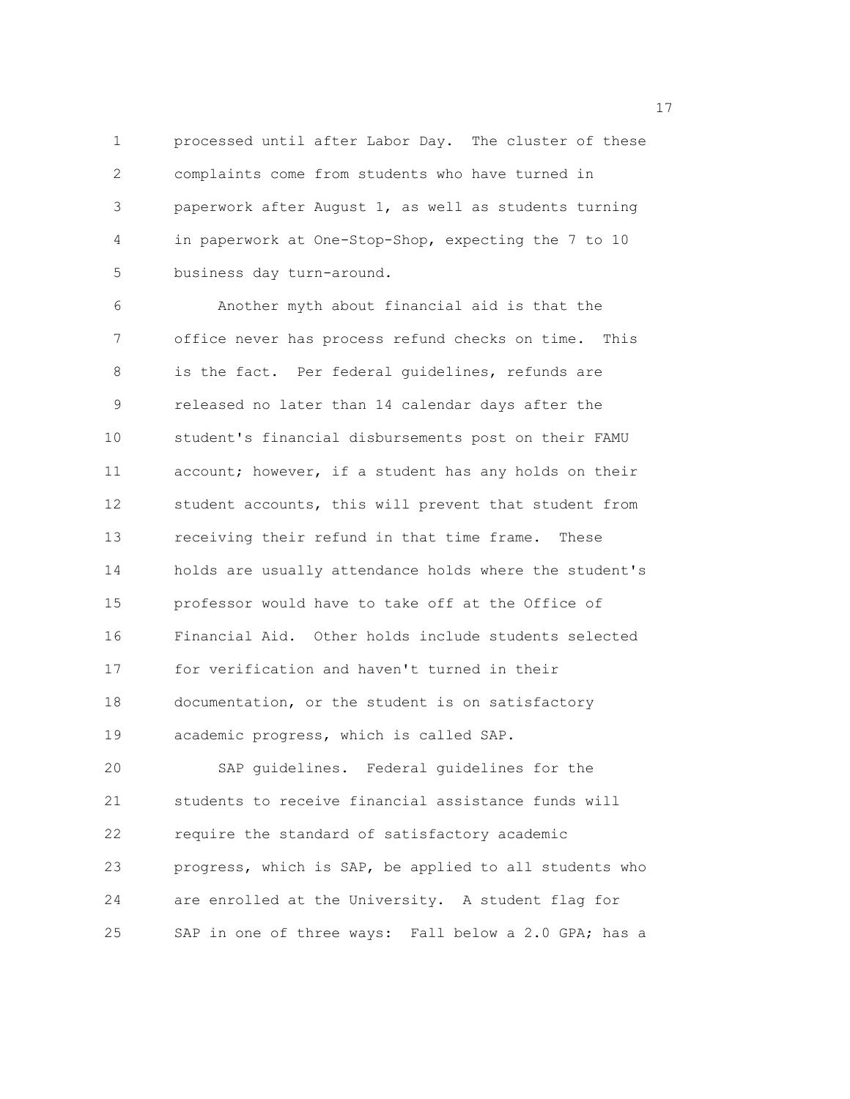1 processed until after Labor Day. The cluster of these 2 complaints come from students who have turned in 3 paperwork after August 1, as well as students turning 4 in paperwork at One-Stop-Shop, expecting the 7 to 10 5 business day turn-around.

6 Another myth about financial aid is that the 7 office never has process refund checks on time. This 8 is the fact. Per federal guidelines, refunds are 9 released no later than 14 calendar days after the 10 student's financial disbursements post on their FAMU 11 account; however, if a student has any holds on their 12 student accounts, this will prevent that student from 13 receiving their refund in that time frame. These 14 holds are usually attendance holds where the student's 15 professor would have to take off at the Office of 16 Financial Aid. Other holds include students selected 17 for verification and haven't turned in their 18 documentation, or the student is on satisfactory 19 academic progress, which is called SAP. 20 SAP guidelines. Federal guidelines for the 21 students to receive financial assistance funds will 22 require the standard of satisfactory academic 23 progress, which is SAP, be applied to all students who 24 are enrolled at the University. A student flag for 25 SAP in one of three ways: Fall below a 2.0 GPA; has a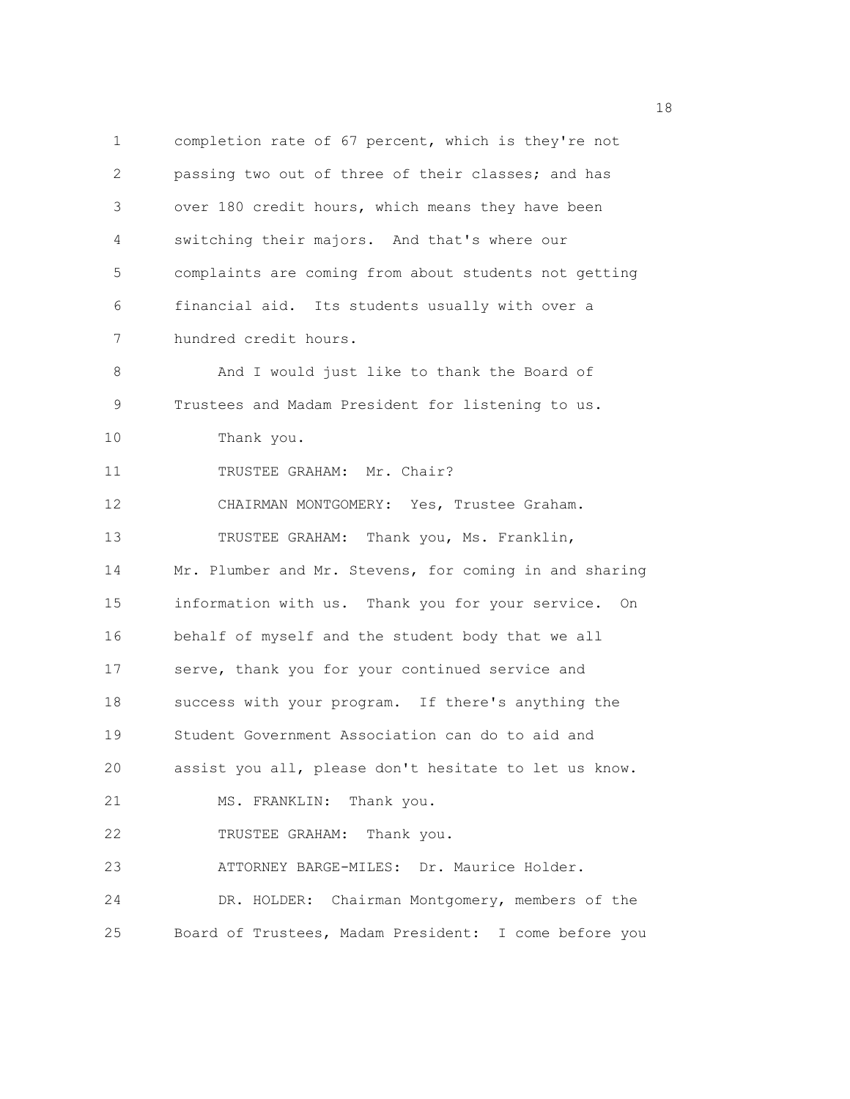1 completion rate of 67 percent, which is they're not 2 passing two out of three of their classes; and has 3 over 180 credit hours, which means they have been 4 switching their majors. And that's where our 5 complaints are coming from about students not getting 6 financial aid. Its students usually with over a 7 hundred credit hours. 8 And I would just like to thank the Board of 9 Trustees and Madam President for listening to us. 10 Thank you. 11 TRUSTEE GRAHAM: Mr. Chair? 12 CHAIRMAN MONTGOMERY: Yes, Trustee Graham. 13 TRUSTEE GRAHAM: Thank you, Ms. Franklin, 14 Mr. Plumber and Mr. Stevens, for coming in and sharing 15 information with us. Thank you for your service. On 16 behalf of myself and the student body that we all 17 serve, thank you for your continued service and 18 success with your program. If there's anything the 19 Student Government Association can do to aid and 20 assist you all, please don't hesitate to let us know. 21 MS. FRANKLIN: Thank you. 22 TRUSTEE GRAHAM: Thank you. 23 ATTORNEY BARGE-MILES: Dr. Maurice Holder. 24 DR. HOLDER: Chairman Montgomery, members of the 25 Board of Trustees, Madam President: I come before you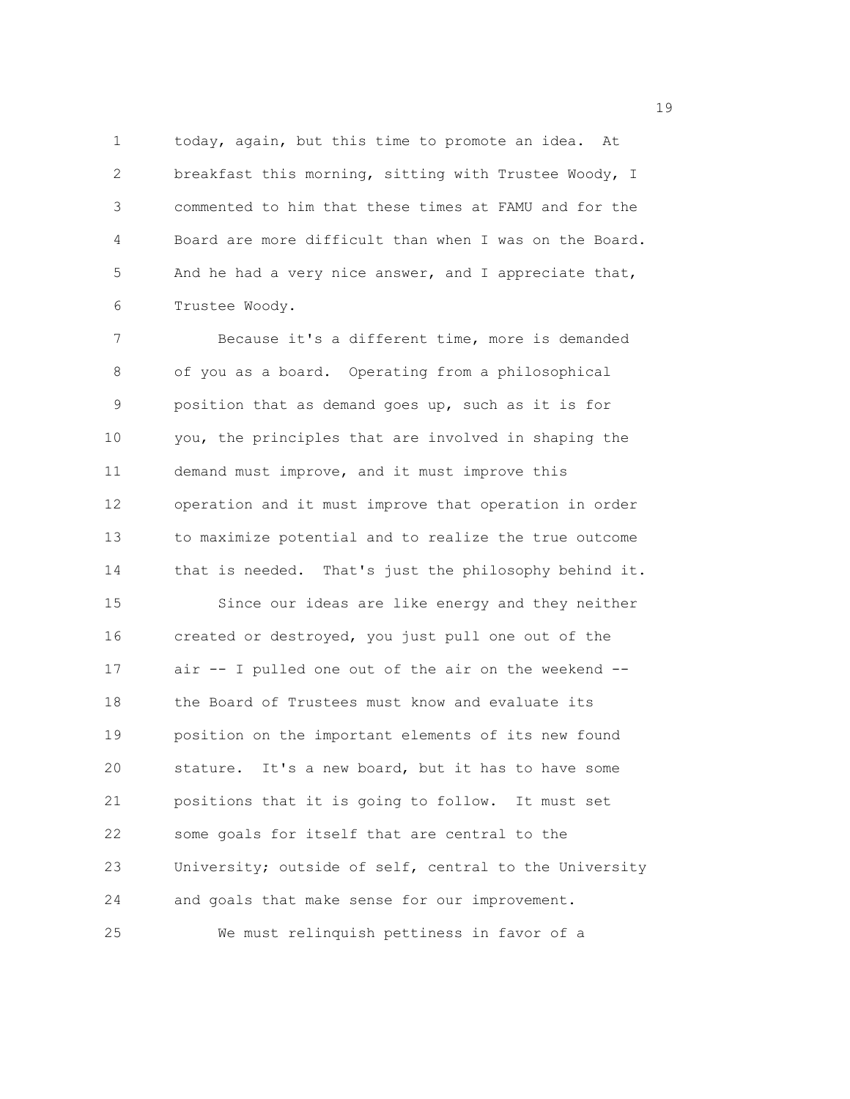1 today, again, but this time to promote an idea. At 2 breakfast this morning, sitting with Trustee Woody, I 3 commented to him that these times at FAMU and for the 4 Board are more difficult than when I was on the Board. 5 And he had a very nice answer, and I appreciate that, 6 Trustee Woody.

7 Because it's a different time, more is demanded 8 of you as a board. Operating from a philosophical 9 position that as demand goes up, such as it is for 10 you, the principles that are involved in shaping the 11 demand must improve, and it must improve this 12 operation and it must improve that operation in order 13 to maximize potential and to realize the true outcome 14 that is needed. That's just the philosophy behind it. 15 Since our ideas are like energy and they neither 16 created or destroyed, you just pull one out of the 17 air -- I pulled one out of the air on the weekend -- 18 the Board of Trustees must know and evaluate its 19 position on the important elements of its new found 20 stature. It's a new board, but it has to have some 21 positions that it is going to follow. It must set 22 some goals for itself that are central to the 23 University; outside of self, central to the University 24 and goals that make sense for our improvement. 25 We must relinquish pettiness in favor of a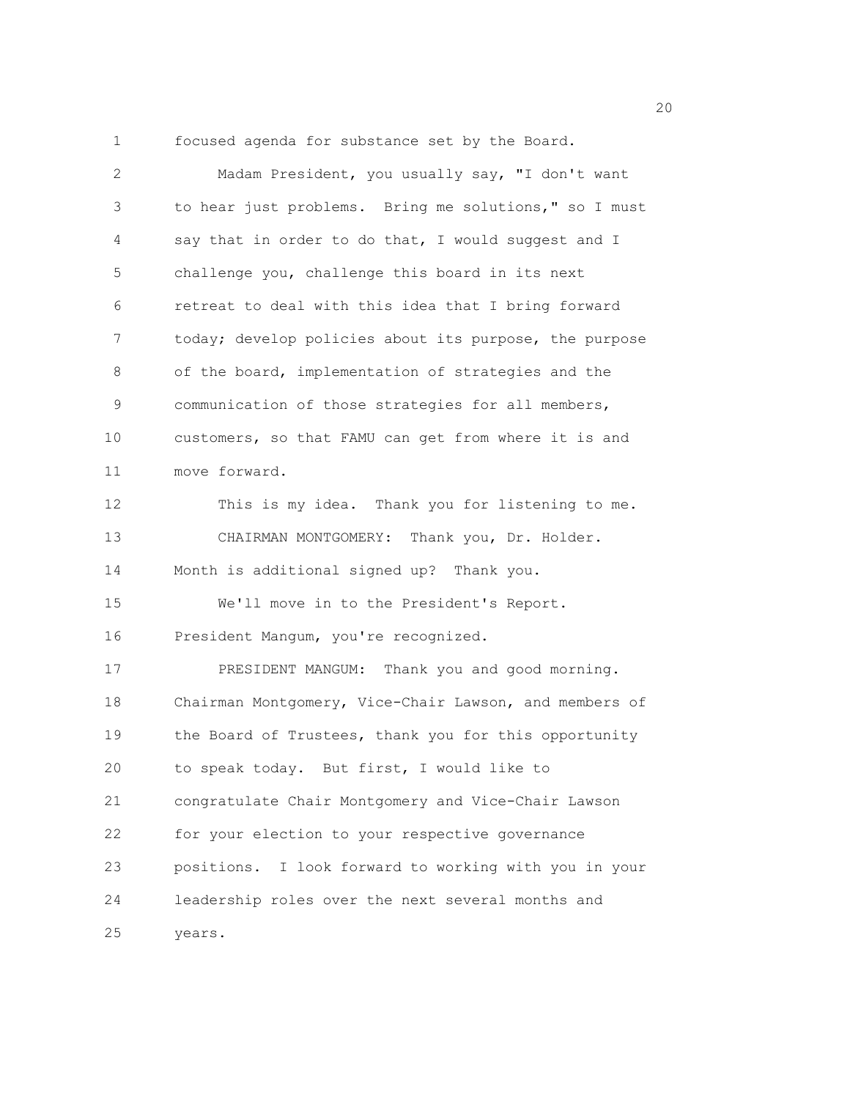1 focused agenda for substance set by the Board.

| $\overline{c}$ | Madam President, you usually say, "I don't want        |
|----------------|--------------------------------------------------------|
| 3              | to hear just problems. Bring me solutions," so I must  |
| 4              | say that in order to do that, I would suggest and I    |
| 5              | challenge you, challenge this board in its next        |
| 6              | retreat to deal with this idea that I bring forward    |
| 7              | today; develop policies about its purpose, the purpose |
| 8              | of the board, implementation of strategies and the     |
| 9              | communication of those strategies for all members,     |
| 10             | customers, so that FAMU can get from where it is and   |
| 11             | move forward.                                          |
| 12             | This is my idea. Thank you for listening to me.        |
| 13             | CHAIRMAN MONTGOMERY: Thank you, Dr. Holder.            |
| 14             | Month is additional signed up? Thank you.              |
| 15             | We'll move in to the President's Report.               |
| 16             | President Mangum, you're recognized.                   |
| 17             | PRESIDENT MANGUM: Thank you and good morning.          |
| 18             | Chairman Montgomery, Vice-Chair Lawson, and members of |
| 19             | the Board of Trustees, thank you for this opportunity  |
| 20             | to speak today. But first, I would like to             |
| 21             | congratulate Chair Montgomery and Vice-Chair Lawson    |
| 22             | for your election to your respective governance        |
| 23             | positions. I look forward to working with you in your  |
| 24             | leadership roles over the next several months and      |
| 25             | years.                                                 |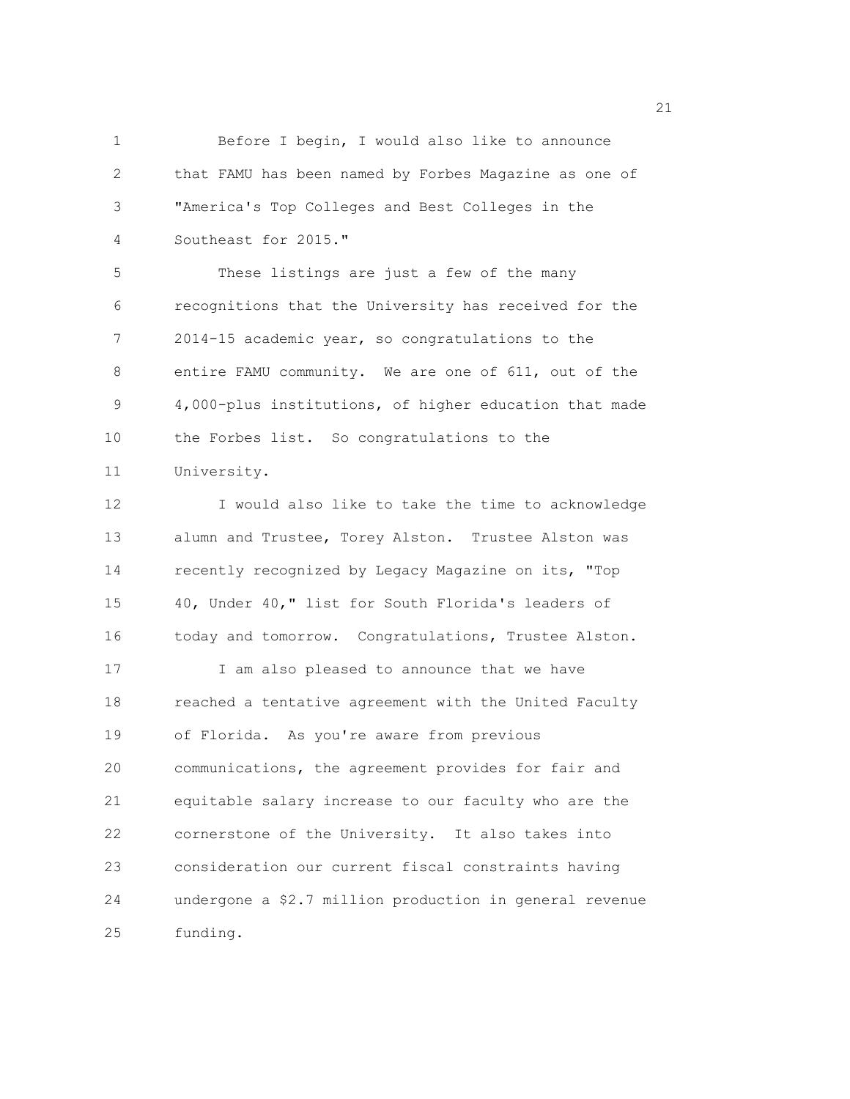1 Before I begin, I would also like to announce 2 that FAMU has been named by Forbes Magazine as one of 3 "America's Top Colleges and Best Colleges in the 4 Southeast for 2015."

5 These listings are just a few of the many 6 recognitions that the University has received for the 7 2014-15 academic year, so congratulations to the 8 entire FAMU community. We are one of 611, out of the 9 4,000-plus institutions, of higher education that made 10 the Forbes list. So congratulations to the 11 University.

12 I would also like to take the time to acknowledge 13 alumn and Trustee, Torey Alston. Trustee Alston was 14 recently recognized by Legacy Magazine on its, "Top 15 40, Under 40," list for South Florida's leaders of 16 today and tomorrow. Congratulations, Trustee Alston. 17 I am also pleased to announce that we have 18 reached a tentative agreement with the United Faculty 19 of Florida. As you're aware from previous 20 communications, the agreement provides for fair and 21 equitable salary increase to our faculty who are the 22 cornerstone of the University. It also takes into 23 consideration our current fiscal constraints having 24 undergone a \$2.7 million production in general revenue 25 funding.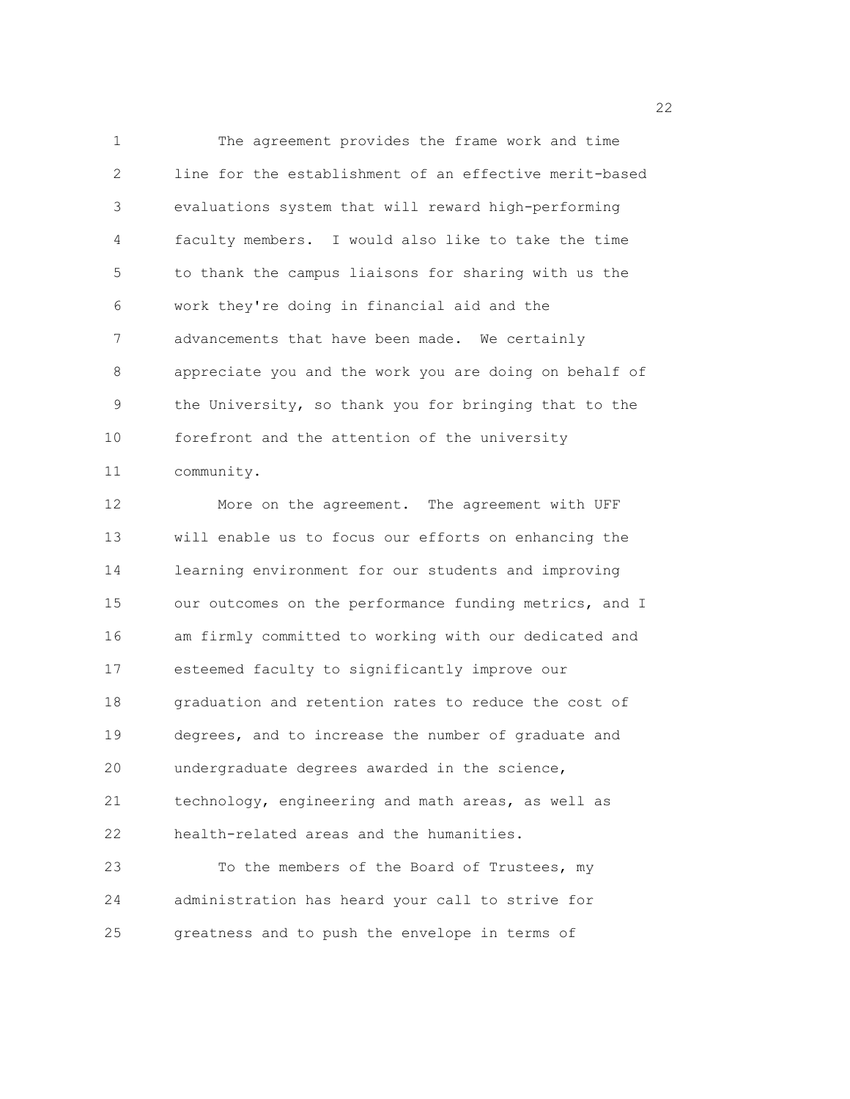1 The agreement provides the frame work and time 2 line for the establishment of an effective merit-based 3 evaluations system that will reward high-performing 4 faculty members. I would also like to take the time 5 to thank the campus liaisons for sharing with us the 6 work they're doing in financial aid and the 7 advancements that have been made. We certainly 8 appreciate you and the work you are doing on behalf of 9 the University, so thank you for bringing that to the 10 forefront and the attention of the university 11 community.

12 More on the agreement. The agreement with UFF 13 will enable us to focus our efforts on enhancing the 14 learning environment for our students and improving 15 our outcomes on the performance funding metrics, and I 16 am firmly committed to working with our dedicated and 17 esteemed faculty to significantly improve our 18 graduation and retention rates to reduce the cost of 19 degrees, and to increase the number of graduate and 20 undergraduate degrees awarded in the science, 21 technology, engineering and math areas, as well as 22 health-related areas and the humanities.

23 To the members of the Board of Trustees, my 24 administration has heard your call to strive for 25 greatness and to push the envelope in terms of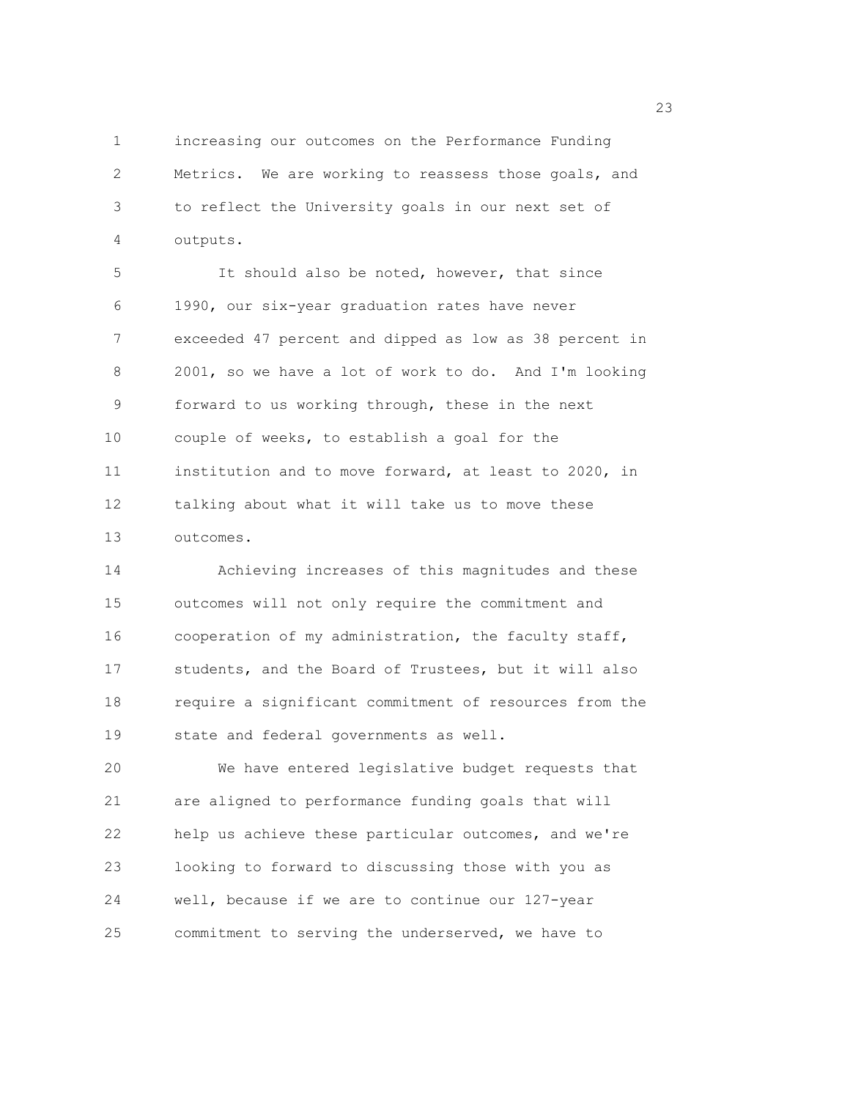1 increasing our outcomes on the Performance Funding 2 Metrics. We are working to reassess those goals, and 3 to reflect the University goals in our next set of 4 outputs.

5 It should also be noted, however, that since 6 1990, our six-year graduation rates have never 7 exceeded 47 percent and dipped as low as 38 percent in 8 2001, so we have a lot of work to do. And I'm looking 9 forward to us working through, these in the next 10 couple of weeks, to establish a goal for the 11 institution and to move forward, at least to 2020, in 12 talking about what it will take us to move these 13 outcomes.

14 Achieving increases of this magnitudes and these 15 outcomes will not only require the commitment and 16 cooperation of my administration, the faculty staff, 17 students, and the Board of Trustees, but it will also 18 require a significant commitment of resources from the 19 state and federal governments as well.

20 We have entered legislative budget requests that 21 are aligned to performance funding goals that will 22 help us achieve these particular outcomes, and we're 23 looking to forward to discussing those with you as 24 well, because if we are to continue our 127-year 25 commitment to serving the underserved, we have to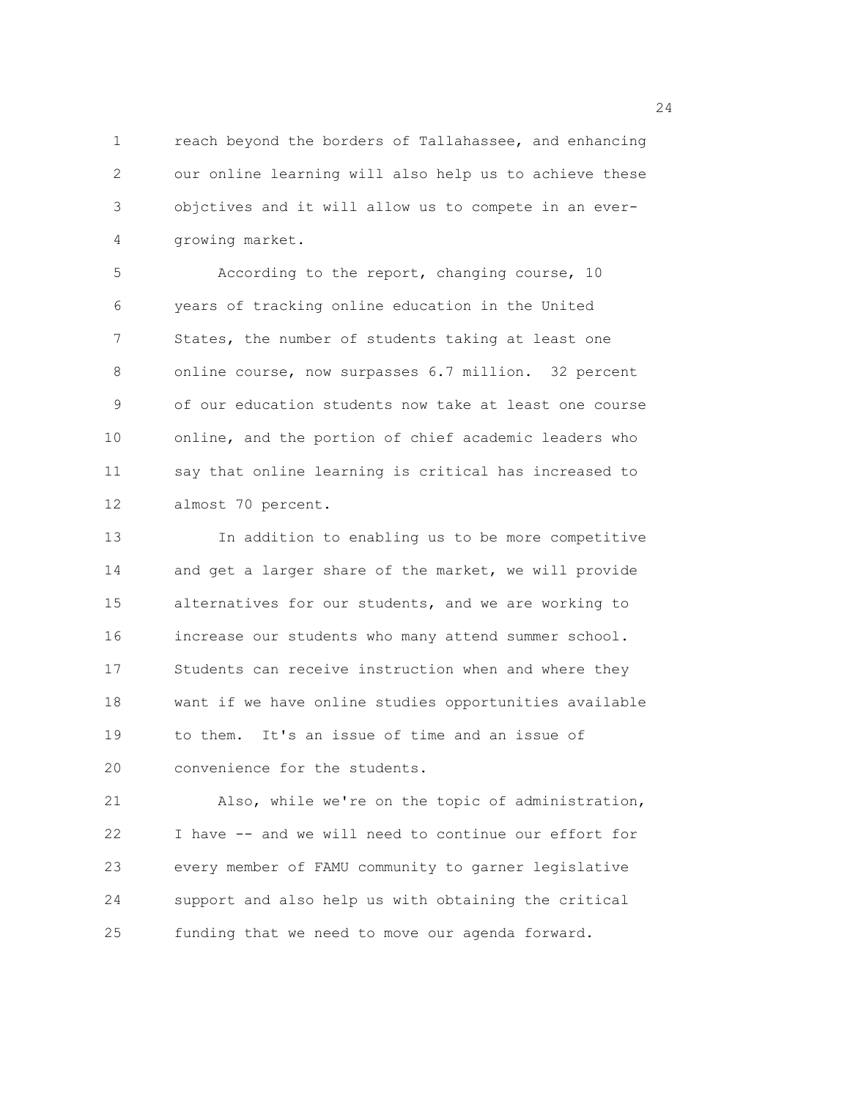1 reach beyond the borders of Tallahassee, and enhancing 2 our online learning will also help us to achieve these 3 objctives and it will allow us to compete in an ever-4 growing market.

5 According to the report, changing course, 10 6 years of tracking online education in the United 7 States, the number of students taking at least one 8 online course, now surpasses 6.7 million. 32 percent 9 of our education students now take at least one course 10 online, and the portion of chief academic leaders who 11 say that online learning is critical has increased to 12 almost 70 percent.

13 In addition to enabling us to be more competitive 14 and get a larger share of the market, we will provide 15 alternatives for our students, and we are working to 16 increase our students who many attend summer school. 17 Students can receive instruction when and where they 18 want if we have online studies opportunities available 19 to them. It's an issue of time and an issue of 20 convenience for the students.

21 Also, while we're on the topic of administration, 22 I have -- and we will need to continue our effort for 23 every member of FAMU community to garner legislative 24 support and also help us with obtaining the critical 25 funding that we need to move our agenda forward.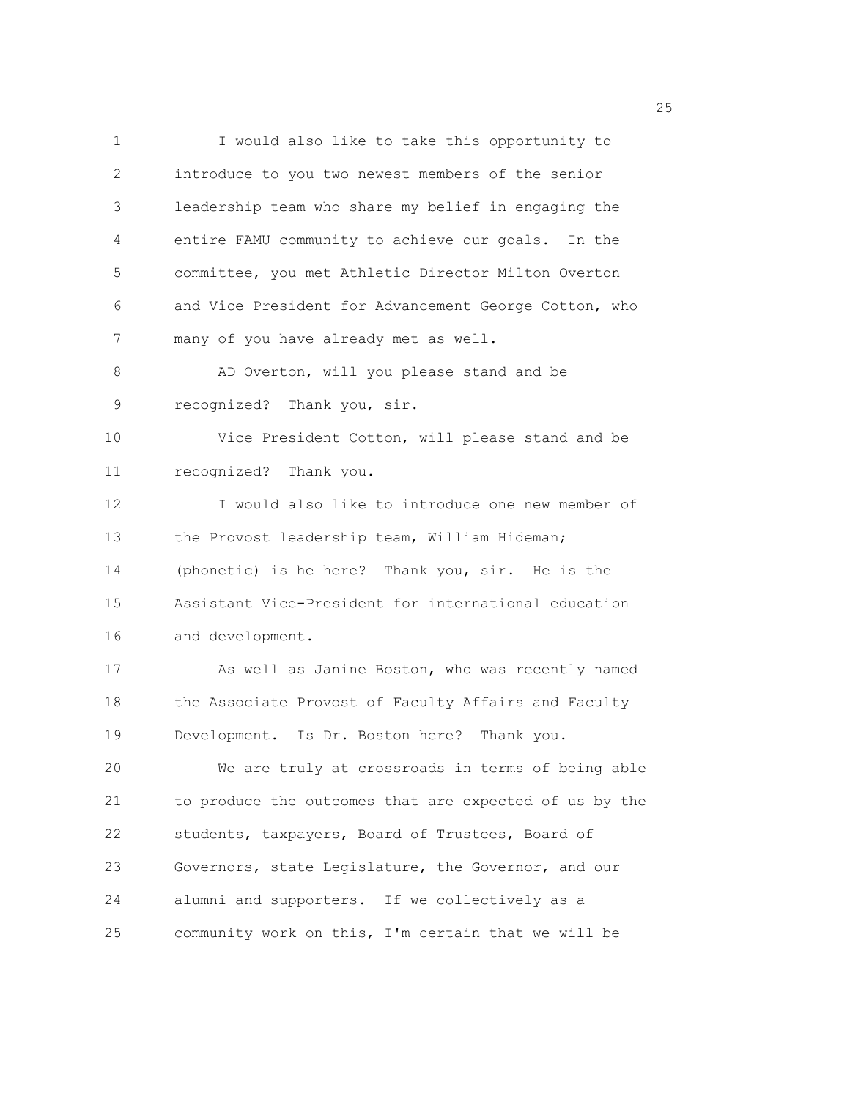1 I would also like to take this opportunity to 2 introduce to you two newest members of the senior 3 leadership team who share my belief in engaging the 4 entire FAMU community to achieve our goals. In the 5 committee, you met Athletic Director Milton Overton 6 and Vice President for Advancement George Cotton, who 7 many of you have already met as well. 8 AD Overton, will you please stand and be 9 recognized? Thank you, sir. 10 Vice President Cotton, will please stand and be 11 recognized? Thank you. 12 I would also like to introduce one new member of 13 the Provost leadership team, William Hideman; 14 (phonetic) is he here? Thank you, sir. He is the 15 Assistant Vice-President for international education 16 and development. 17 As well as Janine Boston, who was recently named 18 the Associate Provost of Faculty Affairs and Faculty 19 Development. Is Dr. Boston here? Thank you. 20 We are truly at crossroads in terms of being able 21 to produce the outcomes that are expected of us by the 22 students, taxpayers, Board of Trustees, Board of 23 Governors, state Legislature, the Governor, and our 24 alumni and supporters. If we collectively as a 25 community work on this, I'm certain that we will be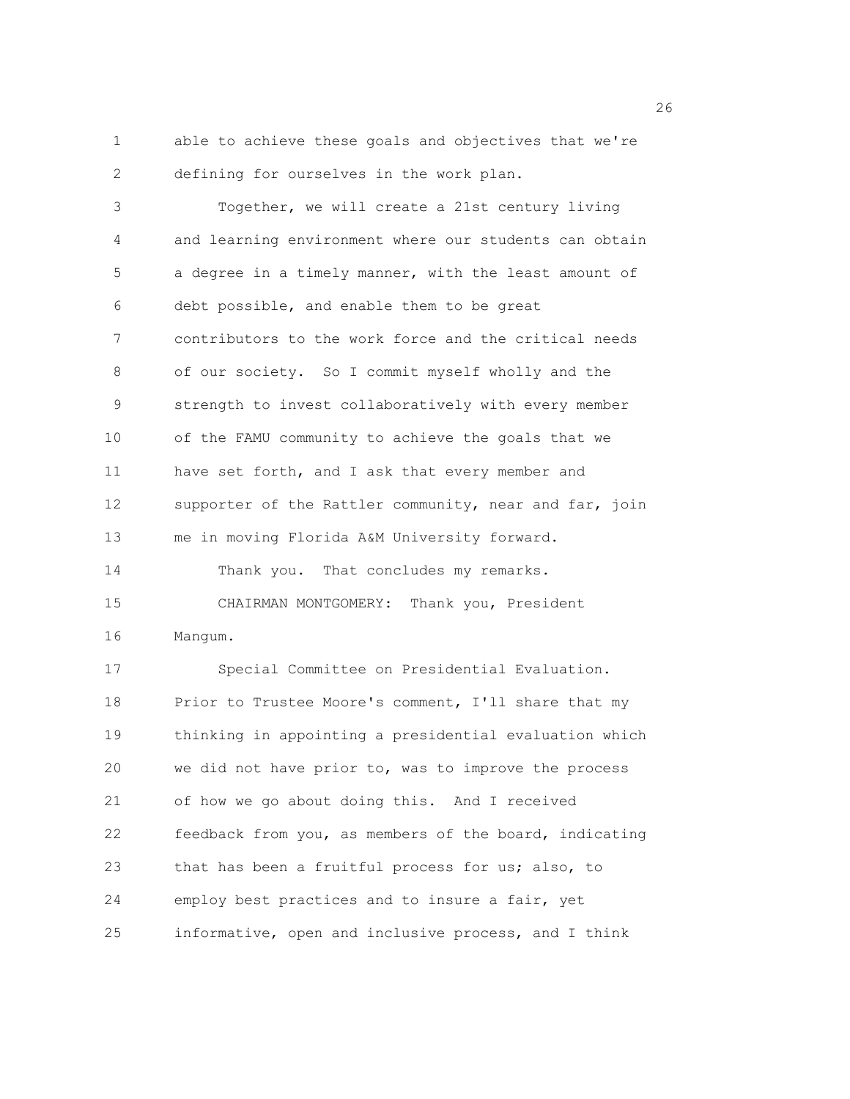1 able to achieve these goals and objectives that we're 2 defining for ourselves in the work plan.

3 Together, we will create a 21st century living 4 and learning environment where our students can obtain 5 a degree in a timely manner, with the least amount of 6 debt possible, and enable them to be great 7 contributors to the work force and the critical needs 8 of our society. So I commit myself wholly and the 9 strength to invest collaboratively with every member 10 of the FAMU community to achieve the goals that we 11 have set forth, and I ask that every member and 12 supporter of the Rattler community, near and far, join 13 me in moving Florida A&M University forward. 14 Thank you. That concludes my remarks. 15 CHAIRMAN MONTGOMERY: Thank you, President 16 Mangum. 17 Special Committee on Presidential Evaluation. 18 Prior to Trustee Moore's comment, I'll share that my 19 thinking in appointing a presidential evaluation which 20 we did not have prior to, was to improve the process 21 of how we go about doing this. And I received 22 feedback from you, as members of the board, indicating 23 that has been a fruitful process for us; also, to 24 employ best practices and to insure a fair, yet 25 informative, open and inclusive process, and I think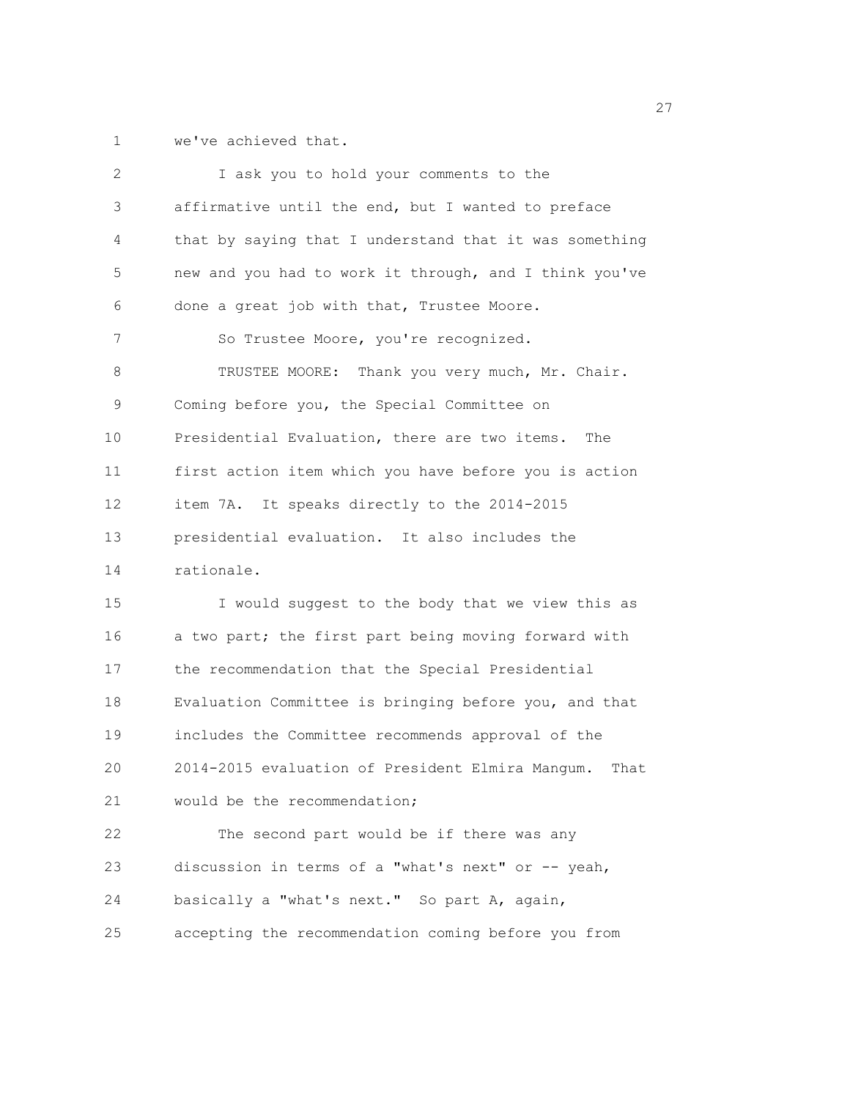1 we've achieved that.

| 2  | I ask you to hold your comments to the                   |
|----|----------------------------------------------------------|
| 3  | affirmative until the end, but I wanted to preface       |
| 4  | that by saying that I understand that it was something   |
| 5  | new and you had to work it through, and I think you've   |
| 6  | done a great job with that, Trustee Moore.               |
| 7  | So Trustee Moore, you're recognized.                     |
| 8  | TRUSTEE MOORE: Thank you very much, Mr. Chair.           |
| 9  | Coming before you, the Special Committee on              |
| 10 | Presidential Evaluation, there are two items.<br>The     |
| 11 | first action item which you have before you is action    |
| 12 | item 7A. It speaks directly to the 2014-2015             |
| 13 | presidential evaluation. It also includes the            |
| 14 | rationale.                                               |
| 15 | I would suggest to the body that we view this as         |
| 16 | a two part; the first part being moving forward with     |
| 17 | the recommendation that the Special Presidential         |
| 18 | Evaluation Committee is bringing before you, and that    |
| 19 | includes the Committee recommends approval of the        |
| 20 | 2014-2015 evaluation of President Elmira Mangum.<br>That |
| 21 | would be the recommendation;                             |
| 22 | The second part would be if there was any                |
| 23 | discussion in terms of a "what's next" or -- yeah,       |
| 24 | basically a "what's next." So part A, again,             |
| 25 | accepting the recommendation coming before you from      |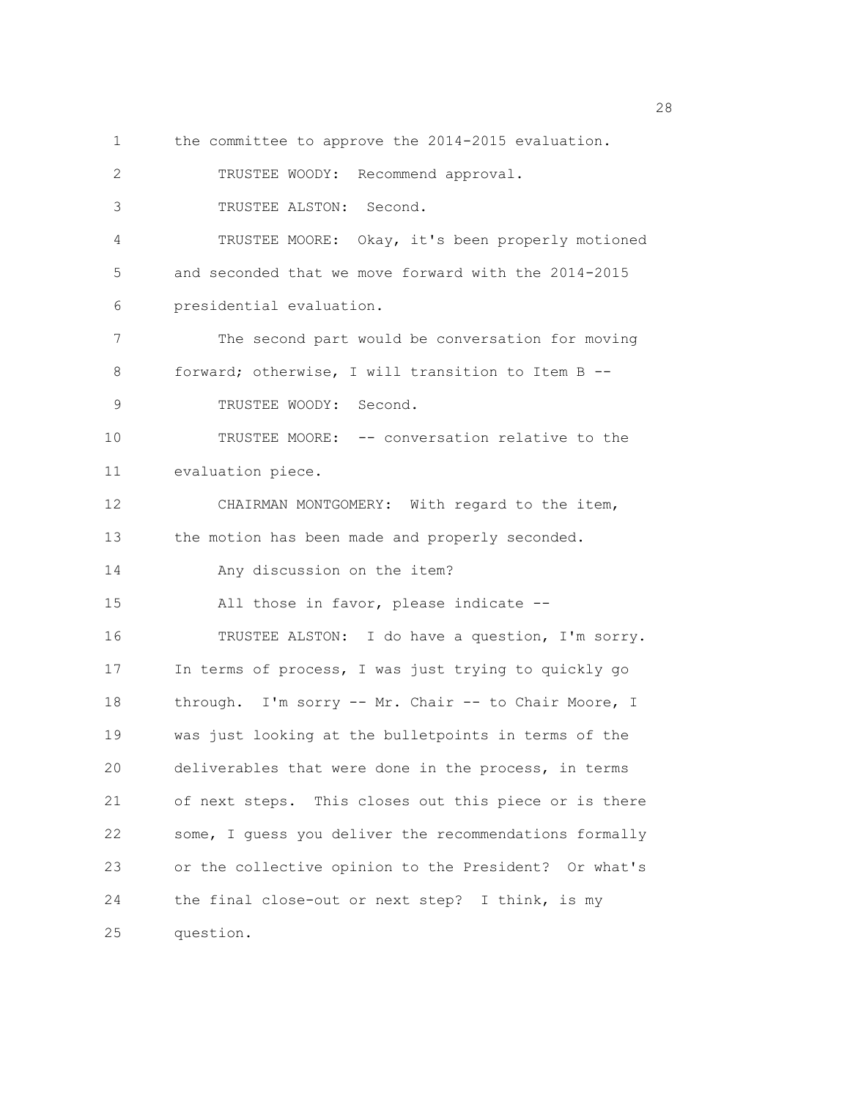1 the committee to approve the 2014-2015 evaluation.

2 TRUSTEE WOODY: Recommend approval. 3 TRUSTEE ALSTON: Second. 4 TRUSTEE MOORE: Okay, it's been properly motioned 5 and seconded that we move forward with the 2014-2015 6 presidential evaluation. 7 The second part would be conversation for moving 8 forward; otherwise, I will transition to Item B -- 9 TRUSTEE WOODY: Second. 10 TRUSTEE MOORE: -- conversation relative to the 11 evaluation piece. 12 CHAIRMAN MONTGOMERY: With regard to the item, 13 the motion has been made and properly seconded. 14 Any discussion on the item? 15 All those in favor, please indicate -- 16 TRUSTEE ALSTON: I do have a question, I'm sorry. 17 In terms of process, I was just trying to quickly go 18 through. I'm sorry -- Mr. Chair -- to Chair Moore, I 19 was just looking at the bulletpoints in terms of the 20 deliverables that were done in the process, in terms 21 of next steps. This closes out this piece or is there 22 some, I guess you deliver the recommendations formally 23 or the collective opinion to the President? Or what's 24 the final close-out or next step? I think, is my 25 question.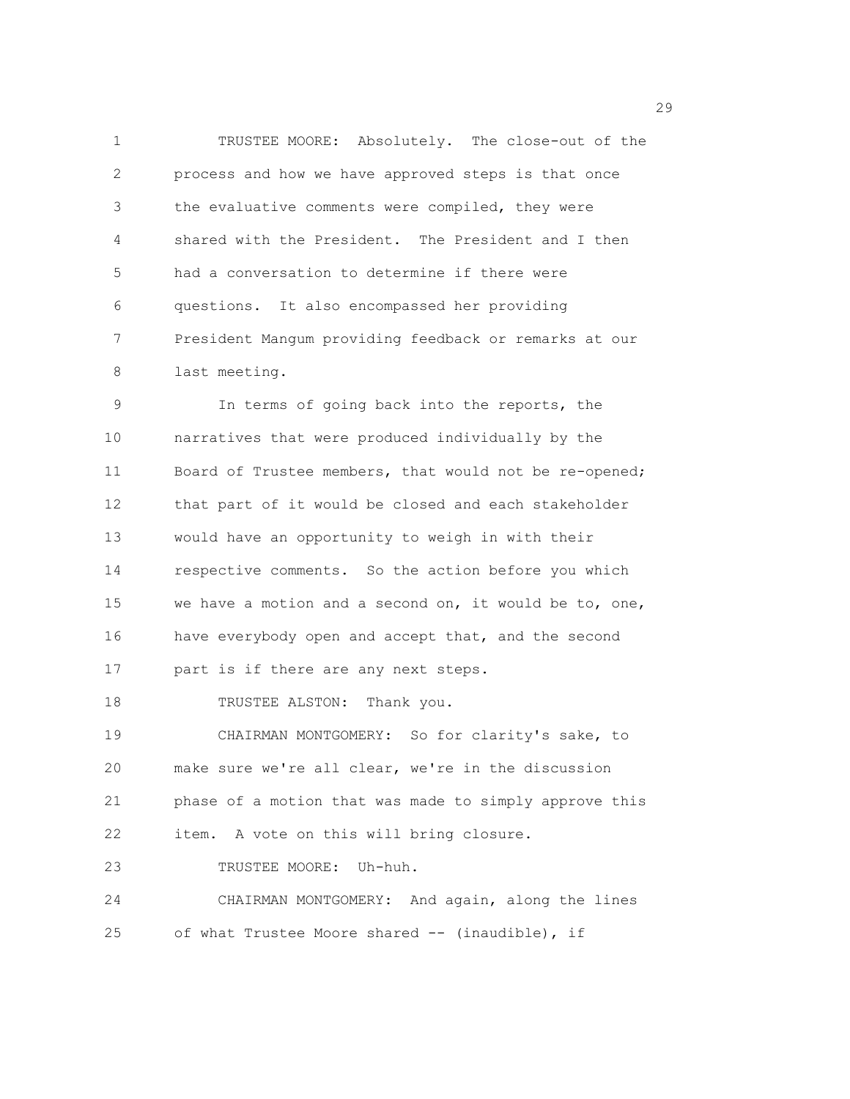1 TRUSTEE MOORE: Absolutely. The close-out of the 2 process and how we have approved steps is that once 3 the evaluative comments were compiled, they were 4 shared with the President. The President and I then 5 had a conversation to determine if there were 6 questions. It also encompassed her providing 7 President Mangum providing feedback or remarks at our 8 last meeting.

9 In terms of going back into the reports, the 10 narratives that were produced individually by the 11 Board of Trustee members, that would not be re-opened; 12 that part of it would be closed and each stakeholder 13 would have an opportunity to weigh in with their 14 respective comments. So the action before you which 15 we have a motion and a second on, it would be to, one, 16 have everybody open and accept that, and the second 17 part is if there are any next steps. 18 TRUSTEE ALSTON: Thank you.

19 CHAIRMAN MONTGOMERY: So for clarity's sake, to 20 make sure we're all clear, we're in the discussion 21 phase of a motion that was made to simply approve this 22 item. A vote on this will bring closure.

23 TRUSTEE MOORE: Uh-huh.

24 CHAIRMAN MONTGOMERY: And again, along the lines 25 of what Trustee Moore shared -- (inaudible), if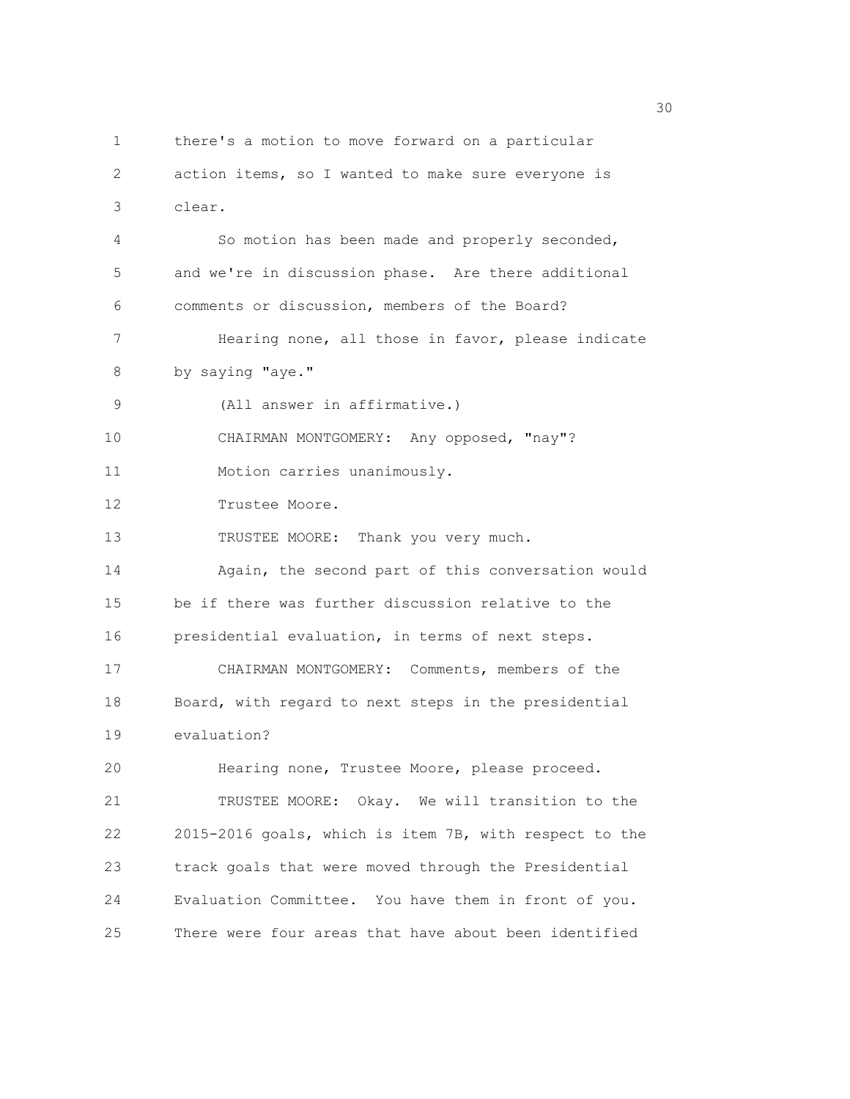1 there's a motion to move forward on a particular 2 action items, so I wanted to make sure everyone is 3 clear. 4 So motion has been made and properly seconded, 5 and we're in discussion phase. Are there additional 6 comments or discussion, members of the Board? 7 Hearing none, all those in favor, please indicate 8 by saying "aye." 9 (All answer in affirmative.) 10 CHAIRMAN MONTGOMERY: Any opposed, "nay"? 11 Motion carries unanimously. 12 Trustee Moore. 13 TRUSTEE MOORE: Thank you very much. 14 Again, the second part of this conversation would 15 be if there was further discussion relative to the 16 presidential evaluation, in terms of next steps. 17 CHAIRMAN MONTGOMERY: Comments, members of the 18 Board, with regard to next steps in the presidential 19 evaluation? 20 Hearing none, Trustee Moore, please proceed. 21 TRUSTEE MOORE: Okay. We will transition to the 22 2015-2016 goals, which is item 7B, with respect to the 23 track goals that were moved through the Presidential 24 Evaluation Committee. You have them in front of you. 25 There were four areas that have about been identified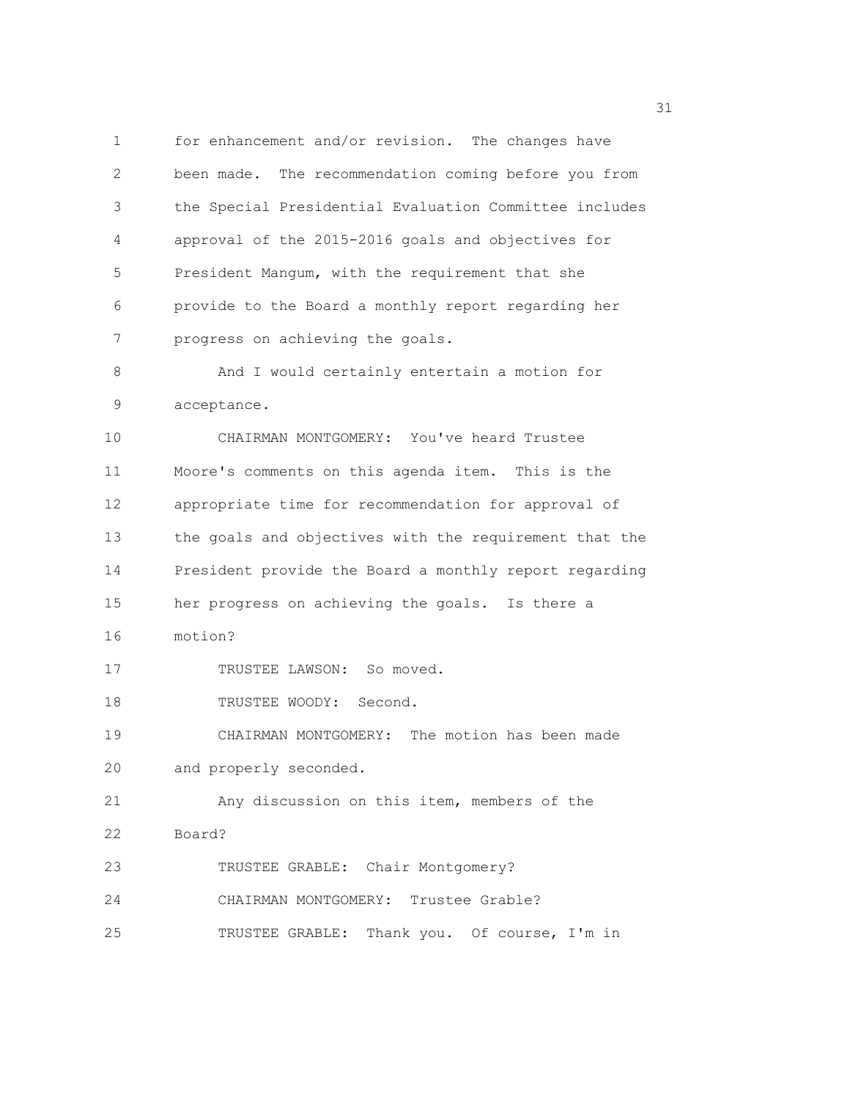1 for enhancement and/or revision. The changes have 2 been made. The recommendation coming before you from 3 the Special Presidential Evaluation Committee includes 4 approval of the 2015-2016 goals and objectives for 5 President Mangum, with the requirement that she 6 provide to the Board a monthly report regarding her 7 progress on achieving the goals. 8 And I would certainly entertain a motion for 9 acceptance.

10 CHAIRMAN MONTGOMERY: You've heard Trustee 11 Moore's comments on this agenda item. This is the 12 appropriate time for recommendation for approval of 13 the goals and objectives with the requirement that the 14 President provide the Board a monthly report regarding 15 her progress on achieving the goals. Is there a 16 motion?

17 TRUSTEE LAWSON: So moved.

18 TRUSTEE WOODY: Second.

19 CHAIRMAN MONTGOMERY: The motion has been made 20 and properly seconded.

21 Any discussion on this item, members of the

22 Board?

23 TRUSTEE GRABLE: Chair Montgomery?

24 CHAIRMAN MONTGOMERY: Trustee Grable?

25 TRUSTEE GRABLE: Thank you. Of course, I'm in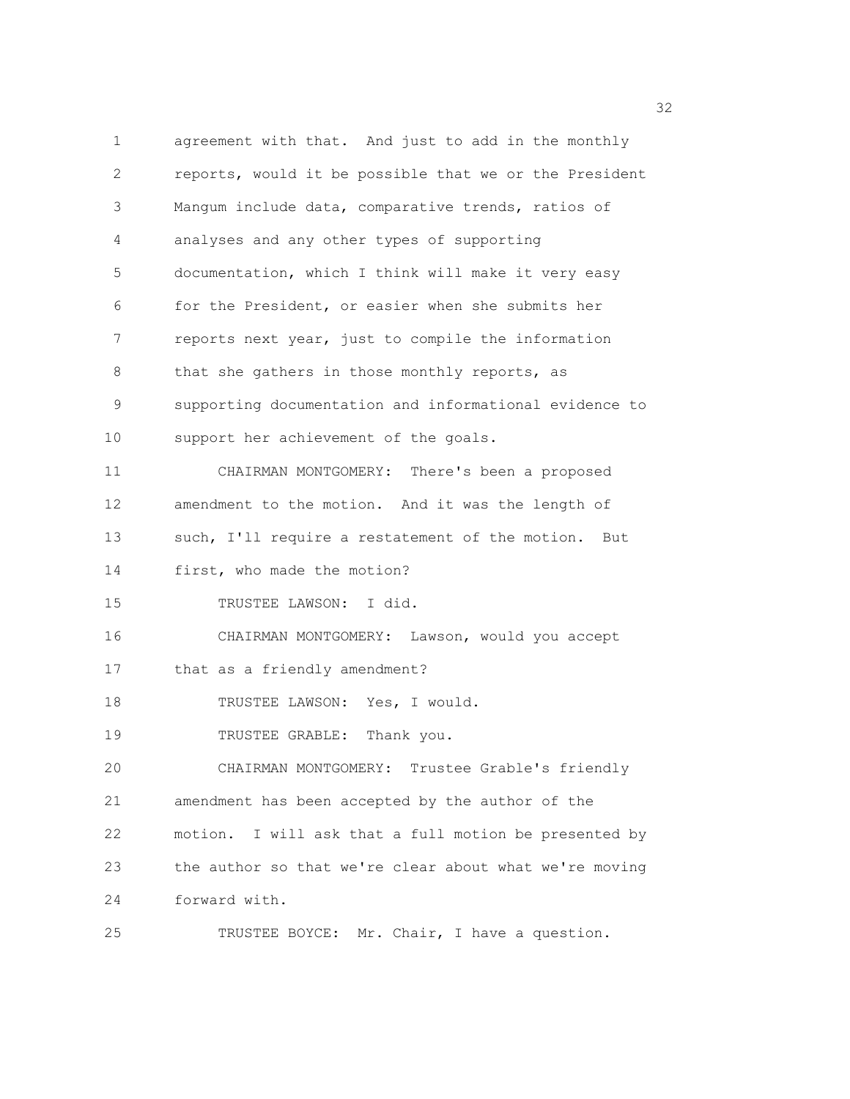1 agreement with that. And just to add in the monthly 2 reports, would it be possible that we or the President 3 Mangum include data, comparative trends, ratios of 4 analyses and any other types of supporting 5 documentation, which I think will make it very easy 6 for the President, or easier when she submits her 7 reports next year, just to compile the information 8 that she gathers in those monthly reports, as 9 supporting documentation and informational evidence to 10 support her achievement of the goals. 11 CHAIRMAN MONTGOMERY: There's been a proposed 12 amendment to the motion. And it was the length of 13 such, I'll require a restatement of the motion. But 14 first, who made the motion? 15 TRUSTEE LAWSON: I did. 16 CHAIRMAN MONTGOMERY: Lawson, would you accept 17 that as a friendly amendment? 18 TRUSTEE LAWSON: Yes, I would. 19 TRUSTEE GRABLE: Thank you. 20 CHAIRMAN MONTGOMERY: Trustee Grable's friendly 21 amendment has been accepted by the author of the 22 motion. I will ask that a full motion be presented by 23 the author so that we're clear about what we're moving 24 forward with. 25 TRUSTEE BOYCE: Mr. Chair, I have a question.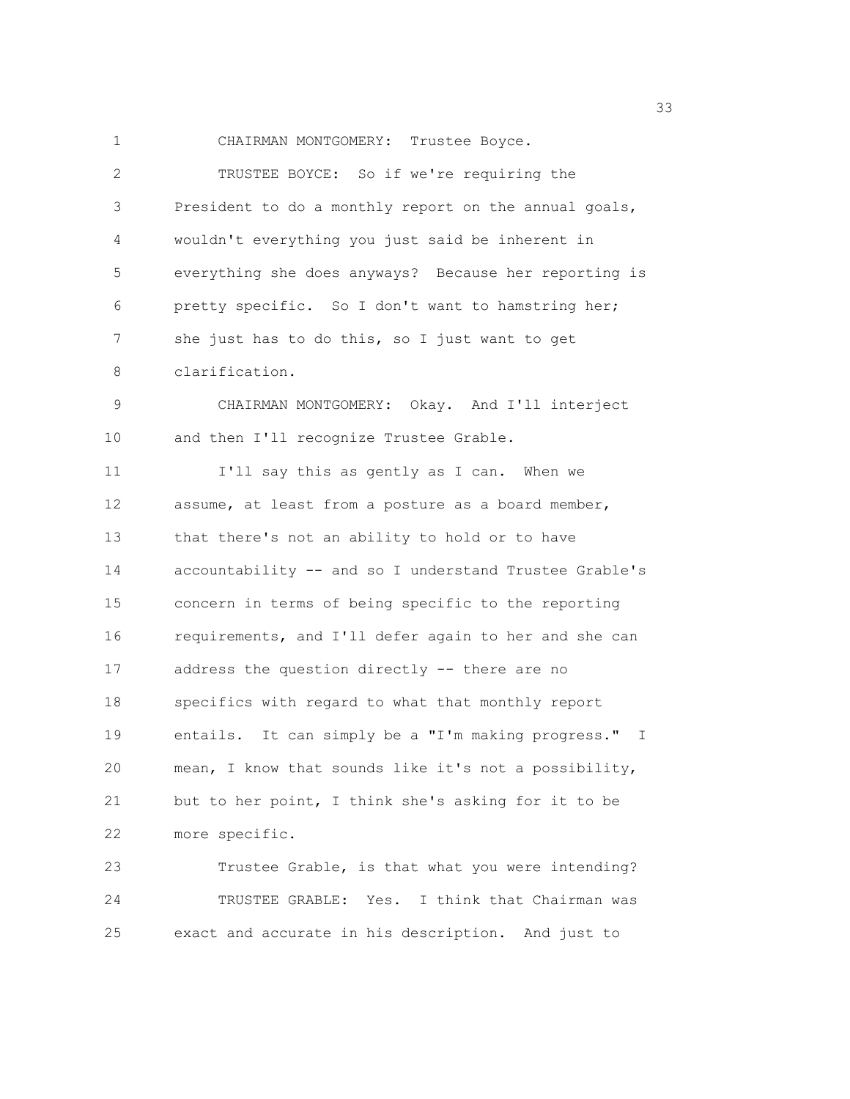1 CHAIRMAN MONTGOMERY: Trustee Boyce. 2 TRUSTEE BOYCE: So if we're requiring the 3 President to do a monthly report on the annual goals, 4 wouldn't everything you just said be inherent in 5 everything she does anyways? Because her reporting is 6 pretty specific. So I don't want to hamstring her; 7 she just has to do this, so I just want to get 8 clarification. 9 CHAIRMAN MONTGOMERY: Okay. And I'll interject 10 and then I'll recognize Trustee Grable. 11 I'll say this as gently as I can. When we 12 assume, at least from a posture as a board member, 13 that there's not an ability to hold or to have 14 accountability -- and so I understand Trustee Grable's 15 concern in terms of being specific to the reporting 16 requirements, and I'll defer again to her and she can 17 address the question directly -- there are no 18 specifics with regard to what that monthly report 19 entails. It can simply be a "I'm making progress." I 20 mean, I know that sounds like it's not a possibility, 21 but to her point, I think she's asking for it to be 22 more specific. 23 Trustee Grable, is that what you were intending? 24 TRUSTEE GRABLE: Yes. I think that Chairman was 25 exact and accurate in his description. And just to

<u>333</u> and the state of the state of the state of the state of the state of the state of the state of the state of the state of the state of the state of the state of the state of the state of the state of the state of the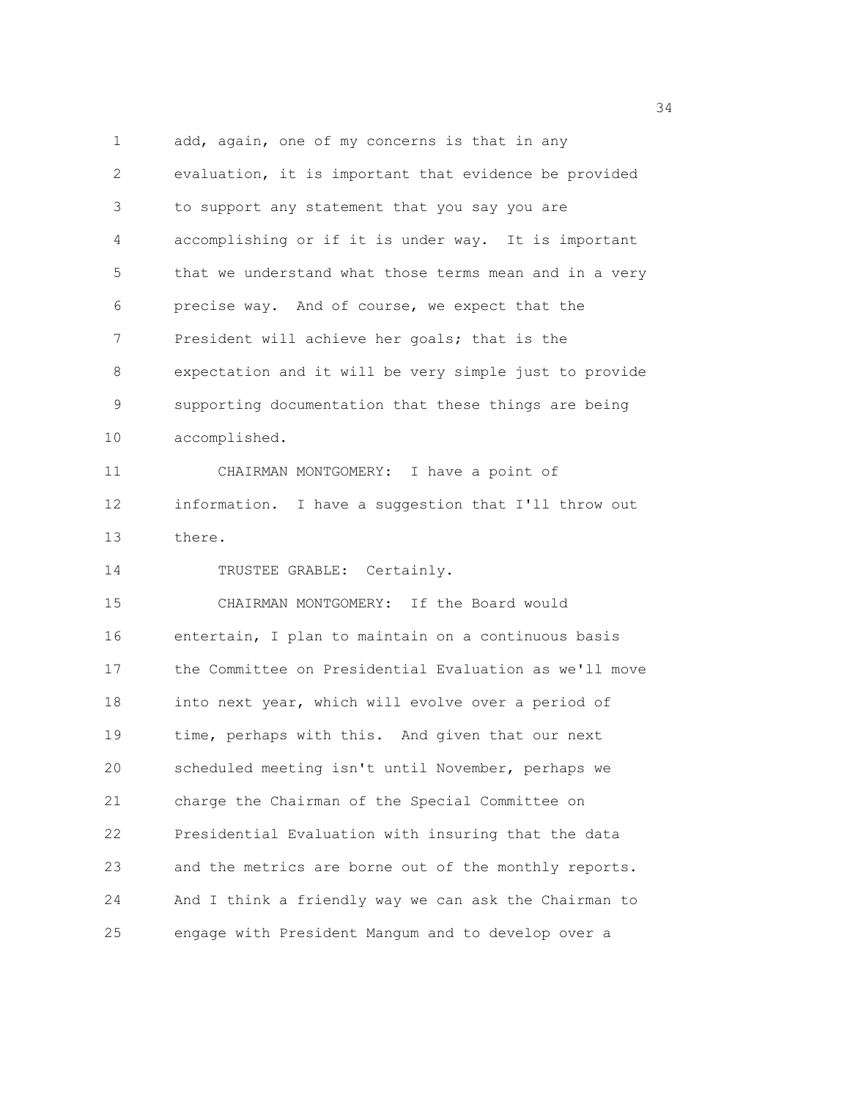1 add, again, one of my concerns is that in any 2 evaluation, it is important that evidence be provided 3 to support any statement that you say you are 4 accomplishing or if it is under way. It is important 5 that we understand what those terms mean and in a very 6 precise way. And of course, we expect that the 7 President will achieve her goals; that is the 8 expectation and it will be very simple just to provide 9 supporting documentation that these things are being 10 accomplished. 11 CHAIRMAN MONTGOMERY: I have a point of 12 information. I have a suggestion that I'll throw out 13 there. 14 TRUSTEE GRABLE: Certainly. 15 CHAIRMAN MONTGOMERY: If the Board would 16 entertain, I plan to maintain on a continuous basis 17 the Committee on Presidential Evaluation as we'll move 18 into next year, which will evolve over a period of 19 time, perhaps with this. And given that our next 20 scheduled meeting isn't until November, perhaps we 21 charge the Chairman of the Special Committee on 22 Presidential Evaluation with insuring that the data 23 and the metrics are borne out of the monthly reports. 24 And I think a friendly way we can ask the Chairman to 25 engage with President Mangum and to develop over a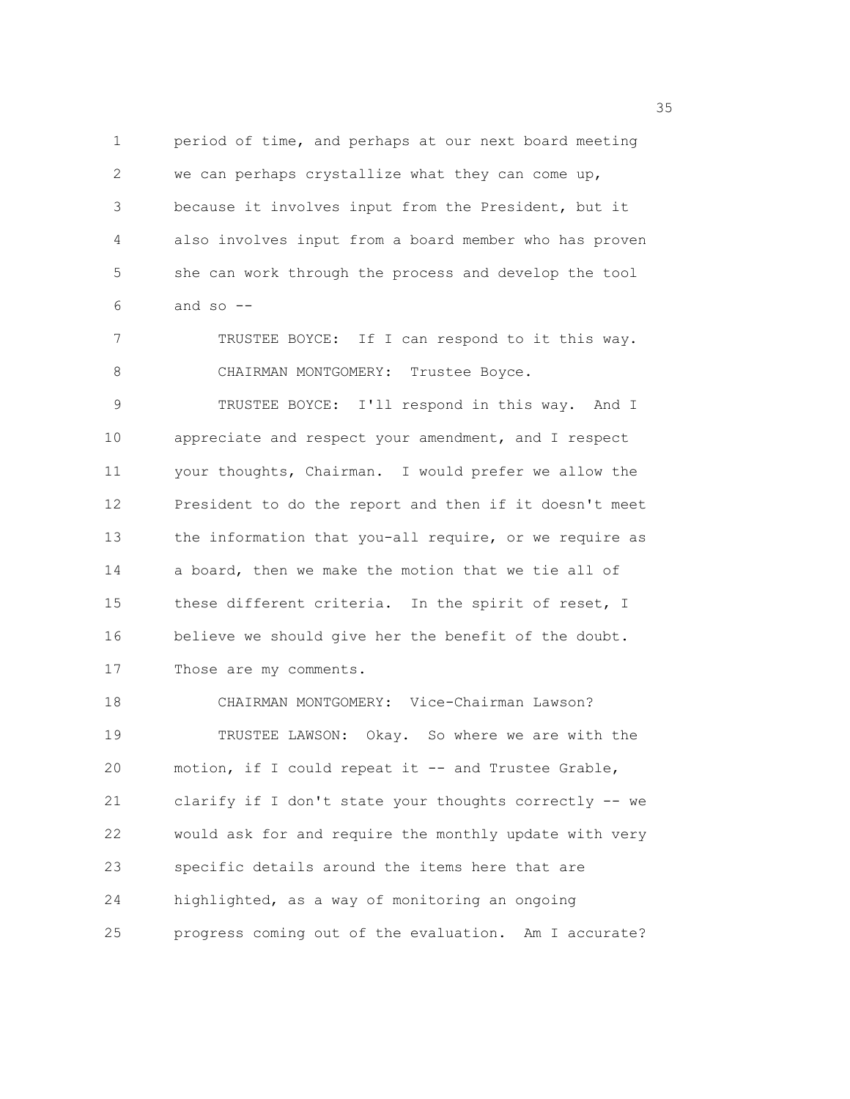1 period of time, and perhaps at our next board meeting 2 we can perhaps crystallize what they can come up, 3 because it involves input from the President, but it 4 also involves input from a board member who has proven 5 she can work through the process and develop the tool  $6$  and  $50$   $-$ 7 TRUSTEE BOYCE: If I can respond to it this way. 8 CHAIRMAN MONTGOMERY: Trustee Boyce. 9 TRUSTEE BOYCE: I'll respond in this way. And I 10 appreciate and respect your amendment, and I respect 11 your thoughts, Chairman. I would prefer we allow the 12 President to do the report and then if it doesn't meet 13 the information that you-all require, or we require as 14 a board, then we make the motion that we tie all of 15 these different criteria. In the spirit of reset, I 16 believe we should give her the benefit of the doubt. 17 Those are my comments. 18 CHAIRMAN MONTGOMERY: Vice-Chairman Lawson? 19 TRUSTEE LAWSON: Okay. So where we are with the 20 motion, if I could repeat it -- and Trustee Grable, 21 clarify if I don't state your thoughts correctly -- we 22 would ask for and require the monthly update with very 23 specific details around the items here that are 24 highlighted, as a way of monitoring an ongoing 25 progress coming out of the evaluation. Am I accurate?

<u>35 September 2005 September 2005 September 2005 September 2005 September 2005 September 2005 September 2005 S</u>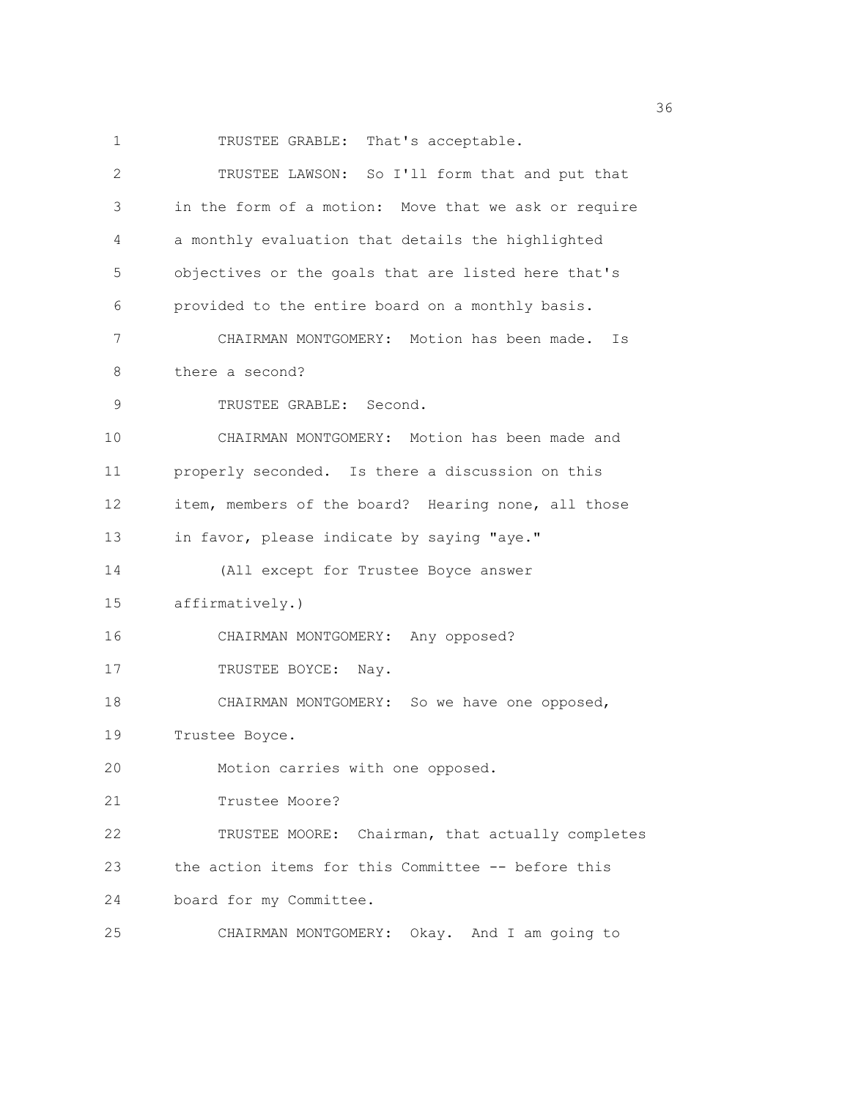1 TRUSTEE GRABLE: That's acceptable.

| $\mathbf{2}$ | TRUSTEE LAWSON: So I'll form that and put that       |
|--------------|------------------------------------------------------|
| 3            | in the form of a motion: Move that we ask or require |
| 4            | a monthly evaluation that details the highlighted    |
| 5            | objectives or the goals that are listed here that's  |
| 6            | provided to the entire board on a monthly basis.     |
| 7            | CHAIRMAN MONTGOMERY: Motion has been made. Is        |
| 8            | there a second?                                      |
| 9            | TRUSTEE GRABLE: Second.                              |
| 10           | CHAIRMAN MONTGOMERY: Motion has been made and        |
| 11           | properly seconded. Is there a discussion on this     |
| 12           | item, members of the board? Hearing none, all those  |
| 13           | in favor, please indicate by saying "aye."           |
| 14           | (All except for Trustee Boyce answer                 |
| 15           | affirmatively.)                                      |
| 16           | CHAIRMAN MONTGOMERY: Any opposed?                    |
| 17           | TRUSTEE BOYCE: Nay.                                  |
| 18           | CHAIRMAN MONTGOMERY: So we have one opposed,         |
| 19           | Trustee Boyce.                                       |
| 20           | Motion carries with one opposed.                     |
| 21           | Trustee Moore?                                       |
| 22           | TRUSTEE MOORE: Chairman, that actually completes     |
| 23           | the action items for this Committee -- before this   |
| 24           | board for my Committee.                              |
| 25           | CHAIRMAN MONTGOMERY: Okay. And I am going to         |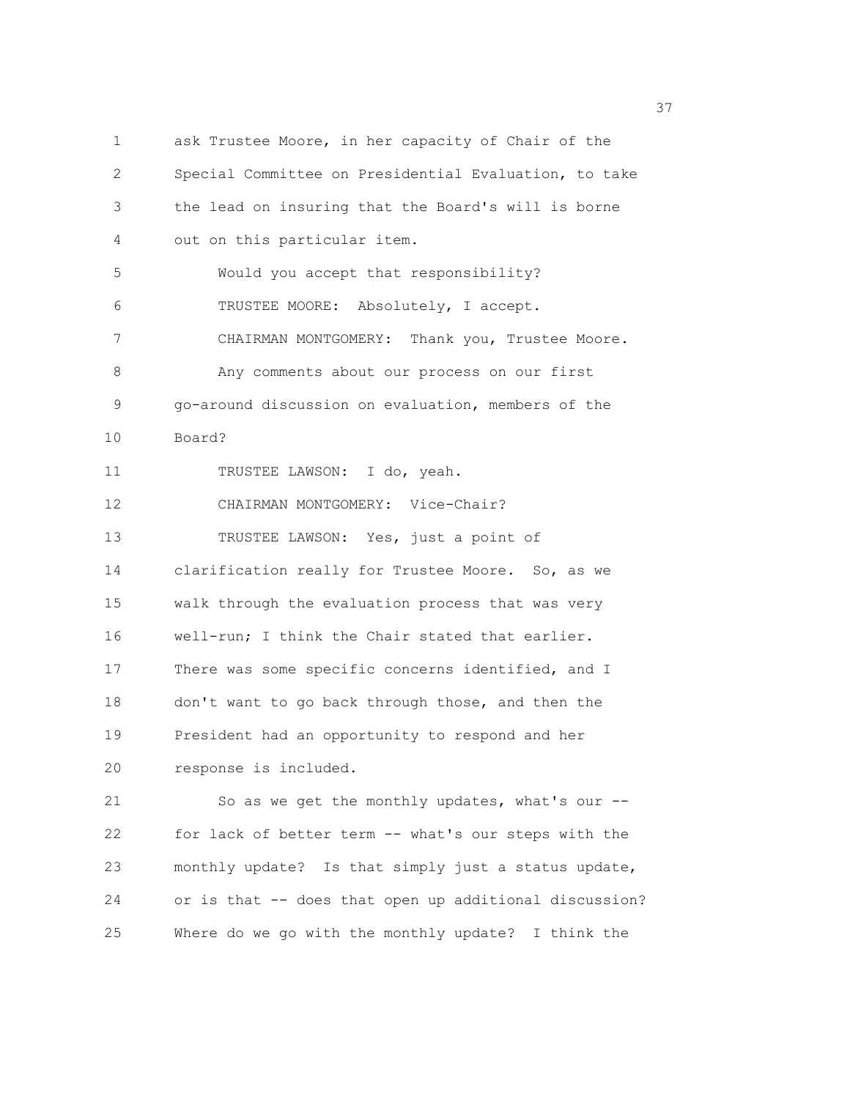1 ask Trustee Moore, in her capacity of Chair of the 2 Special Committee on Presidential Evaluation, to take 3 the lead on insuring that the Board's will is borne 4 out on this particular item. 5 Would you accept that responsibility? 6 TRUSTEE MOORE: Absolutely, I accept. 7 CHAIRMAN MONTGOMERY: Thank you, Trustee Moore. 8 Any comments about our process on our first 9 go-around discussion on evaluation, members of the 10 Board? 11 TRUSTEE LAWSON: I do, yeah. 12 CHAIRMAN MONTGOMERY: Vice-Chair? 13 TRUSTEE LAWSON: Yes, just a point of 14 clarification really for Trustee Moore. So, as we 15 walk through the evaluation process that was very 16 well-run; I think the Chair stated that earlier. 17 There was some specific concerns identified, and I 18 don't want to go back through those, and then the 19 President had an opportunity to respond and her 20 response is included. 21 So as we get the monthly updates, what's our -- 22 for lack of better term -- what's our steps with the 23 monthly update? Is that simply just a status update, 24 or is that -- does that open up additional discussion? 25 Where do we go with the monthly update? I think the

<u>37</u>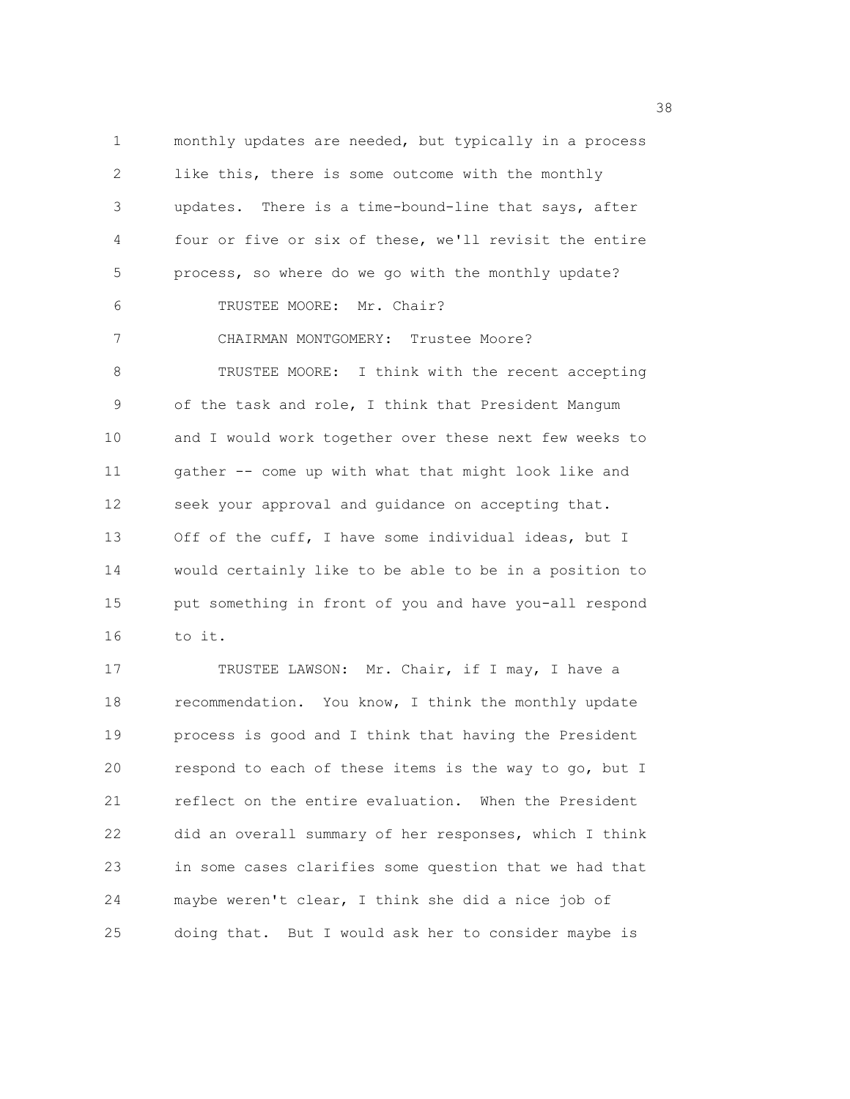1 monthly updates are needed, but typically in a process 2 like this, there is some outcome with the monthly 3 updates. There is a time-bound-line that says, after 4 four or five or six of these, we'll revisit the entire 5 process, so where do we go with the monthly update? 6 TRUSTEE MOORE: Mr. Chair? 7 CHAIRMAN MONTGOMERY: Trustee Moore? 8 TRUSTEE MOORE: I think with the recent accepting 9 of the task and role, I think that President Mangum 10 and I would work together over these next few weeks to 11 gather -- come up with what that might look like and 12 seek your approval and guidance on accepting that. 13 Off of the cuff, I have some individual ideas, but I 14 would certainly like to be able to be in a position to 15 put something in front of you and have you-all respond 16 to it.

17 TRUSTEE LAWSON: Mr. Chair, if I may, I have a 18 recommendation. You know, I think the monthly update 19 process is good and I think that having the President 20 respond to each of these items is the way to go, but I 21 reflect on the entire evaluation. When the President 22 did an overall summary of her responses, which I think 23 in some cases clarifies some question that we had that 24 maybe weren't clear, I think she did a nice job of 25 doing that. But I would ask her to consider maybe is

<u>38 and 2001 and 2002 and 2003 and 2003 and 2003 and 2003 and 2003 and 2003 and 2003</u>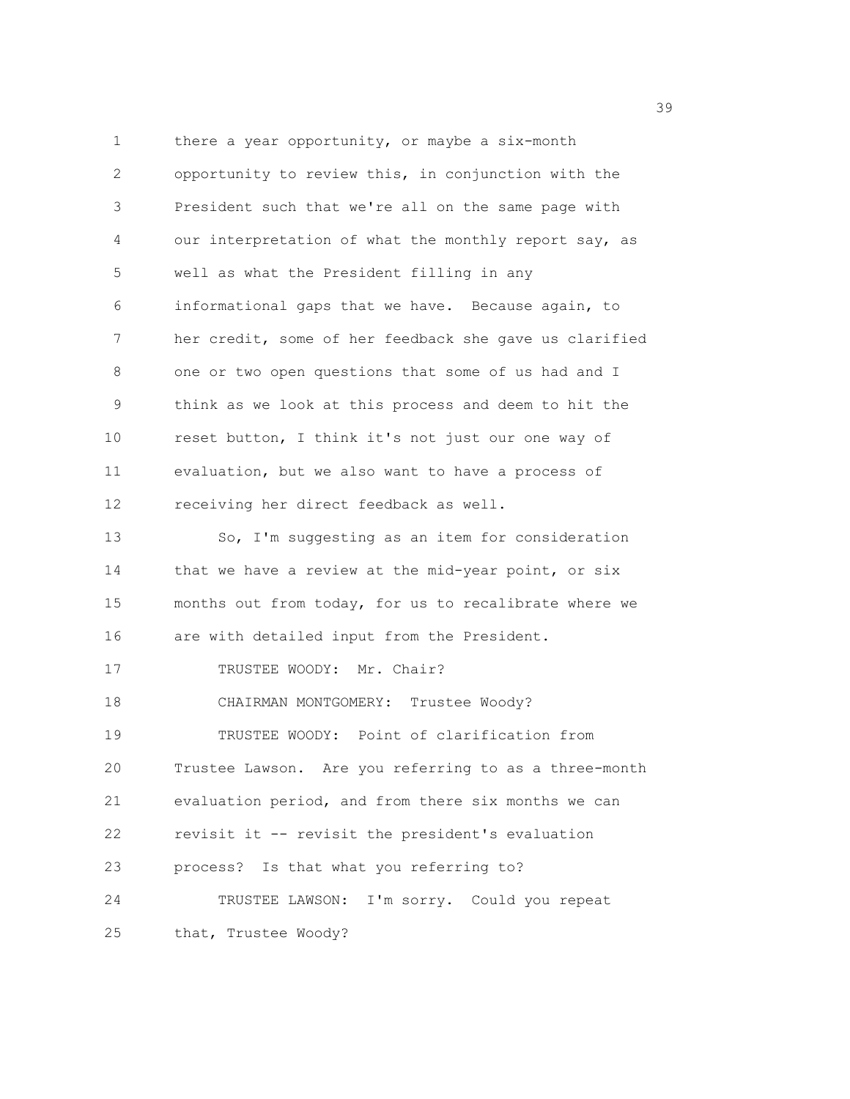1 there a year opportunity, or maybe a six-month 2 opportunity to review this, in conjunction with the 3 President such that we're all on the same page with 4 our interpretation of what the monthly report say, as 5 well as what the President filling in any 6 informational gaps that we have. Because again, to 7 her credit, some of her feedback she gave us clarified 8 one or two open questions that some of us had and I 9 think as we look at this process and deem to hit the 10 reset button, I think it's not just our one way of 11 evaluation, but we also want to have a process of 12 receiving her direct feedback as well. 13 So, I'm suggesting as an item for consideration 14 that we have a review at the mid-year point, or six 15 months out from today, for us to recalibrate where we 16 are with detailed input from the President. 17 TRUSTEE WOODY: Mr. Chair? 18 CHAIRMAN MONTGOMERY: Trustee Woody? 19 TRUSTEE WOODY: Point of clarification from 20 Trustee Lawson. Are you referring to as a three-month 21 evaluation period, and from there six months we can 22 revisit it -- revisit the president's evaluation 23 process? Is that what you referring to? 24 TRUSTEE LAWSON: I'm sorry. Could you repeat 25 that, Trustee Woody?

39 and 2012 and 2013 and 2013 and 2013 and 2013 and 2013 and 2013 and 2013 and 2013 and 2013 and 2013 and 2013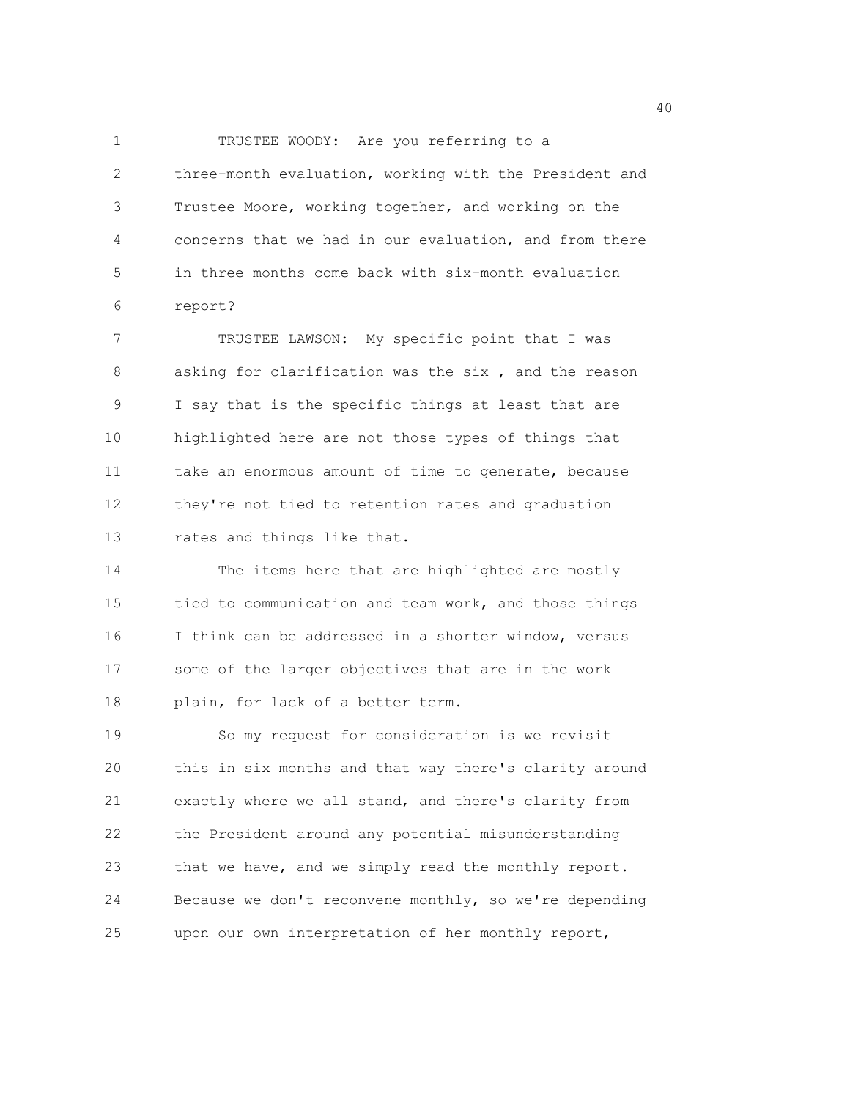1 TRUSTEE WOODY: Are you referring to a 2 three-month evaluation, working with the President and 3 Trustee Moore, working together, and working on the 4 concerns that we had in our evaluation, and from there 5 in three months come back with six-month evaluation 6 report?

7 TRUSTEE LAWSON: My specific point that I was 8 asking for clarification was the six, and the reason 9 I say that is the specific things at least that are 10 highlighted here are not those types of things that 11 take an enormous amount of time to generate, because 12 they're not tied to retention rates and graduation 13 rates and things like that.

14 The items here that are highlighted are mostly 15 tied to communication and team work, and those things 16 I think can be addressed in a shorter window, versus 17 some of the larger objectives that are in the work 18 plain, for lack of a better term.

19 So my request for consideration is we revisit 20 this in six months and that way there's clarity around 21 exactly where we all stand, and there's clarity from 22 the President around any potential misunderstanding 23 that we have, and we simply read the monthly report. 24 Because we don't reconvene monthly, so we're depending 25 upon our own interpretation of her monthly report,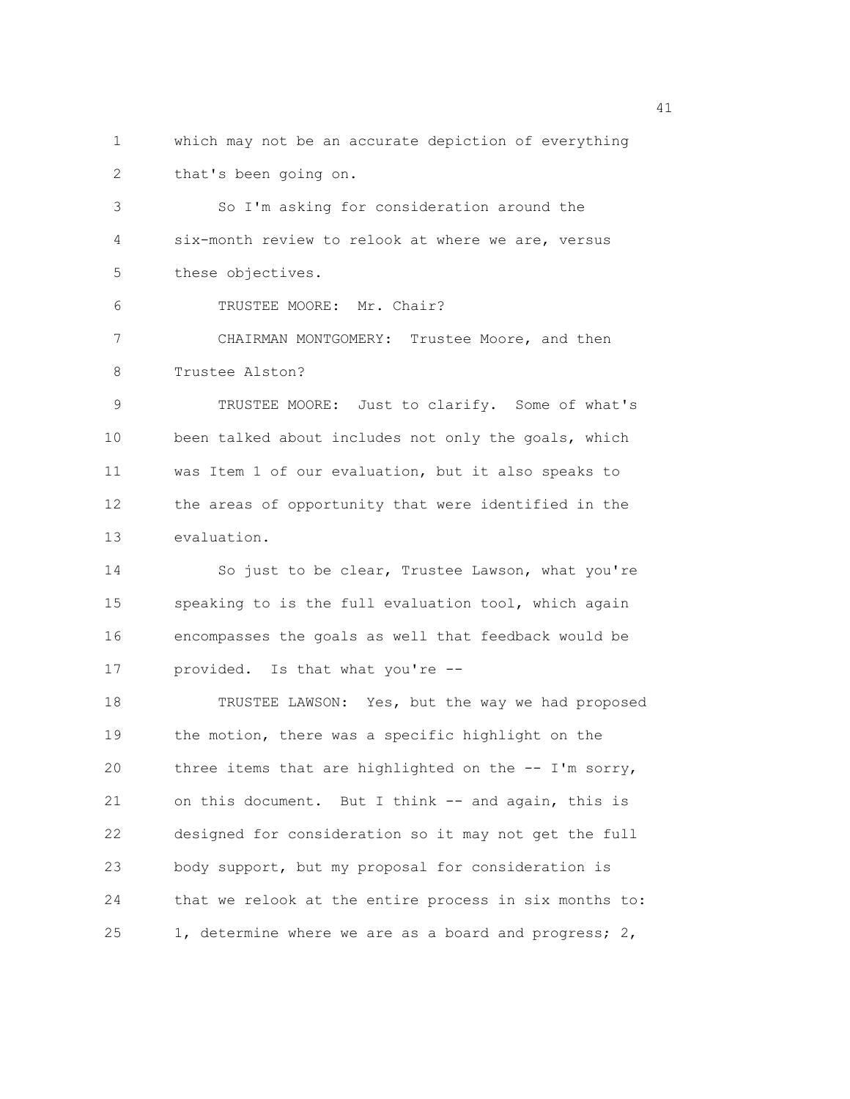1 which may not be an accurate depiction of everything 2 that's been going on.

3 So I'm asking for consideration around the 4 six-month review to relook at where we are, versus 5 these objectives.

6 TRUSTEE MOORE: Mr. Chair?

7 CHAIRMAN MONTGOMERY: Trustee Moore, and then 8 Trustee Alston?

9 TRUSTEE MOORE: Just to clarify. Some of what's 10 been talked about includes not only the goals, which 11 was Item 1 of our evaluation, but it also speaks to 12 the areas of opportunity that were identified in the 13 evaluation.

14 So just to be clear, Trustee Lawson, what you're 15 speaking to is the full evaluation tool, which again 16 encompasses the goals as well that feedback would be 17 provided. Is that what you're --

18 TRUSTEE LAWSON: Yes, but the way we had proposed 19 the motion, there was a specific highlight on the 20 three items that are highlighted on the -- I'm sorry, 21 on this document. But I think -- and again, this is 22 designed for consideration so it may not get the full 23 body support, but my proposal for consideration is 24 that we relook at the entire process in six months to: 25 1, determine where we are as a board and progress; 2,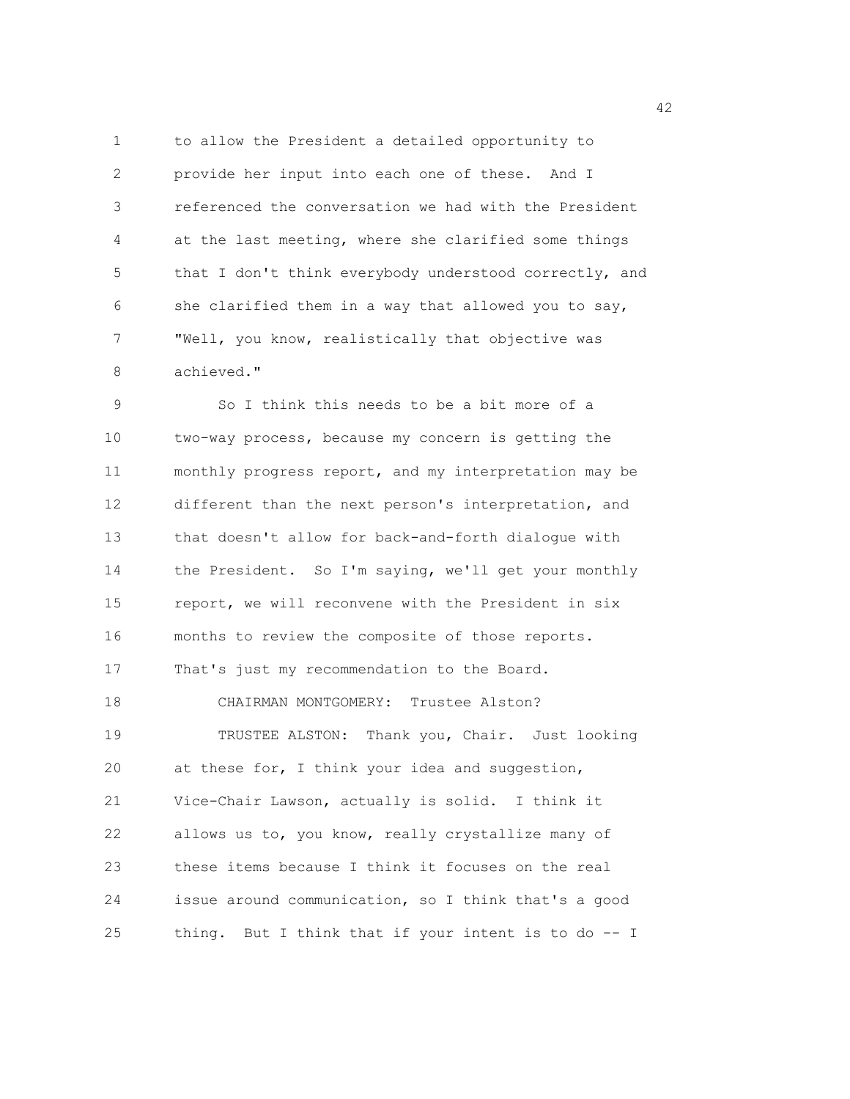1 to allow the President a detailed opportunity to 2 provide her input into each one of these. And I 3 referenced the conversation we had with the President 4 at the last meeting, where she clarified some things 5 that I don't think everybody understood correctly, and 6 she clarified them in a way that allowed you to say, 7 "Well, you know, realistically that objective was 8 achieved."

9 So I think this needs to be a bit more of a 10 two-way process, because my concern is getting the 11 monthly progress report, and my interpretation may be 12 different than the next person's interpretation, and 13 that doesn't allow for back-and-forth dialogue with 14 the President. So I'm saying, we'll get your monthly 15 report, we will reconvene with the President in six 16 months to review the composite of those reports. 17 That's just my recommendation to the Board. 18 CHAIRMAN MONTGOMERY: Trustee Alston? 19 TRUSTEE ALSTON: Thank you, Chair. Just looking 20 at these for, I think your idea and suggestion, 21 Vice-Chair Lawson, actually is solid. I think it 22 allows us to, you know, really crystallize many of 23 these items because I think it focuses on the real 24 issue around communication, so I think that's a good 25 thing. But I think that if your intent is to do -- I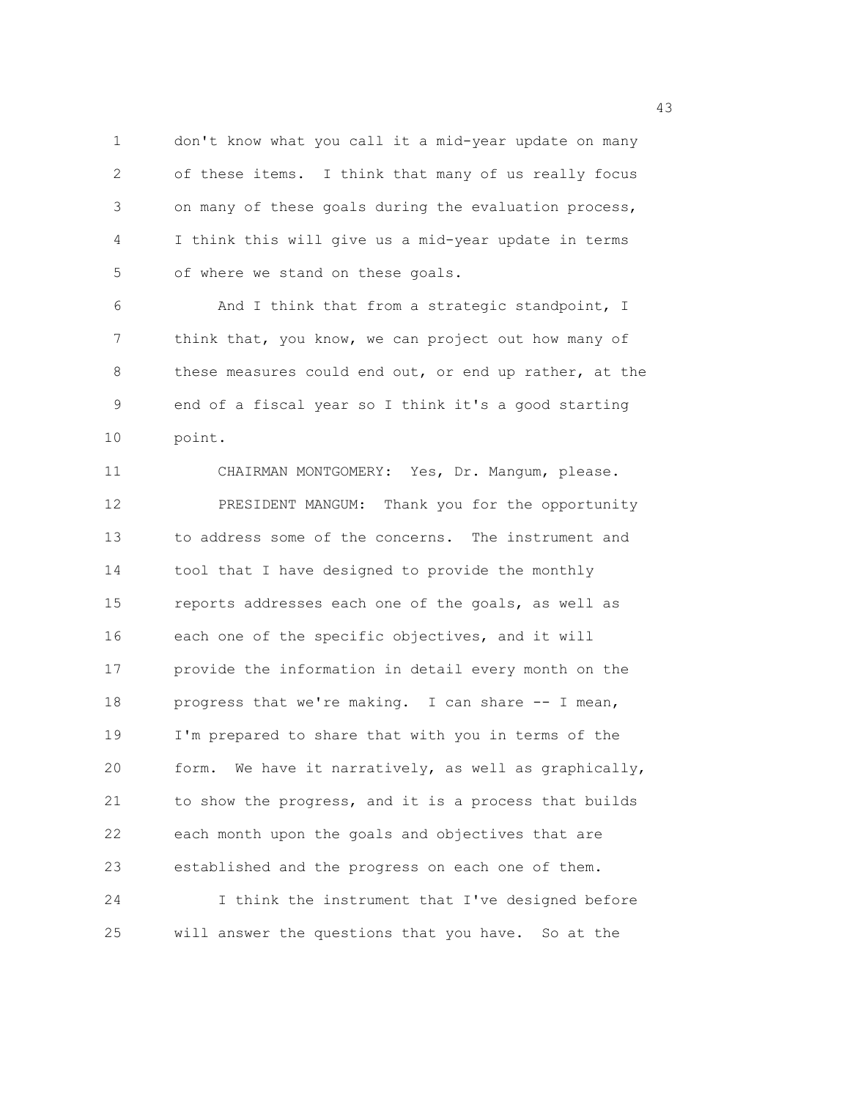1 don't know what you call it a mid-year update on many 2 of these items. I think that many of us really focus 3 on many of these goals during the evaluation process, 4 I think this will give us a mid-year update in terms 5 of where we stand on these goals.

6 And I think that from a strategic standpoint, I 7 think that, you know, we can project out how many of 8 these measures could end out, or end up rather, at the 9 end of a fiscal year so I think it's a good starting 10 point.

11 CHAIRMAN MONTGOMERY: Yes, Dr. Mangum, please. 12 PRESIDENT MANGUM: Thank you for the opportunity 13 to address some of the concerns. The instrument and 14 tool that I have designed to provide the monthly 15 reports addresses each one of the goals, as well as 16 each one of the specific objectives, and it will 17 provide the information in detail every month on the 18 progress that we're making. I can share -- I mean, 19 I'm prepared to share that with you in terms of the 20 form. We have it narratively, as well as graphically, 21 to show the progress, and it is a process that builds 22 each month upon the goals and objectives that are 23 established and the progress on each one of them. 24 I think the instrument that I've designed before 25 will answer the questions that you have. So at the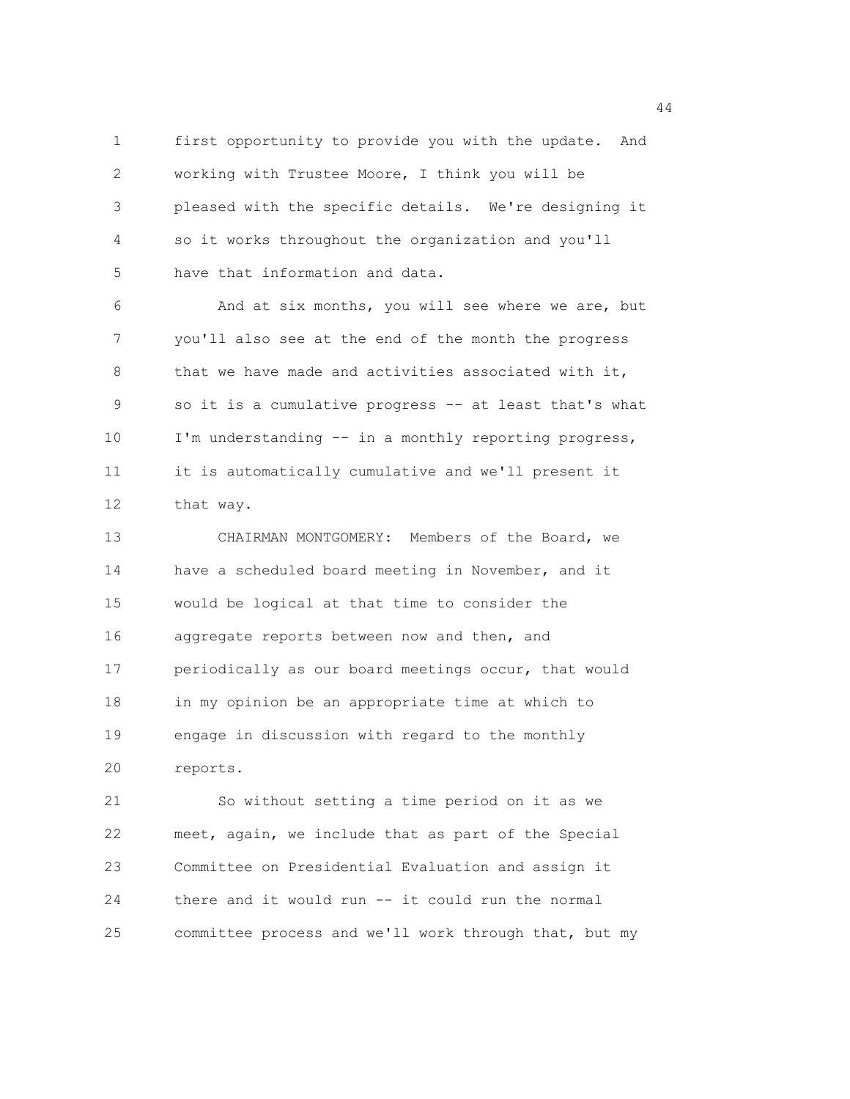1 first opportunity to provide you with the update. And 2 working with Trustee Moore, I think you will be 3 pleased with the specific details. We're designing it 4 so it works throughout the organization and you'll 5 have that information and data.

6 And at six months, you will see where we are, but 7 you'll also see at the end of the month the progress 8 that we have made and activities associated with it, 9 so it is a cumulative progress -- at least that's what 10 I'm understanding -- in a monthly reporting progress, 11 it is automatically cumulative and we'll present it 12 that way.

13 CHAIRMAN MONTGOMERY: Members of the Board, we 14 have a scheduled board meeting in November, and it 15 would be logical at that time to consider the 16 aggregate reports between now and then, and 17 periodically as our board meetings occur, that would 18 in my opinion be an appropriate time at which to 19 engage in discussion with regard to the monthly 20 reports.

21 So without setting a time period on it as we 22 meet, again, we include that as part of the Special 23 Committee on Presidential Evaluation and assign it 24 there and it would run -- it could run the normal 25 committee process and we'll work through that, but my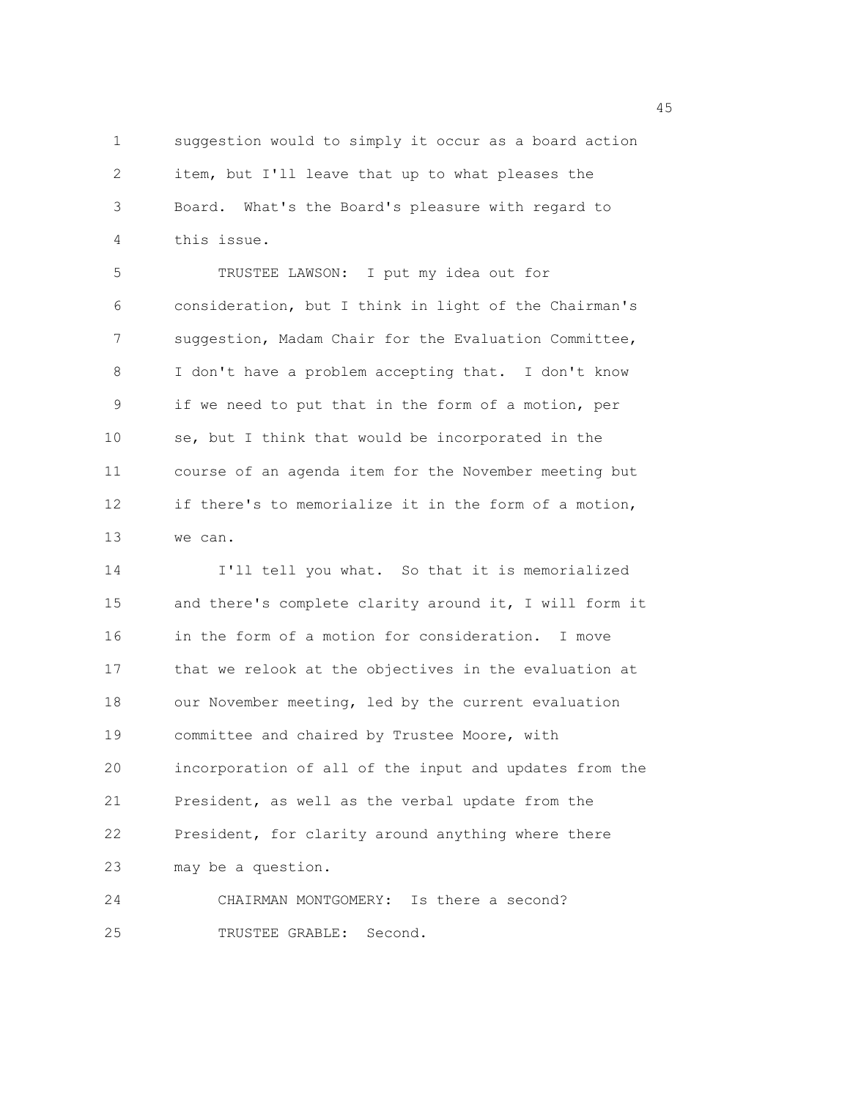1 suggestion would to simply it occur as a board action 2 item, but I'll leave that up to what pleases the 3 Board. What's the Board's pleasure with regard to 4 this issue.

5 TRUSTEE LAWSON: I put my idea out for 6 consideration, but I think in light of the Chairman's 7 suggestion, Madam Chair for the Evaluation Committee, 8 I don't have a problem accepting that. I don't know 9 if we need to put that in the form of a motion, per 10 se, but I think that would be incorporated in the 11 course of an agenda item for the November meeting but 12 if there's to memorialize it in the form of a motion, 13 we can.

14 I'll tell you what. So that it is memorialized 15 and there's complete clarity around it, I will form it 16 in the form of a motion for consideration. I move 17 that we relook at the objectives in the evaluation at 18 our November meeting, led by the current evaluation 19 committee and chaired by Trustee Moore, with 20 incorporation of all of the input and updates from the 21 President, as well as the verbal update from the 22 President, for clarity around anything where there 23 may be a question. 24 CHAIRMAN MONTGOMERY: Is there a second?

25 TRUSTEE GRABLE: Second.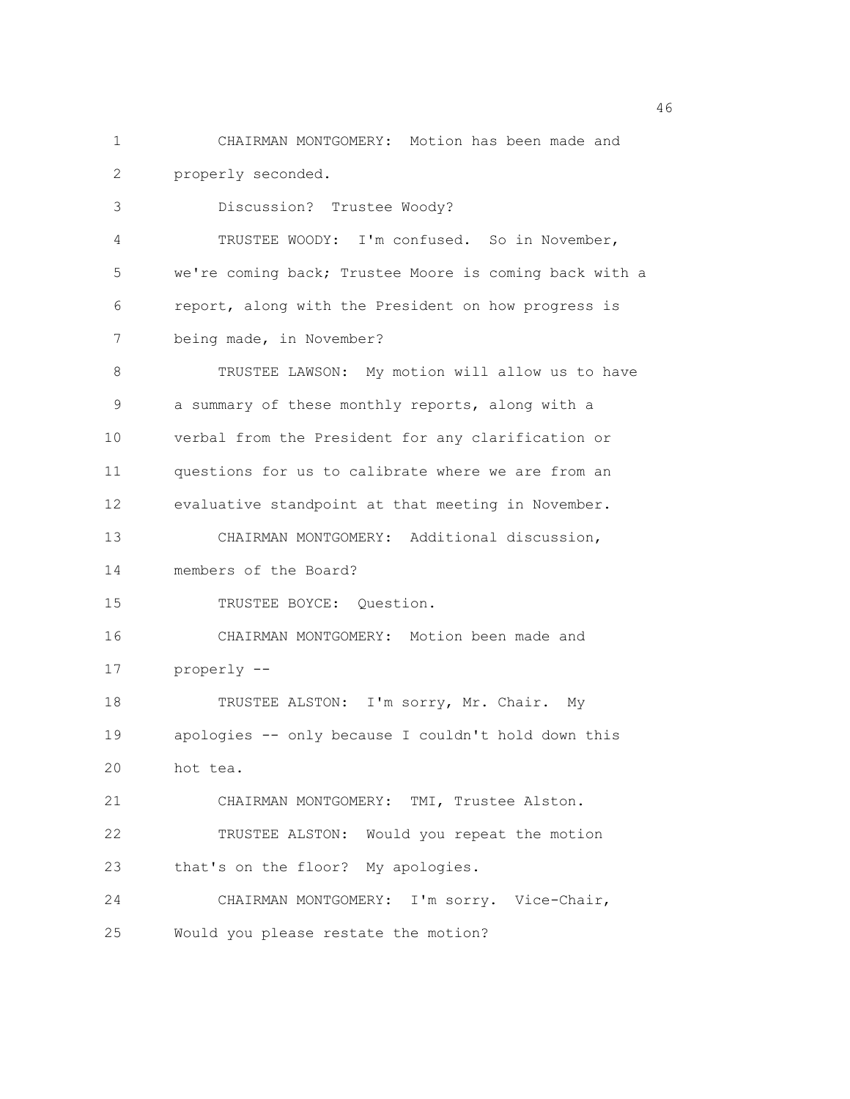1 CHAIRMAN MONTGOMERY: Motion has been made and 2 properly seconded. 3 Discussion? Trustee Woody? 4 TRUSTEE WOODY: I'm confused. So in November, 5 we're coming back; Trustee Moore is coming back with a 6 report, along with the President on how progress is 7 being made, in November? 8 TRUSTEE LAWSON: My motion will allow us to have 9 a summary of these monthly reports, along with a 10 verbal from the President for any clarification or 11 questions for us to calibrate where we are from an 12 evaluative standpoint at that meeting in November. 13 CHAIRMAN MONTGOMERY: Additional discussion, 14 members of the Board? 15 TRUSTEE BOYCE: Question. 16 CHAIRMAN MONTGOMERY: Motion been made and 17 properly -- 18 TRUSTEE ALSTON: I'm sorry, Mr. Chair. My 19 apologies -- only because I couldn't hold down this 20 hot tea. 21 CHAIRMAN MONTGOMERY: TMI, Trustee Alston. 22 TRUSTEE ALSTON: Would you repeat the motion 23 that's on the floor? My apologies. 24 CHAIRMAN MONTGOMERY: I'm sorry. Vice-Chair, 25 Would you please restate the motion?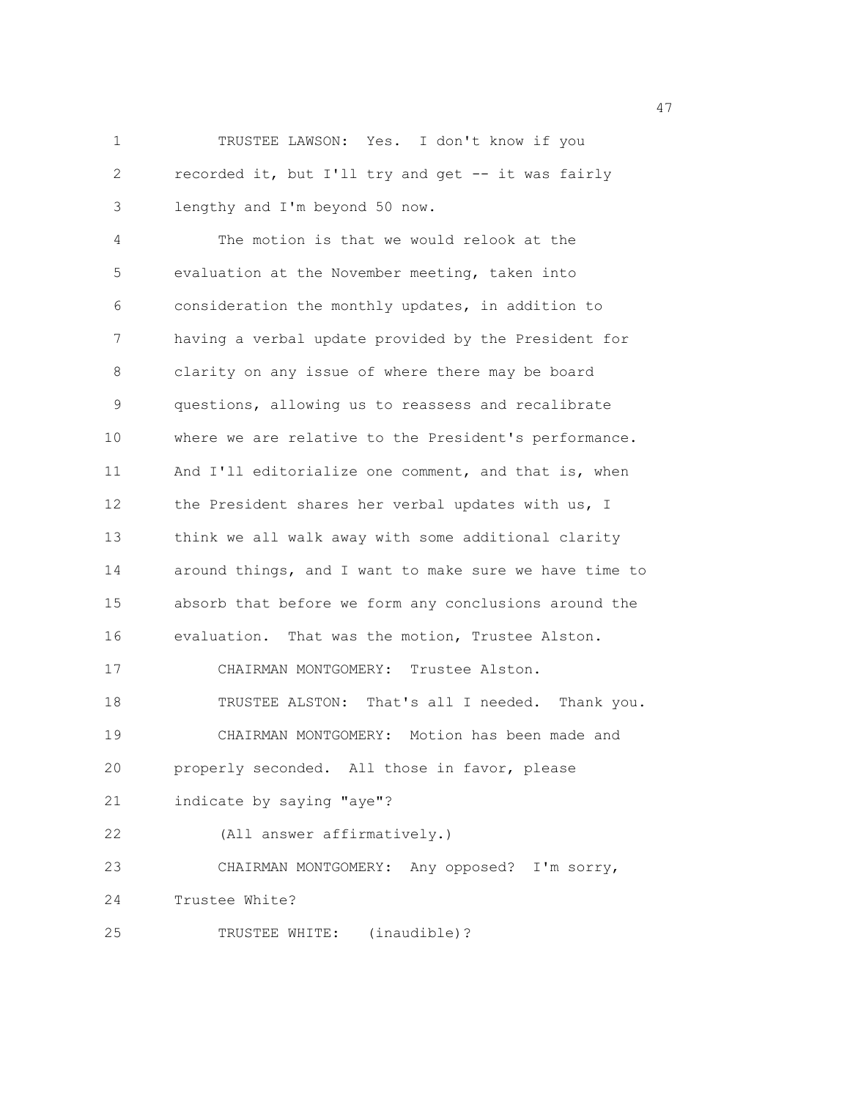1 TRUSTEE LAWSON: Yes. I don't know if you 2 recorded it, but I'll try and get -- it was fairly 3 lengthy and I'm beyond 50 now.

4 The motion is that we would relook at the 5 evaluation at the November meeting, taken into 6 consideration the monthly updates, in addition to 7 having a verbal update provided by the President for 8 clarity on any issue of where there may be board 9 questions, allowing us to reassess and recalibrate 10 where we are relative to the President's performance. 11 And I'll editorialize one comment, and that is, when 12 the President shares her verbal updates with us, I 13 think we all walk away with some additional clarity 14 around things, and I want to make sure we have time to 15 absorb that before we form any conclusions around the 16 evaluation. That was the motion, Trustee Alston. 17 CHAIRMAN MONTGOMERY: Trustee Alston. 18 TRUSTEE ALSTON: That's all I needed. Thank you. 19 CHAIRMAN MONTGOMERY: Motion has been made and 20 properly seconded. All those in favor, please 21 indicate by saying "aye"? 22 (All answer affirmatively.) 23 CHAIRMAN MONTGOMERY: Any opposed? I'm sorry, 24 Trustee White? 25 TRUSTEE WHITE: (inaudible)?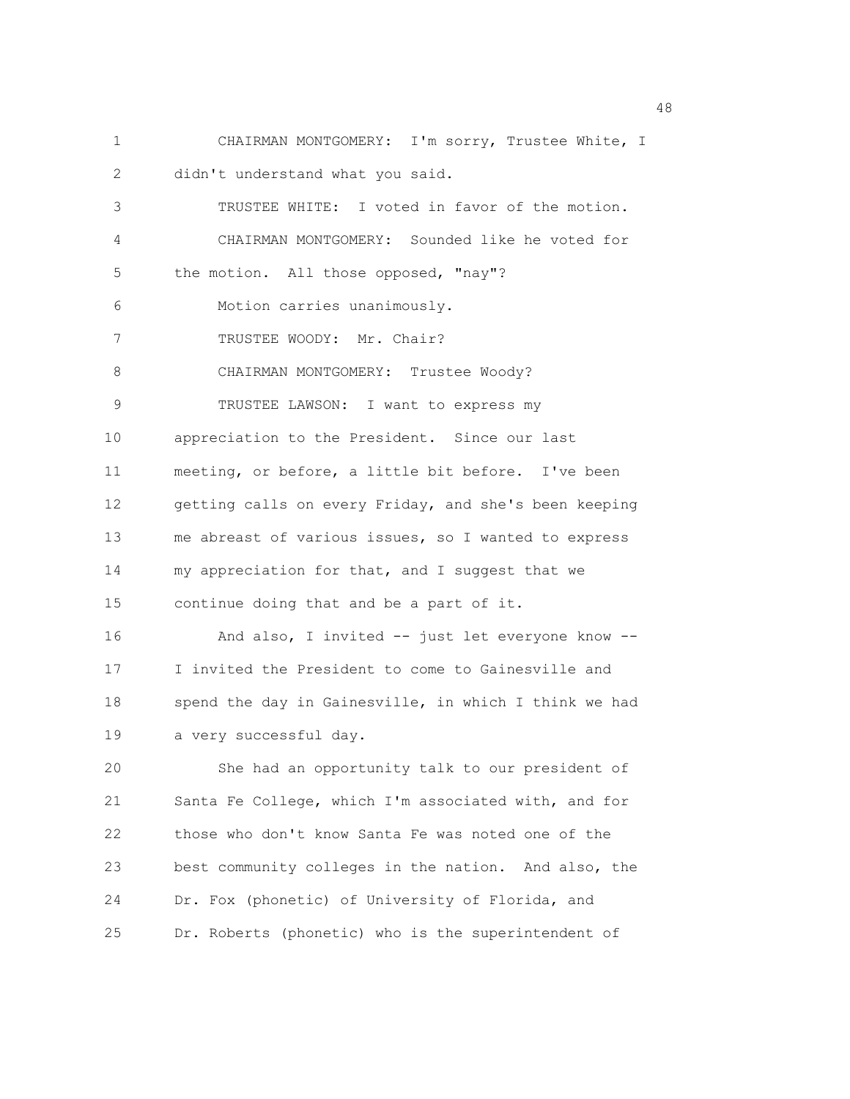1 CHAIRMAN MONTGOMERY: I'm sorry, Trustee White, I 2 didn't understand what you said. 3 TRUSTEE WHITE: I voted in favor of the motion. 4 CHAIRMAN MONTGOMERY: Sounded like he voted for 5 the motion. All those opposed, "nay"? 6 Motion carries unanimously. 7 TRUSTEE WOODY: Mr. Chair? 8 CHAIRMAN MONTGOMERY: Trustee Woody? 9 TRUSTEE LAWSON: I want to express my 10 appreciation to the President. Since our last 11 meeting, or before, a little bit before. I've been 12 getting calls on every Friday, and she's been keeping 13 me abreast of various issues, so I wanted to express 14 my appreciation for that, and I suggest that we 15 continue doing that and be a part of it. 16 And also, I invited -- just let everyone know -- 17 I invited the President to come to Gainesville and 18 spend the day in Gainesville, in which I think we had 19 a very successful day. 20 She had an opportunity talk to our president of 21 Santa Fe College, which I'm associated with, and for 22 those who don't know Santa Fe was noted one of the 23 best community colleges in the nation. And also, the 24 Dr. Fox (phonetic) of University of Florida, and

25 Dr. Roberts (phonetic) who is the superintendent of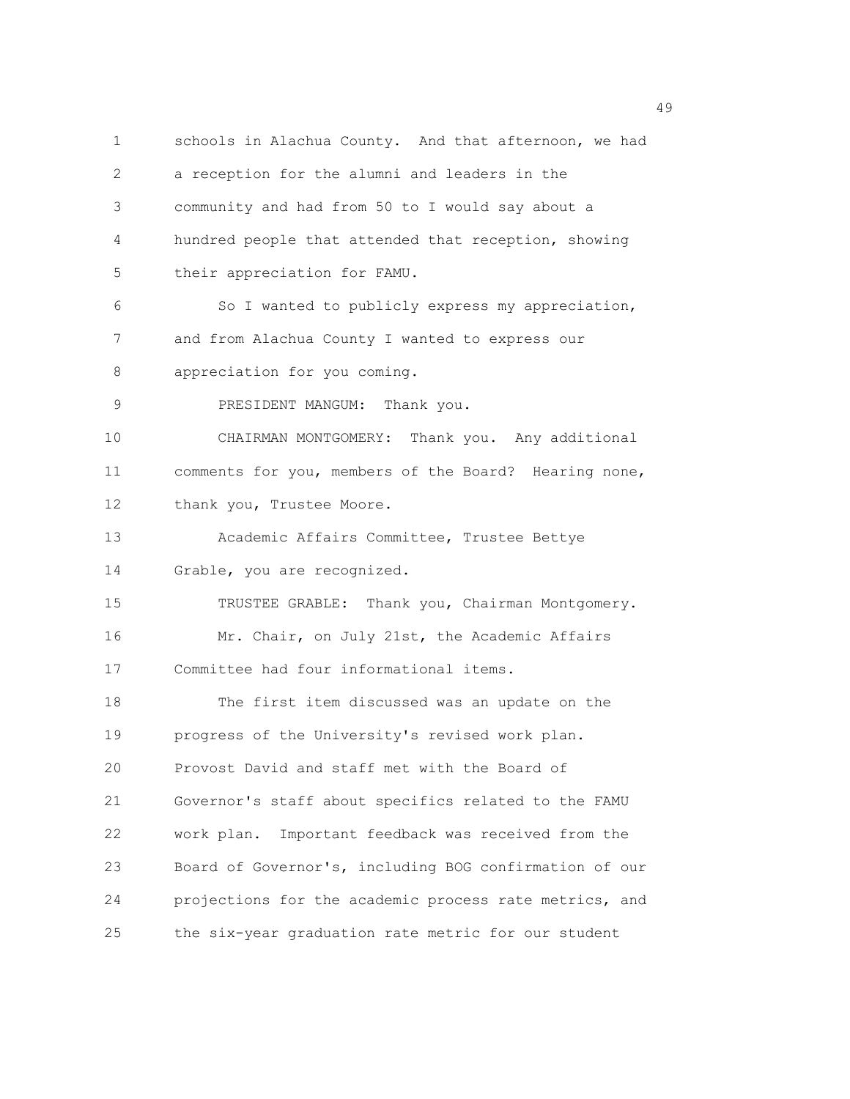1 schools in Alachua County. And that afternoon, we had 2 a reception for the alumni and leaders in the 3 community and had from 50 to I would say about a 4 hundred people that attended that reception, showing 5 their appreciation for FAMU. 6 So I wanted to publicly express my appreciation, 7 and from Alachua County I wanted to express our 8 appreciation for you coming. 9 PRESIDENT MANGUM: Thank you. 10 CHAIRMAN MONTGOMERY: Thank you. Any additional 11 comments for you, members of the Board? Hearing none, 12 thank you, Trustee Moore. 13 Academic Affairs Committee, Trustee Bettye 14 Grable, you are recognized. 15 TRUSTEE GRABLE: Thank you, Chairman Montgomery. 16 Mr. Chair, on July 21st, the Academic Affairs 17 Committee had four informational items. 18 The first item discussed was an update on the 19 progress of the University's revised work plan. 20 Provost David and staff met with the Board of 21 Governor's staff about specifics related to the FAMU 22 work plan. Important feedback was received from the 23 Board of Governor's, including BOG confirmation of our 24 projections for the academic process rate metrics, and 25 the six-year graduation rate metric for our student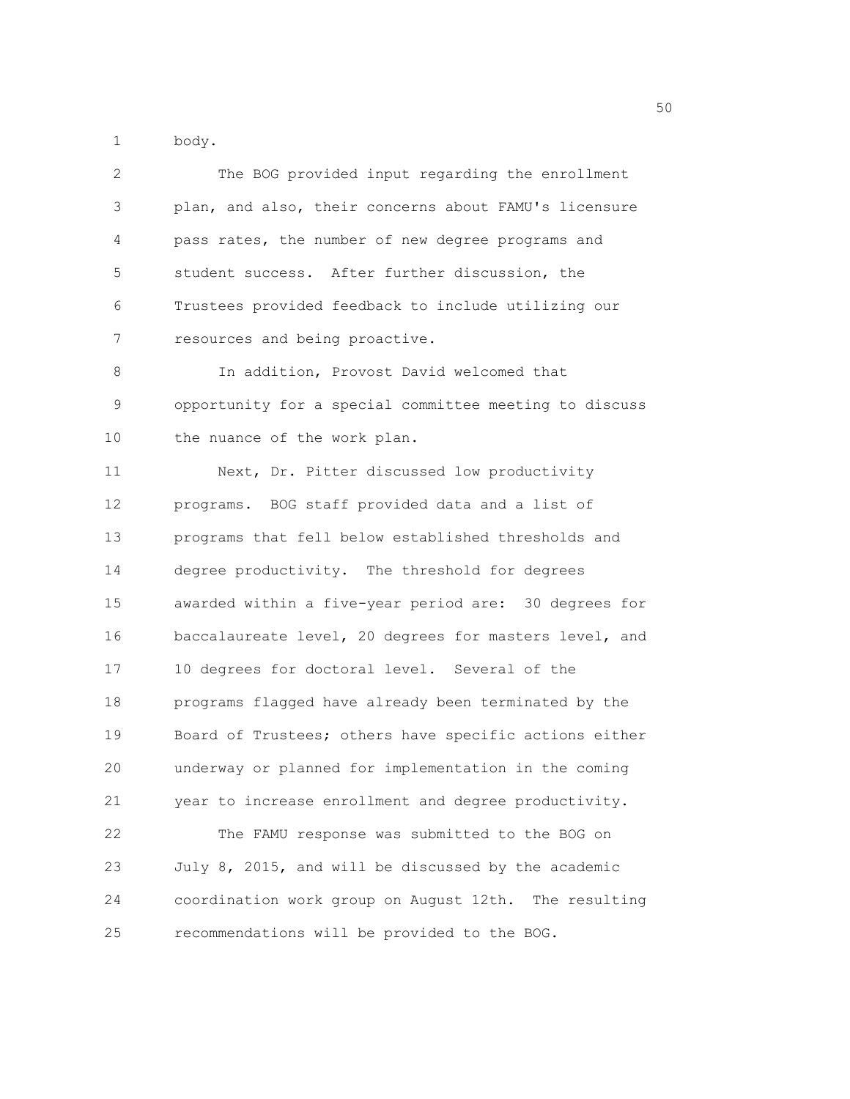1 body.

| 2  | The BOG provided input regarding the enrollment        |
|----|--------------------------------------------------------|
| 3  | plan, and also, their concerns about FAMU's licensure  |
| 4  | pass rates, the number of new degree programs and      |
| 5  | student success. After further discussion, the         |
| 6  | Trustees provided feedback to include utilizing our    |
| 7  | resources and being proactive.                         |
| 8  | In addition, Provost David welcomed that               |
| 9  | opportunity for a special committee meeting to discuss |
| 10 | the nuance of the work plan.                           |
| 11 | Next, Dr. Pitter discussed low productivity            |
| 12 | programs. BOG staff provided data and a list of        |
| 13 | programs that fell below established thresholds and    |
| 14 | degree productivity. The threshold for degrees         |
| 15 | awarded within a five-year period are: 30 degrees for  |
| 16 | baccalaureate level, 20 degrees for masters level, and |
| 17 | 10 degrees for doctoral level. Several of the          |
| 18 | programs flagged have already been terminated by the   |
| 19 | Board of Trustees; others have specific actions either |
| 20 | underway or planned for implementation in the coming   |
| 21 | year to increase enrollment and degree productivity.   |
| 22 | The FAMU response was submitted to the BOG on          |
| 23 | July 8, 2015, and will be discussed by the academic    |
| 24 | coordination work group on August 12th. The resulting  |
| 25 | recommendations will be provided to the BOG.           |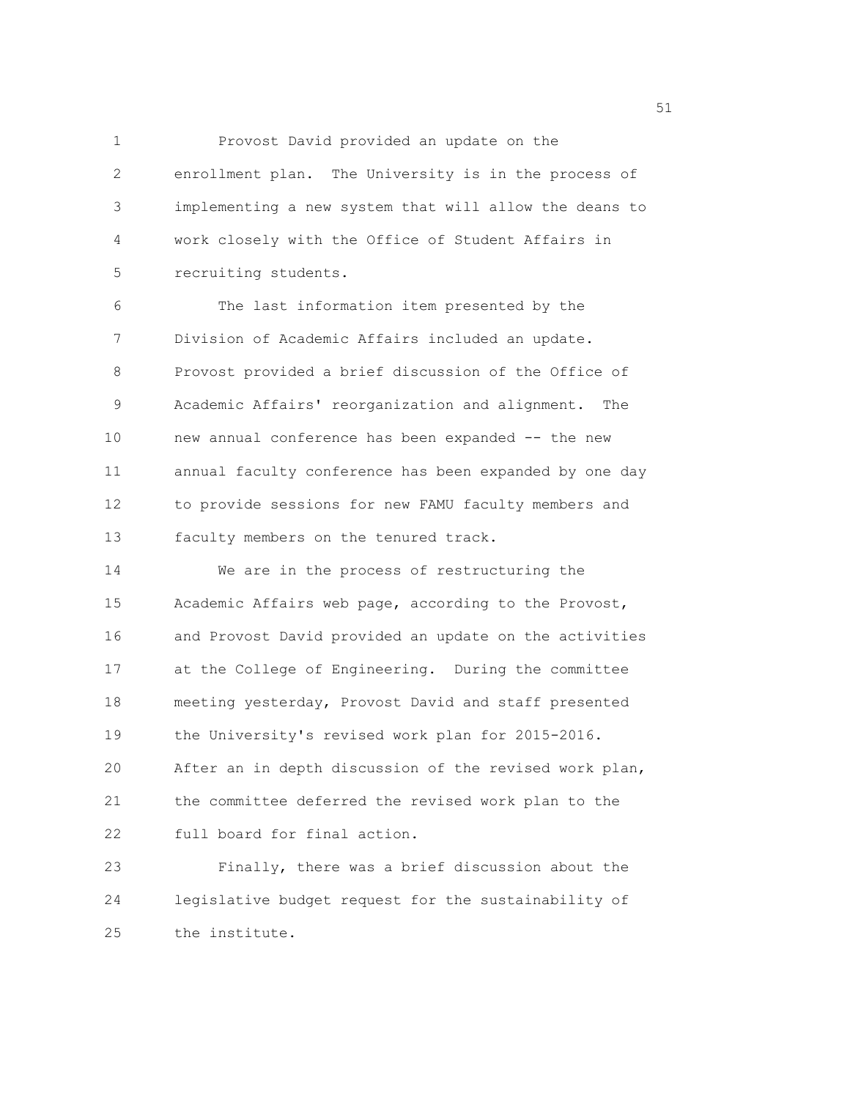1 Provost David provided an update on the 2 enrollment plan. The University is in the process of 3 implementing a new system that will allow the deans to 4 work closely with the Office of Student Affairs in 5 recruiting students.

6 The last information item presented by the 7 Division of Academic Affairs included an update. 8 Provost provided a brief discussion of the Office of 9 Academic Affairs' reorganization and alignment. The 10 new annual conference has been expanded -- the new 11 annual faculty conference has been expanded by one day 12 to provide sessions for new FAMU faculty members and 13 faculty members on the tenured track.

14 We are in the process of restructuring the 15 Academic Affairs web page, according to the Provost, 16 and Provost David provided an update on the activities 17 at the College of Engineering. During the committee 18 meeting yesterday, Provost David and staff presented 19 the University's revised work plan for 2015-2016. 20 After an in depth discussion of the revised work plan, 21 the committee deferred the revised work plan to the 22 full board for final action.

23 Finally, there was a brief discussion about the 24 legislative budget request for the sustainability of 25 the institute.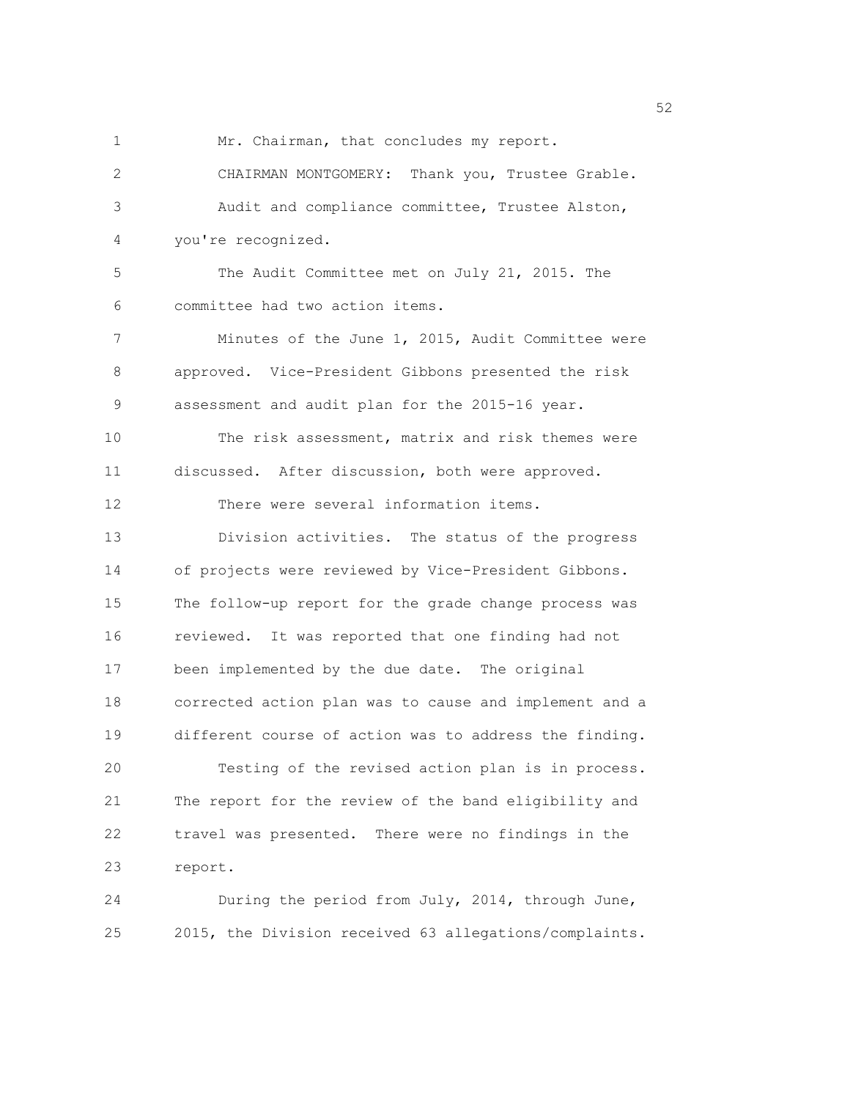1 Mr. Chairman, that concludes my report.

2 CHAIRMAN MONTGOMERY: Thank you, Trustee Grable. 3 Audit and compliance committee, Trustee Alston, 4 you're recognized. 5 The Audit Committee met on July 21, 2015. The 6 committee had two action items. 7 Minutes of the June 1, 2015, Audit Committee were 8 approved. Vice-President Gibbons presented the risk 9 assessment and audit plan for the 2015-16 year. 10 The risk assessment, matrix and risk themes were 11 discussed. After discussion, both were approved. 12 There were several information items. 13 Division activities. The status of the progress 14 of projects were reviewed by Vice-President Gibbons. 15 The follow-up report for the grade change process was 16 reviewed. It was reported that one finding had not 17 been implemented by the due date. The original 18 corrected action plan was to cause and implement and a 19 different course of action was to address the finding. 20 Testing of the revised action plan is in process. 21 The report for the review of the band eligibility and 22 travel was presented. There were no findings in the 23 report. 24 During the period from July, 2014, through June, 25 2015, the Division received 63 allegations/complaints.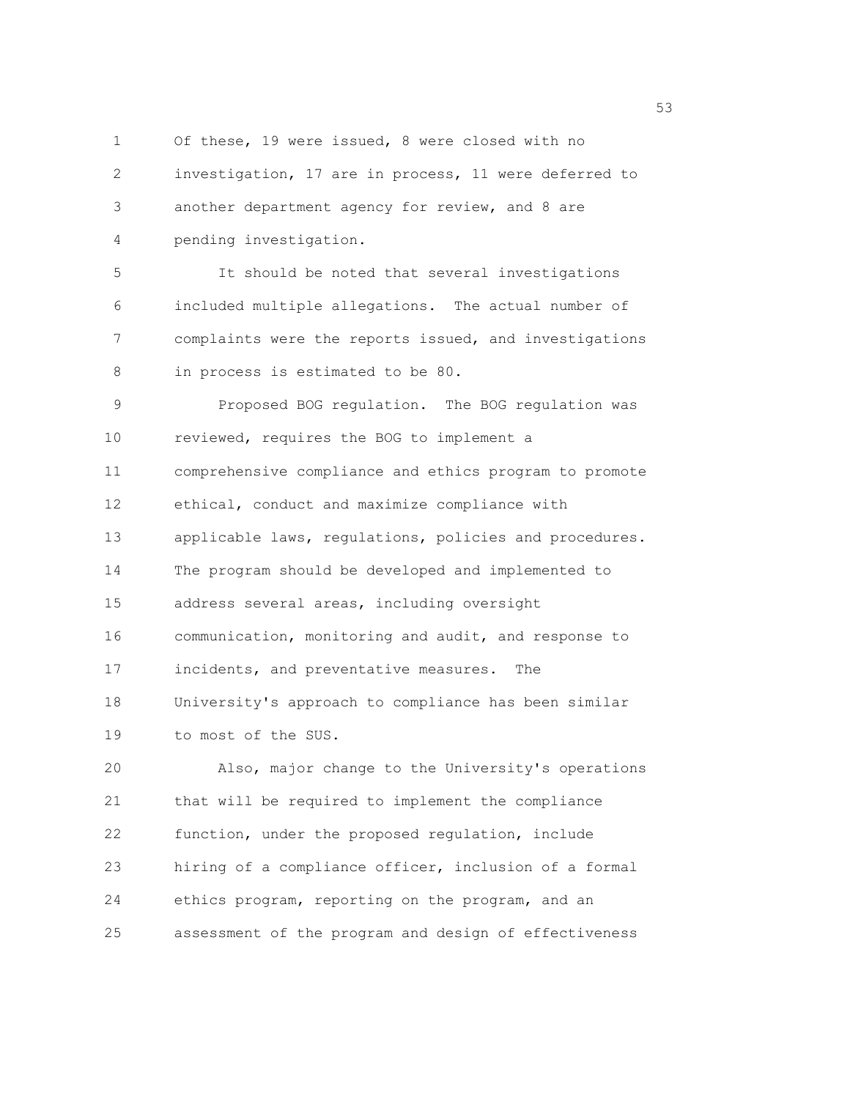1 Of these, 19 were issued, 8 were closed with no 2 investigation, 17 are in process, 11 were deferred to 3 another department agency for review, and 8 are 4 pending investigation. 5 It should be noted that several investigations 6 included multiple allegations. The actual number of 7 complaints were the reports issued, and investigations 8 in process is estimated to be 80. 9 Proposed BOG regulation. The BOG regulation was 10 reviewed, requires the BOG to implement a 11 comprehensive compliance and ethics program to promote 12 ethical, conduct and maximize compliance with 13 applicable laws, regulations, policies and procedures. 14 The program should be developed and implemented to 15 address several areas, including oversight 16 communication, monitoring and audit, and response to 17 incidents, and preventative measures. The 18 University's approach to compliance has been similar 19 to most of the SUS. 20 Also, major change to the University's operations 21 that will be required to implement the compliance 22 function, under the proposed regulation, include 23 hiring of a compliance officer, inclusion of a formal 24 ethics program, reporting on the program, and an 25 assessment of the program and design of effectiveness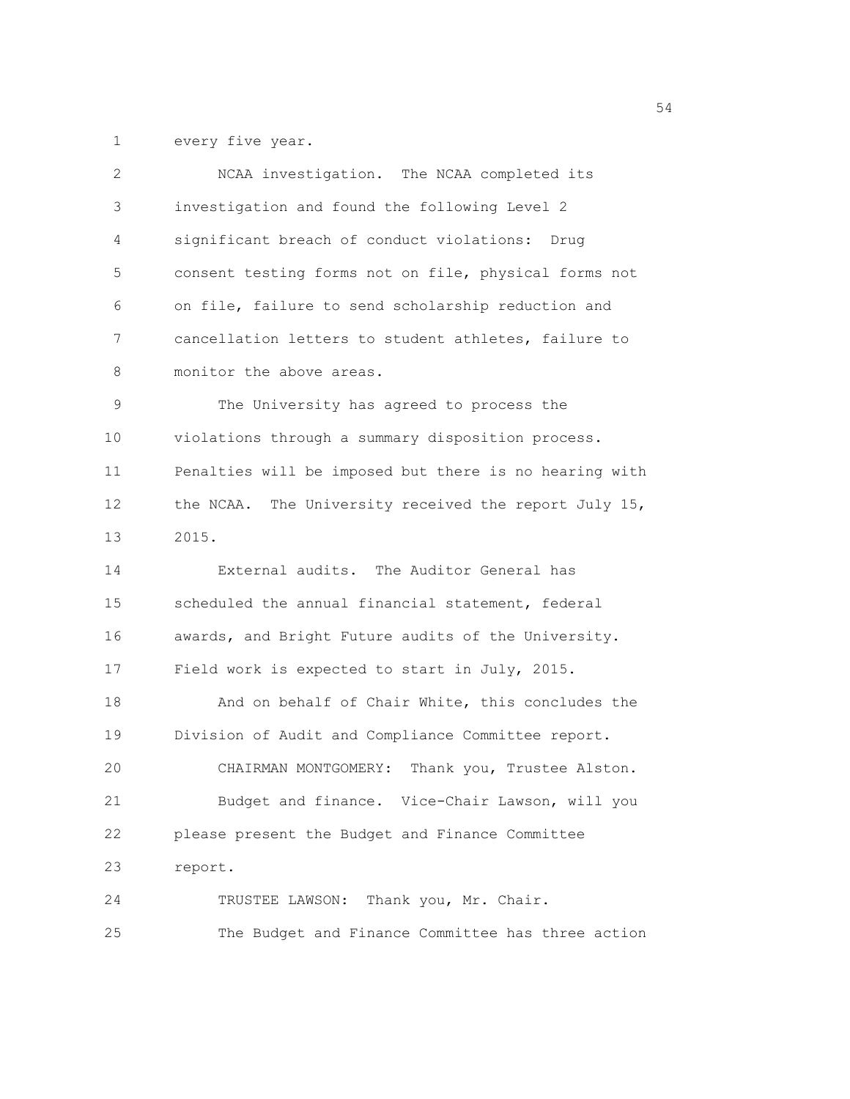1 every five year.

| $\overline{2}$ | NCAA investigation. The NCAA completed its             |
|----------------|--------------------------------------------------------|
| 3              | investigation and found the following Level 2          |
| 4              | significant breach of conduct violations: Drug         |
| 5              | consent testing forms not on file, physical forms not  |
| 6              | on file, failure to send scholarship reduction and     |
| 7              | cancellation letters to student athletes, failure to   |
| 8              | monitor the above areas.                               |
| 9              | The University has agreed to process the               |
| 10             | violations through a summary disposition process.      |
| 11             | Penalties will be imposed but there is no hearing with |
| 12             | the NCAA. The University received the report July 15,  |
| 13             | 2015.                                                  |
| 14             | External audits. The Auditor General has               |
| 15             | scheduled the annual financial statement, federal      |
| 16             | awards, and Bright Future audits of the University.    |
| 17             | Field work is expected to start in July, 2015.         |
| 18             | And on behalf of Chair White, this concludes the       |
| 19             | Division of Audit and Compliance Committee report.     |
| 20             | CHAIRMAN MONTGOMERY:<br>Thank you, Trustee Alston.     |
| 21             | Budget and finance. Vice-Chair Lawson, will you        |
| 22             | please present the Budget and Finance Committee        |
| 23             | report.                                                |
| 24             | TRUSTEE LAWSON: Thank you, Mr. Chair.                  |
| 25             | The Budget and Finance Committee has three action      |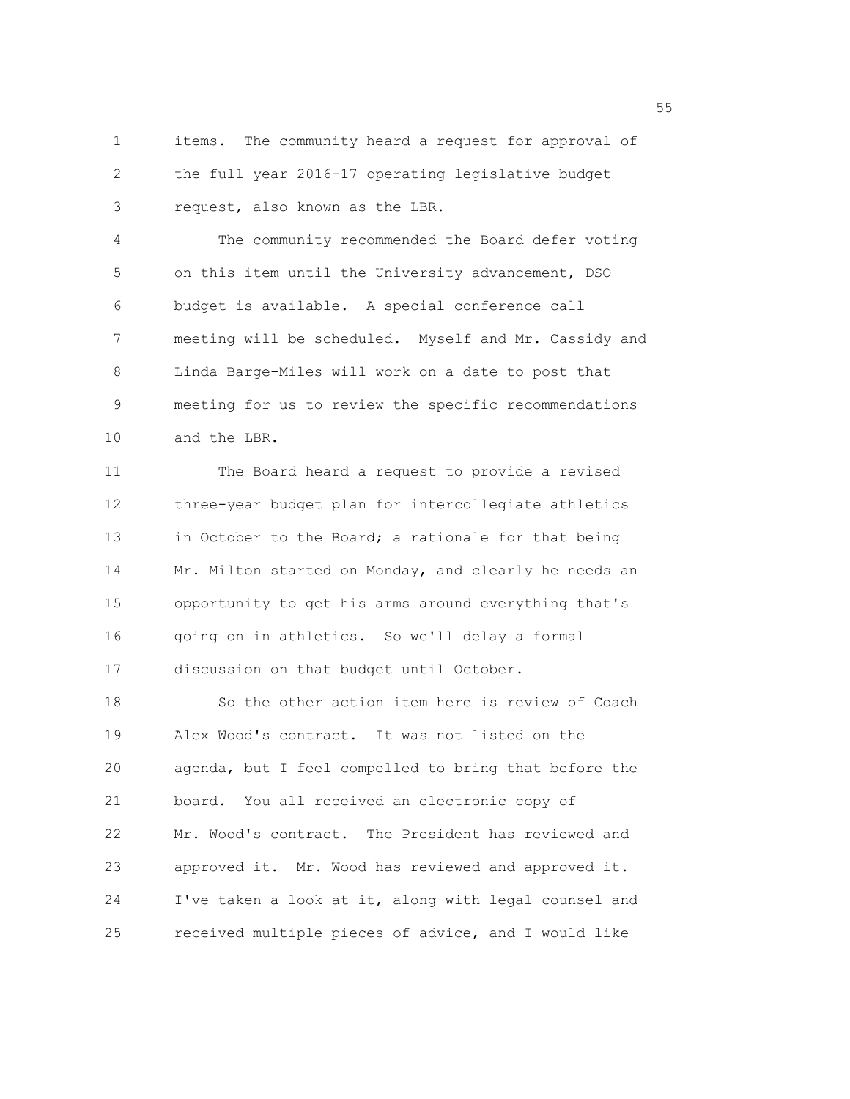1 items. The community heard a request for approval of 2 the full year 2016-17 operating legislative budget 3 request, also known as the LBR.

4 The community recommended the Board defer voting 5 on this item until the University advancement, DSO 6 budget is available. A special conference call 7 meeting will be scheduled. Myself and Mr. Cassidy and 8 Linda Barge-Miles will work on a date to post that 9 meeting for us to review the specific recommendations 10 and the LBR.

11 The Board heard a request to provide a revised 12 three-year budget plan for intercollegiate athletics 13 in October to the Board; a rationale for that being 14 Mr. Milton started on Monday, and clearly he needs an 15 opportunity to get his arms around everything that's 16 going on in athletics. So we'll delay a formal 17 discussion on that budget until October.

18 So the other action item here is review of Coach 19 Alex Wood's contract. It was not listed on the 20 agenda, but I feel compelled to bring that before the 21 board. You all received an electronic copy of 22 Mr. Wood's contract. The President has reviewed and 23 approved it. Mr. Wood has reviewed and approved it. 24 I've taken a look at it, along with legal counsel and 25 received multiple pieces of advice, and I would like

the state of the state of the state of the state of the state of the state of the state of the state of the state of the state of the state of the state of the state of the state of the state of the state of the state of t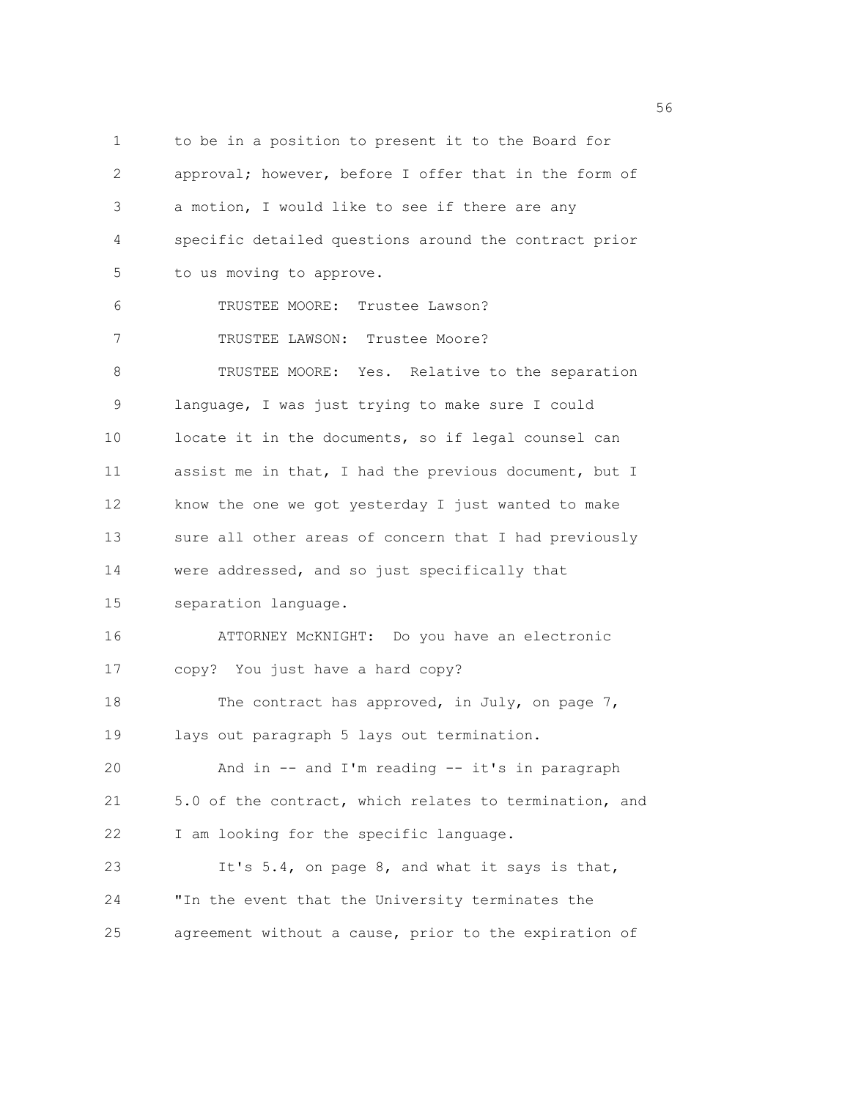1 to be in a position to present it to the Board for 2 approval; however, before I offer that in the form of 3 a motion, I would like to see if there are any 4 specific detailed questions around the contract prior 5 to us moving to approve. 6 TRUSTEE MOORE: Trustee Lawson? 7 TRUSTEE LAWSON: Trustee Moore? 8 TRUSTEE MOORE: Yes. Relative to the separation 9 language, I was just trying to make sure I could 10 locate it in the documents, so if legal counsel can 11 assist me in that, I had the previous document, but I 12 know the one we got yesterday I just wanted to make 13 sure all other areas of concern that I had previously 14 were addressed, and so just specifically that 15 separation language. 16 ATTORNEY McKNIGHT: Do you have an electronic 17 copy? You just have a hard copy? 18 The contract has approved, in July, on page 7, 19 lays out paragraph 5 lays out termination. 20 And in -- and I'm reading -- it's in paragraph 21 5.0 of the contract, which relates to termination, and 22 I am looking for the specific language. 23 It's 5.4, on page 8, and what it says is that, 24 "In the event that the University terminates the 25 agreement without a cause, prior to the expiration of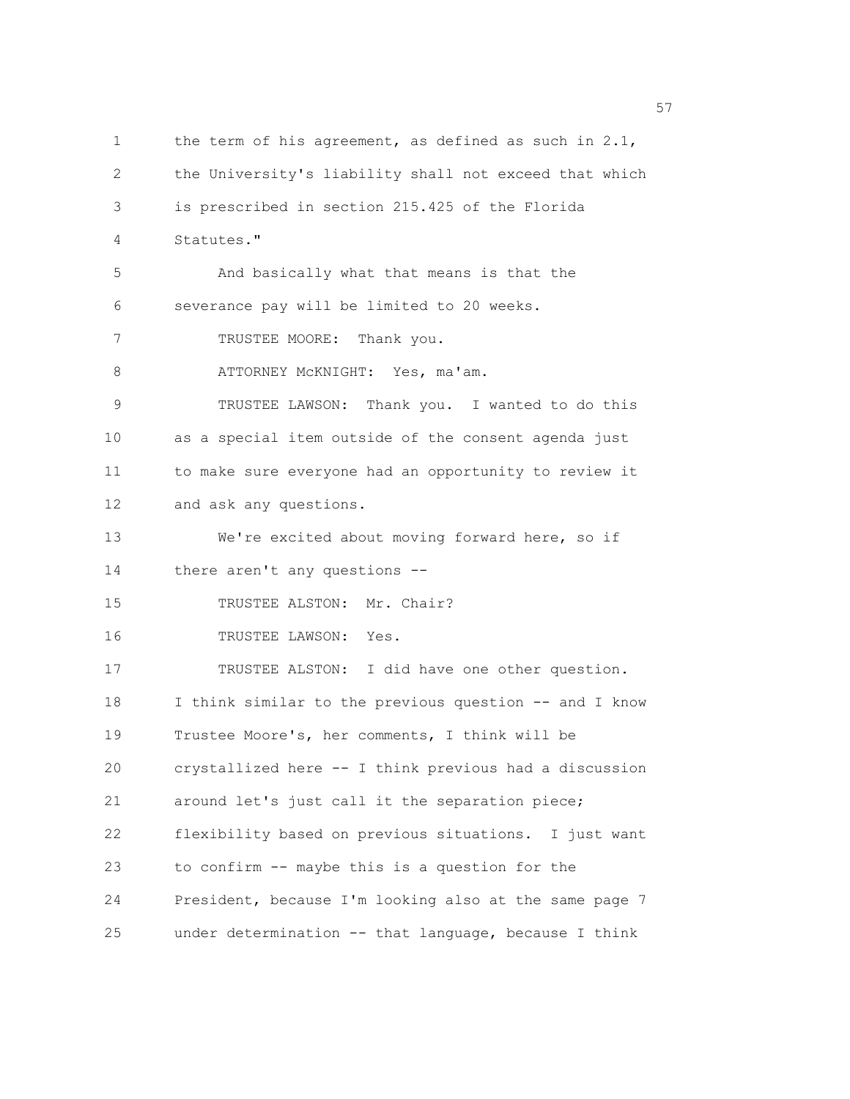1 the term of his agreement, as defined as such in 2.1, 2 the University's liability shall not exceed that which 3 is prescribed in section 215.425 of the Florida 4 Statutes." 5 And basically what that means is that the 6 severance pay will be limited to 20 weeks. 7 TRUSTEE MOORE: Thank you. 8 ATTORNEY MCKNIGHT: Yes, ma'am. 9 TRUSTEE LAWSON: Thank you. I wanted to do this 10 as a special item outside of the consent agenda just 11 to make sure everyone had an opportunity to review it 12 and ask any questions. 13 We're excited about moving forward here, so if 14 there aren't any questions -- 15 TRUSTEE ALSTON: Mr. Chair? 16 TRUSTEE LAWSON: Yes. 17 TRUSTEE ALSTON: I did have one other question. 18 I think similar to the previous question -- and I know 19 Trustee Moore's, her comments, I think will be 20 crystallized here -- I think previous had a discussion 21 around let's just call it the separation piece; 22 flexibility based on previous situations. I just want 23 to confirm -- maybe this is a question for the 24 President, because I'm looking also at the same page 7 25 under determination -- that language, because I think

<u>57</u>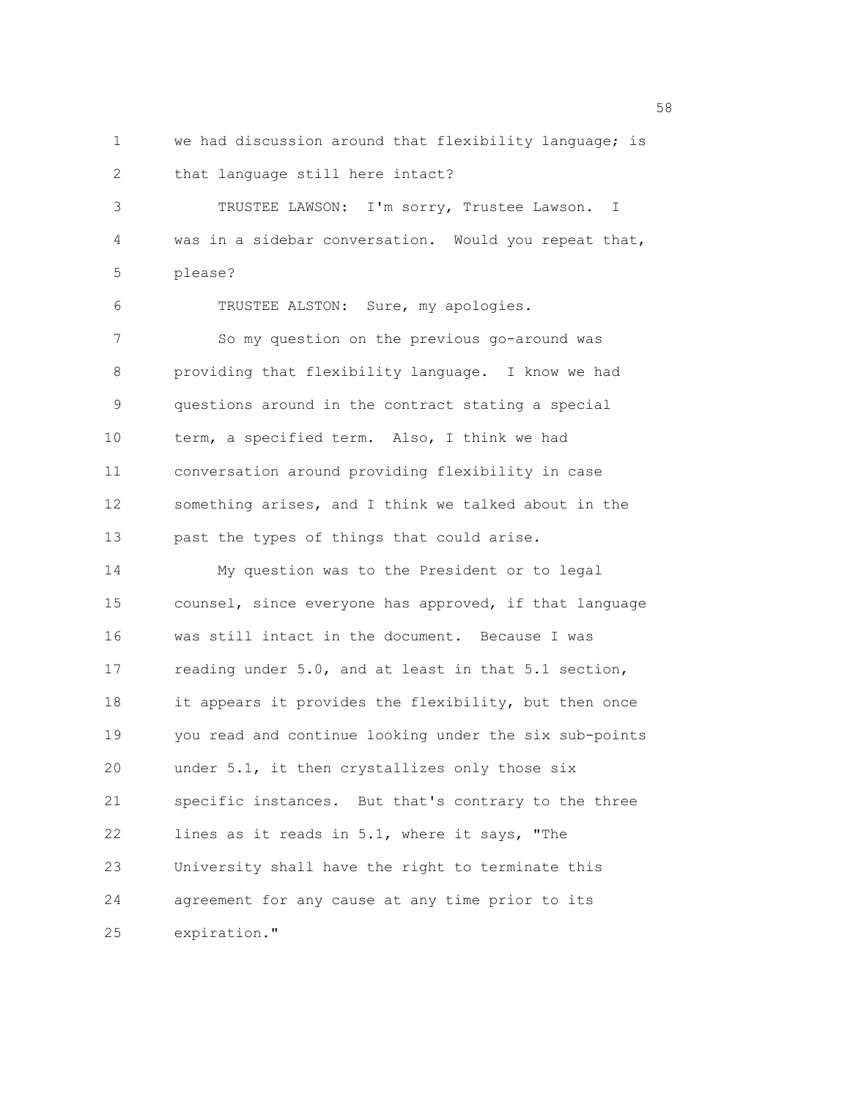1 we had discussion around that flexibility language; is 2 that language still here intact? 3 TRUSTEE LAWSON: I'm sorry, Trustee Lawson. I 4 was in a sidebar conversation. Would you repeat that, 5 please? 6 TRUSTEE ALSTON: Sure, my apologies. 7 So my question on the previous go-around was 8 providing that flexibility language. I know we had 9 questions around in the contract stating a special 10 term, a specified term. Also, I think we had 11 conversation around providing flexibility in case 12 something arises, and I think we talked about in the 13 past the types of things that could arise. 14 My question was to the President or to legal 15 counsel, since everyone has approved, if that language 16 was still intact in the document. Because I was 17 reading under 5.0, and at least in that 5.1 section, 18 it appears it provides the flexibility, but then once 19 you read and continue looking under the six sub-points 20 under 5.1, it then crystallizes only those six 21 specific instances. But that's contrary to the three 22 lines as it reads in 5.1, where it says, "The 23 University shall have the right to terminate this 24 agreement for any cause at any time prior to its 25 expiration."

the state of the state of the state of the state of the state of the state of the state of the state of the state of the state of the state of the state of the state of the state of the state of the state of the state of t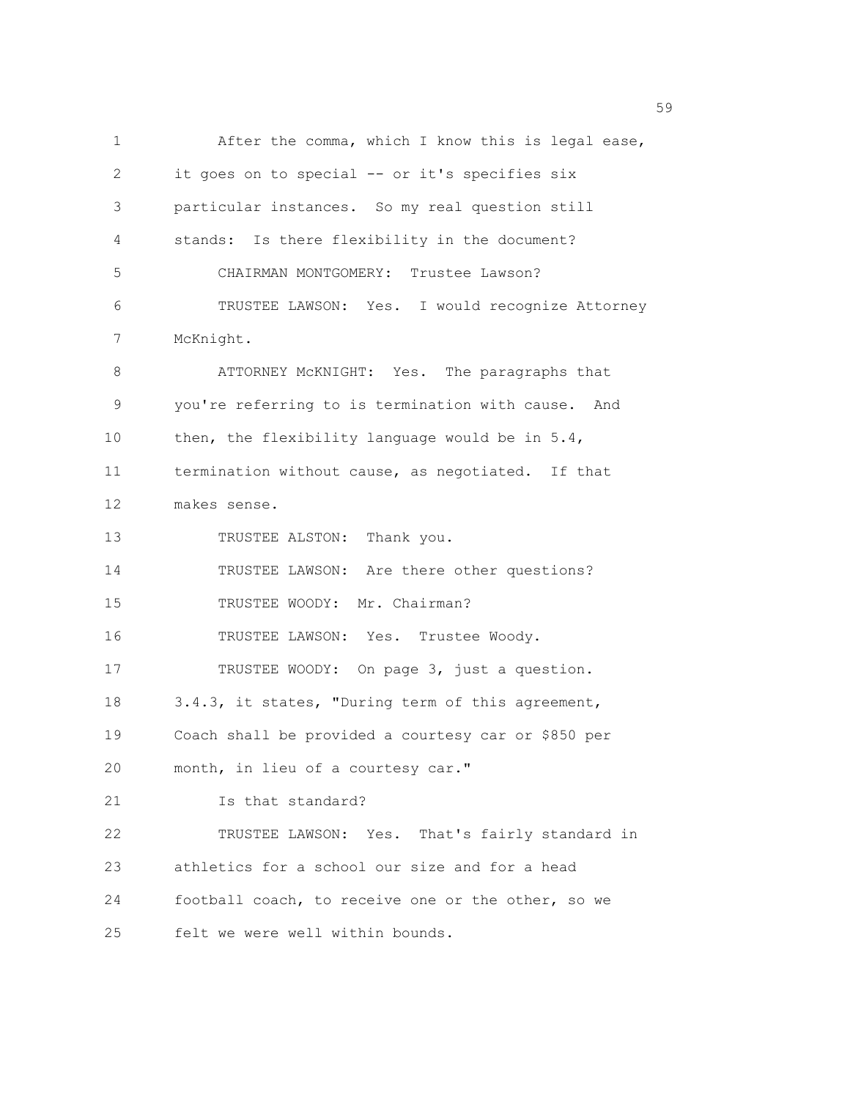1 After the comma, which I know this is legal ease, 2 it goes on to special -- or it's specifies six 3 particular instances. So my real question still 4 stands: Is there flexibility in the document? 5 CHAIRMAN MONTGOMERY: Trustee Lawson? 6 TRUSTEE LAWSON: Yes. I would recognize Attorney 7 McKnight. 8 ATTORNEY McKNIGHT: Yes. The paragraphs that 9 you're referring to is termination with cause. And 10 then, the flexibility language would be in 5.4, 11 termination without cause, as negotiated. If that 12 makes sense. 13 TRUSTEE ALSTON: Thank you. 14 TRUSTEE LAWSON: Are there other questions? 15 TRUSTEE WOODY: Mr. Chairman? 16 TRUSTEE LAWSON: Yes. Trustee Woody. 17 TRUSTEE WOODY: On page 3, just a question. 18 3.4.3, it states, "During term of this agreement, 19 Coach shall be provided a courtesy car or \$850 per 20 month, in lieu of a courtesy car." 21 Is that standard? 22 TRUSTEE LAWSON: Yes. That's fairly standard in 23 athletics for a school our size and for a head 24 football coach, to receive one or the other, so we 25 felt we were well within bounds.

 $59<sub>59</sub>$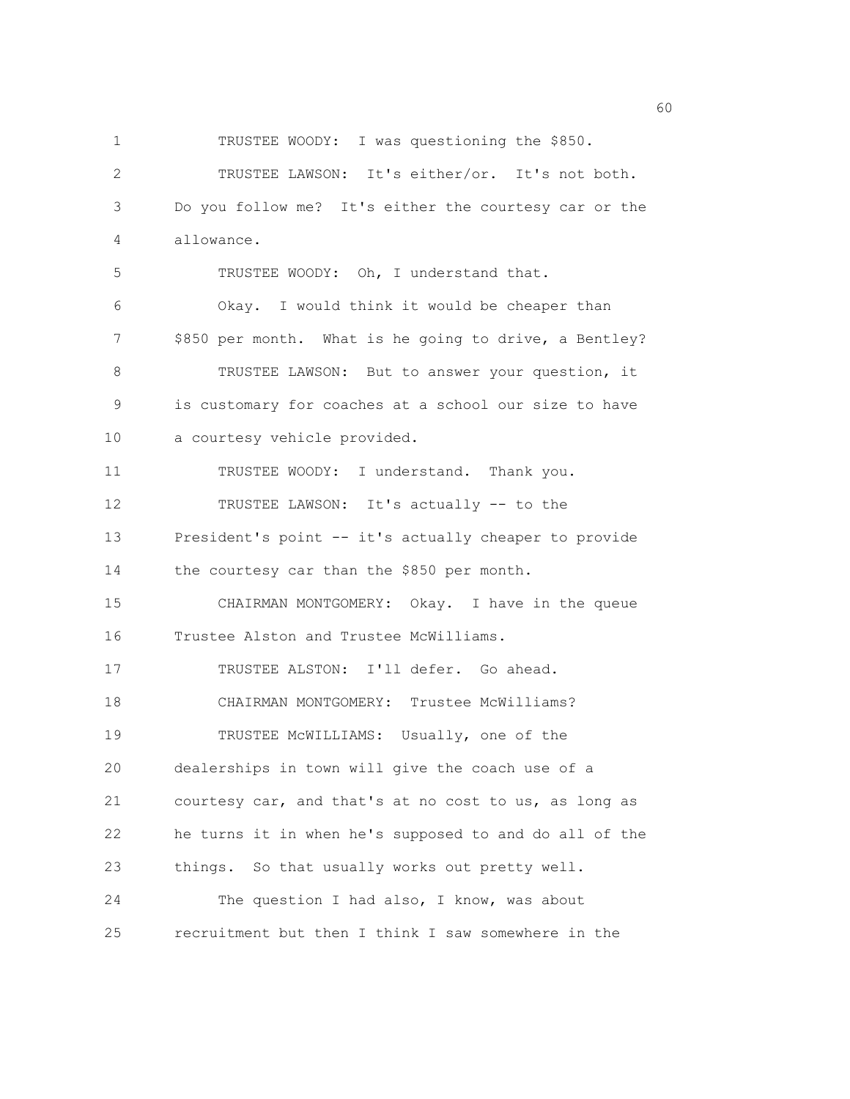1 TRUSTEE WOODY: I was questioning the \$850. 2 TRUSTEE LAWSON: It's either/or. It's not both. 3 Do you follow me? It's either the courtesy car or the 4 allowance. 5 TRUSTEE WOODY: Oh, I understand that. 6 Okay. I would think it would be cheaper than 7 \$850 per month. What is he going to drive, a Bentley? 8 TRUSTEE LAWSON: But to answer your question, it 9 is customary for coaches at a school our size to have 10 a courtesy vehicle provided. 11 TRUSTEE WOODY: I understand. Thank you. 12 TRUSTEE LAWSON: It's actually -- to the 13 President's point -- it's actually cheaper to provide 14 the courtesy car than the \$850 per month. 15 CHAIRMAN MONTGOMERY: Okay. I have in the queue 16 Trustee Alston and Trustee McWilliams. 17 TRUSTEE ALSTON: I'll defer. Go ahead. 18 CHAIRMAN MONTGOMERY: Trustee McWilliams? 19 TRUSTEE McWILLIAMS: Usually, one of the 20 dealerships in town will give the coach use of a 21 courtesy car, and that's at no cost to us, as long as 22 he turns it in when he's supposed to and do all of the 23 things. So that usually works out pretty well. 24 The question I had also, I know, was about 25 recruitment but then I think I saw somewhere in the

 $\sim$  60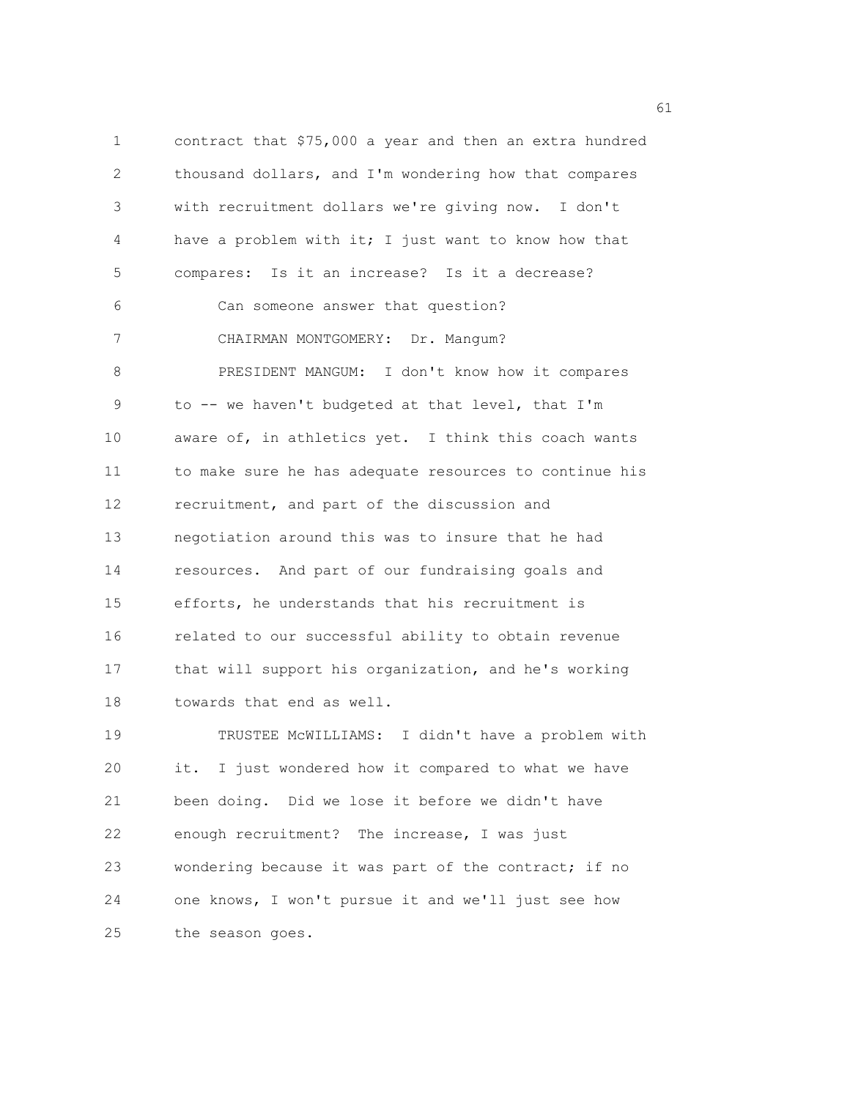1 contract that \$75,000 a year and then an extra hundred 2 thousand dollars, and I'm wondering how that compares 3 with recruitment dollars we're giving now. I don't 4 have a problem with it; I just want to know how that 5 compares: Is it an increase? Is it a decrease? 6 Can someone answer that question? 7 CHAIRMAN MONTGOMERY: Dr. Mangum? 8 PRESIDENT MANGUM: I don't know how it compares 9 to -- we haven't budgeted at that level, that I'm 10 aware of, in athletics yet. I think this coach wants 11 to make sure he has adequate resources to continue his 12 recruitment, and part of the discussion and 13 negotiation around this was to insure that he had 14 resources. And part of our fundraising goals and 15 efforts, he understands that his recruitment is 16 related to our successful ability to obtain revenue 17 that will support his organization, and he's working 18 towards that end as well. 19 TRUSTEE McWILLIAMS: I didn't have a problem with 20 it. I just wondered how it compared to what we have 21 been doing. Did we lose it before we didn't have 22 enough recruitment? The increase, I was just 23 wondering because it was part of the contract; if no 24 one knows, I won't pursue it and we'll just see how 25 the season goes.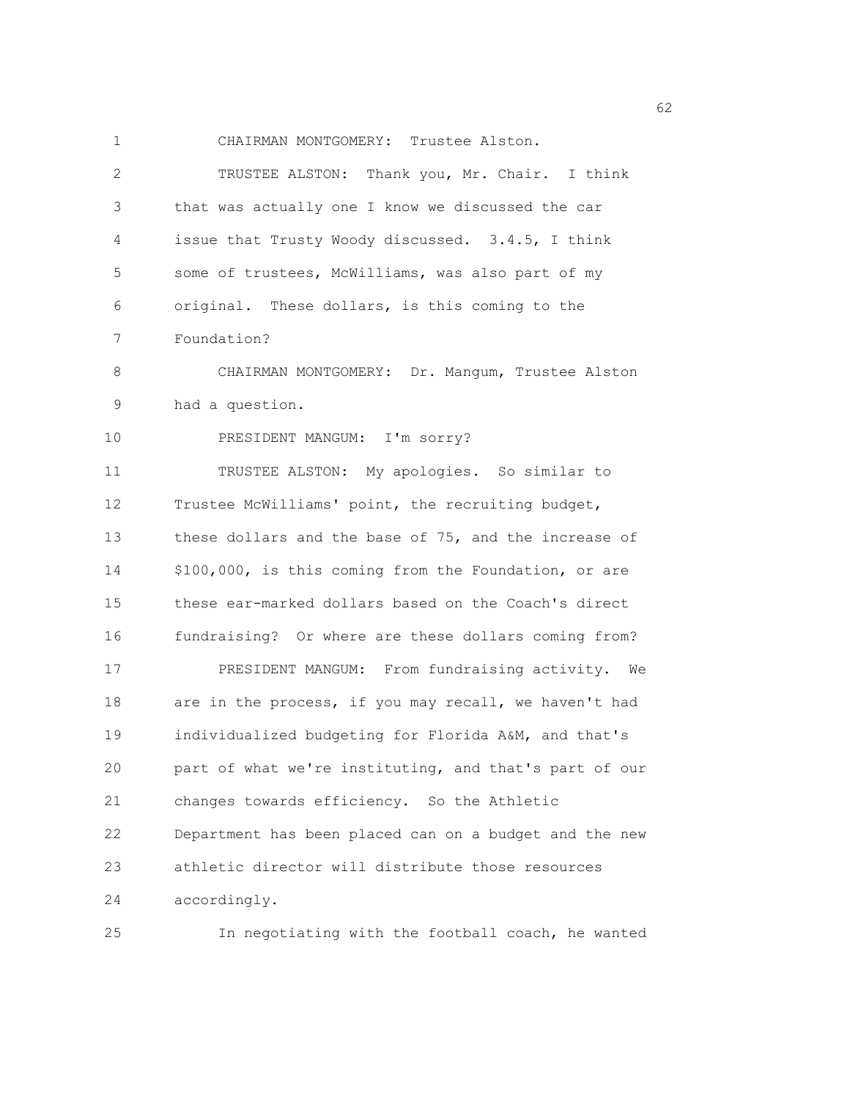1 CHAIRMAN MONTGOMERY: Trustee Alston. 2 TRUSTEE ALSTON: Thank you, Mr. Chair. I think 3 that was actually one I know we discussed the car 4 issue that Trusty Woody discussed. 3.4.5, I think 5 some of trustees, McWilliams, was also part of my 6 original. These dollars, is this coming to the 7 Foundation? 8 CHAIRMAN MONTGOMERY: Dr. Mangum, Trustee Alston 9 had a question. 10 PRESIDENT MANGUM: I'm sorry? 11 TRUSTEE ALSTON: My apologies. So similar to 12 Trustee McWilliams' point, the recruiting budget, 13 these dollars and the base of 75, and the increase of 14 \$100,000, is this coming from the Foundation, or are 15 these ear-marked dollars based on the Coach's direct 16 fundraising? Or where are these dollars coming from? 17 PRESIDENT MANGUM: From fundraising activity. We 18 are in the process, if you may recall, we haven't had 19 individualized budgeting for Florida A&M, and that's 20 part of what we're instituting, and that's part of our 21 changes towards efficiency. So the Athletic 22 Department has been placed can on a budget and the new 23 athletic director will distribute those resources 24 accordingly. 25 In negotiating with the football coach, he wanted

 $\sim$  62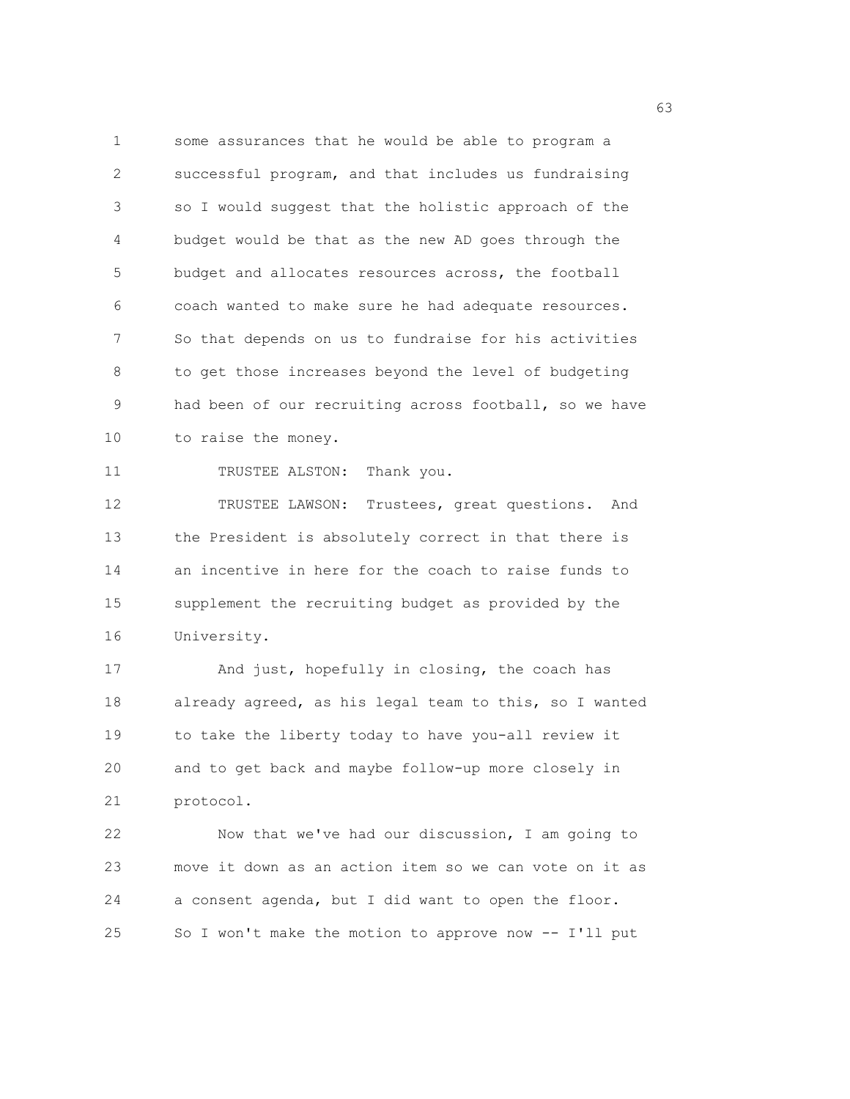1 some assurances that he would be able to program a 2 successful program, and that includes us fundraising 3 so I would suggest that the holistic approach of the 4 budget would be that as the new AD goes through the 5 budget and allocates resources across, the football 6 coach wanted to make sure he had adequate resources. 7 So that depends on us to fundraise for his activities 8 to get those increases beyond the level of budgeting 9 had been of our recruiting across football, so we have 10 to raise the money.

11 TRUSTEE ALSTON: Thank you.

12 TRUSTEE LAWSON: Trustees, great questions. And 13 the President is absolutely correct in that there is 14 an incentive in here for the coach to raise funds to 15 supplement the recruiting budget as provided by the 16 University.

17 And just, hopefully in closing, the coach has 18 already agreed, as his legal team to this, so I wanted 19 to take the liberty today to have you-all review it 20 and to get back and maybe follow-up more closely in 21 protocol.

22 Now that we've had our discussion, I am going to 23 move it down as an action item so we can vote on it as 24 a consent agenda, but I did want to open the floor. 25 So I won't make the motion to approve now -- I'll put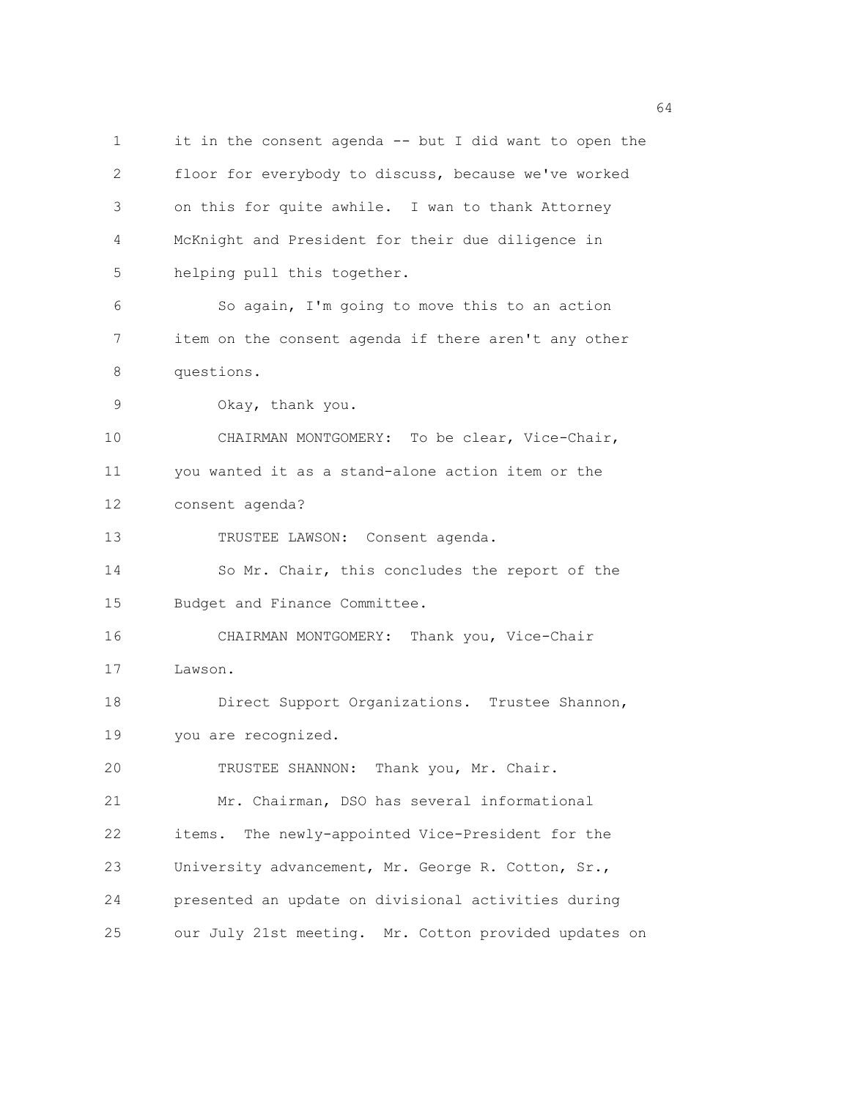1 it in the consent agenda -- but I did want to open the 2 floor for everybody to discuss, because we've worked 3 on this for quite awhile. I wan to thank Attorney 4 McKnight and President for their due diligence in 5 helping pull this together. 6 So again, I'm going to move this to an action 7 item on the consent agenda if there aren't any other 8 questions. 9 Okay, thank you. 10 CHAIRMAN MONTGOMERY: To be clear, Vice-Chair, 11 you wanted it as a stand-alone action item or the 12 consent agenda? 13 TRUSTEE LAWSON: Consent agenda. 14 So Mr. Chair, this concludes the report of the 15 Budget and Finance Committee. 16 CHAIRMAN MONTGOMERY: Thank you, Vice-Chair 17 Lawson. 18 Direct Support Organizations. Trustee Shannon, 19 you are recognized. 20 TRUSTEE SHANNON: Thank you, Mr. Chair. 21 Mr. Chairman, DSO has several informational 22 items. The newly-appointed Vice-President for the 23 University advancement, Mr. George R. Cotton, Sr., 24 presented an update on divisional activities during 25 our July 21st meeting. Mr. Cotton provided updates on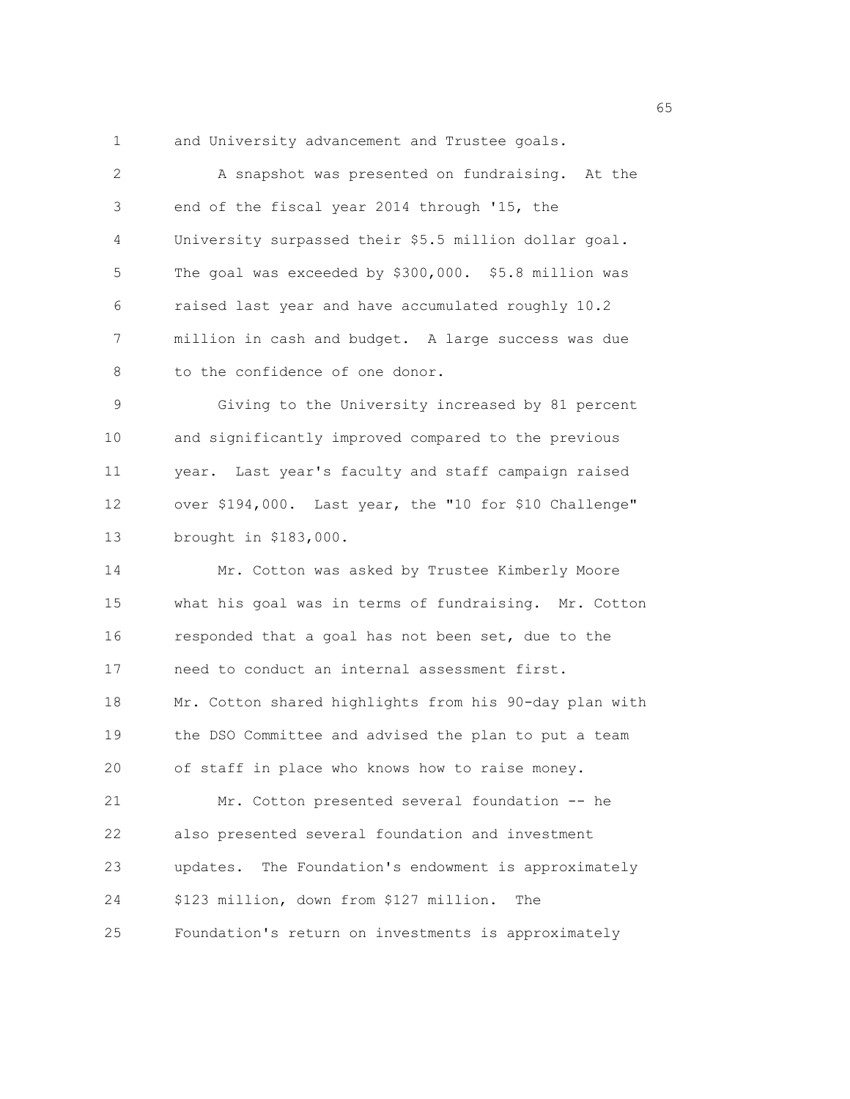1 and University advancement and Trustee goals.

2 A snapshot was presented on fundraising. At the 3 end of the fiscal year 2014 through '15, the 4 University surpassed their \$5.5 million dollar goal. 5 The goal was exceeded by \$300,000. \$5.8 million was 6 raised last year and have accumulated roughly 10.2 7 million in cash and budget. A large success was due 8 to the confidence of one donor. 9 Giving to the University increased by 81 percent 10 and significantly improved compared to the previous 11 year. Last year's faculty and staff campaign raised 12 over \$194,000. Last year, the "10 for \$10 Challenge" 13 brought in \$183,000. 14 Mr. Cotton was asked by Trustee Kimberly Moore 15 what his goal was in terms of fundraising. Mr. Cotton 16 responded that a goal has not been set, due to the 17 need to conduct an internal assessment first. 18 Mr. Cotton shared highlights from his 90-day plan with 19 the DSO Committee and advised the plan to put a team 20 of staff in place who knows how to raise money. 21 Mr. Cotton presented several foundation -- he 22 also presented several foundation and investment 23 updates. The Foundation's endowment is approximately 24 \$123 million, down from \$127 million. The 25 Foundation's return on investments is approximately

 $\sim$  65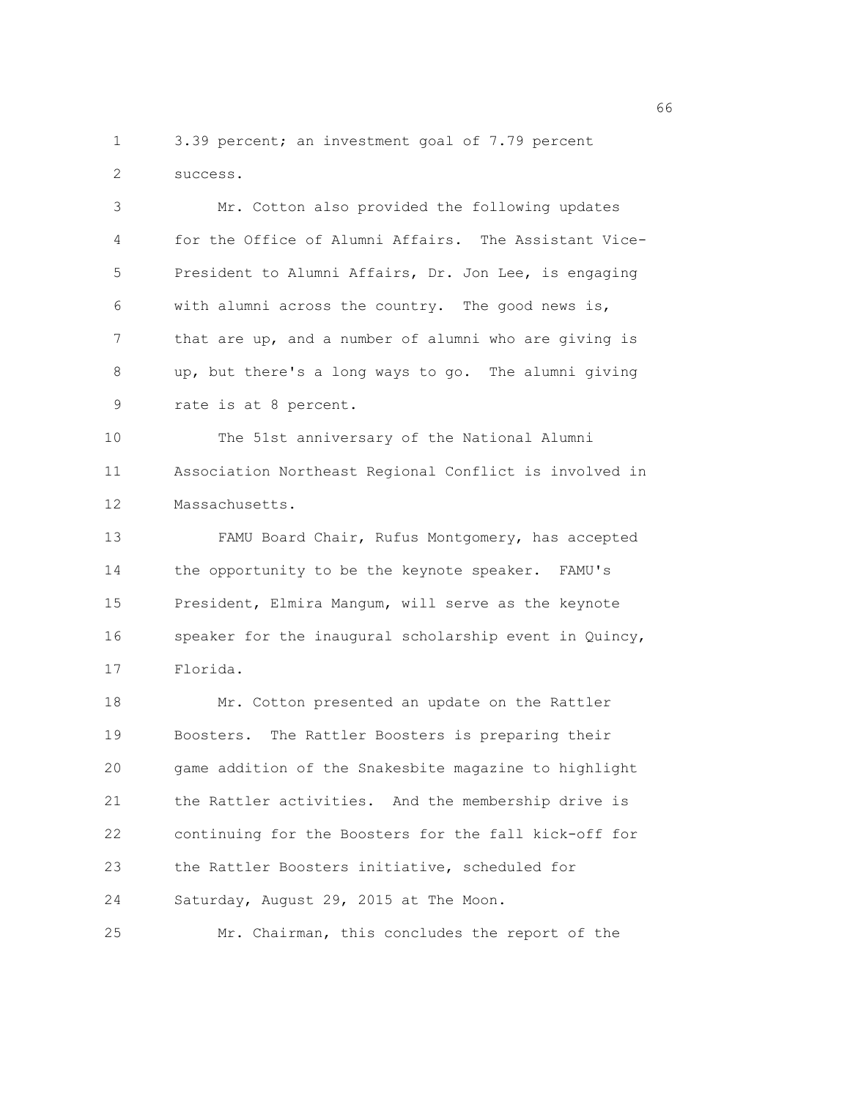1 3.39 percent; an investment goal of 7.79 percent 2 success.

3 Mr. Cotton also provided the following updates 4 for the Office of Alumni Affairs. The Assistant Vice-5 President to Alumni Affairs, Dr. Jon Lee, is engaging 6 with alumni across the country. The good news is, 7 that are up, and a number of alumni who are giving is 8 up, but there's a long ways to go. The alumni giving 9 rate is at 8 percent.

10 The 51st anniversary of the National Alumni 11 Association Northeast Regional Conflict is involved in 12 Massachusetts.

13 FAMU Board Chair, Rufus Montgomery, has accepted 14 the opportunity to be the keynote speaker. FAMU's 15 President, Elmira Mangum, will serve as the keynote 16 speaker for the inaugural scholarship event in Quincy, 17 Florida.

18 Mr. Cotton presented an update on the Rattler 19 Boosters. The Rattler Boosters is preparing their 20 game addition of the Snakesbite magazine to highlight 21 the Rattler activities. And the membership drive is 22 continuing for the Boosters for the fall kick-off for 23 the Rattler Boosters initiative, scheduled for 24 Saturday, August 29, 2015 at The Moon.

25 Mr. Chairman, this concludes the report of the

 $\sim$  66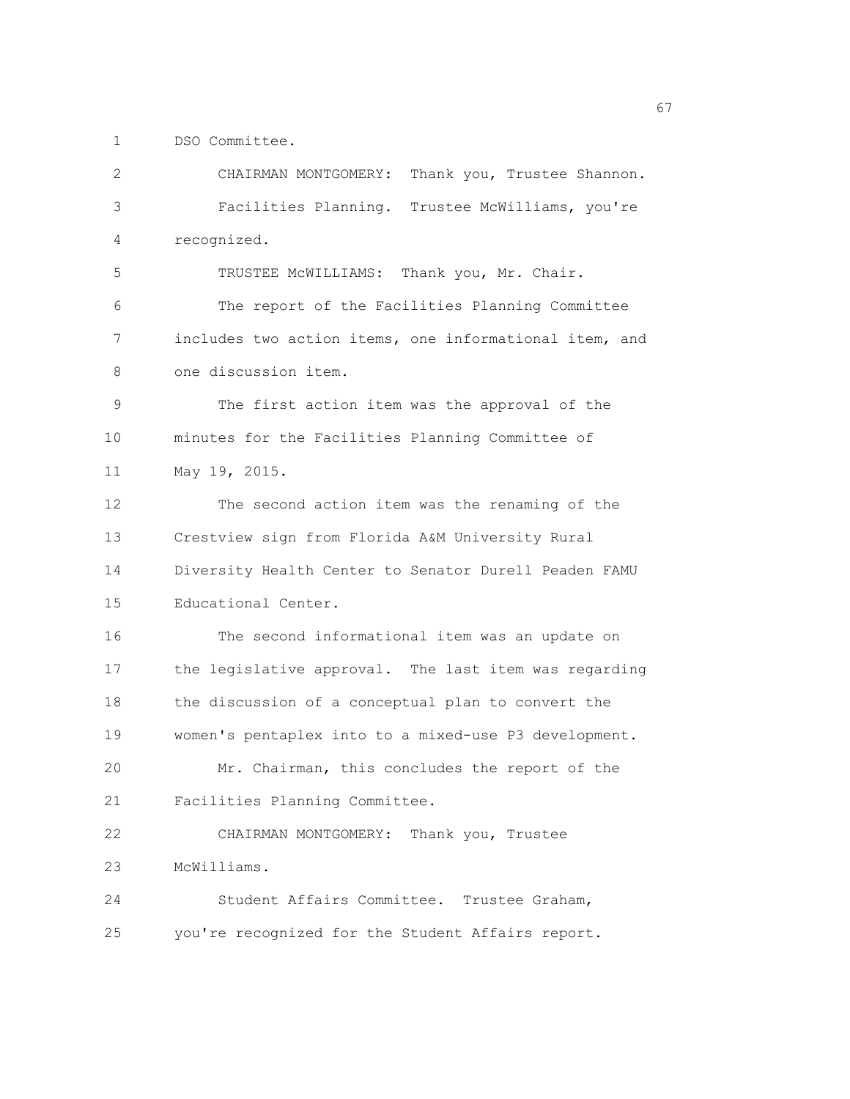1 DSO Committee.

| 2           | CHAIRMAN MONTGOMERY:<br>Thank you, Trustee Shannon.    |
|-------------|--------------------------------------------------------|
| 3           | Facilities Planning. Trustee McWilliams, you're        |
| 4           | recognized.                                            |
| 5           | TRUSTEE MCWILLIAMS: Thank you, Mr. Chair.              |
| 6           | The report of the Facilities Planning Committee        |
| 7           | includes two action items, one informational item, and |
| 8           | one discussion item.                                   |
| $\mathsf 9$ | The first action item was the approval of the          |
| 10          | minutes for the Facilities Planning Committee of       |
| 11          | May 19, 2015.                                          |
| 12          | The second action item was the renaming of the         |
| 13          | Crestview sign from Florida A&M University Rural       |
| 14          | Diversity Health Center to Senator Durell Peaden FAMU  |
| 15          | Educational Center.                                    |
| 16          | The second informational item was an update on         |
| 17          | the legislative approval. The last item was regarding  |
| 18          | the discussion of a conceptual plan to convert the     |
| 19          | women's pentaplex into to a mixed-use P3 development.  |
| 20          | Mr. Chairman, this concludes the report of the         |
| 21          | Facilities Planning Committee.                         |
| 22          | CHAIRMAN MONTGOMERY: Thank you, Trustee                |
| 23          | McWilliams.                                            |
| 24          | Student Affairs Committee. Trustee Graham,             |
| 25          | you're recognized for the Student Affairs report.      |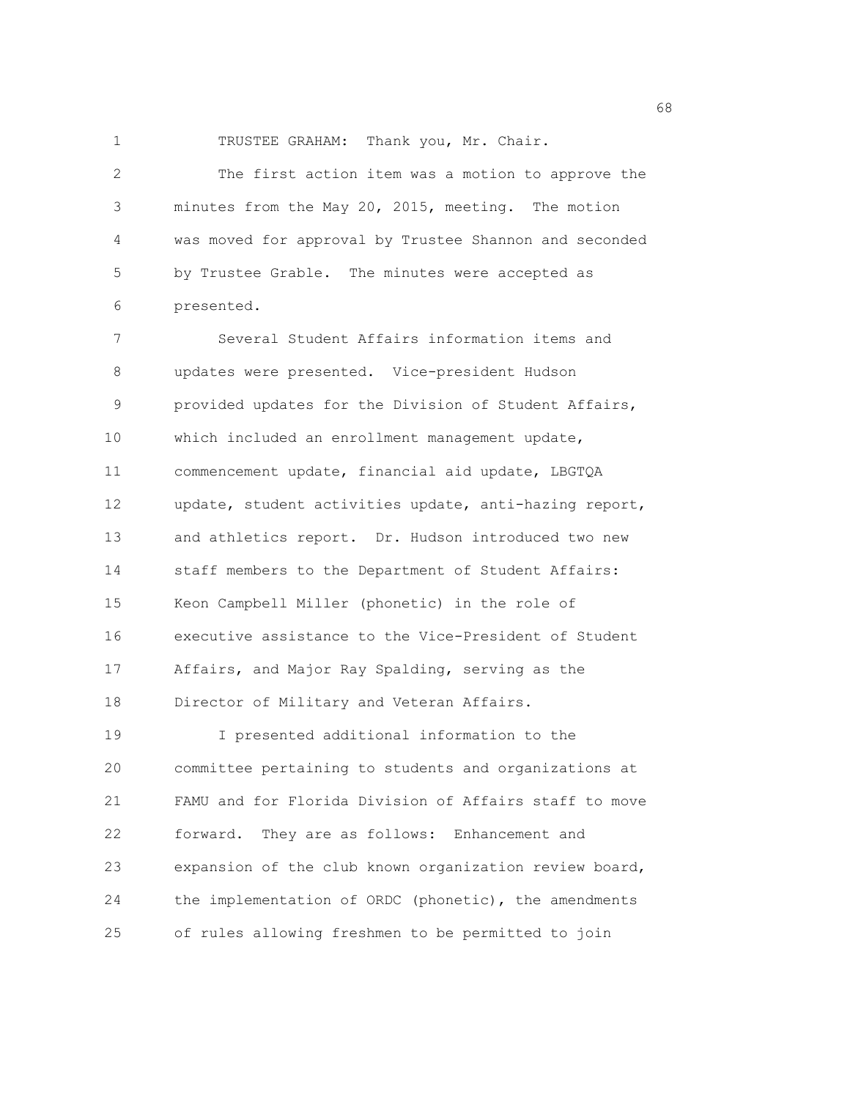1 TRUSTEE GRAHAM: Thank you, Mr. Chair.

2 The first action item was a motion to approve the 3 minutes from the May 20, 2015, meeting. The motion 4 was moved for approval by Trustee Shannon and seconded 5 by Trustee Grable. The minutes were accepted as 6 presented.

7 Several Student Affairs information items and 8 updates were presented. Vice-president Hudson 9 provided updates for the Division of Student Affairs, 10 which included an enrollment management update, 11 commencement update, financial aid update, LBGTQA 12 update, student activities update, anti-hazing report, 13 and athletics report. Dr. Hudson introduced two new 14 staff members to the Department of Student Affairs: 15 Keon Campbell Miller (phonetic) in the role of 16 executive assistance to the Vice-President of Student 17 Affairs, and Major Ray Spalding, serving as the 18 Director of Military and Veteran Affairs. 19 I presented additional information to the 20 committee pertaining to students and organizations at 21 FAMU and for Florida Division of Affairs staff to move 22 forward. They are as follows: Enhancement and 23 expansion of the club known organization review board, 24 the implementation of ORDC (phonetic), the amendments 25 of rules allowing freshmen to be permitted to join

 $\sim$  68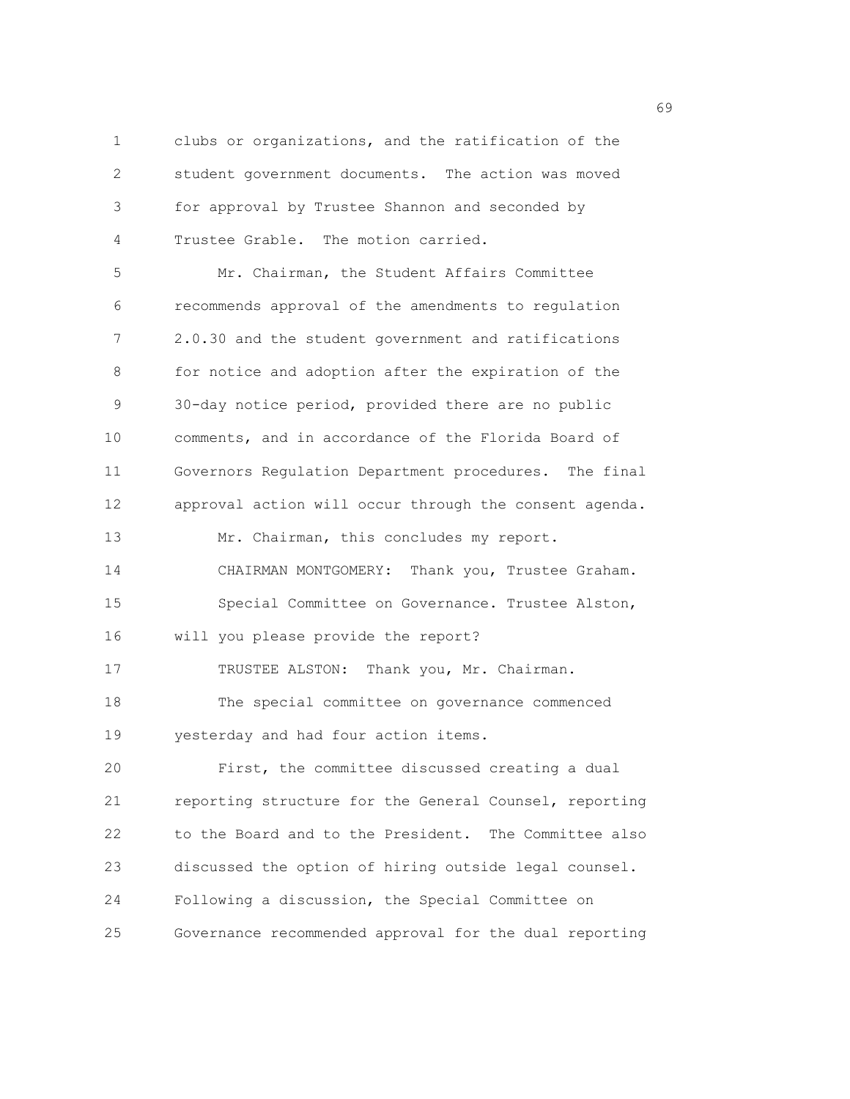1 clubs or organizations, and the ratification of the 2 student government documents. The action was moved 3 for approval by Trustee Shannon and seconded by 4 Trustee Grable. The motion carried.

5 Mr. Chairman, the Student Affairs Committee 6 recommends approval of the amendments to regulation 7 2.0.30 and the student government and ratifications 8 for notice and adoption after the expiration of the 9 30-day notice period, provided there are no public 10 comments, and in accordance of the Florida Board of 11 Governors Regulation Department procedures. The final 12 approval action will occur through the consent agenda. 13 Mr. Chairman, this concludes my report. 14 CHAIRMAN MONTGOMERY: Thank you, Trustee Graham. 15 Special Committee on Governance. Trustee Alston, 16 will you please provide the report? 17 TRUSTEE ALSTON: Thank you, Mr. Chairman. 18 The special committee on governance commenced 19 yesterday and had four action items. 20 First, the committee discussed creating a dual 21 reporting structure for the General Counsel, reporting 22 to the Board and to the President. The Committee also 23 discussed the option of hiring outside legal counsel.

25 Governance recommended approval for the dual reporting

24 Following a discussion, the Special Committee on

 $\sim$  69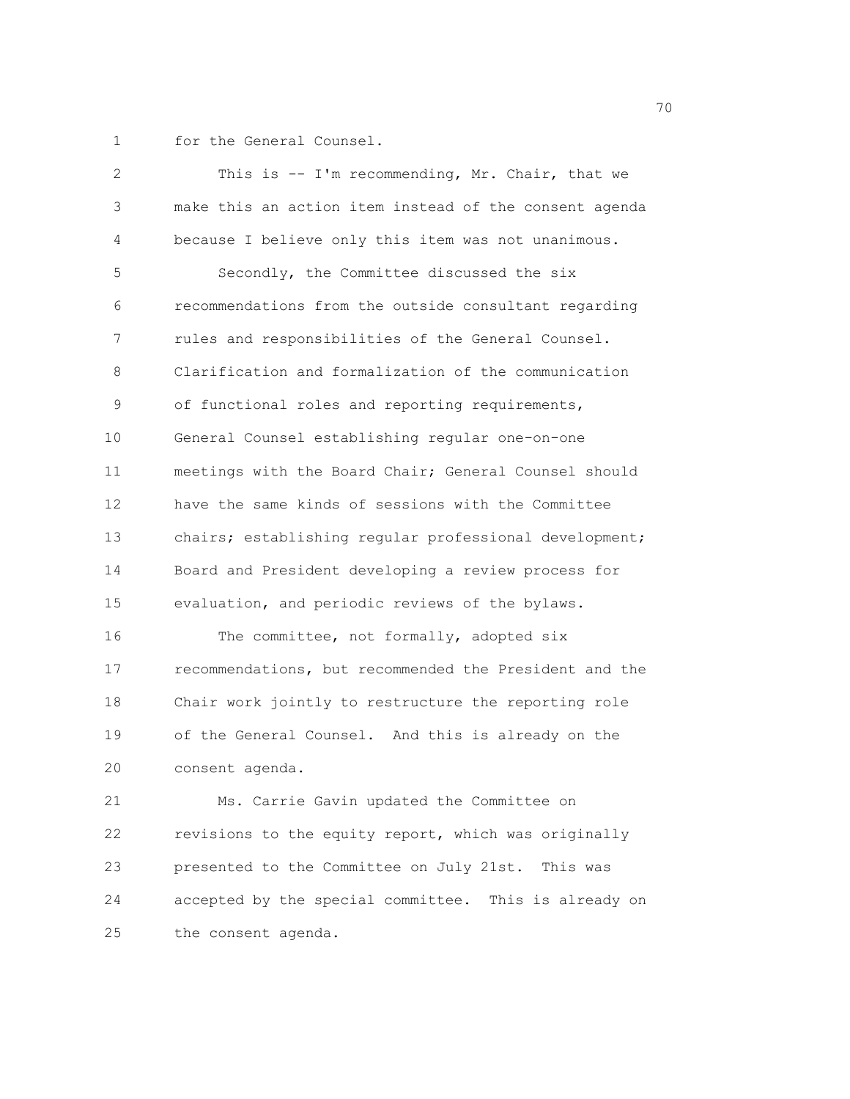1 for the General Counsel.

| 2           | This is -- I'm recommending, Mr. Chair, that we        |
|-------------|--------------------------------------------------------|
| 3           | make this an action item instead of the consent agenda |
| 4           | because I believe only this item was not unanimous.    |
| 5           | Secondly, the Committee discussed the six              |
| 6           | recommendations from the outside consultant regarding  |
| 7           | rules and responsibilities of the General Counsel.     |
| 8           | Clarification and formalization of the communication   |
| $\mathsf 9$ | of functional roles and reporting requirements,        |
| 10          | General Counsel establishing regular one-on-one        |
| 11          | meetings with the Board Chair; General Counsel should  |
| 12          | have the same kinds of sessions with the Committee     |
| 13          | chairs; establishing regular professional development; |
| 14          | Board and President developing a review process for    |
| 15          | evaluation, and periodic reviews of the bylaws.        |
| 16          | The committee, not formally, adopted six               |
| 17          | recommendations, but recommended the President and the |
| 18          | Chair work jointly to restructure the reporting role   |
| 19          | of the General Counsel. And this is already on the     |
| 20          | consent agenda.                                        |
| 21          | Ms. Carrie Gavin updated the Committee on              |
| 22          | revisions to the equity report, which was originally   |
| 23          | presented to the Committee on July 21st. This was      |
| 24          | accepted by the special committee. This is already on  |

25 the consent agenda.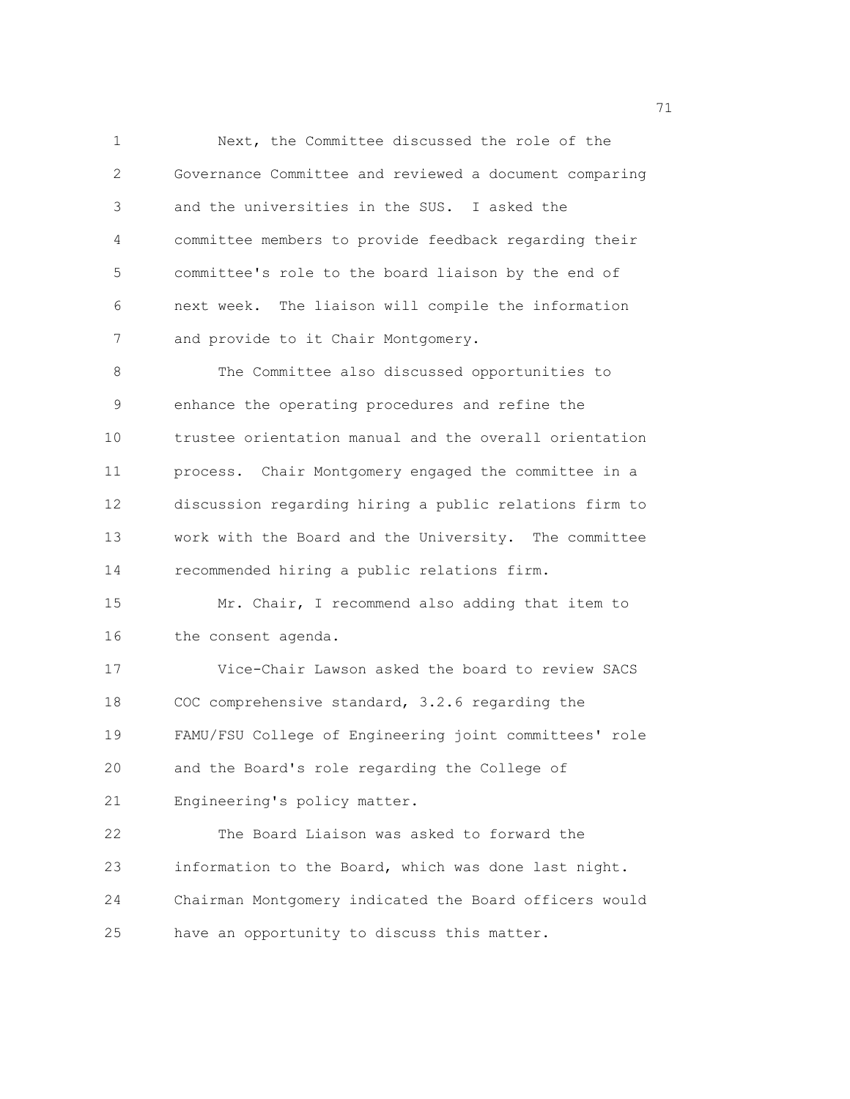1 Next, the Committee discussed the role of the 2 Governance Committee and reviewed a document comparing 3 and the universities in the SUS. I asked the 4 committee members to provide feedback regarding their 5 committee's role to the board liaison by the end of 6 next week. The liaison will compile the information 7 and provide to it Chair Montgomery. 8 The Committee also discussed opportunities to 9 enhance the operating procedures and refine the 10 trustee orientation manual and the overall orientation 11 process. Chair Montgomery engaged the committee in a 12 discussion regarding hiring a public relations firm to 13 work with the Board and the University. The committee 14 recommended hiring a public relations firm. 15 Mr. Chair, I recommend also adding that item to 16 the consent agenda. 17 Vice-Chair Lawson asked the board to review SACS 18 COC comprehensive standard, 3.2.6 regarding the 19 FAMU/FSU College of Engineering joint committees' role 20 and the Board's role regarding the College of 21 Engineering's policy matter. 22 The Board Liaison was asked to forward the 23 information to the Board, which was done last night. 24 Chairman Montgomery indicated the Board officers would

25 have an opportunity to discuss this matter.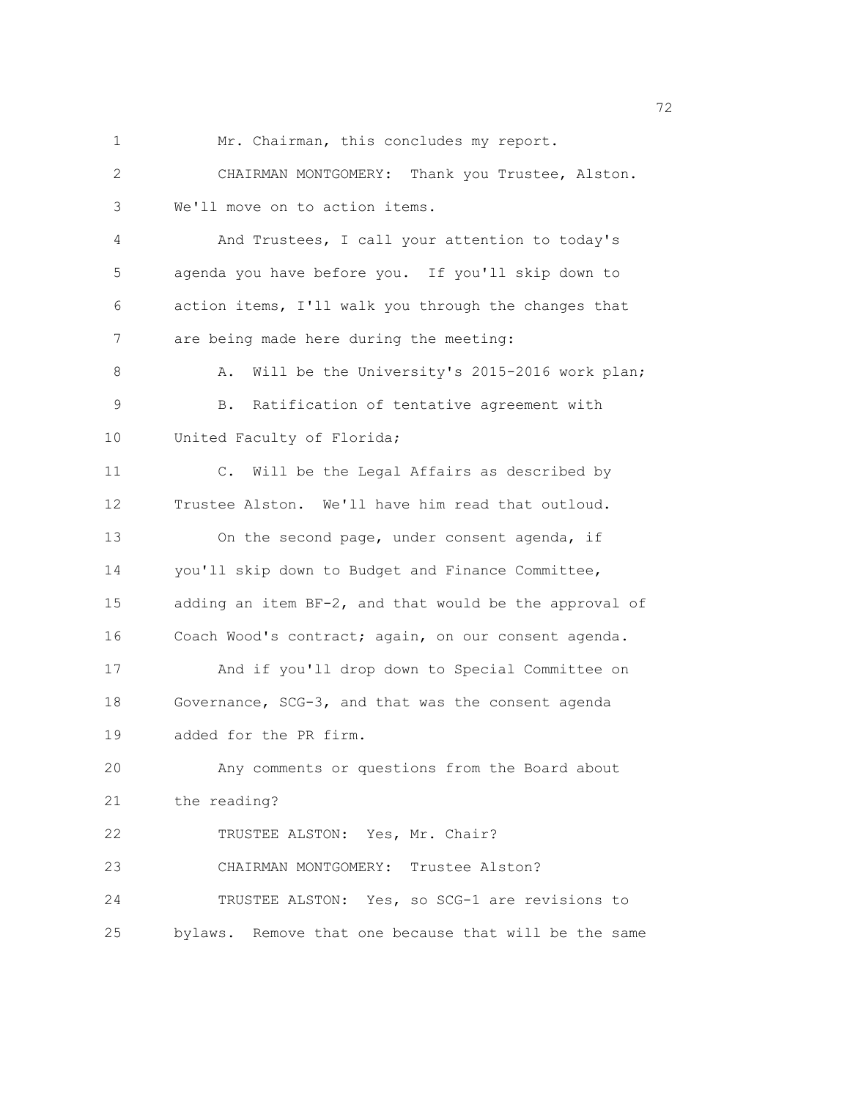1 Mr. Chairman, this concludes my report. 2 CHAIRMAN MONTGOMERY: Thank you Trustee, Alston. 3 We'll move on to action items. 4 And Trustees, I call your attention to today's 5 agenda you have before you. If you'll skip down to 6 action items, I'll walk you through the changes that 7 are being made here during the meeting: 8 A. Will be the University's 2015-2016 work plan; 9 B. Ratification of tentative agreement with 10 United Faculty of Florida; 11 C. Will be the Legal Affairs as described by 12 Trustee Alston. We'll have him read that outloud. 13 On the second page, under consent agenda, if 14 you'll skip down to Budget and Finance Committee, 15 adding an item BF-2, and that would be the approval of 16 Coach Wood's contract; again, on our consent agenda. 17 And if you'll drop down to Special Committee on 18 Governance, SCG-3, and that was the consent agenda 19 added for the PR firm. 20 Any comments or questions from the Board about 21 the reading? 22 TRUSTEE ALSTON: Yes, Mr. Chair? 23 CHAIRMAN MONTGOMERY: Trustee Alston? 24 TRUSTEE ALSTON: Yes, so SCG-1 are revisions to 25 bylaws. Remove that one because that will be the same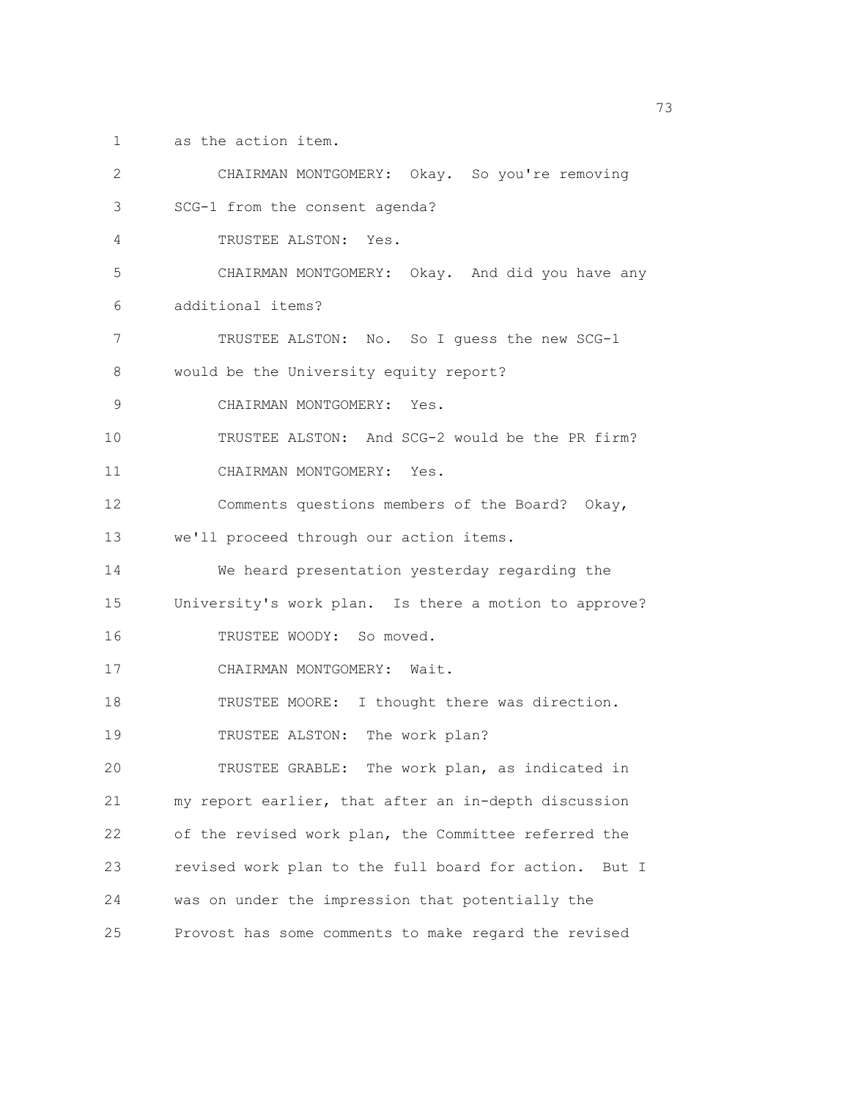1 as the action item.

| 2  | CHAIRMAN MONTGOMERY: Okay. So you're removing            |
|----|----------------------------------------------------------|
| 3  | SCG-1 from the consent agenda?                           |
| 4  | TRUSTEE ALSTON: Yes.                                     |
| 5  | CHAIRMAN MONTGOMERY: Okay. And did you have any          |
| 6  | additional items?                                        |
| 7  | TRUSTEE ALSTON: No. So I quess the new SCG-1             |
| 8  | would be the University equity report?                   |
| 9  | CHAIRMAN MONTGOMERY: Yes.                                |
| 10 | TRUSTEE ALSTON: And SCG-2 would be the PR firm?          |
| 11 | CHAIRMAN MONTGOMERY: Yes.                                |
| 12 | Comments questions members of the Board? Okay,           |
| 13 | we'll proceed through our action items.                  |
| 14 | We heard presentation yesterday regarding the            |
| 15 | University's work plan. Is there a motion to approve?    |
| 16 | TRUSTEE WOODY: So moved.                                 |
| 17 | CHAIRMAN MONTGOMERY: Wait.                               |
| 18 | TRUSTEE MOORE: I thought there was direction.            |
| 19 | TRUSTEE ALSTON: The work plan?                           |
| 20 | TRUSTEE GRABLE: The work plan, as indicated in           |
| 21 | my report earlier, that after an in-depth discussion     |
| 22 | of the revised work plan, the Committee referred the     |
| 23 | revised work plan to the full board for action.<br>But I |
| 24 | was on under the impression that potentially the         |
| 25 | Provost has some comments to make regard the revised     |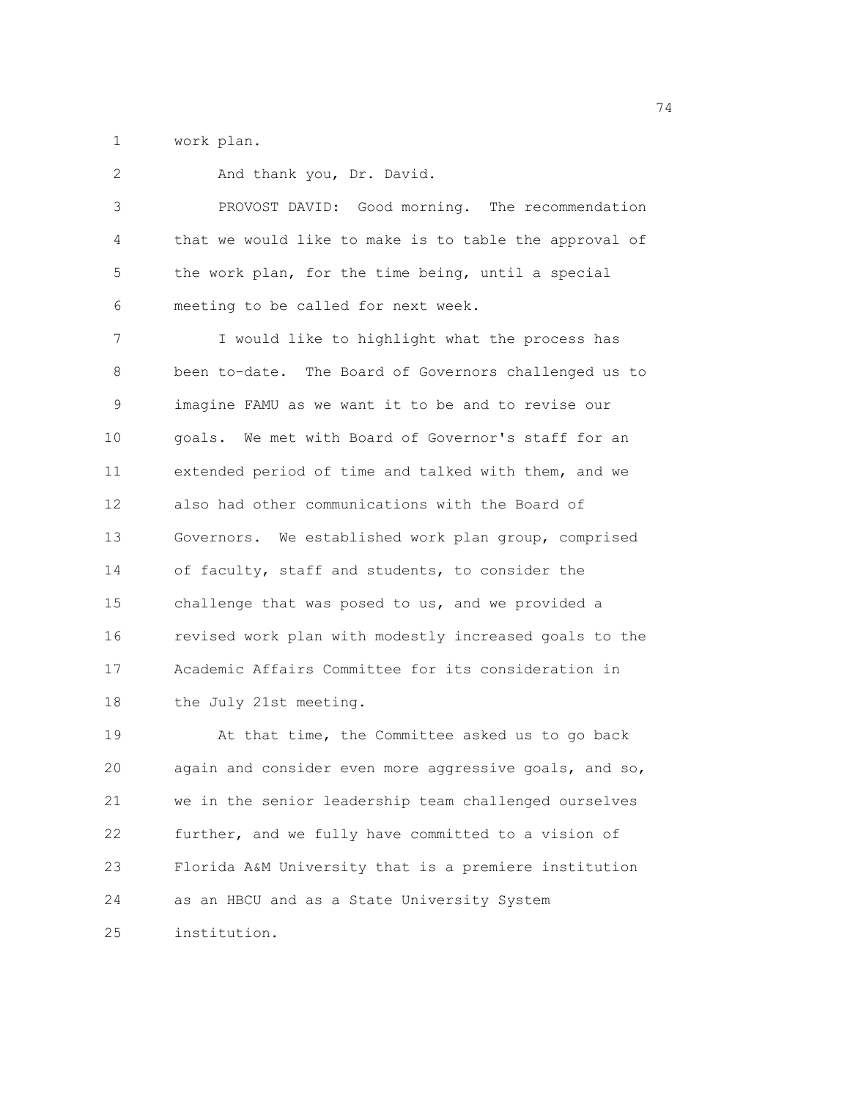1 work plan.

| 2  | And thank you, Dr. David.                              |
|----|--------------------------------------------------------|
| 3  | PROVOST DAVID: Good morning. The recommendation        |
| 4  | that we would like to make is to table the approval of |
| 5  | the work plan, for the time being, until a special     |
| 6  | meeting to be called for next week.                    |
| 7  | I would like to highlight what the process has         |
| 8  | been to-date. The Board of Governors challenged us to  |
| 9  | imagine FAMU as we want it to be and to revise our     |
| 10 | goals. We met with Board of Governor's staff for an    |
| 11 | extended period of time and talked with them, and we   |
| 12 | also had other communications with the Board of        |
| 13 | Governors. We established work plan group, comprised   |
| 14 | of faculty, staff and students, to consider the        |
| 15 | challenge that was posed to us, and we provided a      |
| 16 | revised work plan with modestly increased goals to the |
| 17 | Academic Affairs Committee for its consideration in    |
| 18 | the July 21st meeting.                                 |
| 19 | At that time, the Committee asked us to go back        |
| 20 | again and consider even more aggressive goals, and so, |
| 21 | we in the senior leadership team challenged ourselves  |
| 22 | further, and we fully have committed to a vision of    |
| 23 | Florida A&M University that is a premiere institution  |
| 24 | as an HBCU and as a State University System            |
| 25 | institution.                                           |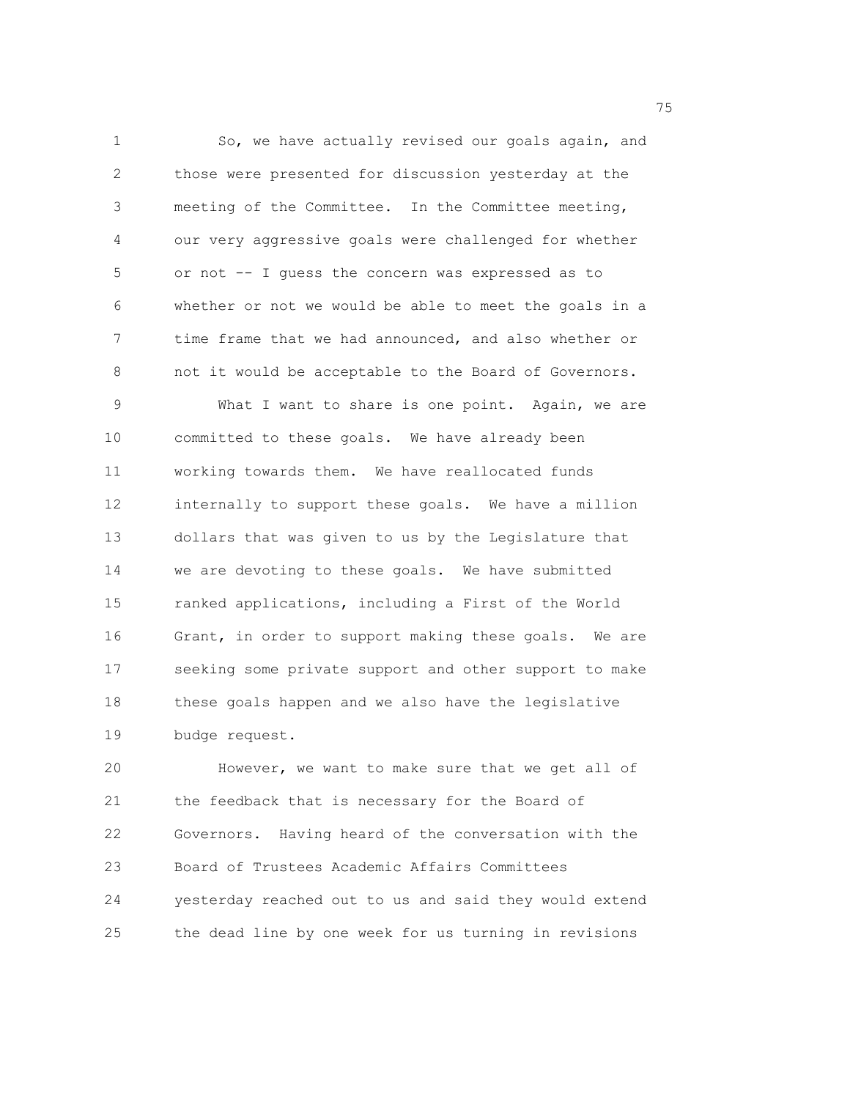1 So, we have actually revised our goals again, and 2 those were presented for discussion yesterday at the 3 meeting of the Committee. In the Committee meeting, 4 our very aggressive goals were challenged for whether 5 or not -- I guess the concern was expressed as to 6 whether or not we would be able to meet the goals in a 7 time frame that we had announced, and also whether or 8 not it would be acceptable to the Board of Governors. 9 What I want to share is one point. Again, we are 10 committed to these goals. We have already been 11 working towards them. We have reallocated funds 12 internally to support these goals. We have a million 13 dollars that was given to us by the Legislature that 14 we are devoting to these goals. We have submitted 15 ranked applications, including a First of the World 16 Grant, in order to support making these goals. We are 17 seeking some private support and other support to make 18 these goals happen and we also have the legislative 19 budge request.

20 However, we want to make sure that we get all of 21 the feedback that is necessary for the Board of 22 Governors. Having heard of the conversation with the 23 Board of Trustees Academic Affairs Committees 24 yesterday reached out to us and said they would extend 25 the dead line by one week for us turning in revisions

75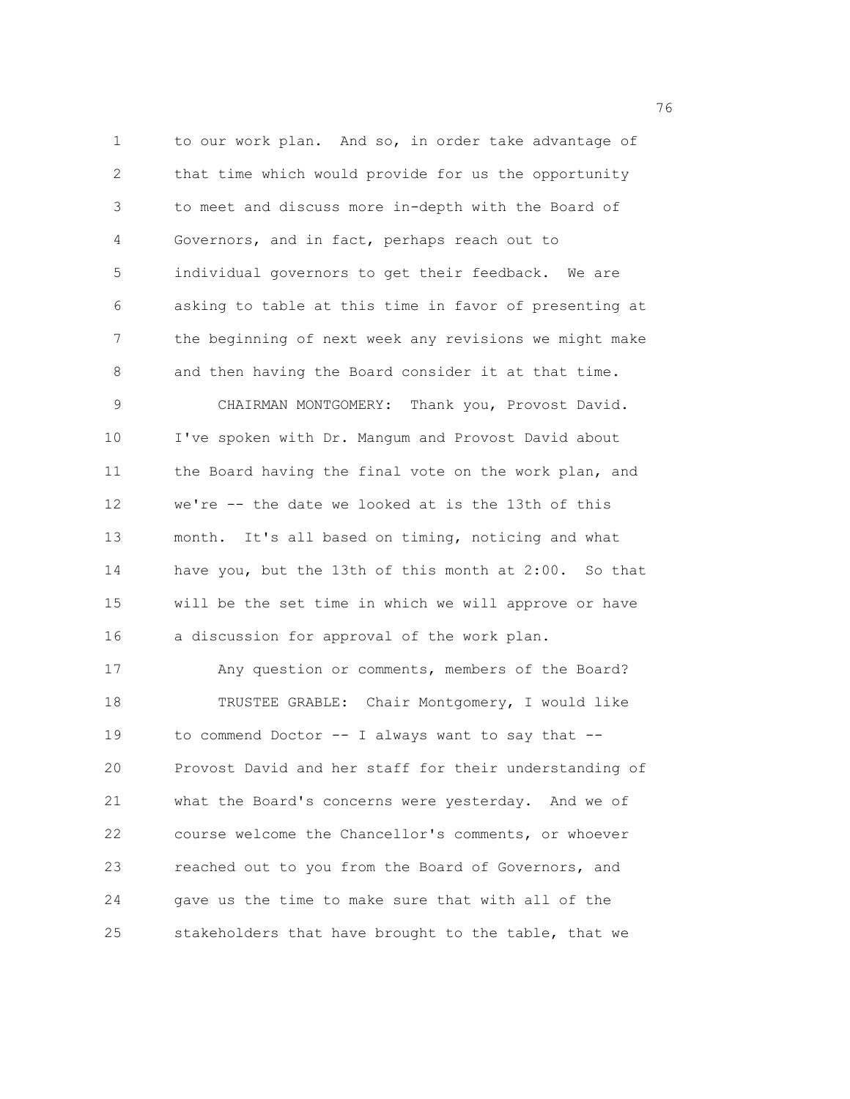1 to our work plan. And so, in order take advantage of 2 that time which would provide for us the opportunity 3 to meet and discuss more in-depth with the Board of 4 Governors, and in fact, perhaps reach out to 5 individual governors to get their feedback. We are 6 asking to table at this time in favor of presenting at 7 the beginning of next week any revisions we might make 8 and then having the Board consider it at that time. 9 CHAIRMAN MONTGOMERY: Thank you, Provost David. 10 I've spoken with Dr. Mangum and Provost David about 11 the Board having the final vote on the work plan, and 12 we're -- the date we looked at is the 13th of this 13 month. It's all based on timing, noticing and what 14 have you, but the 13th of this month at 2:00. So that 15 will be the set time in which we will approve or have 16 a discussion for approval of the work plan. 17 Any question or comments, members of the Board? 18 TRUSTEE GRABLE: Chair Montgomery, I would like 19 to commend Doctor -- I always want to say that -- 20 Provost David and her staff for their understanding of 21 what the Board's concerns were yesterday. And we of 22 course welcome the Chancellor's comments, or whoever 23 reached out to you from the Board of Governors, and 24 gave us the time to make sure that with all of the 25 stakeholders that have brought to the table, that we

<u>2001 - Johann Stein, amerikan ing kabupatèn Inggris di Bandaran Inggris di Bandaran Inggris di Bandaran Inggris di</u>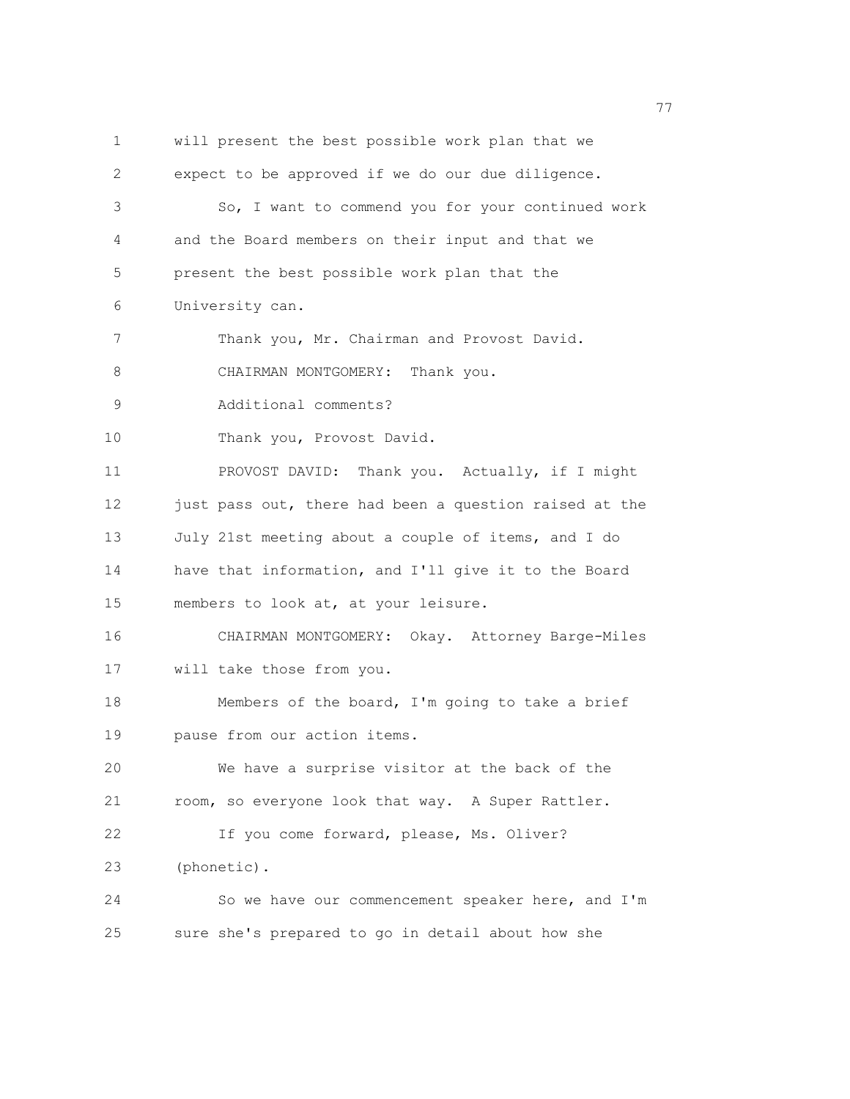1 will present the best possible work plan that we 2 expect to be approved if we do our due diligence. 3 So, I want to commend you for your continued work 4 and the Board members on their input and that we 5 present the best possible work plan that the 6 University can. 7 Thank you, Mr. Chairman and Provost David. 8 CHAIRMAN MONTGOMERY: Thank you. 9 Additional comments? 10 Thank you, Provost David. 11 PROVOST DAVID: Thank you. Actually, if I might 12 just pass out, there had been a question raised at the 13 July 21st meeting about a couple of items, and I do 14 have that information, and I'll give it to the Board 15 members to look at, at your leisure. 16 CHAIRMAN MONTGOMERY: Okay. Attorney Barge-Miles 17 will take those from you. 18 Members of the board, I'm going to take a brief 19 pause from our action items. 20 We have a surprise visitor at the back of the 21 room, so everyone look that way. A Super Rattler. 22 If you come forward, please, Ms. Oliver? 23 (phonetic). 24 So we have our commencement speaker here, and I'm 25 sure she's prepared to go in detail about how she

77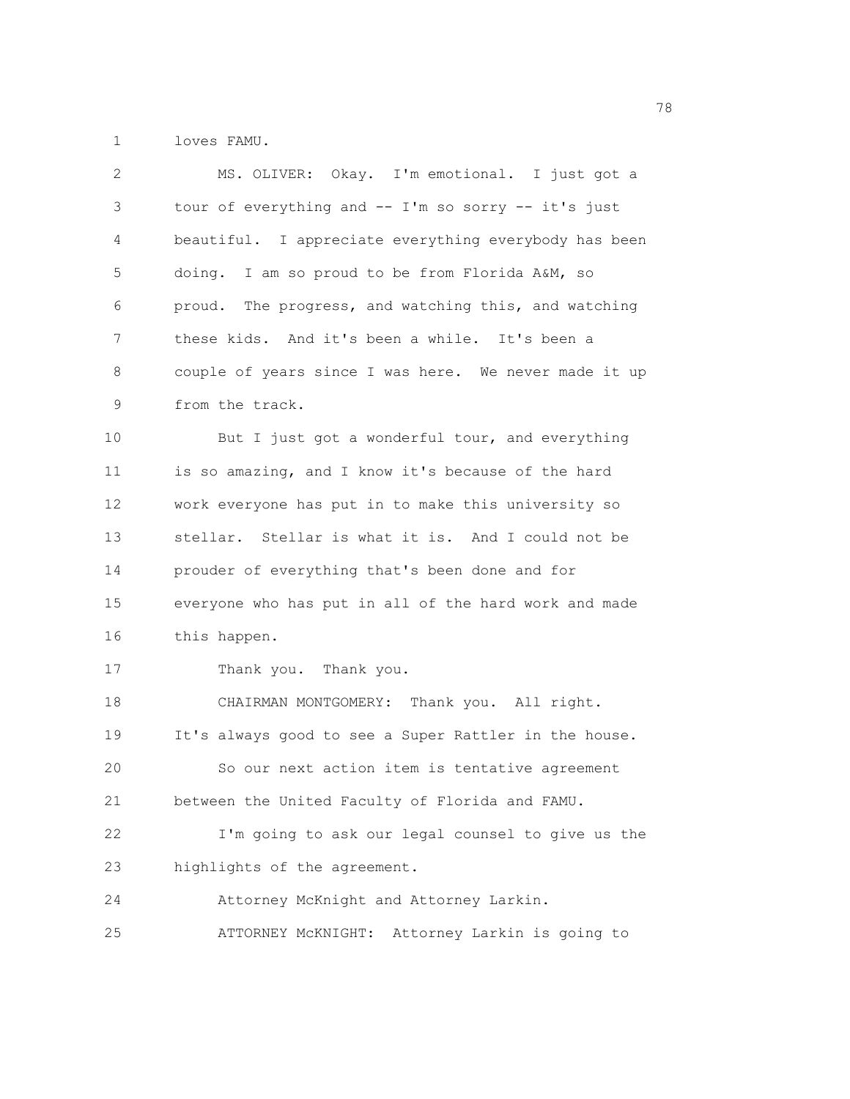1 loves FAMU.

| 2  | MS. OLIVER: Okay. I'm emotional. I just got a         |
|----|-------------------------------------------------------|
| 3  | tour of everything and -- I'm so sorry -- it's just   |
| 4  | beautiful. I appreciate everything everybody has been |
| 5  | doing. I am so proud to be from Florida A&M, so       |
| 6  | proud. The progress, and watching this, and watching  |
| 7  | these kids. And it's been a while. It's been a        |
| 8  | couple of years since I was here. We never made it up |
| 9  | from the track.                                       |
| 10 | But I just got a wonderful tour, and everything       |
| 11 | is so amazing, and I know it's because of the hard    |
| 12 | work everyone has put in to make this university so   |
| 13 | stellar. Stellar is what it is. And I could not be    |
| 14 | prouder of everything that's been done and for        |
| 15 | everyone who has put in all of the hard work and made |
| 16 | this happen.                                          |
| 17 | Thank you. Thank you.                                 |
| 18 | CHAIRMAN MONTGOMERY: Thank you. All right.            |
| 19 | It's always good to see a Super Rattler in the house. |
| 20 | So our next action item is tentative agreement        |
| 21 | between the United Faculty of Florida and FAMU.       |
| 22 | I'm going to ask our legal counsel to give us the     |
| 23 | highlights of the agreement.                          |
| 24 | Attorney McKnight and Attorney Larkin.                |
| 25 | ATTORNEY MCKNIGHT: Attorney Larkin is going to        |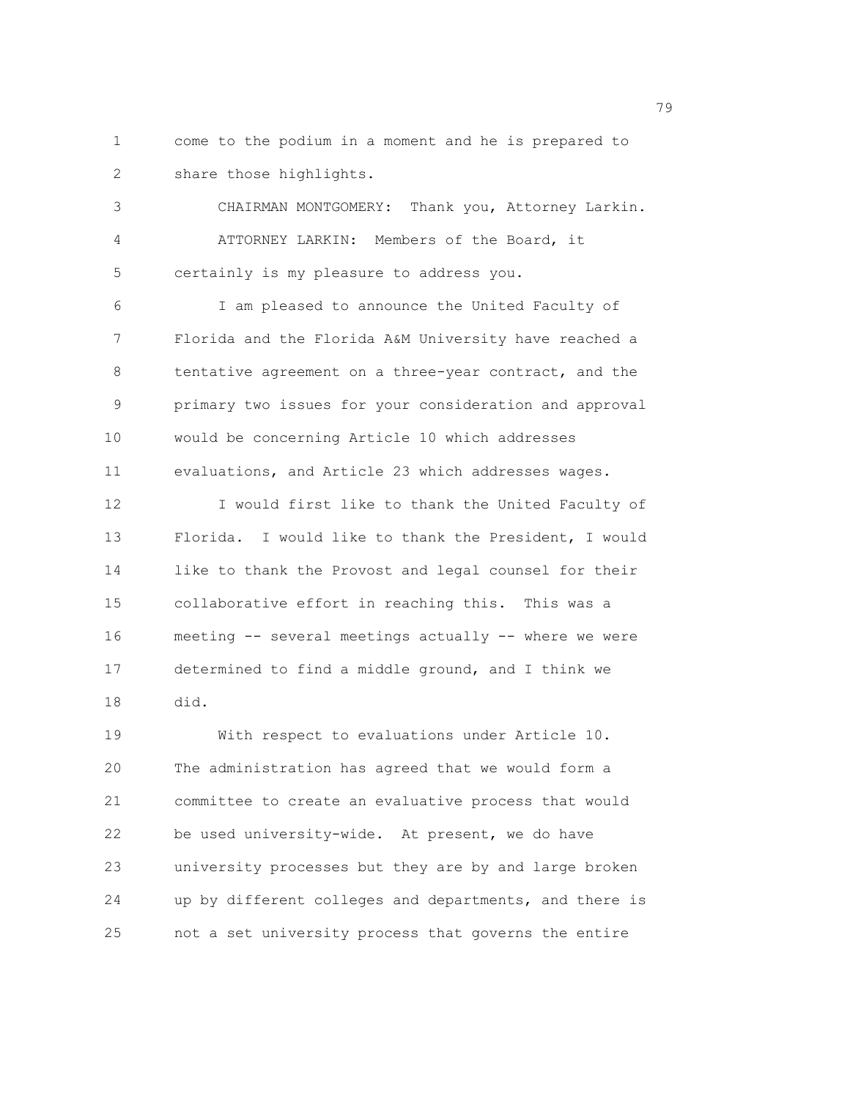1 come to the podium in a moment and he is prepared to 2 share those highlights.

3 CHAIRMAN MONTGOMERY: Thank you, Attorney Larkin. 4 ATTORNEY LARKIN: Members of the Board, it 5 certainly is my pleasure to address you.

6 I am pleased to announce the United Faculty of 7 Florida and the Florida A&M University have reached a 8 tentative agreement on a three-year contract, and the 9 primary two issues for your consideration and approval 10 would be concerning Article 10 which addresses 11 evaluations, and Article 23 which addresses wages.

12 I would first like to thank the United Faculty of 13 Florida. I would like to thank the President, I would 14 like to thank the Provost and legal counsel for their 15 collaborative effort in reaching this. This was a 16 meeting -- several meetings actually -- where we were 17 determined to find a middle ground, and I think we 18 did.

19 With respect to evaluations under Article 10. 20 The administration has agreed that we would form a 21 committee to create an evaluative process that would 22 be used university-wide. At present, we do have 23 university processes but they are by and large broken 24 up by different colleges and departments, and there is 25 not a set university process that governs the entire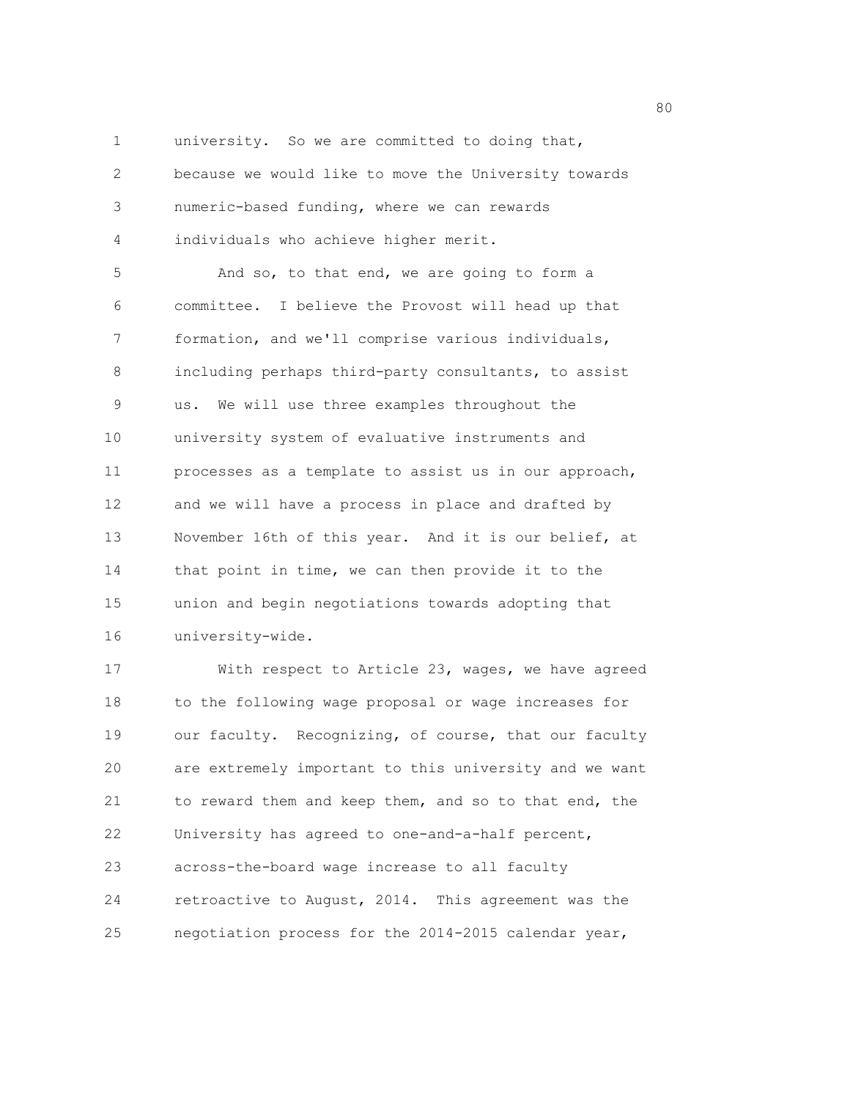1 university. So we are committed to doing that,

2 because we would like to move the University towards 3 numeric-based funding, where we can rewards 4 individuals who achieve higher merit.

5 And so, to that end, we are going to form a 6 committee. I believe the Provost will head up that 7 formation, and we'll comprise various individuals, 8 including perhaps third-party consultants, to assist 9 us. We will use three examples throughout the 10 university system of evaluative instruments and 11 processes as a template to assist us in our approach, 12 and we will have a process in place and drafted by 13 November 16th of this year. And it is our belief, at 14 that point in time, we can then provide it to the 15 union and begin negotiations towards adopting that 16 university-wide.

17 With respect to Article 23, wages, we have agreed 18 to the following wage proposal or wage increases for 19 our faculty. Recognizing, of course, that our faculty 20 are extremely important to this university and we want 21 to reward them and keep them, and so to that end, the 22 University has agreed to one-and-a-half percent, 23 across-the-board wage increase to all faculty 24 retroactive to August, 2014. This agreement was the 25 negotiation process for the 2014-2015 calendar year,

en de la construction de la construction de la construction de la construction de la construction de la constr<br>1980 : le construction de la construction de la construction de la construction de la construction de la const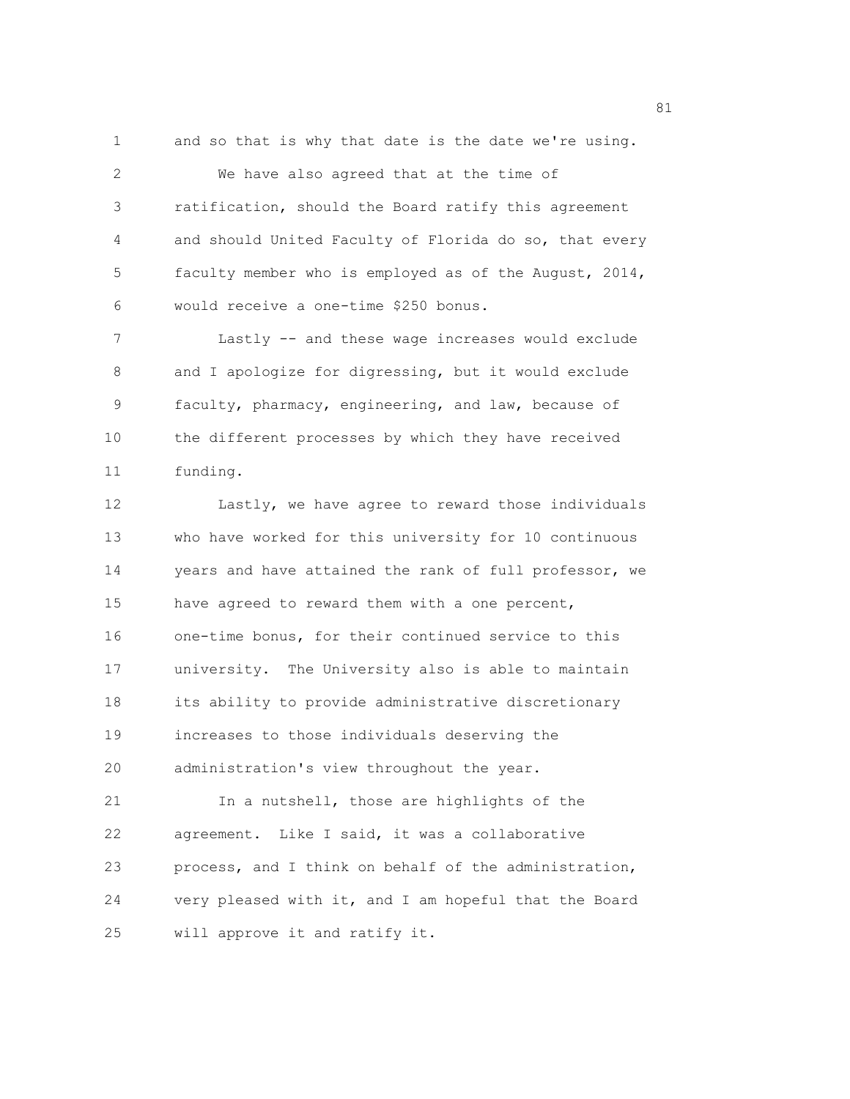1 and so that is why that date is the date we're using. 2 We have also agreed that at the time of 3 ratification, should the Board ratify this agreement 4 and should United Faculty of Florida do so, that every 5 faculty member who is employed as of the August, 2014, 6 would receive a one-time \$250 bonus.

7 Lastly -- and these wage increases would exclude 8 and I apologize for digressing, but it would exclude 9 faculty, pharmacy, engineering, and law, because of 10 the different processes by which they have received 11 funding.

12 Lastly, we have agree to reward those individuals 13 who have worked for this university for 10 continuous 14 years and have attained the rank of full professor, we 15 have agreed to reward them with a one percent, 16 one-time bonus, for their continued service to this 17 university. The University also is able to maintain 18 its ability to provide administrative discretionary 19 increases to those individuals deserving the 20 administration's view throughout the year. 21 In a nutshell, those are highlights of the 22 agreement. Like I said, it was a collaborative 23 process, and I think on behalf of the administration, 24 very pleased with it, and I am hopeful that the Board

25 will approve it and ratify it.

81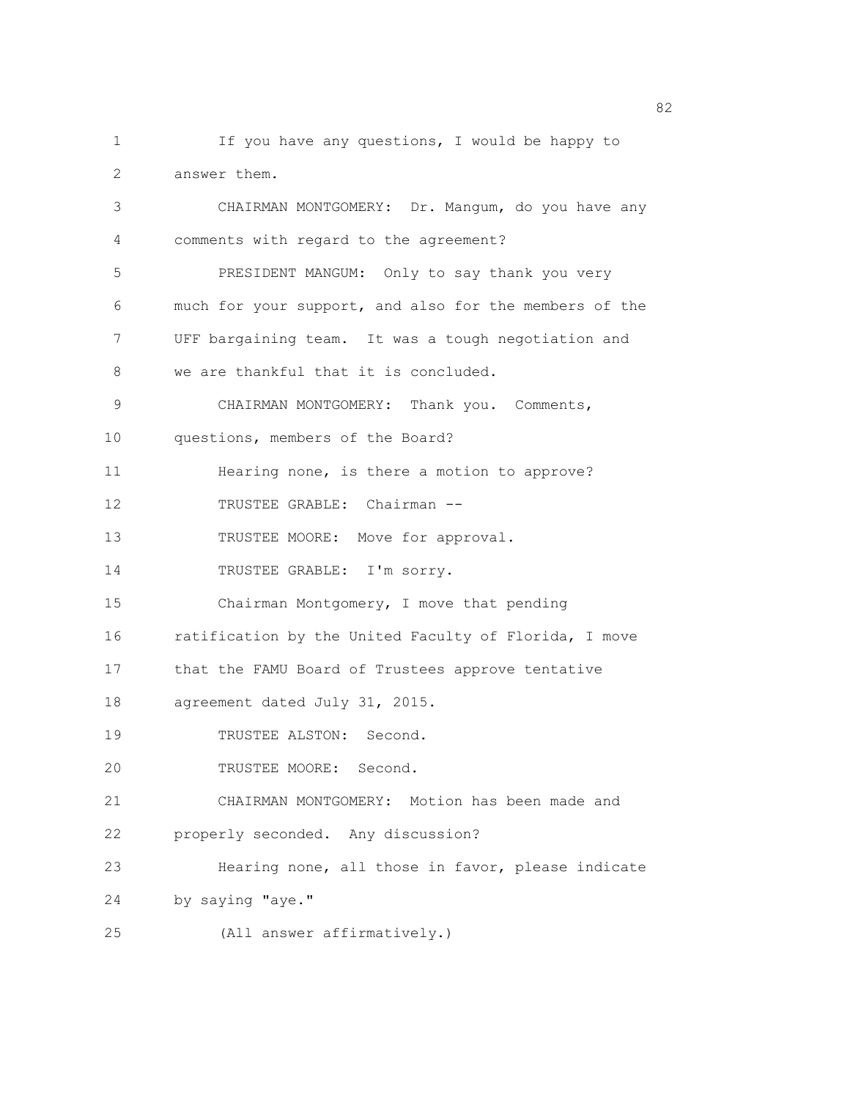2 answer them. 3 CHAIRMAN MONTGOMERY: Dr. Mangum, do you have any 4 comments with regard to the agreement? 5 PRESIDENT MANGUM: Only to say thank you very 6 much for your support, and also for the members of the 7 UFF bargaining team. It was a tough negotiation and 8 we are thankful that it is concluded. 9 CHAIRMAN MONTGOMERY: Thank you. Comments, 10 questions, members of the Board? 11 Hearing none, is there a motion to approve? 12 TRUSTEE GRABLE: Chairman --13 TRUSTEE MOORE: Move for approval. 14 TRUSTEE GRABLE: I'm sorry.

1 If you have any questions, I would be happy to

15 Chairman Montgomery, I move that pending

16 ratification by the United Faculty of Florida, I move

17 that the FAMU Board of Trustees approve tentative

18 agreement dated July 31, 2015.

19 TRUSTEE ALSTON: Second.

20 TRUSTEE MOORE: Second.

21 CHAIRMAN MONTGOMERY: Motion has been made and

22 properly seconded. Any discussion?

23 Hearing none, all those in favor, please indicate 24 by saying "aye."

25 (All answer affirmatively.)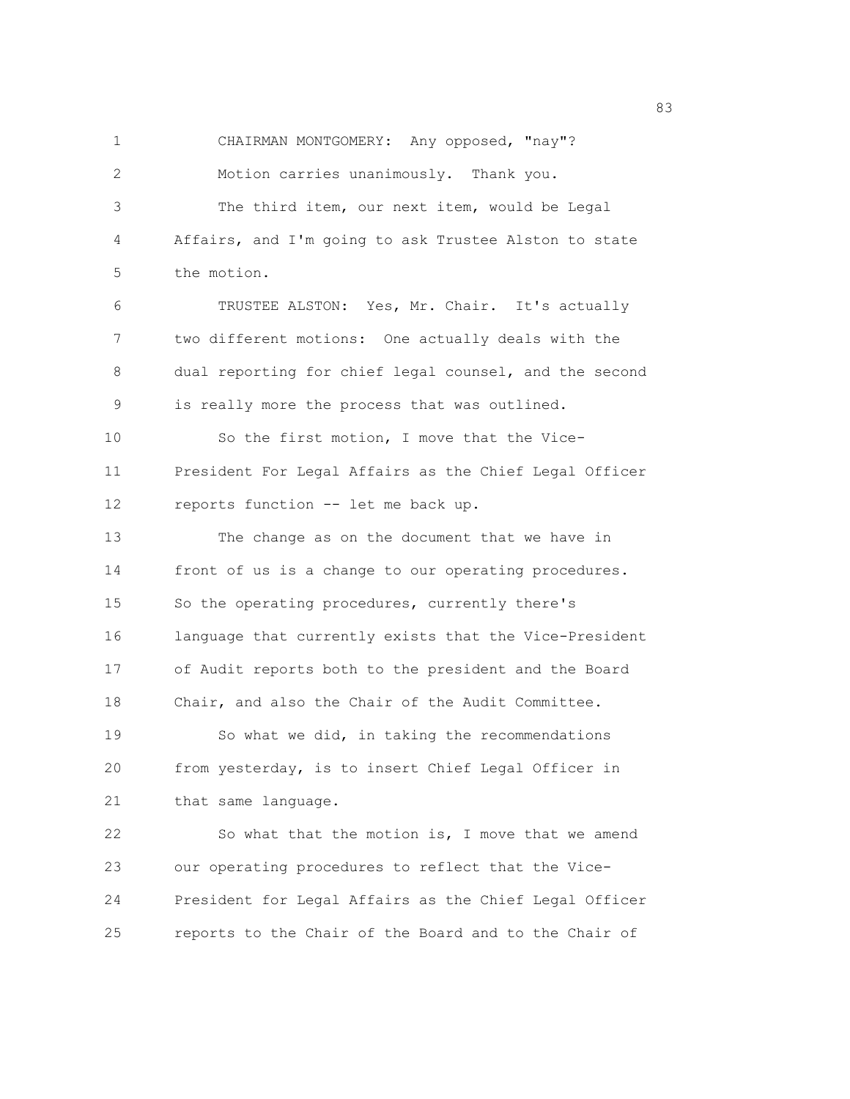1 CHAIRMAN MONTGOMERY: Any opposed, "nay"? 2 Motion carries unanimously. Thank you. 3 The third item, our next item, would be Legal 4 Affairs, and I'm going to ask Trustee Alston to state 5 the motion. 6 TRUSTEE ALSTON: Yes, Mr. Chair. It's actually 7 two different motions: One actually deals with the 8 dual reporting for chief legal counsel, and the second 9 is really more the process that was outlined. 10 So the first motion, I move that the Vice-11 President For Legal Affairs as the Chief Legal Officer 12 reports function -- let me back up. 13 The change as on the document that we have in 14 front of us is a change to our operating procedures. 15 So the operating procedures, currently there's 16 language that currently exists that the Vice-President 17 of Audit reports both to the president and the Board 18 Chair, and also the Chair of the Audit Committee. 19 So what we did, in taking the recommendations 20 from yesterday, is to insert Chief Legal Officer in 21 that same language. 22 So what that the motion is, I move that we amend 23 our operating procedures to reflect that the Vice-24 President for Legal Affairs as the Chief Legal Officer

25 reports to the Chair of the Board and to the Chair of

en 1982 en 1982 en 1983 en 1983 en 1983 en 1983 en 1983 en 1984 en 1983 en 1984 en 1983 en 1984 en 1984 en 19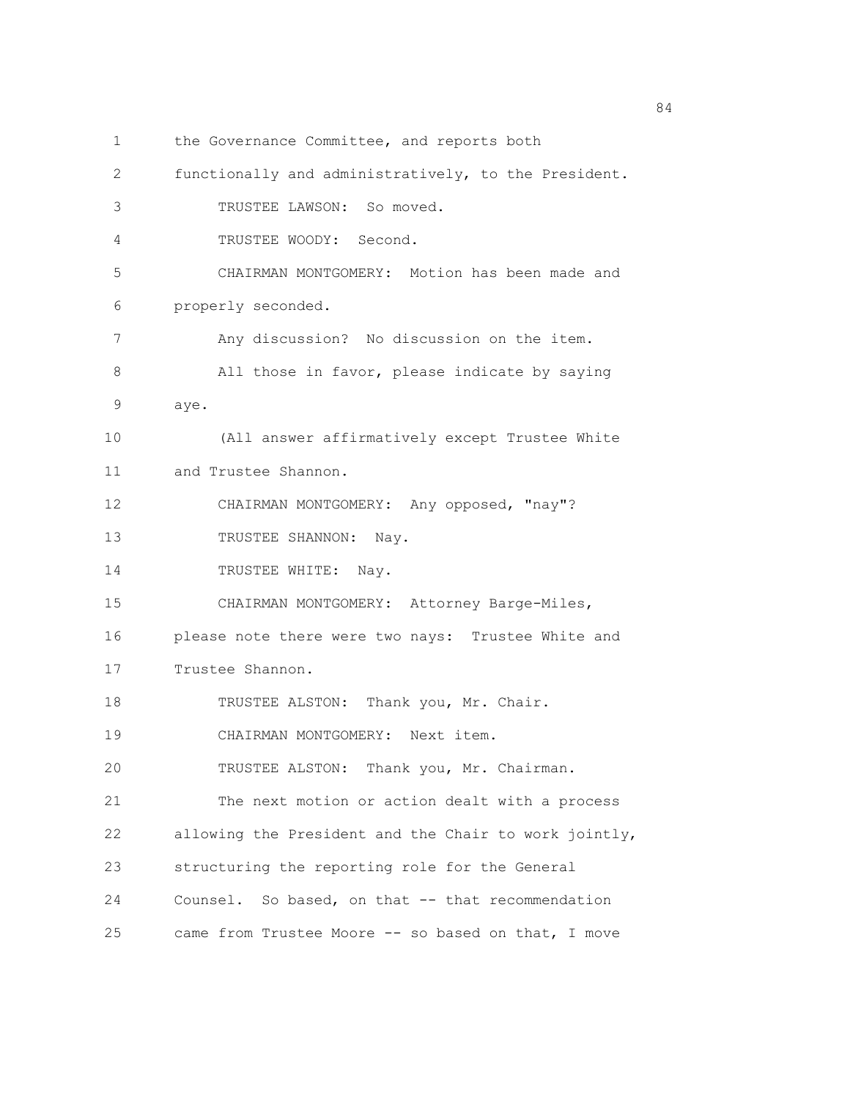1 the Governance Committee, and reports both

| 2  | functionally and administratively, to the President.  |
|----|-------------------------------------------------------|
| 3  | TRUSTEE LAWSON: So moved.                             |
| 4  | TRUSTEE WOODY: Second.                                |
| 5  | CHAIRMAN MONTGOMERY: Motion has been made and         |
| 6  | properly seconded.                                    |
| 7  | Any discussion? No discussion on the item.            |
| 8  | All those in favor, please indicate by saying         |
| 9  | aye.                                                  |
| 10 | (All answer affirmatively except Trustee White        |
| 11 | and Trustee Shannon.                                  |
| 12 | CHAIRMAN MONTGOMERY: Any opposed, "nay"?              |
| 13 | TRUSTEE SHANNON: Nay.                                 |
| 14 | TRUSTEE WHITE: Nay.                                   |
| 15 | CHAIRMAN MONTGOMERY: Attorney Barge-Miles,            |
| 16 | please note there were two nays: Trustee White and    |
| 17 | Trustee Shannon.                                      |
| 18 | TRUSTEE ALSTON: Thank you, Mr. Chair.                 |
| 19 | CHAIRMAN MONTGOMERY: Next item.                       |
| 20 | TRUSTEE ALSTON: Thank you, Mr. Chairman.              |
| 21 | The next motion or action dealt with a process        |
| 22 | allowing the President and the Chair to work jointly, |
| 23 | structuring the reporting role for the General        |
| 24 | Counsel. So based, on that -- that recommendation     |
| 25 | came from Trustee Moore -- so based on that, I move   |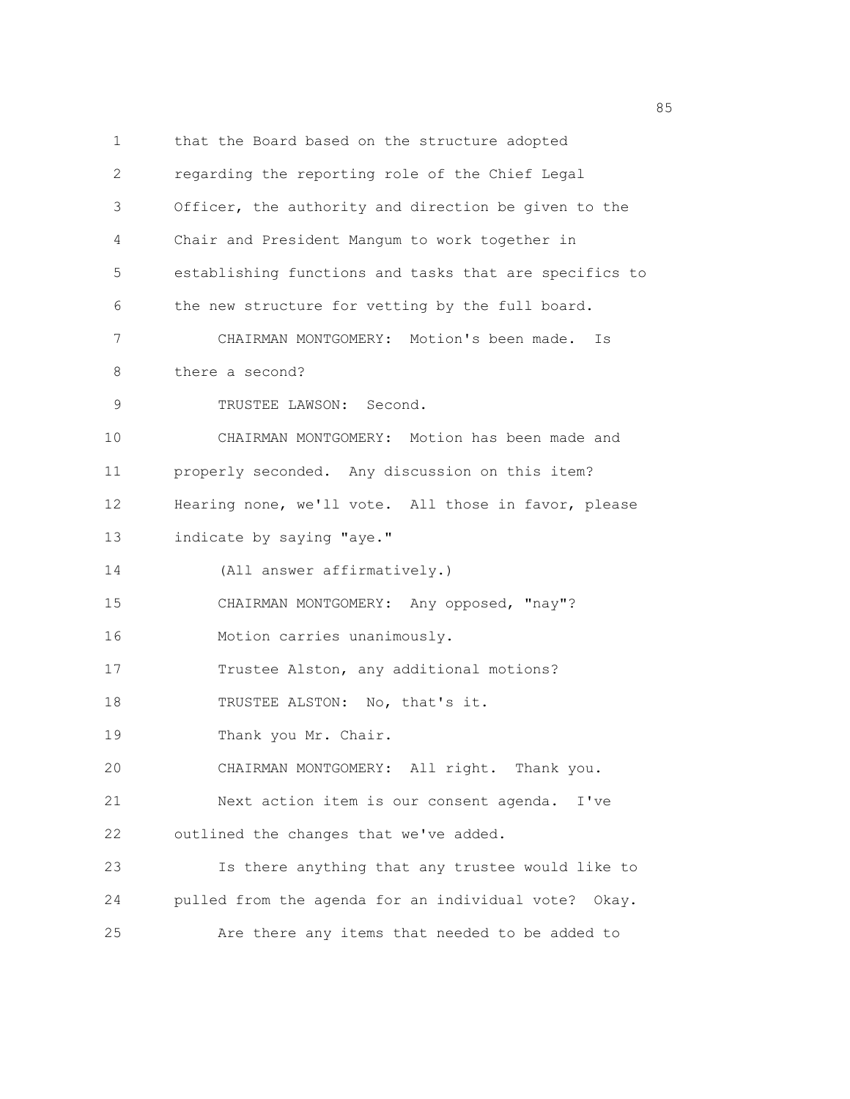1 that the Board based on the structure adopted 2 regarding the reporting role of the Chief Legal 3 Officer, the authority and direction be given to the 4 Chair and President Mangum to work together in 5 establishing functions and tasks that are specifics to 6 the new structure for vetting by the full board. 7 CHAIRMAN MONTGOMERY: Motion's been made. Is 8 there a second? 9 TRUSTEE LAWSON: Second. 10 CHAIRMAN MONTGOMERY: Motion has been made and 11 properly seconded. Any discussion on this item? 12 Hearing none, we'll vote. All those in favor, please 13 indicate by saying "aye." 14 (All answer affirmatively.) 15 CHAIRMAN MONTGOMERY: Any opposed, "nay"? 16 Motion carries unanimously. 17 Trustee Alston, any additional motions? 18 TRUSTEE ALSTON: No, that's it. 19 Thank you Mr. Chair. 20 CHAIRMAN MONTGOMERY: All right. Thank you. 21 Next action item is our consent agenda. I've 22 outlined the changes that we've added. 23 Is there anything that any trustee would like to 24 pulled from the agenda for an individual vote? Okay. 25 Are there any items that needed to be added to

<u>85 September 2006 September 2006 September 2006 September 2006 September 2006 September 2006 September 2006 S</u>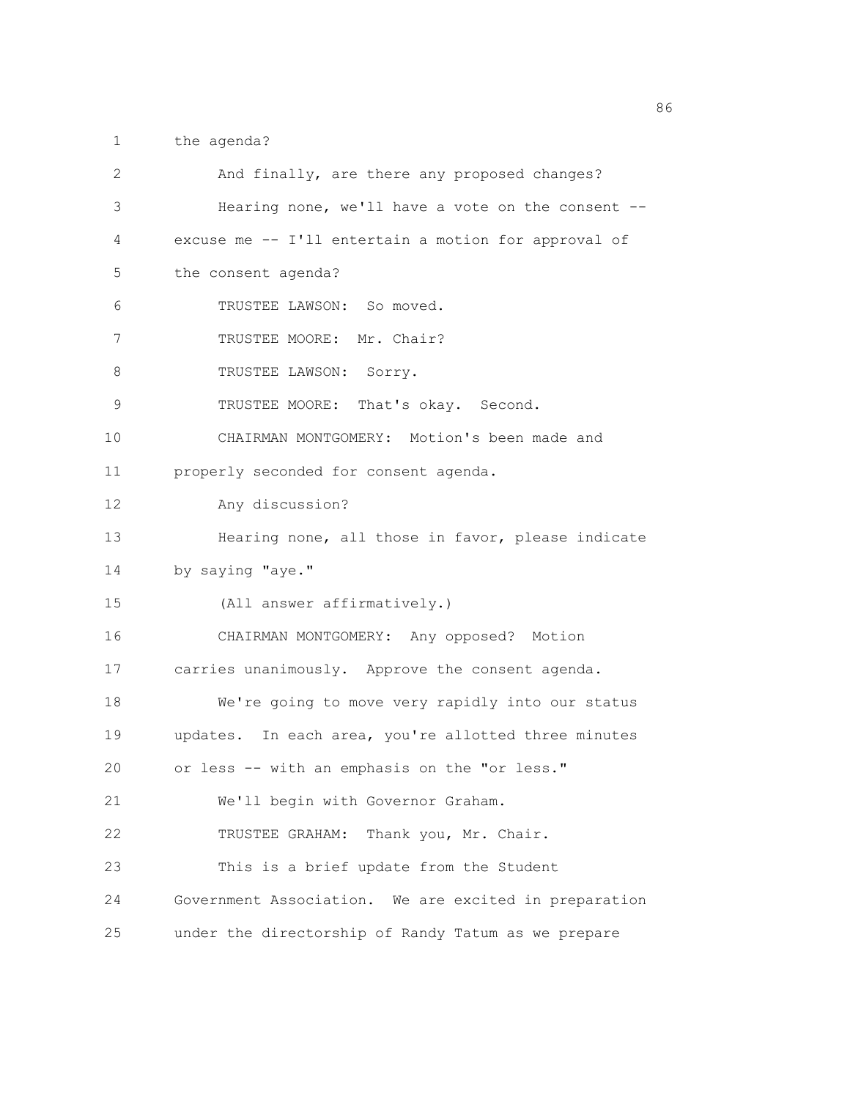1 the agenda?

| 2  | And finally, are there any proposed changes?          |
|----|-------------------------------------------------------|
| 3  | Hearing none, we'll have a vote on the consent --     |
| 4  | excuse me -- I'll entertain a motion for approval of  |
| 5  | the consent agenda?                                   |
| 6  | TRUSTEE LAWSON: So moved.                             |
| 7  | TRUSTEE MOORE: Mr. Chair?                             |
| 8  | TRUSTEE LAWSON: Sorry.                                |
| 9  | TRUSTEE MOORE: That's okay. Second.                   |
| 10 | CHAIRMAN MONTGOMERY: Motion's been made and           |
| 11 | properly seconded for consent agenda.                 |
| 12 | Any discussion?                                       |
| 13 | Hearing none, all those in favor, please indicate     |
| 14 | by saying "aye."                                      |
| 15 | (All answer affirmatively.)                           |
| 16 | CHAIRMAN MONTGOMERY: Any opposed? Motion              |
| 17 | carries unanimously. Approve the consent agenda.      |
| 18 | We're going to move very rapidly into our status      |
| 19 | updates. In each area, you're allotted three minutes  |
| 20 | or less -- with an emphasis on the "or less."         |
|    |                                                       |
| 21 | We'll begin with Governor Graham.                     |
| 22 | Thank you, Mr. Chair.<br>TRUSTEE GRAHAM:              |
| 23 | This is a brief update from the Student               |
| 24 | Government Association. We are excited in preparation |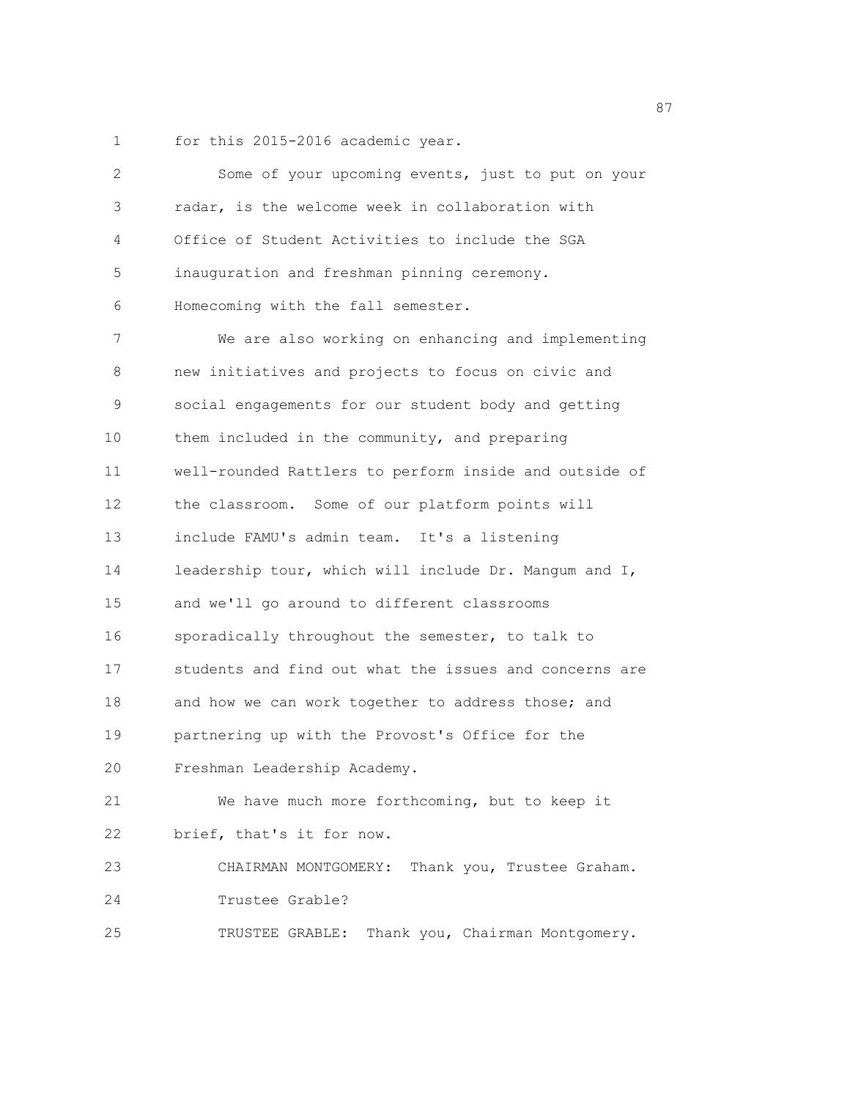1 for this 2015-2016 academic year.

| $\overline{2}$ | Some of your upcoming events, just to put on your      |
|----------------|--------------------------------------------------------|
| 3              | radar, is the welcome week in collaboration with       |
| 4              | Office of Student Activities to include the SGA        |
| 5              | inauguration and freshman pinning ceremony.            |
| 6              | Homecoming with the fall semester.                     |
| 7              | We are also working on enhancing and implementing      |
| 8              | new initiatives and projects to focus on civic and     |
| 9              | social engagements for our student body and getting    |
| 10             | them included in the community, and preparing          |
| 11             | well-rounded Rattlers to perform inside and outside of |
| 12             | the classroom. Some of our platform points will        |
| 13             | include FAMU's admin team. It's a listening            |
| 14             | leadership tour, which will include Dr. Mangum and I,  |
| 15             | and we'll go around to different classrooms            |
| 16             | sporadically throughout the semester, to talk to       |
| 17             | students and find out what the issues and concerns are |
| 18             | and how we can work together to address those; and     |
| 19             | partnering up with the Provost's Office for the        |
| 20             | Freshman Leadership Academy.                           |
| 21             | We have much more forthcoming, but to keep it          |
| 22             | brief, that's it for now.                              |
| 23             | CHAIRMAN MONTGOMERY: Thank you, Trustee Graham.        |
| 24             | Trustee Grable?                                        |
| 25             | TRUSTEE GRABLE: Thank you, Chairman Montgomery.        |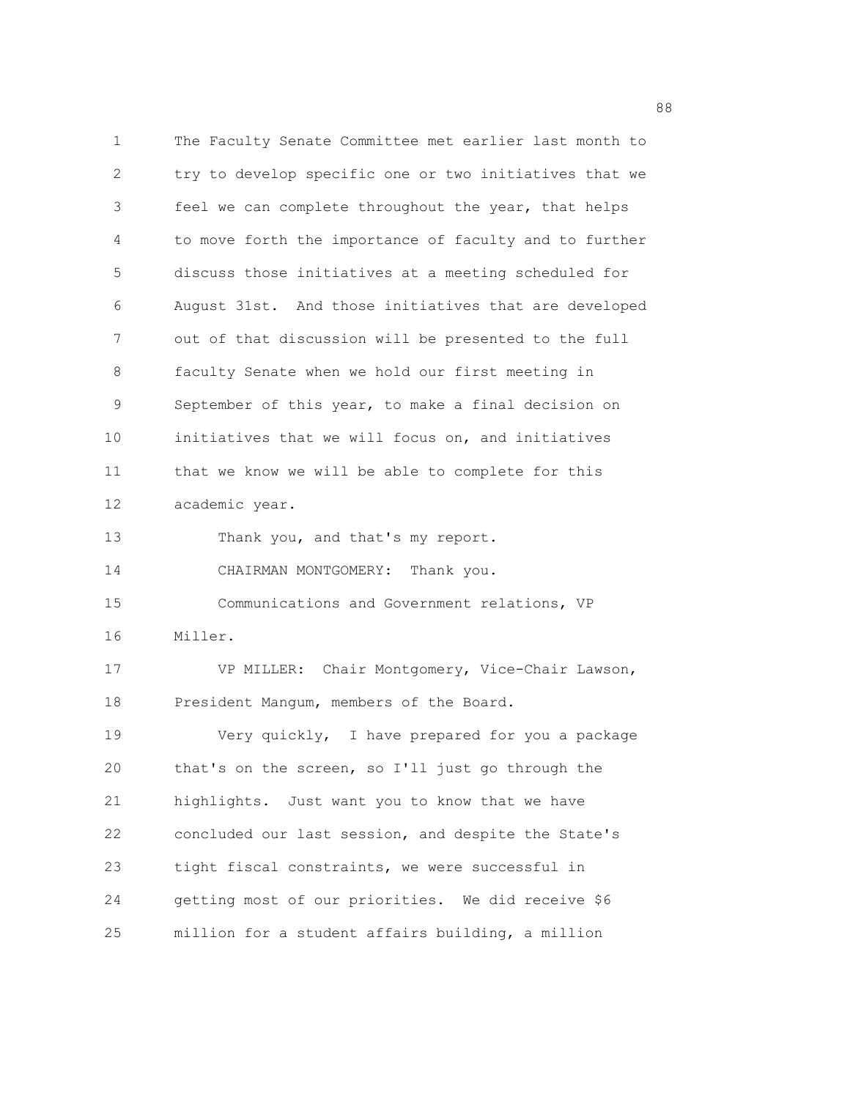1 The Faculty Senate Committee met earlier last month to 2 try to develop specific one or two initiatives that we 3 feel we can complete throughout the year, that helps 4 to move forth the importance of faculty and to further 5 discuss those initiatives at a meeting scheduled for 6 August 31st. And those initiatives that are developed 7 out of that discussion will be presented to the full 8 faculty Senate when we hold our first meeting in 9 September of this year, to make a final decision on 10 initiatives that we will focus on, and initiatives 11 that we know we will be able to complete for this 12 academic year. 13 Thank you, and that's my report. 14 CHAIRMAN MONTGOMERY: Thank you. 15 Communications and Government relations, VP 16 Miller. 17 VP MILLER: Chair Montgomery, Vice-Chair Lawson, 18 President Mangum, members of the Board. 19 Very quickly, I have prepared for you a package 20 that's on the screen, so I'll just go through the 21 highlights. Just want you to know that we have 22 concluded our last session, and despite the State's 23 tight fiscal constraints, we were successful in 24 getting most of our priorities. We did receive \$6 25 million for a student affairs building, a million

en de la construction de la construction de la construction de la construction de la construction de la constr<br>1888 : le construction de la construction de la construction de la construction de la construction de la const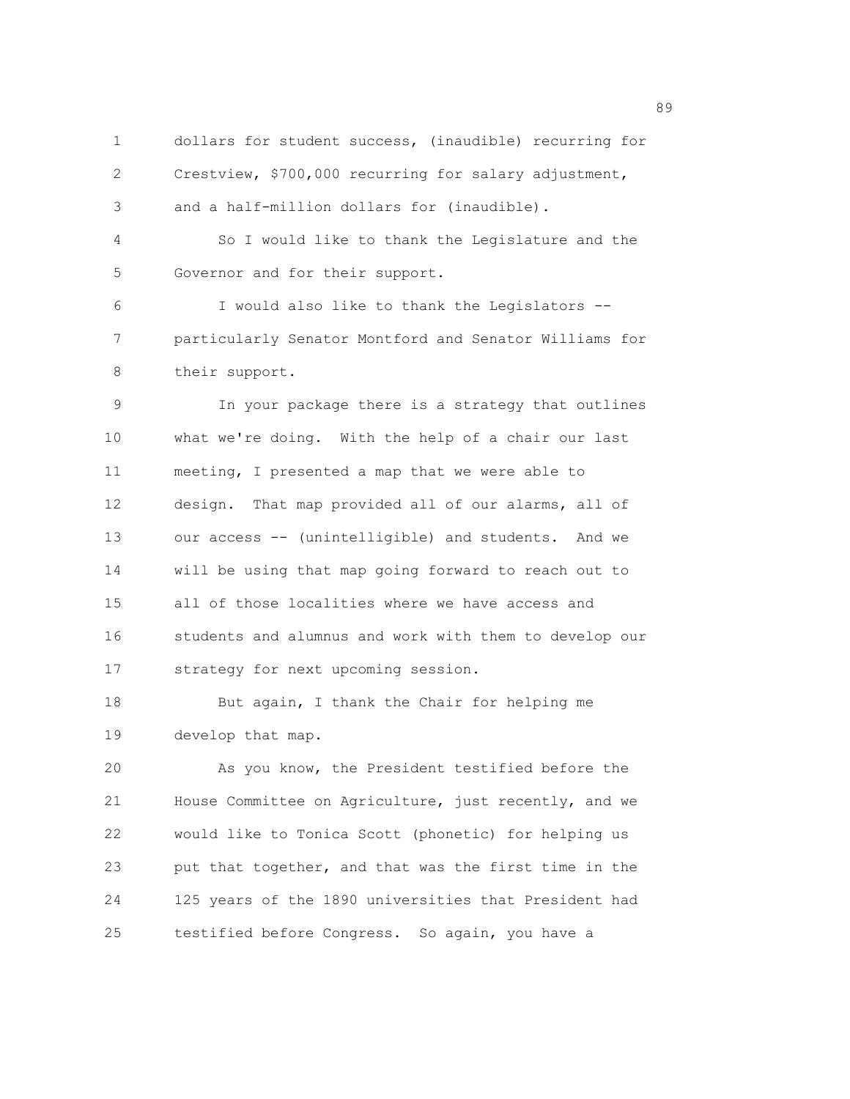1 dollars for student success, (inaudible) recurring for 2 Crestview, \$700,000 recurring for salary adjustment, 3 and a half-million dollars for (inaudible).

4 So I would like to thank the Legislature and the 5 Governor and for their support.

6 I would also like to thank the Legislators -- 7 particularly Senator Montford and Senator Williams for 8 their support.

9 In your package there is a strategy that outlines 10 what we're doing. With the help of a chair our last 11 meeting, I presented a map that we were able to 12 design. That map provided all of our alarms, all of 13 our access -- (unintelligible) and students. And we 14 will be using that map going forward to reach out to 15 all of those localities where we have access and 16 students and alumnus and work with them to develop our 17 strategy for next upcoming session.

18 But again, I thank the Chair for helping me 19 develop that map.

20 As you know, the President testified before the 21 House Committee on Agriculture, just recently, and we 22 would like to Tonica Scott (phonetic) for helping us 23 put that together, and that was the first time in the 24 125 years of the 1890 universities that President had 25 testified before Congress. So again, you have a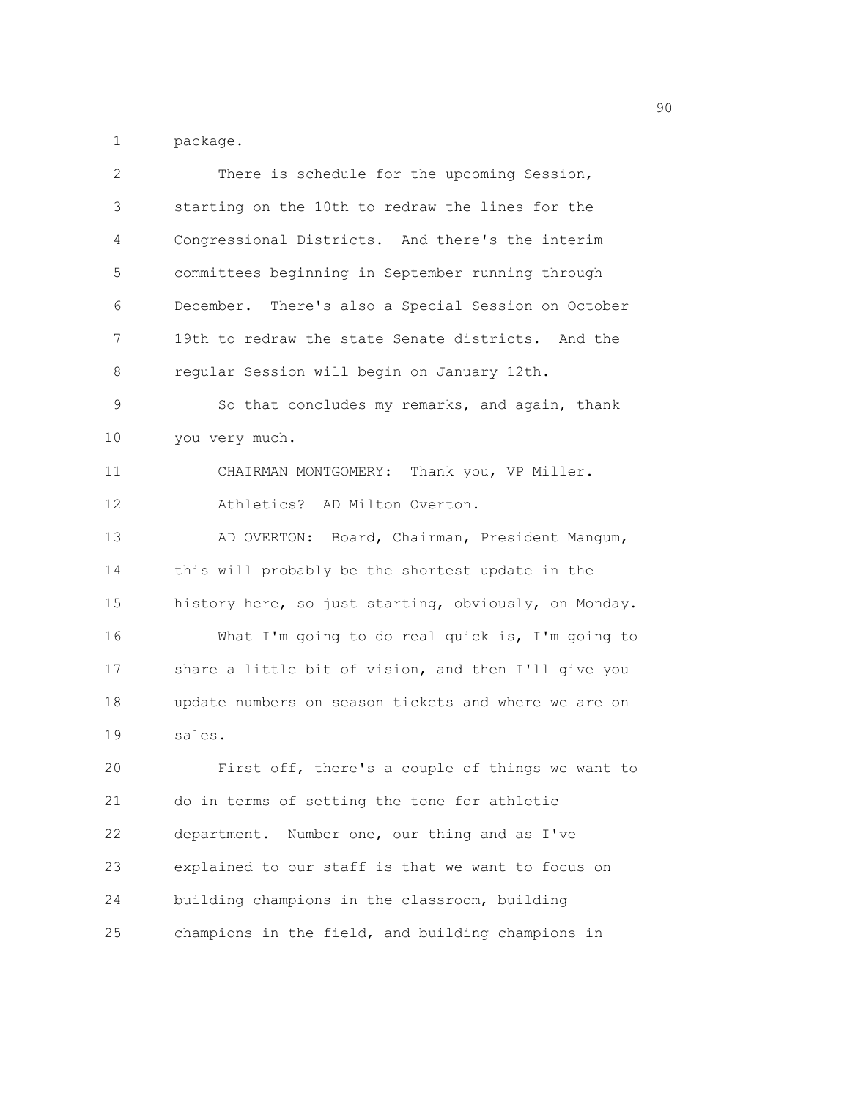1 package.

| 2  | There is schedule for the upcoming Session,           |
|----|-------------------------------------------------------|
| 3  | starting on the 10th to redraw the lines for the      |
| 4  | Congressional Districts. And there's the interim      |
| 5  | committees beginning in September running through     |
| 6  | December. There's also a Special Session on October   |
| 7  | 19th to redraw the state Senate districts. And the    |
| 8  | regular Session will begin on January 12th.           |
| 9  | So that concludes my remarks, and again, thank        |
| 10 | you very much.                                        |
| 11 | CHAIRMAN MONTGOMERY: Thank you, VP Miller.            |
| 12 | Athletics? AD Milton Overton.                         |
| 13 | AD OVERTON: Board, Chairman, President Mangum,        |
| 14 | this will probably be the shortest update in the      |
| 15 | history here, so just starting, obviously, on Monday. |
| 16 | What I'm going to do real quick is, I'm going to      |
| 17 | share a little bit of vision, and then I'll give you  |
| 18 | update numbers on season tickets and where we are on  |
| 19 | sales.                                                |
| 20 | First off, there's a couple of things we want to      |
| 21 | do in terms of setting the tone for athletic          |
| 22 | department. Number one, our thing and as I've         |
| 23 | explained to our staff is that we want to focus on    |
| 24 | building champions in the classroom, building         |
| 25 | champions in the field, and building champions in     |

en de la construction de la construction de la construction de la construction de la construction de la constr<br>1900 : la construction de la construction de la construction de la construction de la construction de la const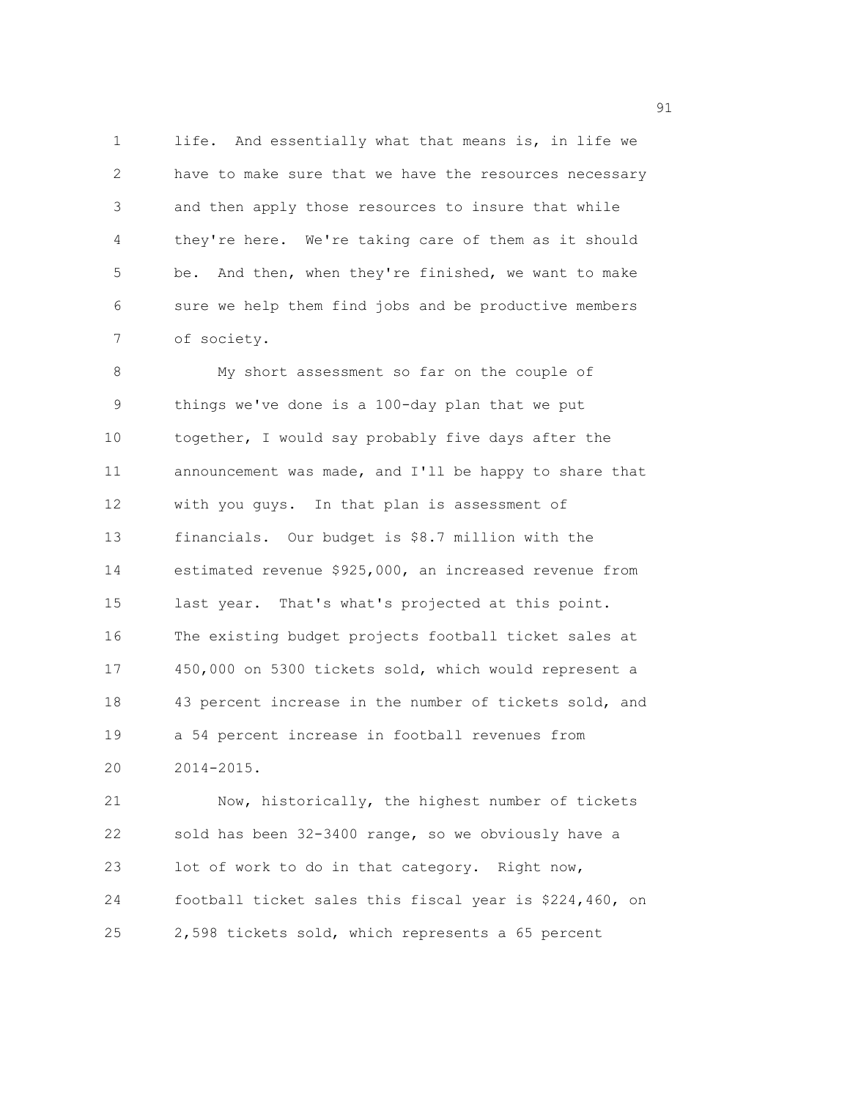1 life. And essentially what that means is, in life we 2 have to make sure that we have the resources necessary 3 and then apply those resources to insure that while 4 they're here. We're taking care of them as it should 5 be. And then, when they're finished, we want to make 6 sure we help them find jobs and be productive members 7 of society.

8 My short assessment so far on the couple of 9 things we've done is a 100-day plan that we put 10 together, I would say probably five days after the 11 announcement was made, and I'll be happy to share that 12 with you guys. In that plan is assessment of 13 financials. Our budget is \$8.7 million with the 14 estimated revenue \$925,000, an increased revenue from 15 last year. That's what's projected at this point. 16 The existing budget projects football ticket sales at 17 450,000 on 5300 tickets sold, which would represent a 18 43 percent increase in the number of tickets sold, and 19 a 54 percent increase in football revenues from 20 2014-2015.

21 Now, historically, the highest number of tickets 22 sold has been 32-3400 range, so we obviously have a 23 lot of work to do in that category. Right now, 24 football ticket sales this fiscal year is \$224,460, on 25 2,598 tickets sold, which represents a 65 percent

experience of the state of the state of the state of the state of the state of the state of the state of the s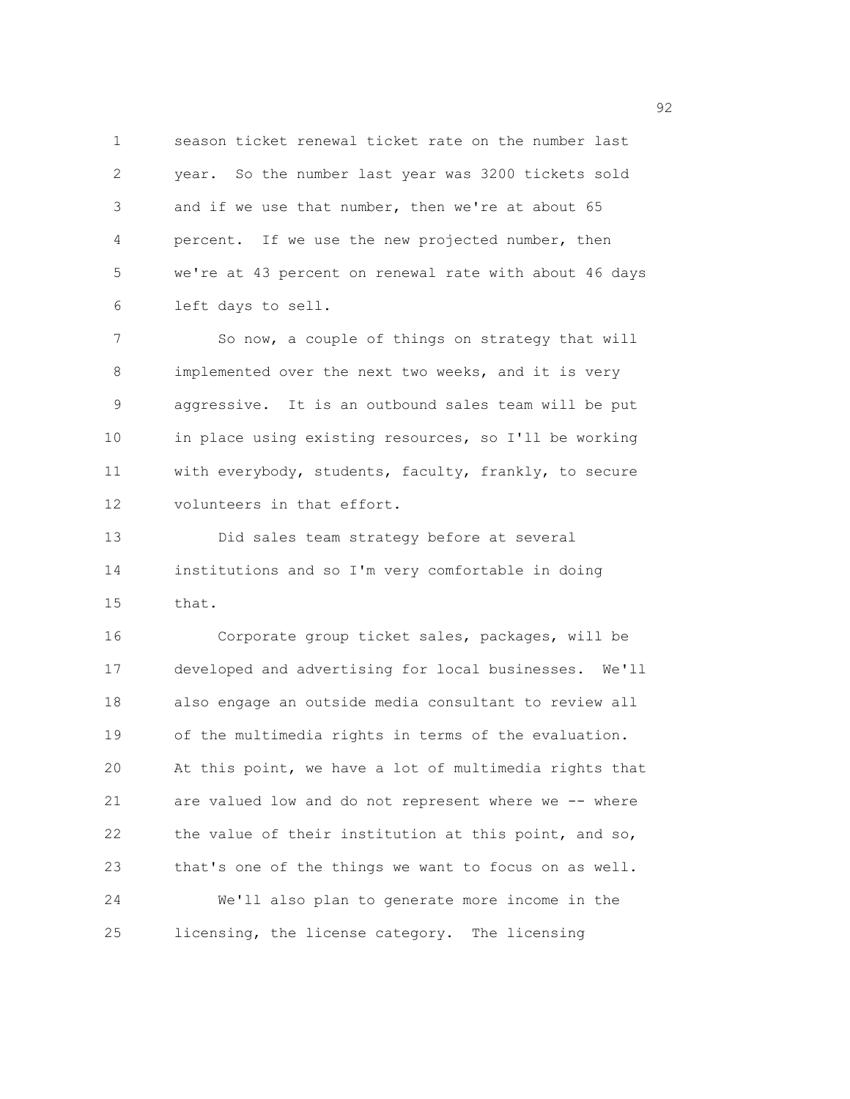1 season ticket renewal ticket rate on the number last 2 year. So the number last year was 3200 tickets sold 3 and if we use that number, then we're at about 65 4 percent. If we use the new projected number, then 5 we're at 43 percent on renewal rate with about 46 days 6 left days to sell.

7 So now, a couple of things on strategy that will 8 implemented over the next two weeks, and it is very 9 aggressive. It is an outbound sales team will be put 10 in place using existing resources, so I'll be working 11 with everybody, students, faculty, frankly, to secure 12 volunteers in that effort.

13 Did sales team strategy before at several 14 institutions and so I'm very comfortable in doing 15 that.

16 Corporate group ticket sales, packages, will be 17 developed and advertising for local businesses. We'll 18 also engage an outside media consultant to review all 19 of the multimedia rights in terms of the evaluation. 20 At this point, we have a lot of multimedia rights that 21 are valued low and do not represent where we -- where 22 the value of their institution at this point, and so, 23 that's one of the things we want to focus on as well. 24 We'll also plan to generate more income in the 25 licensing, the license category. The licensing

 $\sim$  92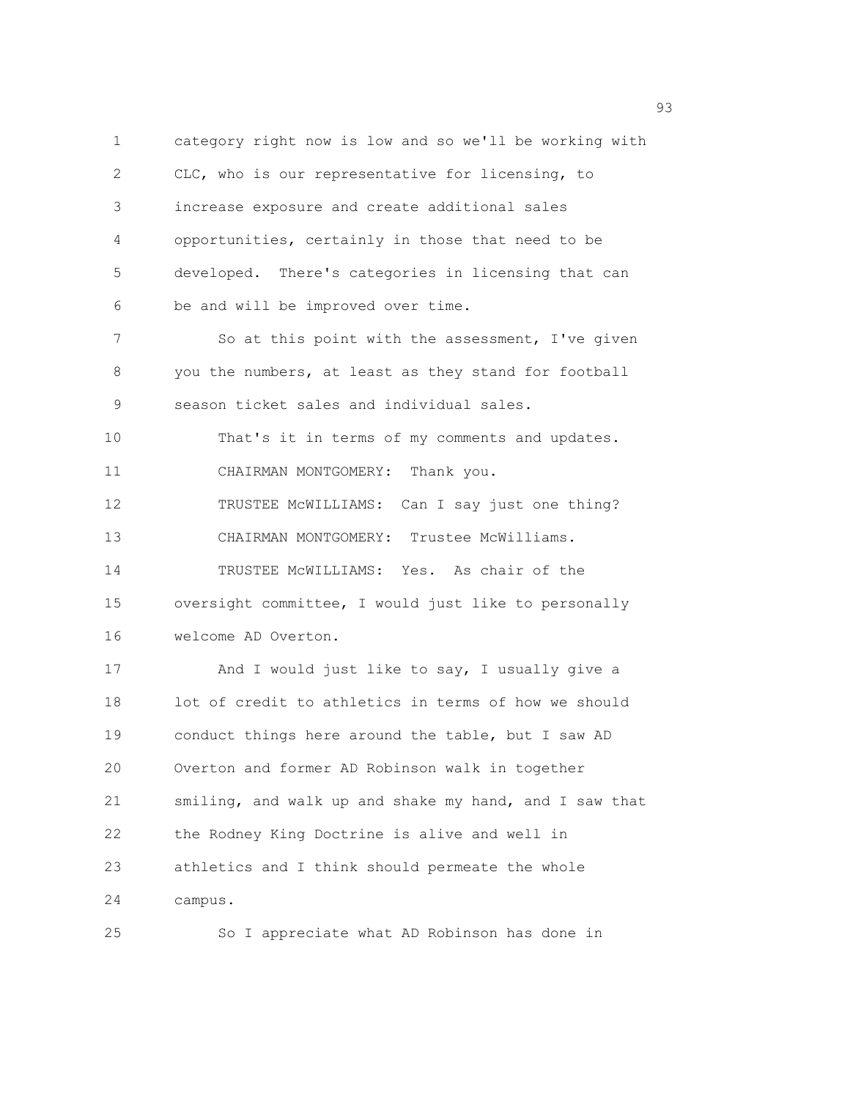1 category right now is low and so we'll be working with 2 CLC, who is our representative for licensing, to 3 increase exposure and create additional sales 4 opportunities, certainly in those that need to be 5 developed. There's categories in licensing that can 6 be and will be improved over time. 7 So at this point with the assessment, I've given 8 you the numbers, at least as they stand for football 9 season ticket sales and individual sales. 10 That's it in terms of my comments and updates. 11 CHAIRMAN MONTGOMERY: Thank you. 12 TRUSTEE McWILLIAMS: Can I say just one thing? 13 CHAIRMAN MONTGOMERY: Trustee McWilliams. 14 TRUSTEE McWILLIAMS: Yes. As chair of the 15 oversight committee, I would just like to personally 16 welcome AD Overton. 17 And I would just like to say, I usually give a 18 lot of credit to athletics in terms of how we should 19 conduct things here around the table, but I saw AD 20 Overton and former AD Robinson walk in together 21 smiling, and walk up and shake my hand, and I saw that 22 the Rodney King Doctrine is alive and well in 23 athletics and I think should permeate the whole 24 campus. 25 So I appreciate what AD Robinson has done in

en 1992 en 1993 en 1993 en 1993 en 1993 en 1993 en 1993 en 1993 en 1993 en 1993 en 1993 en 1993 en 1993 en 19<br>1993 en 1993 en 1993 en 1993 en 1993 en 1993 en 1993 en 1993 en 1993 en 1993 en 1993 en 1993 en 1993 en 1993 e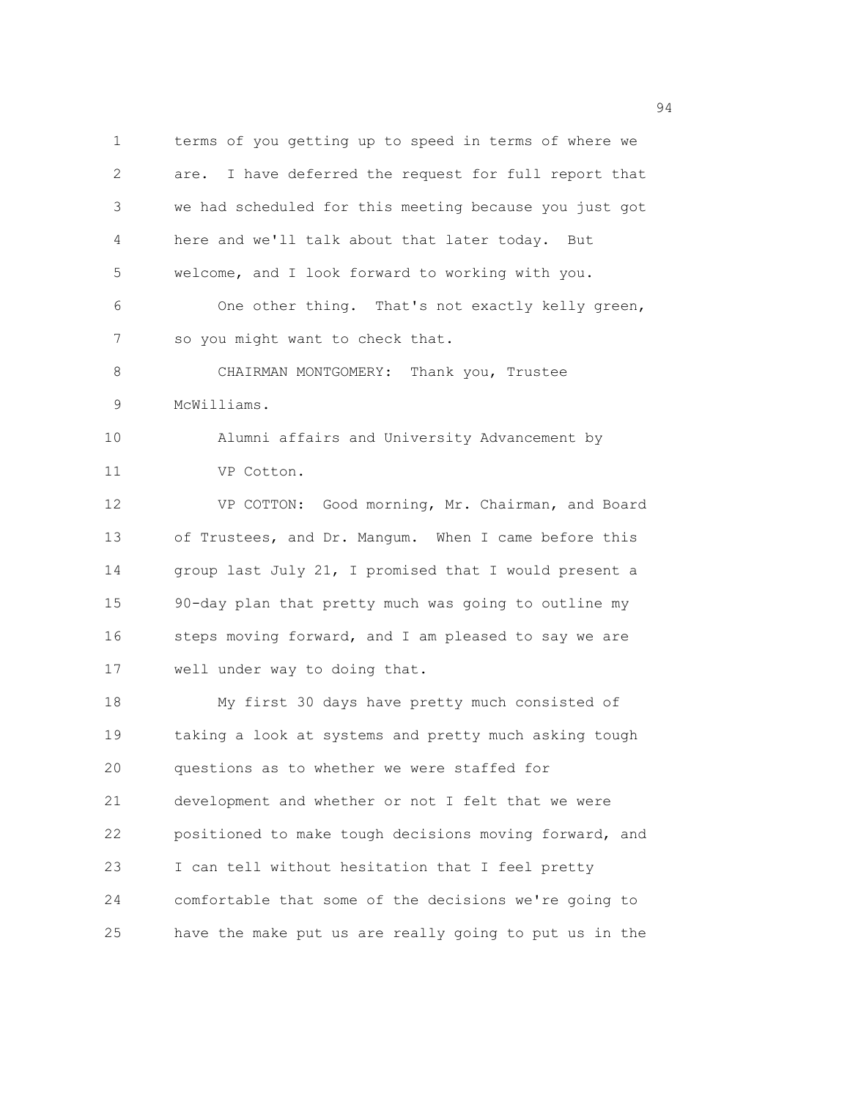1 terms of you getting up to speed in terms of where we 2 are. I have deferred the request for full report that 3 we had scheduled for this meeting because you just got 4 here and we'll talk about that later today. But 5 welcome, and I look forward to working with you. 6 One other thing. That's not exactly kelly green, 7 so you might want to check that. 8 CHAIRMAN MONTGOMERY: Thank you, Trustee 9 McWilliams. 10 Alumni affairs and University Advancement by 11 VP Cotton. 12 VP COTTON: Good morning, Mr. Chairman, and Board 13 of Trustees, and Dr. Mangum. When I came before this 14 group last July 21, I promised that I would present a 15 90-day plan that pretty much was going to outline my 16 steps moving forward, and I am pleased to say we are 17 well under way to doing that. 18 My first 30 days have pretty much consisted of 19 taking a look at systems and pretty much asking tough 20 questions as to whether we were staffed for 21 development and whether or not I felt that we were 22 positioned to make tough decisions moving forward, and 23 I can tell without hesitation that I feel pretty 24 comfortable that some of the decisions we're going to 25 have the make put us are really going to put us in the

94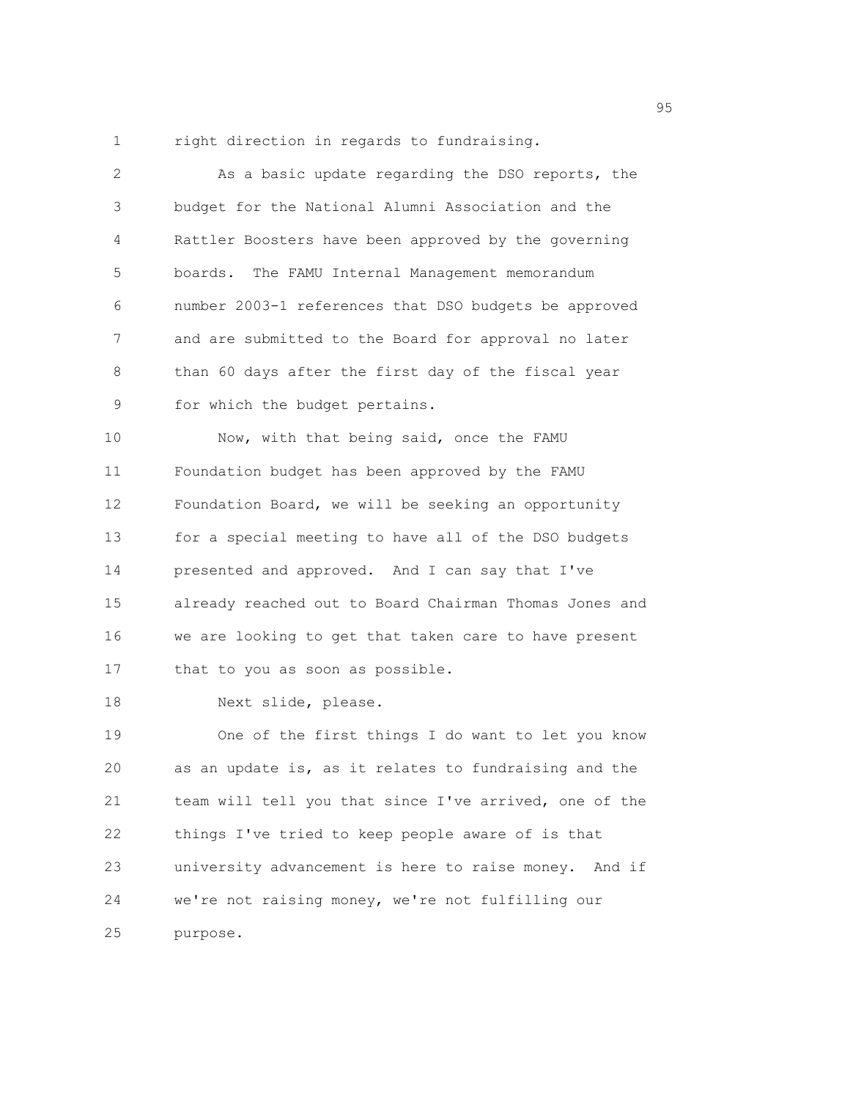1 right direction in regards to fundraising.

| $\overline{2}$ | As a basic update regarding the DSO reports, the       |
|----------------|--------------------------------------------------------|
| 3              | budget for the National Alumni Association and the     |
| 4              | Rattler Boosters have been approved by the governing   |
| 5              | boards. The FAMU Internal Management memorandum        |
| 6              | number 2003-1 references that DSO budgets be approved  |
| 7              | and are submitted to the Board for approval no later   |
| 8              | than 60 days after the first day of the fiscal year    |
| 9              | for which the budget pertains.                         |
| 10             | Now, with that being said, once the FAMU               |
| 11             | Foundation budget has been approved by the FAMU        |
| 12             | Foundation Board, we will be seeking an opportunity    |
| 13             | for a special meeting to have all of the DSO budgets   |
| 14             | presented and approved. And I can say that I've        |
| 15             | already reached out to Board Chairman Thomas Jones and |
| 16             | we are looking to get that taken care to have present  |
| 17             | that to you as soon as possible.                       |
| 18             | Next slide, please.                                    |
| 19             | One of the first things I do want to let you know      |
| 20             | as an update is, as it relates to fundraising and the  |
| 21             | team will tell you that since I've arrived, one of the |
| 22             | things I've tried to keep people aware of is that      |
| 23             | university advancement is here to raise money. And if  |
| 24             | we're not raising money, we're not fulfilling our      |
| 25             | purpose.                                               |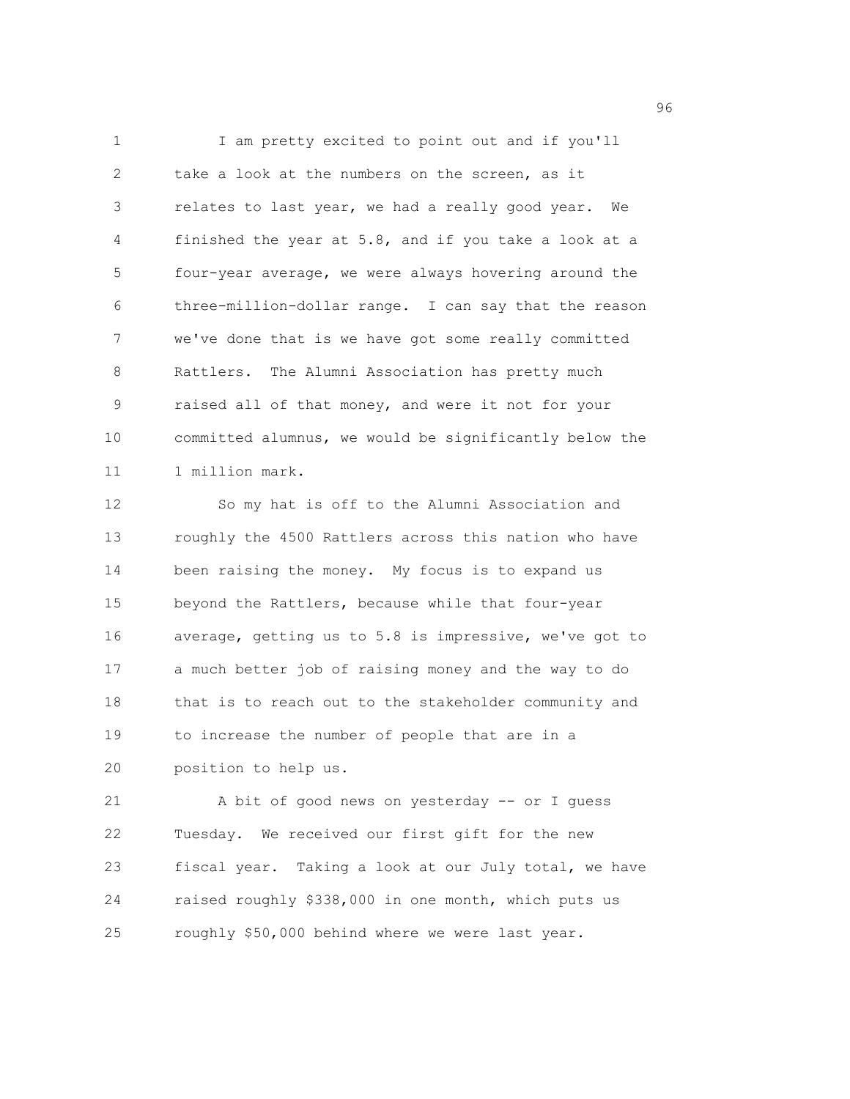1 I am pretty excited to point out and if you'll 2 take a look at the numbers on the screen, as it 3 relates to last year, we had a really good year. We 4 finished the year at 5.8, and if you take a look at a 5 four-year average, we were always hovering around the 6 three-million-dollar range. I can say that the reason 7 we've done that is we have got some really committed 8 Rattlers. The Alumni Association has pretty much 9 raised all of that money, and were it not for your 10 committed alumnus, we would be significantly below the 11 1 million mark. 12 So my hat is off to the Alumni Association and

13 roughly the 4500 Rattlers across this nation who have 14 been raising the money. My focus is to expand us 15 beyond the Rattlers, because while that four-year 16 average, getting us to 5.8 is impressive, we've got to 17 a much better job of raising money and the way to do 18 that is to reach out to the stakeholder community and 19 to increase the number of people that are in a 20 position to help us.

21 A bit of good news on yesterday -- or I guess 22 Tuesday. We received our first gift for the new 23 fiscal year. Taking a look at our July total, we have 24 raised roughly \$338,000 in one month, which puts us 25 roughly \$50,000 behind where we were last year.

<u>96 September 2005 September 2006 September 2006 September 2006 September 2006 September 2006 September 2006 S</u>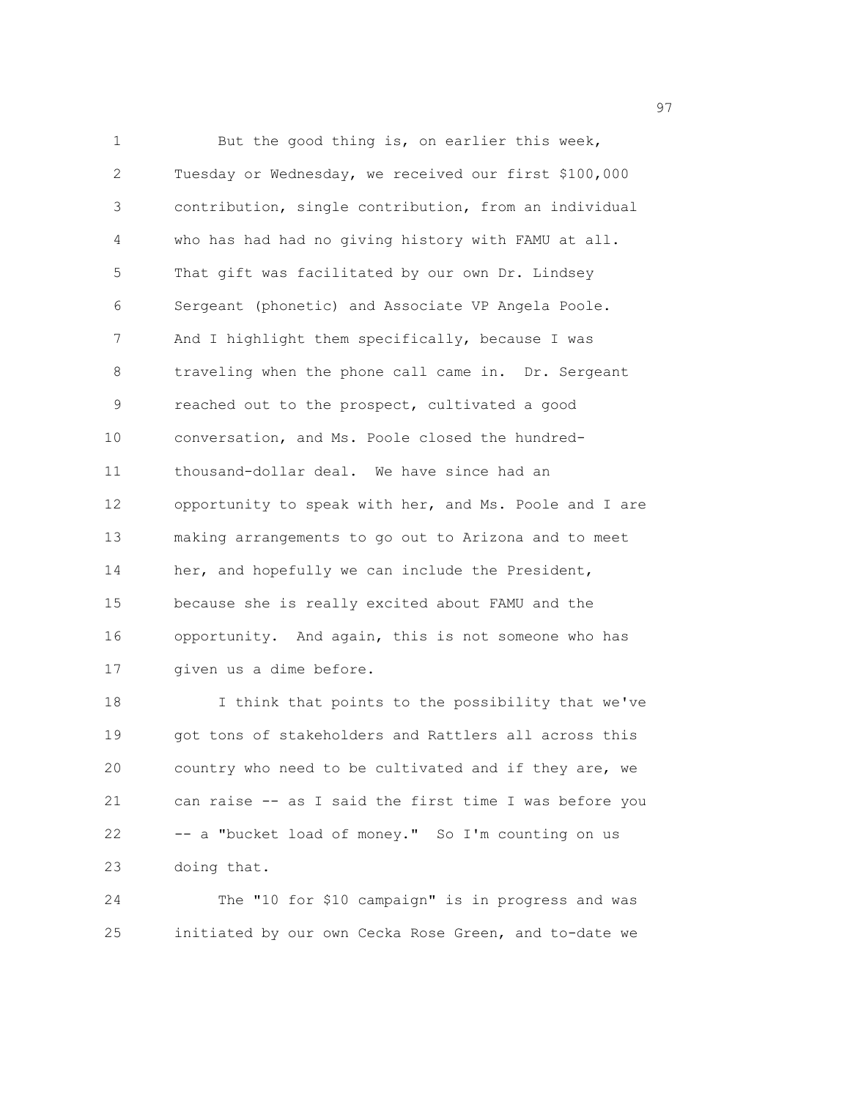1 But the good thing is, on earlier this week, 2 Tuesday or Wednesday, we received our first \$100,000 3 contribution, single contribution, from an individual 4 who has had had no giving history with FAMU at all. 5 That gift was facilitated by our own Dr. Lindsey 6 Sergeant (phonetic) and Associate VP Angela Poole. 7 And I highlight them specifically, because I was 8 traveling when the phone call came in. Dr. Sergeant 9 reached out to the prospect, cultivated a good 10 conversation, and Ms. Poole closed the hundred-11 thousand-dollar deal. We have since had an 12 opportunity to speak with her, and Ms. Poole and I are 13 making arrangements to go out to Arizona and to meet 14 her, and hopefully we can include the President, 15 because she is really excited about FAMU and the 16 opportunity. And again, this is not someone who has 17 given us a dime before.

18 I think that points to the possibility that we've 19 got tons of stakeholders and Rattlers all across this 20 country who need to be cultivated and if they are, we 21 can raise -- as I said the first time I was before you 22 -- a "bucket load of money." So I'm counting on us 23 doing that.

24 The "10 for \$10 campaign" is in progress and was 25 initiated by our own Cecka Rose Green, and to-date we

experience of the contract of the contract of the contract of the contract of the contract of the contract of the contract of the contract of the contract of the contract of the contract of the contract of the contract of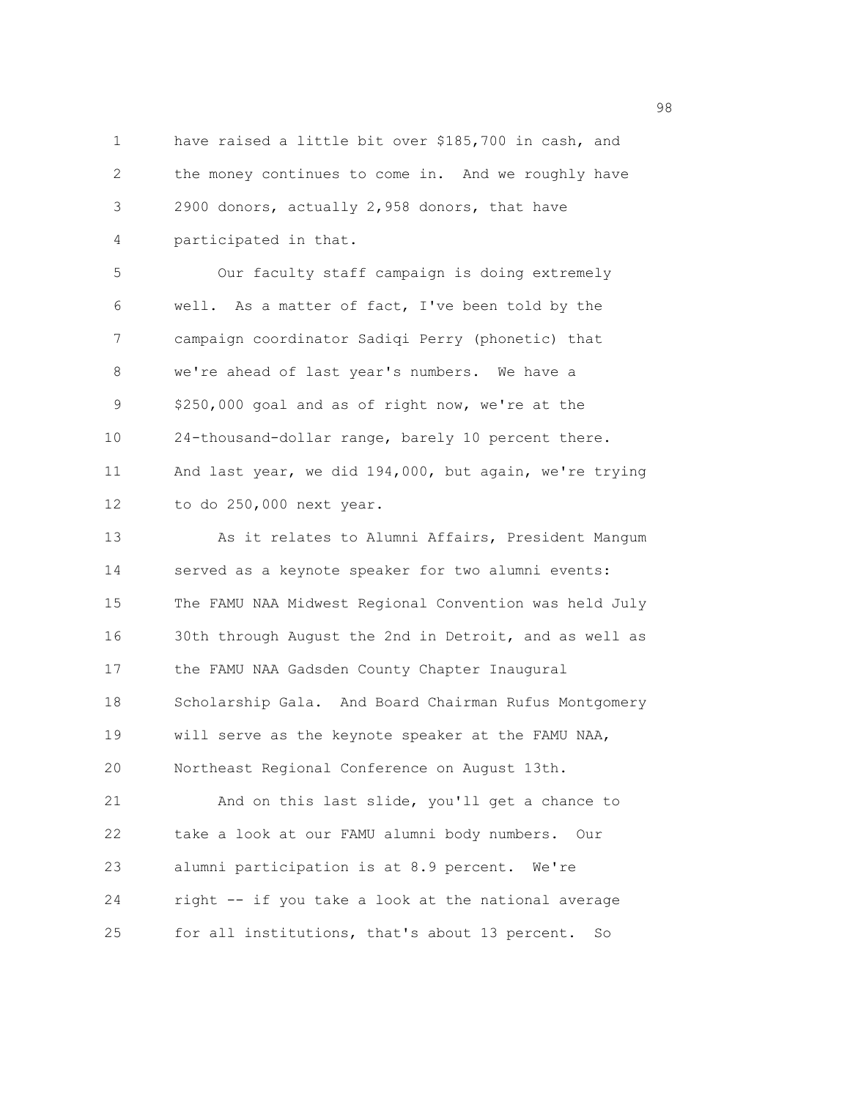1 have raised a little bit over \$185,700 in cash, and 2 the money continues to come in. And we roughly have 3 2900 donors, actually 2,958 donors, that have 4 participated in that. 5 Our faculty staff campaign is doing extremely 6 well. As a matter of fact, I've been told by the 7 campaign coordinator Sadiqi Perry (phonetic) that 8 we're ahead of last year's numbers. We have a 9 \$250,000 goal and as of right now, we're at the 10 24-thousand-dollar range, barely 10 percent there. 11 And last year, we did 194,000, but again, we're trying 12 to do 250,000 next year. 13 As it relates to Alumni Affairs, President Mangum 14 served as a keynote speaker for two alumni events: 15 The FAMU NAA Midwest Regional Convention was held July 16 30th through August the 2nd in Detroit, and as well as 17 the FAMU NAA Gadsden County Chapter Inaugural 18 Scholarship Gala. And Board Chairman Rufus Montgomery 19 will serve as the keynote speaker at the FAMU NAA, 20 Northeast Regional Conference on August 13th. 21 And on this last slide, you'll get a chance to 22 take a look at our FAMU alumni body numbers. Our 23 alumni participation is at 8.9 percent. We're 24 right -- if you take a look at the national average 25 for all institutions, that's about 13 percent. So

en 1980 en 1980 en 1980 en 1980 en 1980 en 1980 en 1980 en 1980 en 1980 en 1980 en 1980 en 1980 en 1980 en 19<br>De grote en 1980 en 1980 en 1980 en 1980 en 1980 en 1980 en 1980 en 1980 en 1980 en 1980 en 1980 en 1980 en 19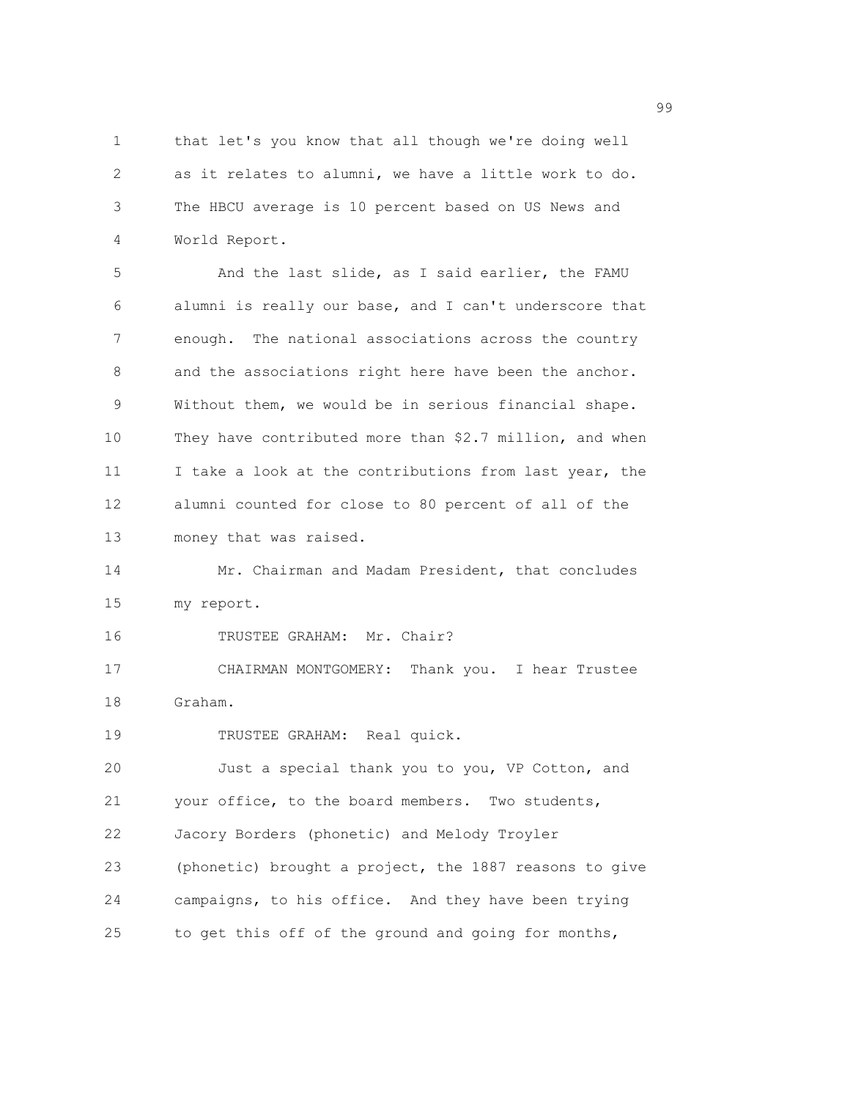1 that let's you know that all though we're doing well 2 as it relates to alumni, we have a little work to do. 3 The HBCU average is 10 percent based on US News and 4 World Report.

5 And the last slide, as I said earlier, the FAMU 6 alumni is really our base, and I can't underscore that 7 enough. The national associations across the country 8 and the associations right here have been the anchor. 9 Without them, we would be in serious financial shape. 10 They have contributed more than \$2.7 million, and when 11 I take a look at the contributions from last year, the 12 alumni counted for close to 80 percent of all of the 13 money that was raised.

14 Mr. Chairman and Madam President, that concludes 15 my report.

16 TRUSTEE GRAHAM: Mr. Chair?

17 CHAIRMAN MONTGOMERY: Thank you. I hear Trustee 18 Graham.

19 TRUSTEE GRAHAM: Real quick.

20 Just a special thank you to you, VP Cotton, and 21 your office, to the board members. Two students, 22 Jacory Borders (phonetic) and Melody Troyler 23 (phonetic) brought a project, the 1887 reasons to give 24 campaigns, to his office. And they have been trying 25 to get this off of the ground and going for months,

99 and 2012 and 2012 and 2012 and 2012 and 2012 and 2012 and 2012 and 2012 and 2012 and 2012 and 201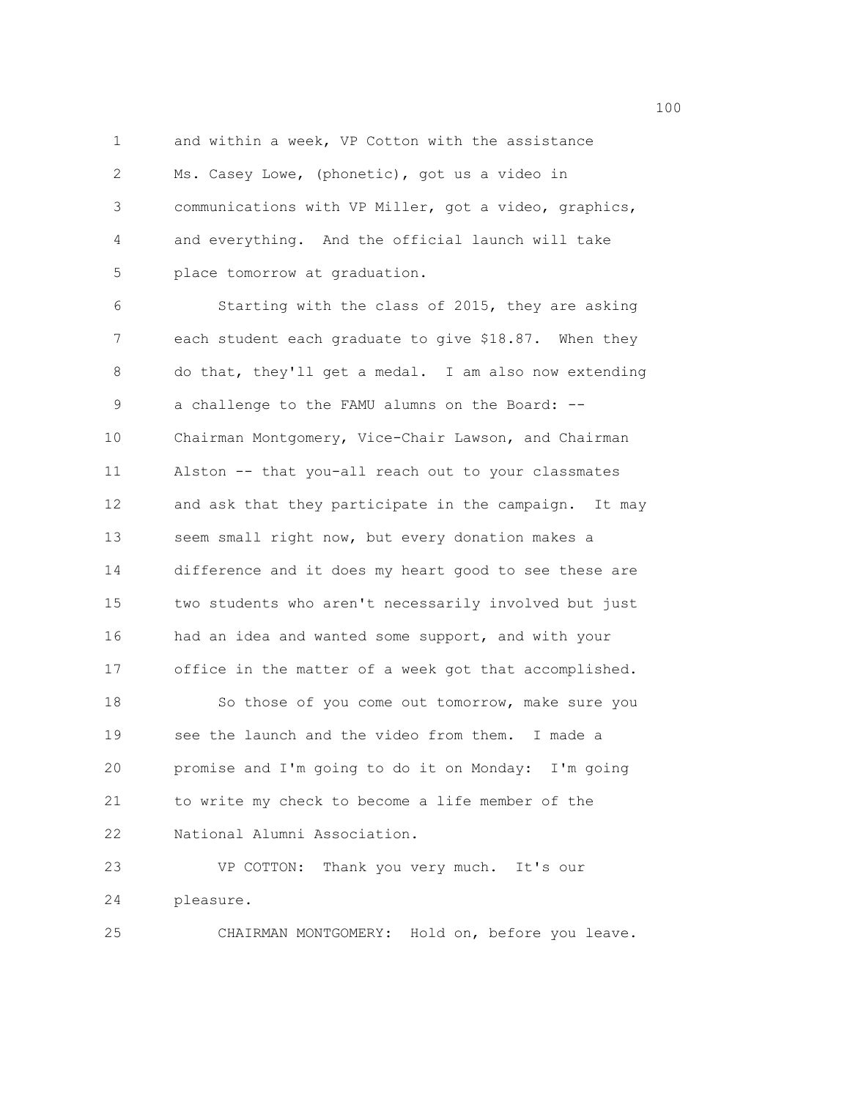1 and within a week, VP Cotton with the assistance 2 Ms. Casey Lowe, (phonetic), got us a video in 3 communications with VP Miller, got a video, graphics, 4 and everything. And the official launch will take 5 place tomorrow at graduation.

6 Starting with the class of 2015, they are asking 7 each student each graduate to give \$18.87. When they 8 do that, they'll get a medal. I am also now extending 9 a challenge to the FAMU alumns on the Board: --10 Chairman Montgomery, Vice-Chair Lawson, and Chairman 11 Alston -- that you-all reach out to your classmates 12 and ask that they participate in the campaign. It may 13 seem small right now, but every donation makes a 14 difference and it does my heart good to see these are 15 two students who aren't necessarily involved but just 16 had an idea and wanted some support, and with your 17 office in the matter of a week got that accomplished. 18 So those of you come out tomorrow, make sure you 19 see the launch and the video from them. I made a 20 promise and I'm going to do it on Monday: I'm going 21 to write my check to become a life member of the 22 National Alumni Association. 23 VP COTTON: Thank you very much. It's our 24 pleasure.

25 CHAIRMAN MONTGOMERY: Hold on, before you leave.

100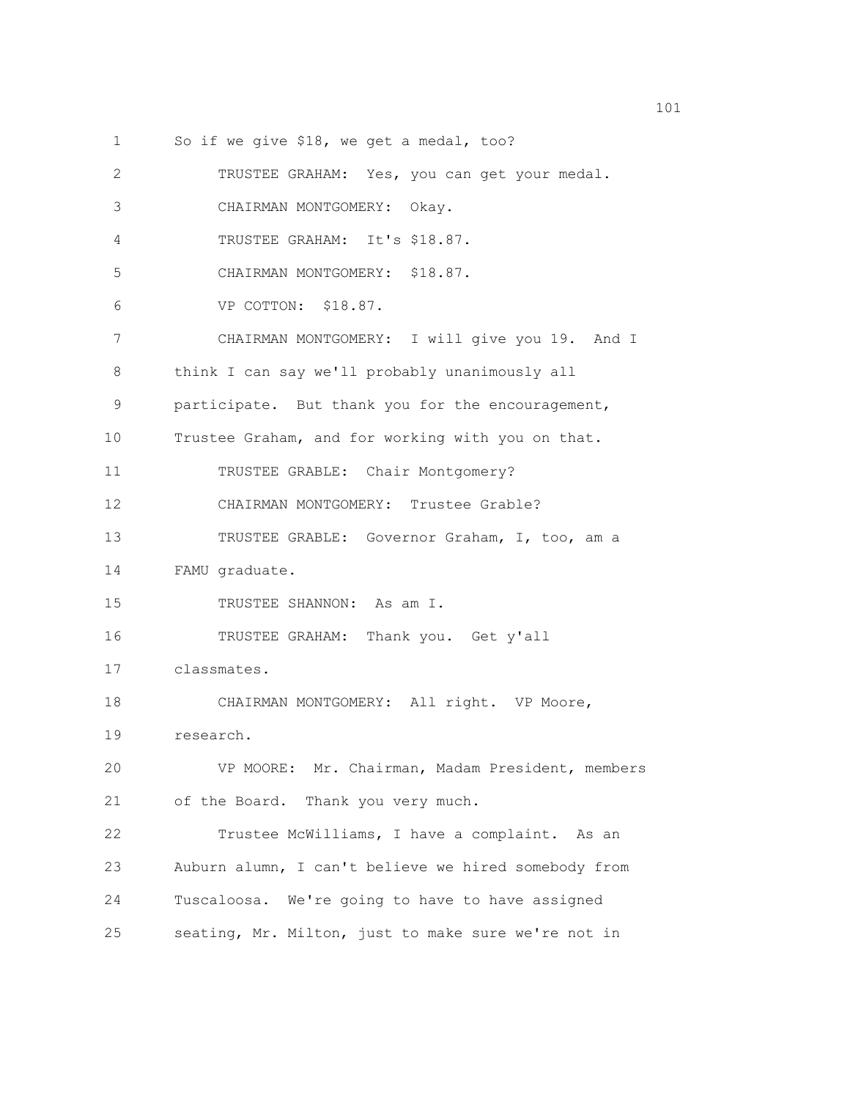1 So if we give \$18, we get a medal, too?

| 2  | TRUSTEE GRAHAM: Yes, you can get your medal.         |
|----|------------------------------------------------------|
| 3  | CHAIRMAN MONTGOMERY: Okay.                           |
| 4  | TRUSTEE GRAHAM: It's \$18.87.                        |
| 5  | CHAIRMAN MONTGOMERY: \$18.87.                        |
| 6  | VP COTTON: \$18.87.                                  |
| 7  | CHAIRMAN MONTGOMERY: I will give you 19. And I       |
| 8  | think I can say we'll probably unanimously all       |
| 9  | participate. But thank you for the encouragement,    |
| 10 | Trustee Graham, and for working with you on that.    |
| 11 | TRUSTEE GRABLE: Chair Montgomery?                    |
| 12 | CHAIRMAN MONTGOMERY: Trustee Grable?                 |
| 13 | TRUSTEE GRABLE: Governor Graham, I, too, am a        |
| 14 | FAMU graduate.                                       |
| 15 | TRUSTEE SHANNON: As am I.                            |
| 16 | TRUSTEE GRAHAM: Thank you. Get y'all                 |
| 17 | classmates.                                          |
| 18 | CHAIRMAN MONTGOMERY: All right. VP Moore,            |
| 19 | research.                                            |
| 20 | VP MOORE: Mr. Chairman, Madam President, members     |
| 21 | of the Board. Thank you very much.                   |
| 22 | Trustee McWilliams, I have a complaint. As an        |
| 23 | Auburn alumn, I can't believe we hired somebody from |
| 24 | Tuscaloosa. We're going to have to have assigned     |
| 25 | seating, Mr. Milton, just to make sure we're not in  |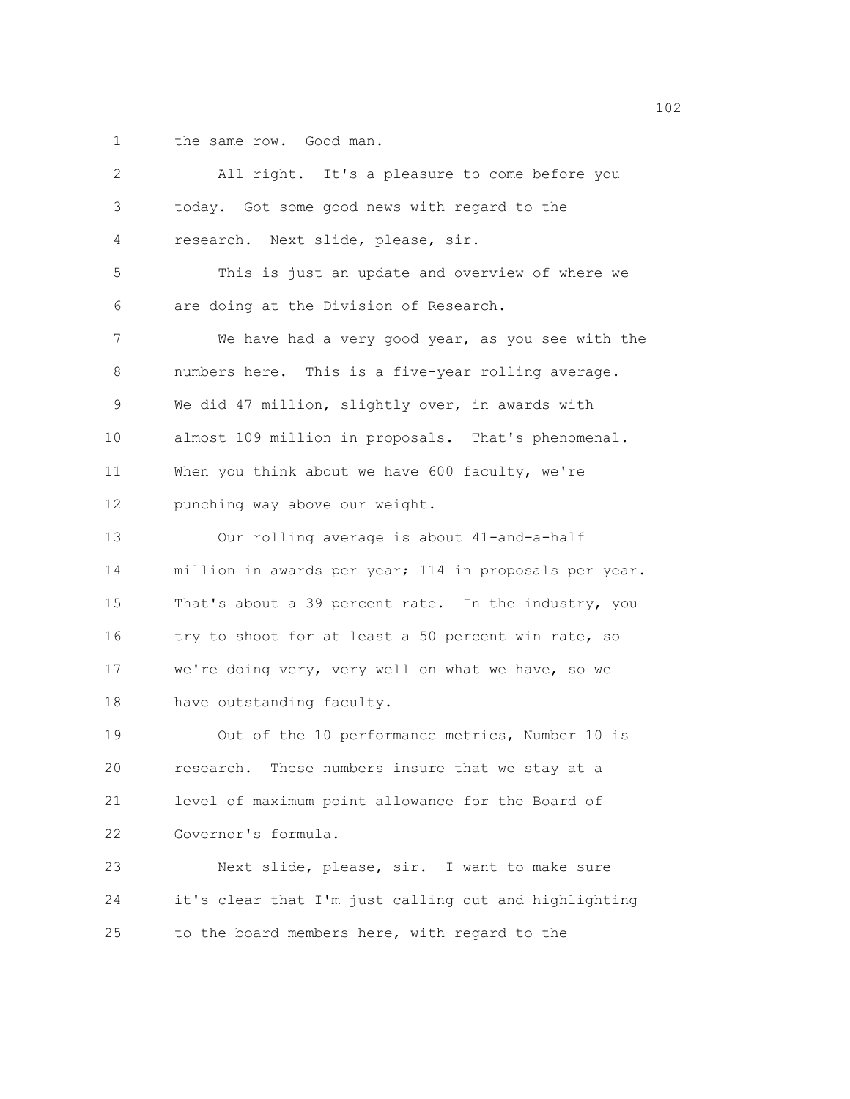1 the same row. Good man.

| 2  | All right. It's a pleasure to come before you          |
|----|--------------------------------------------------------|
| 3  | today. Got some good news with regard to the           |
| 4  | research. Next slide, please, sir.                     |
| 5  | This is just an update and overview of where we        |
| 6  | are doing at the Division of Research.                 |
| 7  | We have had a very good year, as you see with the      |
| 8  | numbers here. This is a five-year rolling average.     |
| 9  | We did 47 million, slightly over, in awards with       |
| 10 | almost 109 million in proposals. That's phenomenal.    |
| 11 | When you think about we have 600 faculty, we're        |
| 12 | punching way above our weight.                         |
| 13 | Our rolling average is about 41-and-a-half             |
| 14 | million in awards per year; 114 in proposals per year. |
| 15 | That's about a 39 percent rate. In the industry, you   |
| 16 | try to shoot for at least a 50 percent win rate, so    |
| 17 | we're doing very, very well on what we have, so we     |
| 18 | have outstanding faculty.                              |
| 19 | Out of the 10 performance metrics, Number 10 is        |
| 20 | research. These numbers insure that we stay at a       |
| 21 | level of maximum point allowance for the Board of      |
| 22 | Governor's formula.                                    |
| 23 | Next slide, please, sir. I want to make sure           |
| 24 | it's clear that I'm just calling out and highlighting  |
| 25 | to the board members here, with regard to the          |
|    |                                                        |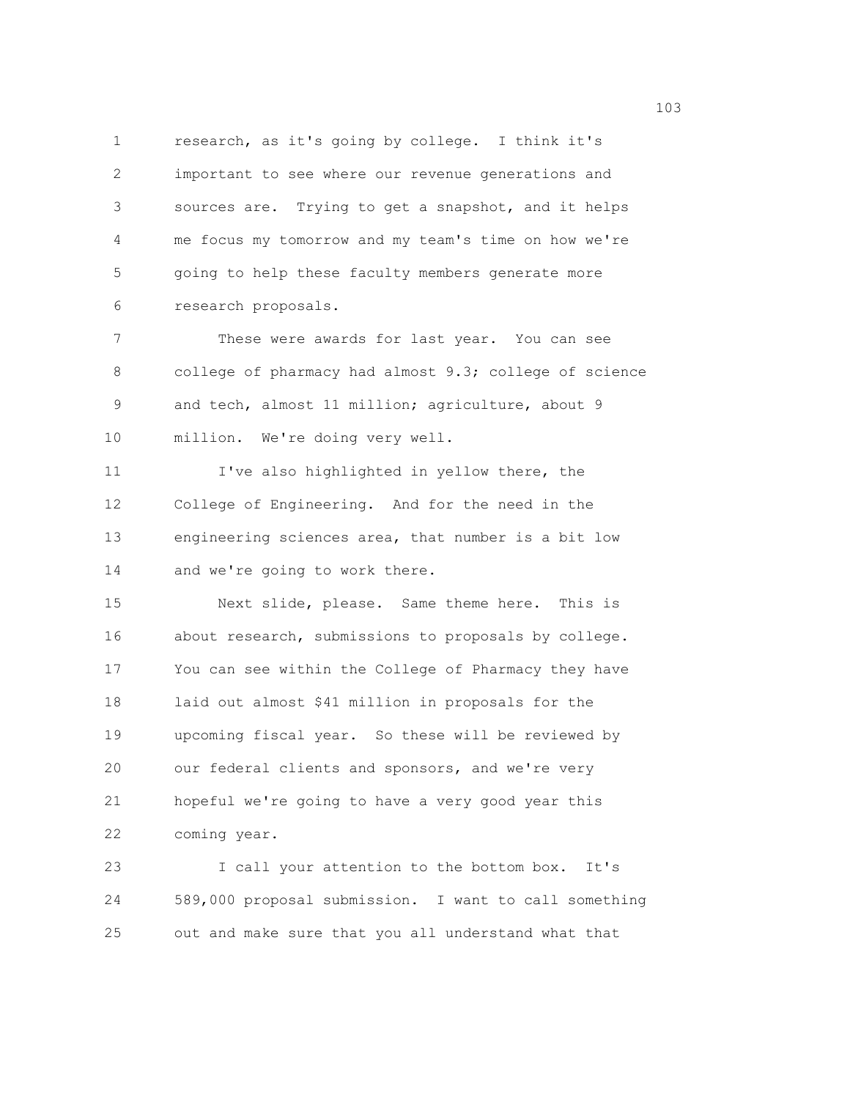1 research, as it's going by college. I think it's 2 important to see where our revenue generations and 3 sources are. Trying to get a snapshot, and it helps 4 me focus my tomorrow and my team's time on how we're 5 going to help these faculty members generate more 6 research proposals.

7 These were awards for last year. You can see 8 college of pharmacy had almost 9.3; college of science 9 and tech, almost 11 million; agriculture, about 9 10 million. We're doing very well.

11 I've also highlighted in yellow there, the 12 College of Engineering. And for the need in the 13 engineering sciences area, that number is a bit low 14 and we're going to work there.

15 Next slide, please. Same theme here. This is 16 about research, submissions to proposals by college. 17 You can see within the College of Pharmacy they have 18 laid out almost \$41 million in proposals for the 19 upcoming fiscal year. So these will be reviewed by 20 our federal clients and sponsors, and we're very 21 hopeful we're going to have a very good year this 22 coming year.

23 I call your attention to the bottom box. It's 24 589,000 proposal submission. I want to call something 25 out and make sure that you all understand what that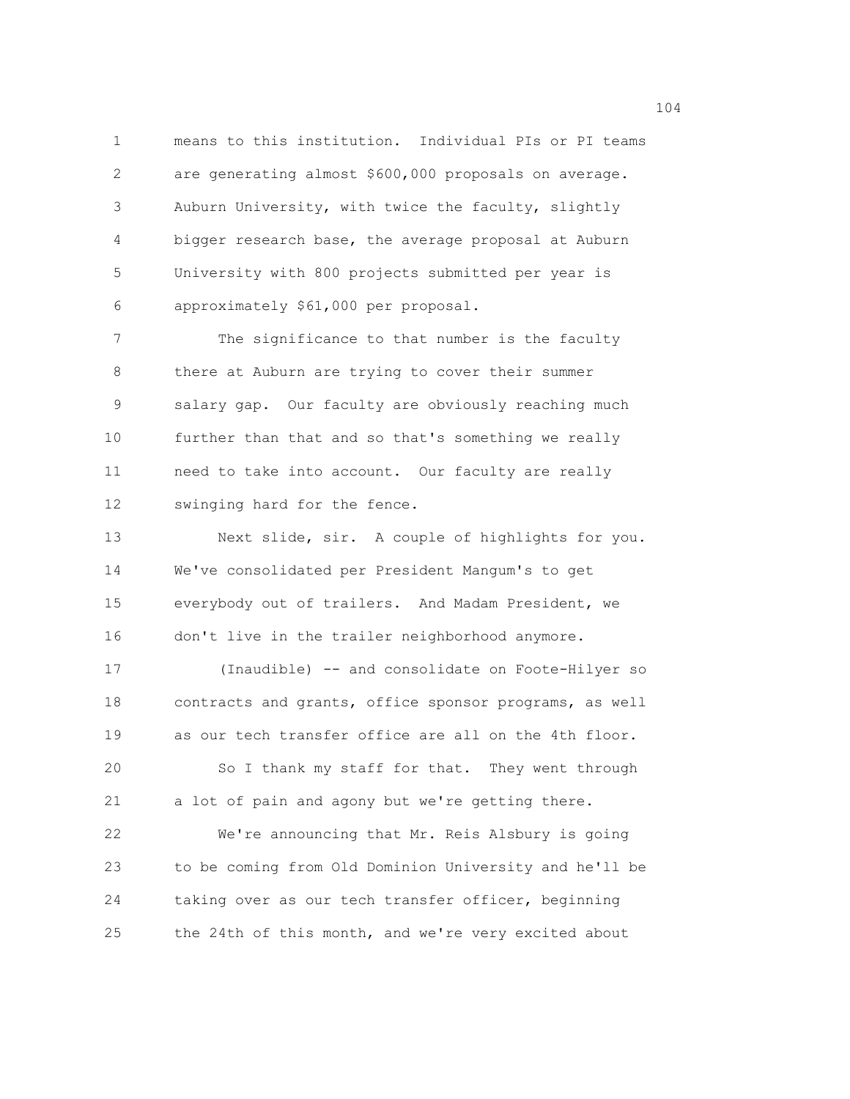1 means to this institution. Individual PIs or PI teams 2 are generating almost \$600,000 proposals on average. 3 Auburn University, with twice the faculty, slightly 4 bigger research base, the average proposal at Auburn 5 University with 800 projects submitted per year is 6 approximately \$61,000 per proposal.

7 The significance to that number is the faculty 8 there at Auburn are trying to cover their summer 9 salary gap. Our faculty are obviously reaching much 10 further than that and so that's something we really 11 need to take into account. Our faculty are really 12 swinging hard for the fence.

13 Next slide, sir. A couple of highlights for you. 14 We've consolidated per President Mangum's to get 15 everybody out of trailers. And Madam President, we 16 don't live in the trailer neighborhood anymore.

17 (Inaudible) -- and consolidate on Foote-Hilyer so 18 contracts and grants, office sponsor programs, as well 19 as our tech transfer office are all on the 4th floor.

20 So I thank my staff for that. They went through 21 a lot of pain and agony but we're getting there.

22 We're announcing that Mr. Reis Alsbury is going 23 to be coming from Old Dominion University and he'll be 24 taking over as our tech transfer officer, beginning 25 the 24th of this month, and we're very excited about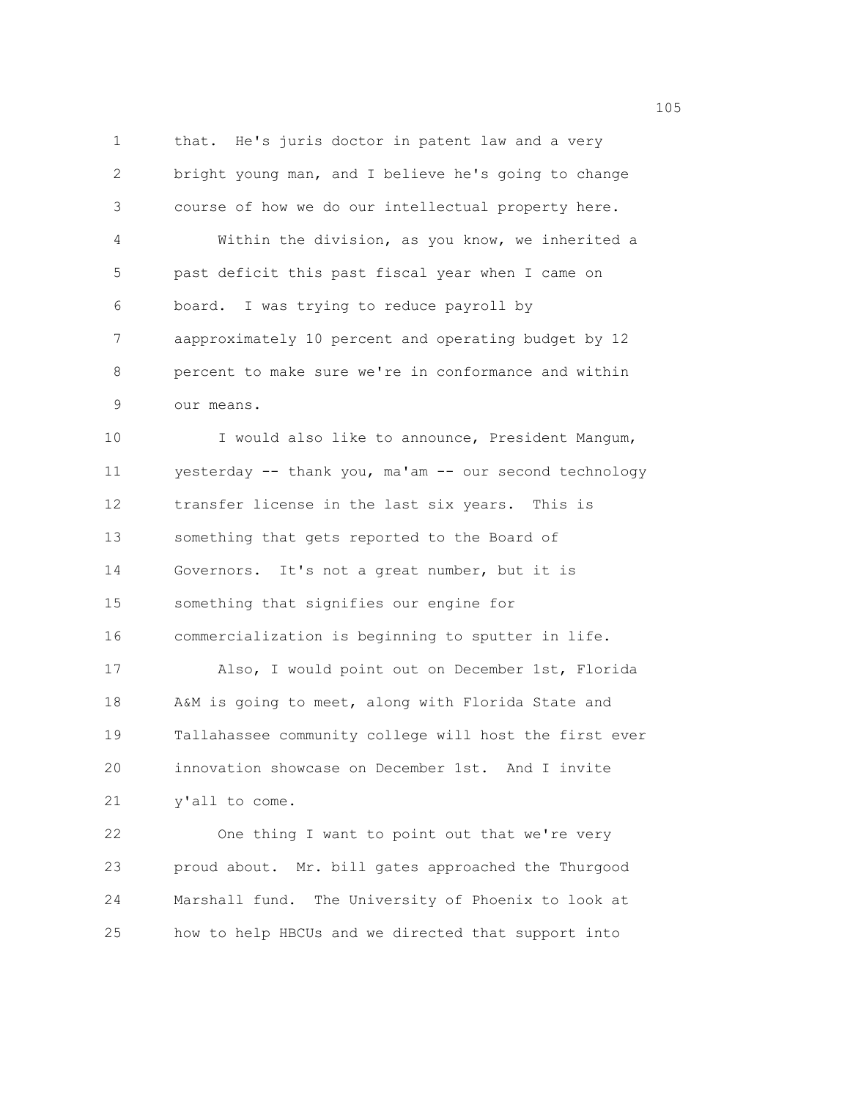1 that. He's juris doctor in patent law and a very 2 bright young man, and I believe he's going to change 3 course of how we do our intellectual property here. 4 Within the division, as you know, we inherited a 5 past deficit this past fiscal year when I came on 6 board. I was trying to reduce payroll by 7 aapproximately 10 percent and operating budget by 12 8 percent to make sure we're in conformance and within 9 our means. 10 I would also like to announce, President Mangum, 11 yesterday -- thank you, ma'am -- our second technology 12 transfer license in the last six years. This is 13 something that gets reported to the Board of 14 Governors. It's not a great number, but it is 15 something that signifies our engine for 16 commercialization is beginning to sputter in life. 17 Also, I would point out on December 1st, Florida 18 A&M is going to meet, along with Florida State and 19 Tallahassee community college will host the first ever 20 innovation showcase on December 1st. And I invite 21 y'all to come. 22 One thing I want to point out that we're very 23 proud about. Mr. bill gates approached the Thurgood 24 Marshall fund. The University of Phoenix to look at 25 how to help HBCUs and we directed that support into

<u>105</u>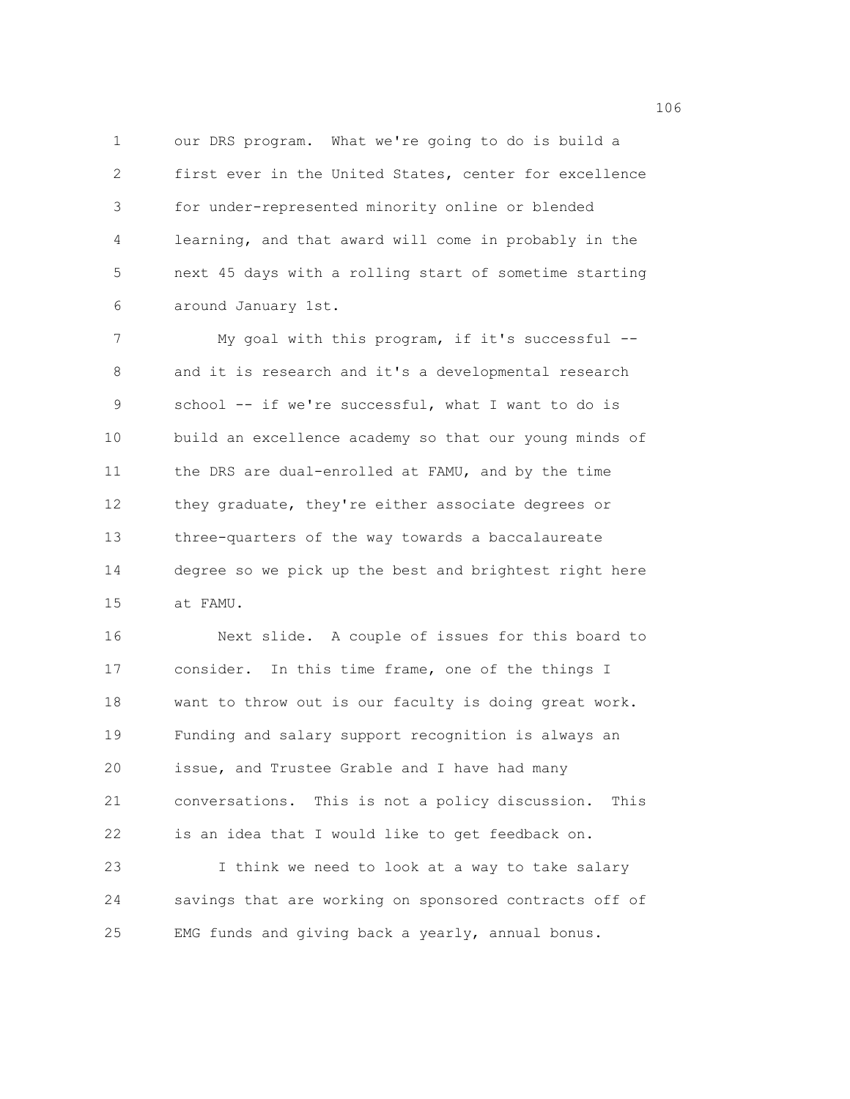1 our DRS program. What we're going to do is build a 2 first ever in the United States, center for excellence 3 for under-represented minority online or blended 4 learning, and that award will come in probably in the 5 next 45 days with a rolling start of sometime starting 6 around January 1st.

7 My goal with this program, if it's successful -- 8 and it is research and it's a developmental research 9 school -- if we're successful, what I want to do is 10 build an excellence academy so that our young minds of 11 the DRS are dual-enrolled at FAMU, and by the time 12 they graduate, they're either associate degrees or 13 three-quarters of the way towards a baccalaureate 14 degree so we pick up the best and brightest right here 15 at FAMU.

16 Next slide. A couple of issues for this board to 17 consider. In this time frame, one of the things I 18 want to throw out is our faculty is doing great work. 19 Funding and salary support recognition is always an 20 issue, and Trustee Grable and I have had many 21 conversations. This is not a policy discussion. This 22 is an idea that I would like to get feedback on. 23 I think we need to look at a way to take salary 24 savings that are working on sponsored contracts off of 25 EMG funds and giving back a yearly, annual bonus.

106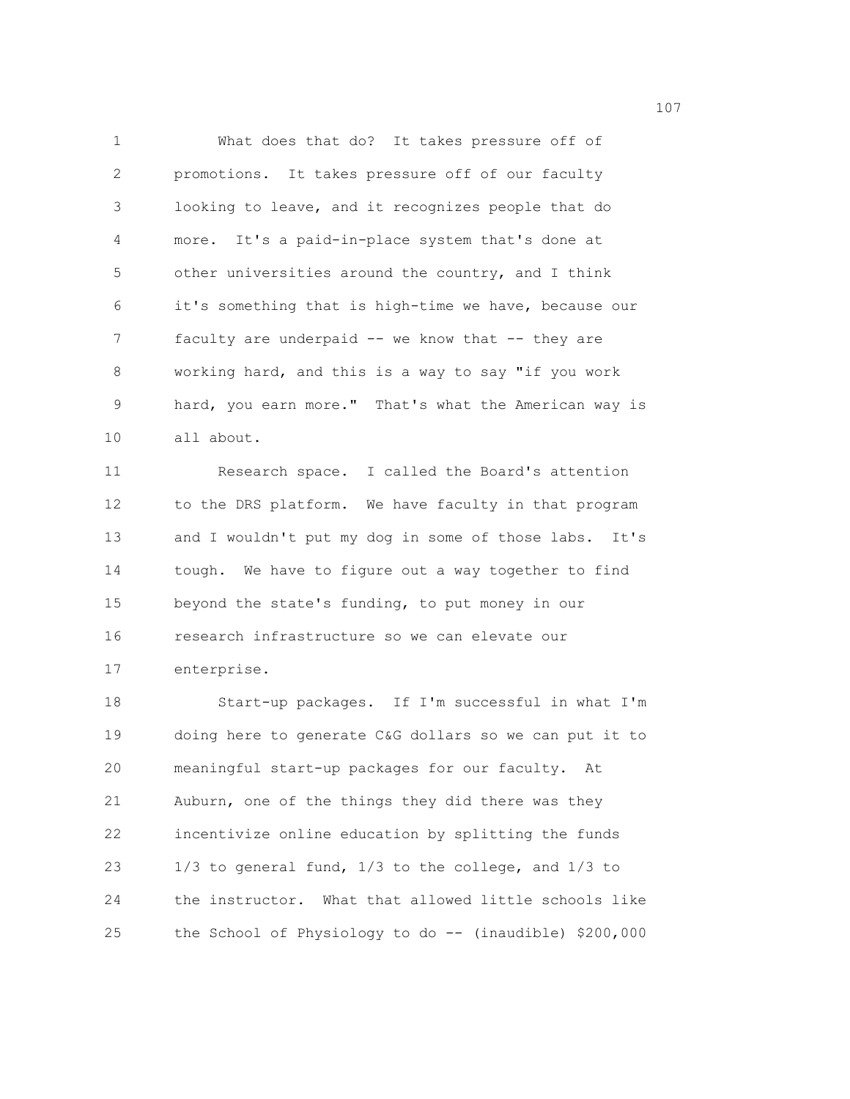1 What does that do? It takes pressure off of 2 promotions. It takes pressure off of our faculty 3 looking to leave, and it recognizes people that do 4 more. It's a paid-in-place system that's done at 5 other universities around the country, and I think 6 it's something that is high-time we have, because our 7 faculty are underpaid -- we know that -- they are 8 working hard, and this is a way to say "if you work 9 hard, you earn more." That's what the American way is 10 all about.

11 Research space. I called the Board's attention 12 to the DRS platform. We have faculty in that program 13 and I wouldn't put my dog in some of those labs. It's 14 tough. We have to figure out a way together to find 15 beyond the state's funding, to put money in our 16 research infrastructure so we can elevate our 17 enterprise.

18 Start-up packages. If I'm successful in what I'm 19 doing here to generate C&G dollars so we can put it to 20 meaningful start-up packages for our faculty. At 21 Auburn, one of the things they did there was they 22 incentivize online education by splitting the funds 23 1/3 to general fund, 1/3 to the college, and 1/3 to 24 the instructor. What that allowed little schools like 25 the School of Physiology to do -- (inaudible) \$200,000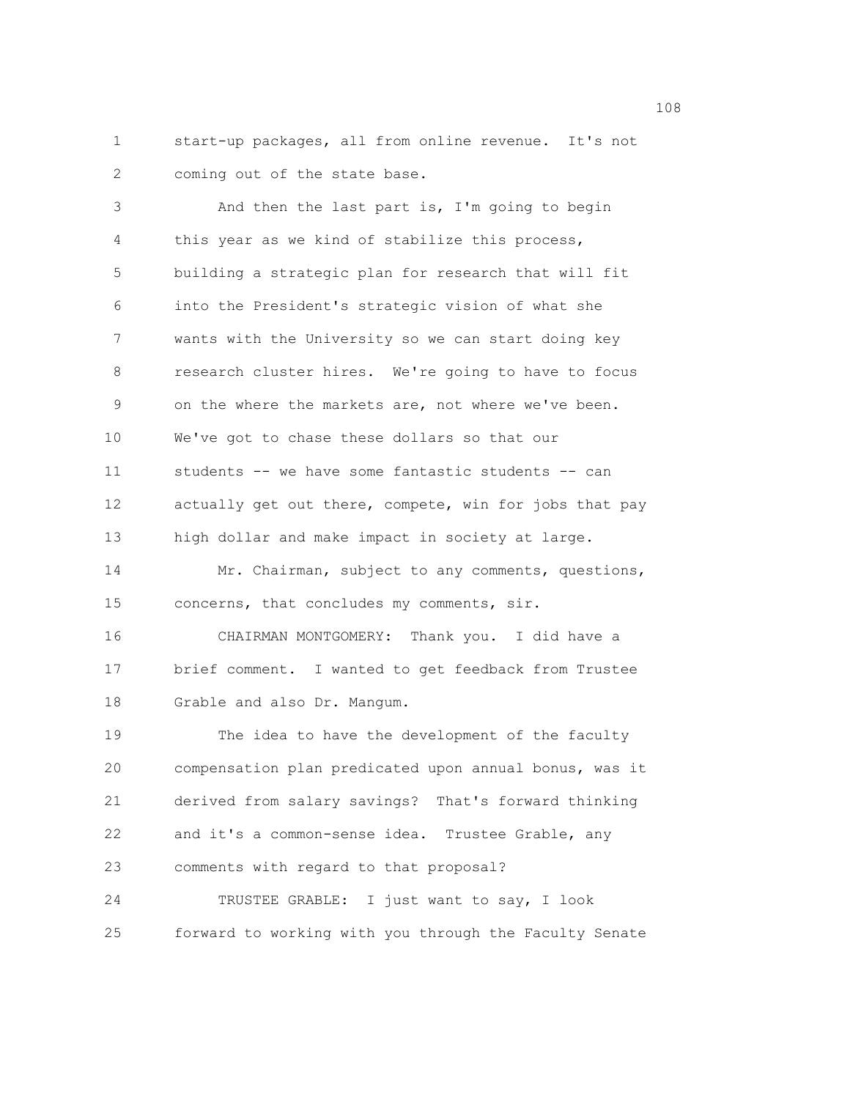1 start-up packages, all from online revenue. It's not 2 coming out of the state base.

3 And then the last part is, I'm going to begin 4 this year as we kind of stabilize this process, 5 building a strategic plan for research that will fit 6 into the President's strategic vision of what she 7 wants with the University so we can start doing key 8 research cluster hires. We're going to have to focus 9 on the where the markets are, not where we've been. 10 We've got to chase these dollars so that our 11 students -- we have some fantastic students -- can 12 actually get out there, compete, win for jobs that pay 13 high dollar and make impact in society at large. 14 Mr. Chairman, subject to any comments, questions, 15 concerns, that concludes my comments, sir. 16 CHAIRMAN MONTGOMERY: Thank you. I did have a 17 brief comment. I wanted to get feedback from Trustee 18 Grable and also Dr. Mangum. 19 The idea to have the development of the faculty 20 compensation plan predicated upon annual bonus, was it 21 derived from salary savings? That's forward thinking 22 and it's a common-sense idea. Trustee Grable, any 23 comments with regard to that proposal? 24 TRUSTEE GRABLE: I just want to say, I look 25 forward to working with you through the Faculty Senate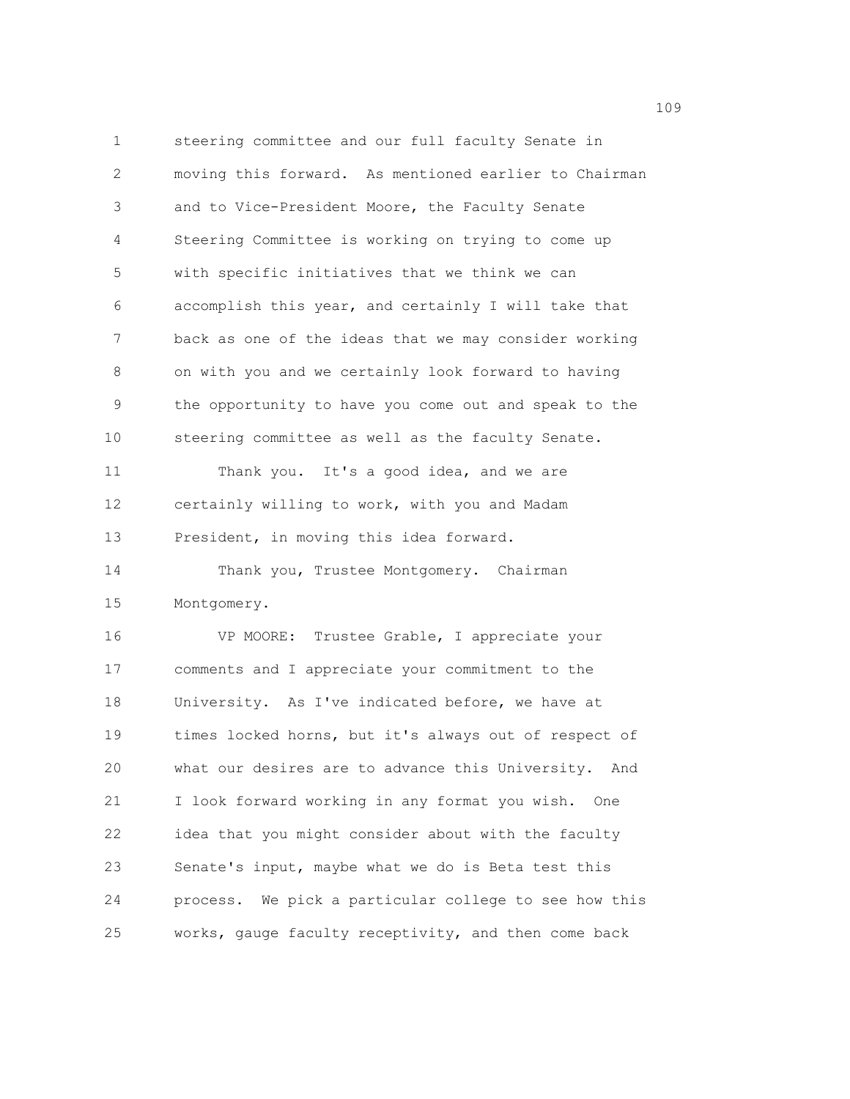1 steering committee and our full faculty Senate in 2 moving this forward. As mentioned earlier to Chairman 3 and to Vice-President Moore, the Faculty Senate 4 Steering Committee is working on trying to come up 5 with specific initiatives that we think we can 6 accomplish this year, and certainly I will take that 7 back as one of the ideas that we may consider working 8 on with you and we certainly look forward to having 9 the opportunity to have you come out and speak to the 10 steering committee as well as the faculty Senate. 11 Thank you. It's a good idea, and we are 12 certainly willing to work, with you and Madam 13 President, in moving this idea forward. 14 Thank you, Trustee Montgomery. Chairman 15 Montgomery. 16 VP MOORE: Trustee Grable, I appreciate your 17 comments and I appreciate your commitment to the 18 University. As I've indicated before, we have at 19 times locked horns, but it's always out of respect of 20 what our desires are to advance this University. And 21 I look forward working in any format you wish. One 22 idea that you might consider about with the faculty 23 Senate's input, maybe what we do is Beta test this 24 process. We pick a particular college to see how this 25 works, gauge faculty receptivity, and then come back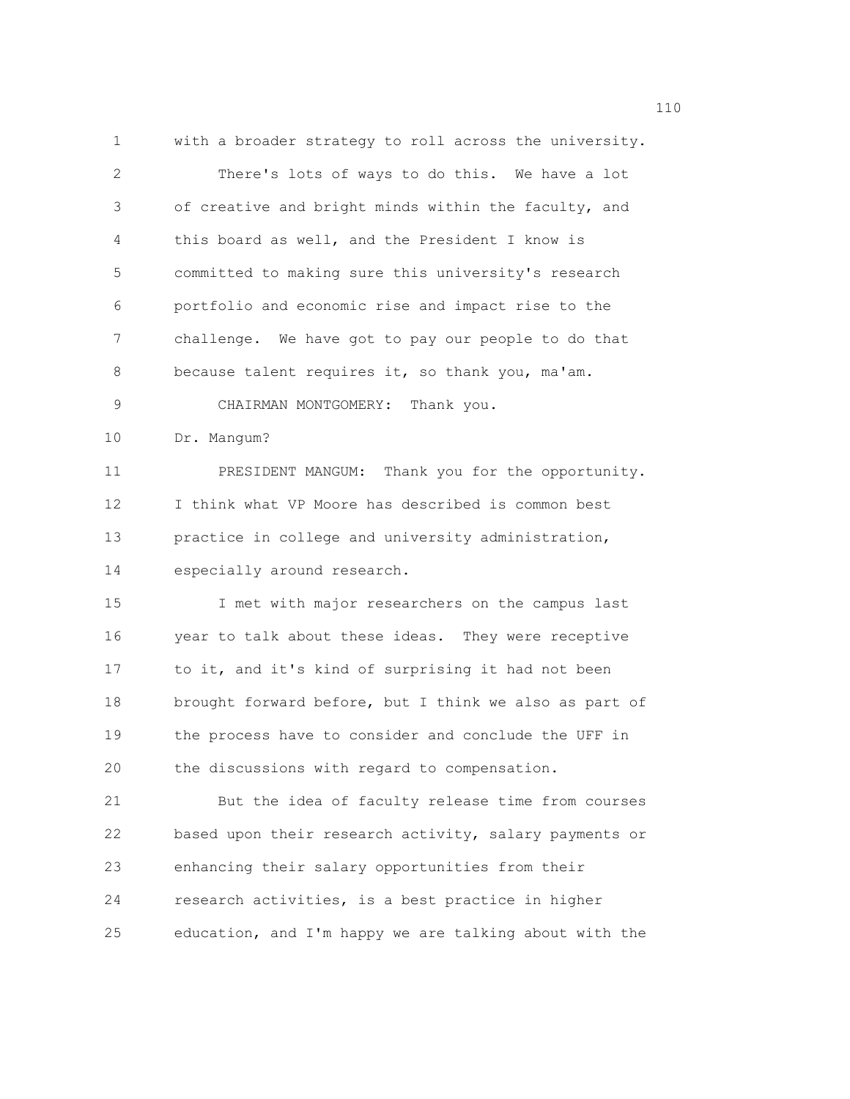1 with a broader strategy to roll across the university. 2 There's lots of ways to do this. We have a lot 3 of creative and bright minds within the faculty, and 4 this board as well, and the President I know is 5 committed to making sure this university's research 6 portfolio and economic rise and impact rise to the 7 challenge. We have got to pay our people to do that 8 because talent requires it, so thank you, ma'am. 9 CHAIRMAN MONTGOMERY: Thank you. 10 Dr. Mangum? 11 PRESIDENT MANGUM: Thank you for the opportunity. 12 I think what VP Moore has described is common best 13 practice in college and university administration, 14 especially around research. 15 I met with major researchers on the campus last 16 year to talk about these ideas. They were receptive 17 to it, and it's kind of surprising it had not been 18 brought forward before, but I think we also as part of 19 the process have to consider and conclude the UFF in 20 the discussions with regard to compensation. 21 But the idea of faculty release time from courses 22 based upon their research activity, salary payments or 23 enhancing their salary opportunities from their 24 research activities, is a best practice in higher 25 education, and I'm happy we are talking about with the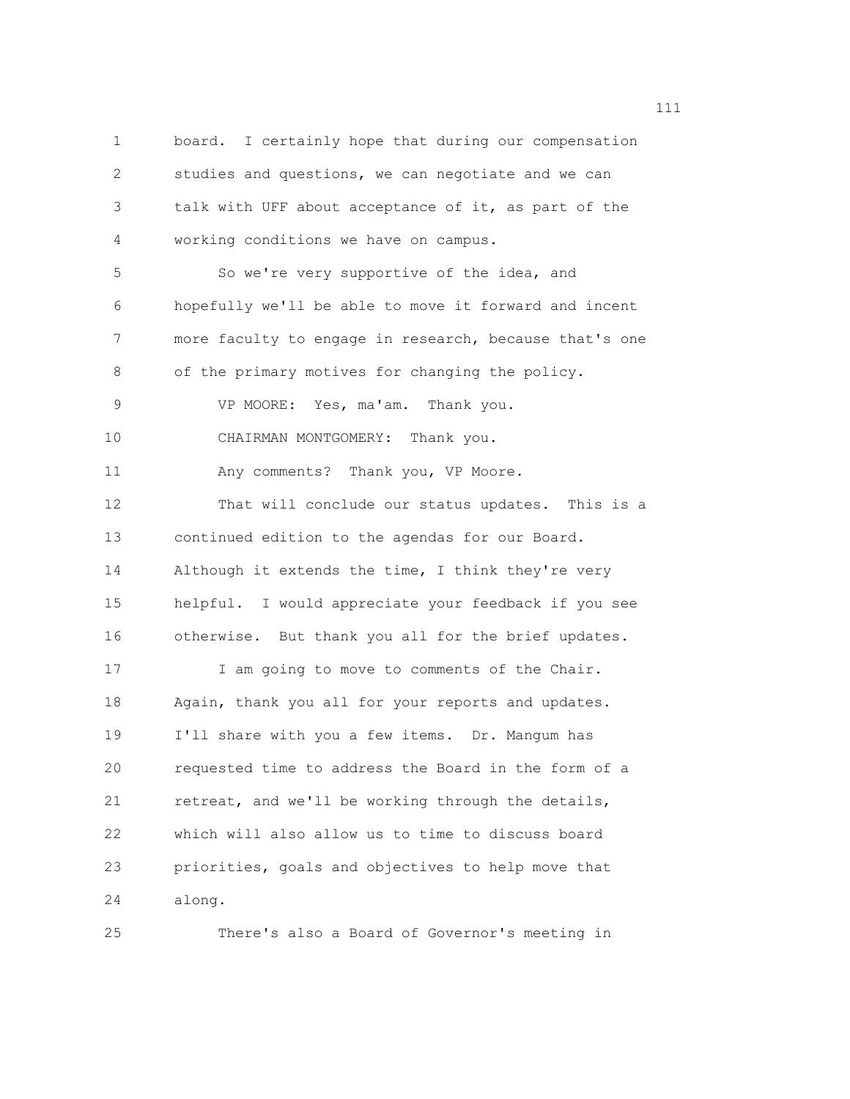1 board. I certainly hope that during our compensation 2 studies and questions, we can negotiate and we can 3 talk with UFF about acceptance of it, as part of the 4 working conditions we have on campus. 5 So we're very supportive of the idea, and 6 hopefully we'll be able to move it forward and incent 7 more faculty to engage in research, because that's one 8 of the primary motives for changing the policy. 9 VP MOORE: Yes, ma'am. Thank you. 10 CHAIRMAN MONTGOMERY: Thank you. 11 Any comments? Thank you, VP Moore. 12 That will conclude our status updates. This is a 13 continued edition to the agendas for our Board. 14 Although it extends the time, I think they're very 15 helpful. I would appreciate your feedback if you see 16 otherwise. But thank you all for the brief updates. 17 I am going to move to comments of the Chair. 18 Again, thank you all for your reports and updates. 19 I'll share with you a few items. Dr. Mangum has 20 requested time to address the Board in the form of a 21 retreat, and we'll be working through the details, 22 which will also allow us to time to discuss board 23 priorities, goals and objectives to help move that 24 along.

25 There's also a Board of Governor's meeting in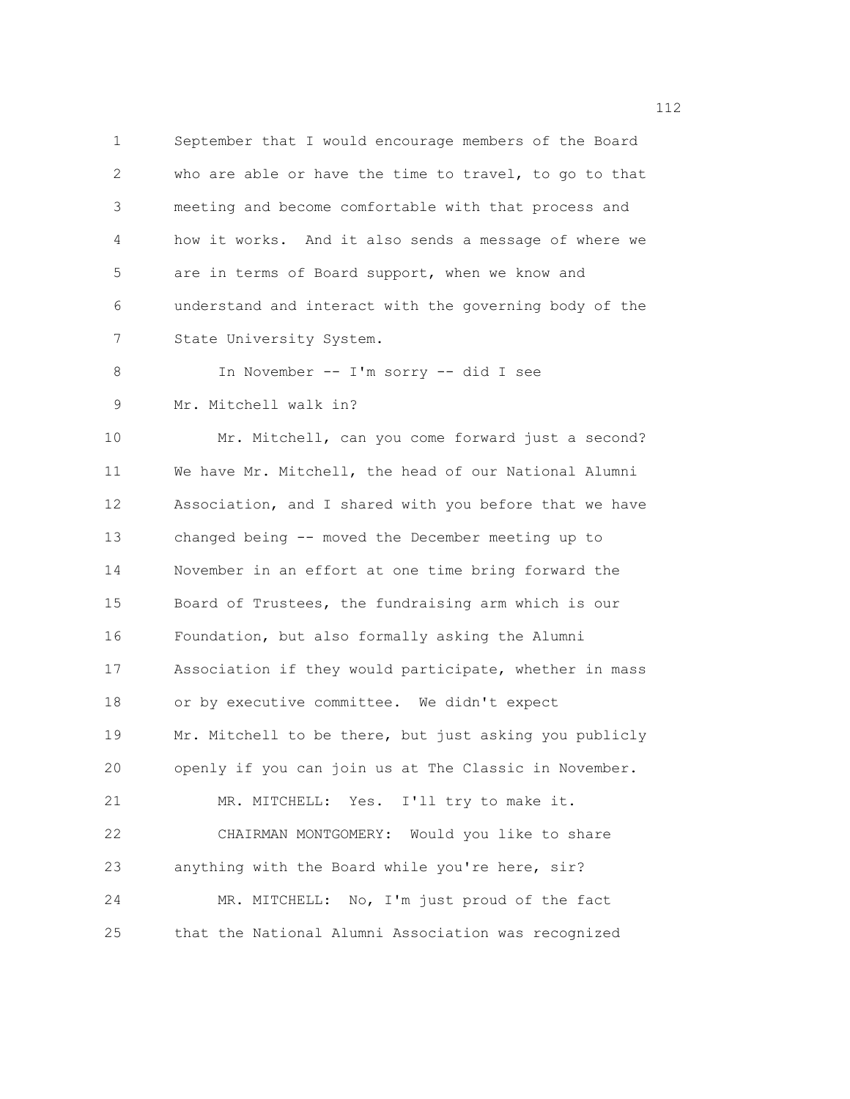1 September that I would encourage members of the Board 2 who are able or have the time to travel, to go to that 3 meeting and become comfortable with that process and 4 how it works. And it also sends a message of where we 5 are in terms of Board support, when we know and 6 understand and interact with the governing body of the 7 State University System. 8 In November -- I'm sorry -- did I see 9 Mr. Mitchell walk in? 10 Mr. Mitchell, can you come forward just a second? 11 We have Mr. Mitchell, the head of our National Alumni 12 Association, and I shared with you before that we have 13 changed being -- moved the December meeting up to 14 November in an effort at one time bring forward the 15 Board of Trustees, the fundraising arm which is our 16 Foundation, but also formally asking the Alumni 17 Association if they would participate, whether in mass

18 or by executive committee. We didn't expect 19 Mr. Mitchell to be there, but just asking you publicly 20 openly if you can join us at The Classic in November. 21 MR. MITCHELL: Yes. I'll try to make it. 22 CHAIRMAN MONTGOMERY: Would you like to share 23 anything with the Board while you're here, sir? 24 MR. MITCHELL: No, I'm just proud of the fact 25 that the National Alumni Association was recognized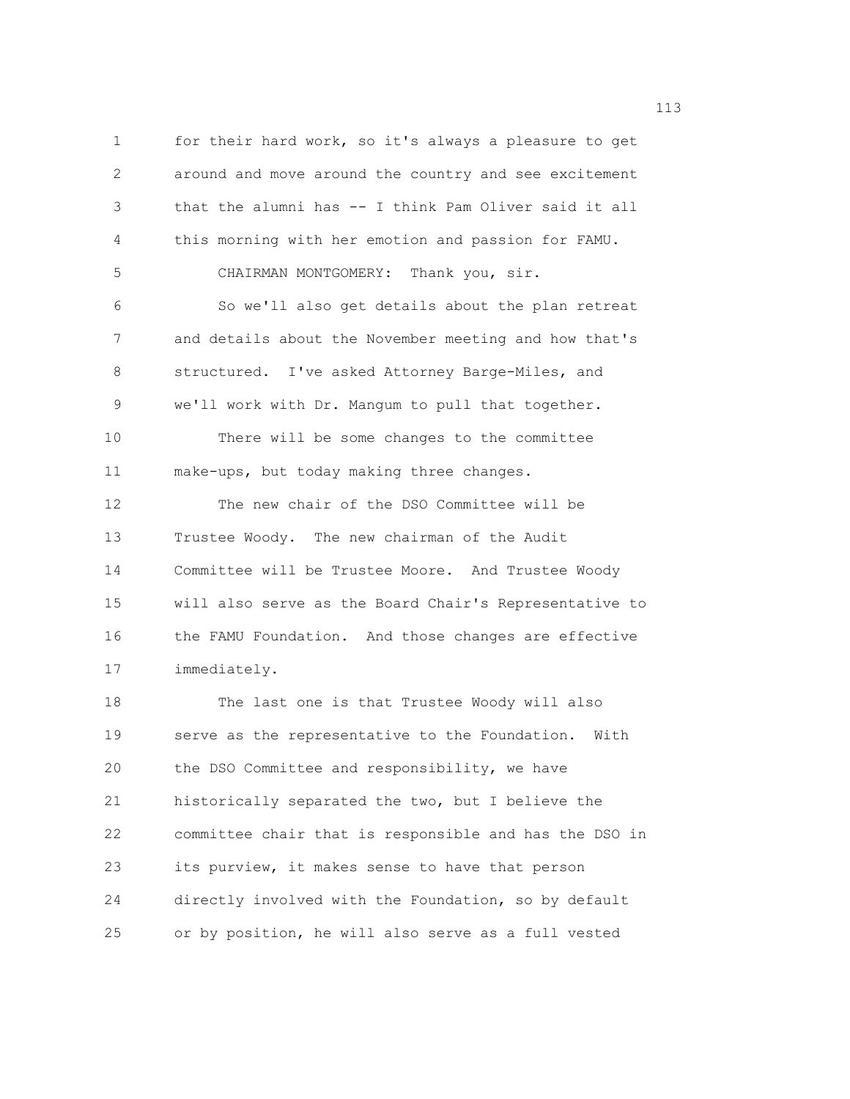1 for their hard work, so it's always a pleasure to get 2 around and move around the country and see excitement 3 that the alumni has -- I think Pam Oliver said it all 4 this morning with her emotion and passion for FAMU. 5 CHAIRMAN MONTGOMERY: Thank you, sir. 6 So we'll also get details about the plan retreat 7 and details about the November meeting and how that's 8 structured. I've asked Attorney Barge-Miles, and 9 we'll work with Dr. Mangum to pull that together. 10 There will be some changes to the committee 11 make-ups, but today making three changes. 12 The new chair of the DSO Committee will be 13 Trustee Woody. The new chairman of the Audit 14 Committee will be Trustee Moore. And Trustee Woody 15 will also serve as the Board Chair's Representative to 16 the FAMU Foundation. And those changes are effective 17 immediately. 18 The last one is that Trustee Woody will also 19 serve as the representative to the Foundation. With 20 the DSO Committee and responsibility, we have 21 historically separated the two, but I believe the 22 committee chair that is responsible and has the DSO in 23 its purview, it makes sense to have that person 24 directly involved with the Foundation, so by default 25 or by position, he will also serve as a full vested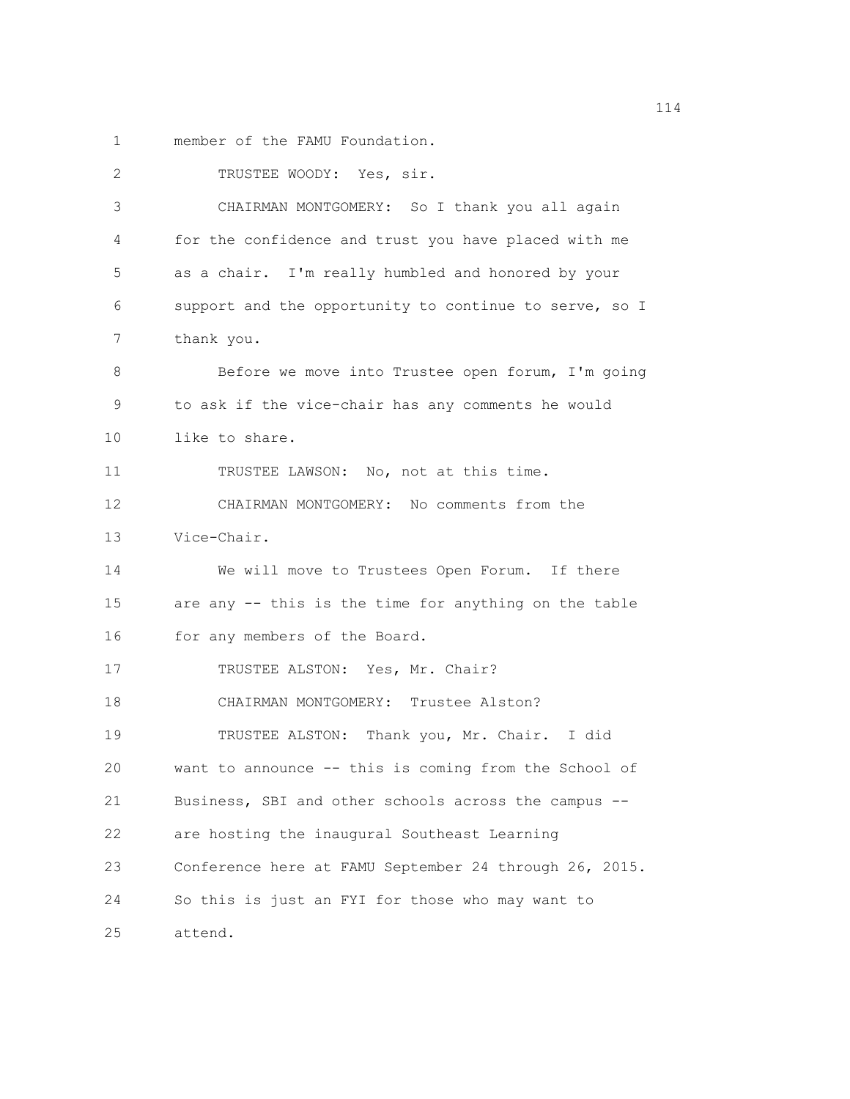1 member of the FAMU Foundation.

| 2  | TRUSTEE WOODY: Yes, sir.                               |
|----|--------------------------------------------------------|
| 3  | CHAIRMAN MONTGOMERY: So I thank you all again          |
| 4  | for the confidence and trust you have placed with me   |
| 5  | as a chair. I'm really humbled and honored by your     |
| 6  | support and the opportunity to continue to serve, so I |
| 7  | thank you.                                             |
| 8  | Before we move into Trustee open forum, I'm going      |
| 9  | to ask if the vice-chair has any comments he would     |
| 10 | like to share.                                         |
| 11 | TRUSTEE LAWSON: No, not at this time.                  |
| 12 | CHAIRMAN MONTGOMERY: No comments from the              |
| 13 | Vice-Chair.                                            |
| 14 | We will move to Trustees Open Forum. If there          |
| 15 | are any -- this is the time for anything on the table  |
| 16 | for any members of the Board.                          |
| 17 | TRUSTEE ALSTON: Yes, Mr. Chair?                        |
| 18 | CHAIRMAN MONTGOMERY: Trustee Alston?                   |
| 19 | TRUSTEE ALSTON: Thank you, Mr. Chair. I did            |
| 20 | want to announce -- this is coming from the School of  |
| 21 | Business, SBI and other schools across the campus --   |
| 22 | are hosting the inaugural Southeast Learning           |
| 23 | Conference here at FAMU September 24 through 26, 2015. |
| 24 | So this is just an FYI for those who may want to       |
| 25 | attend.                                                |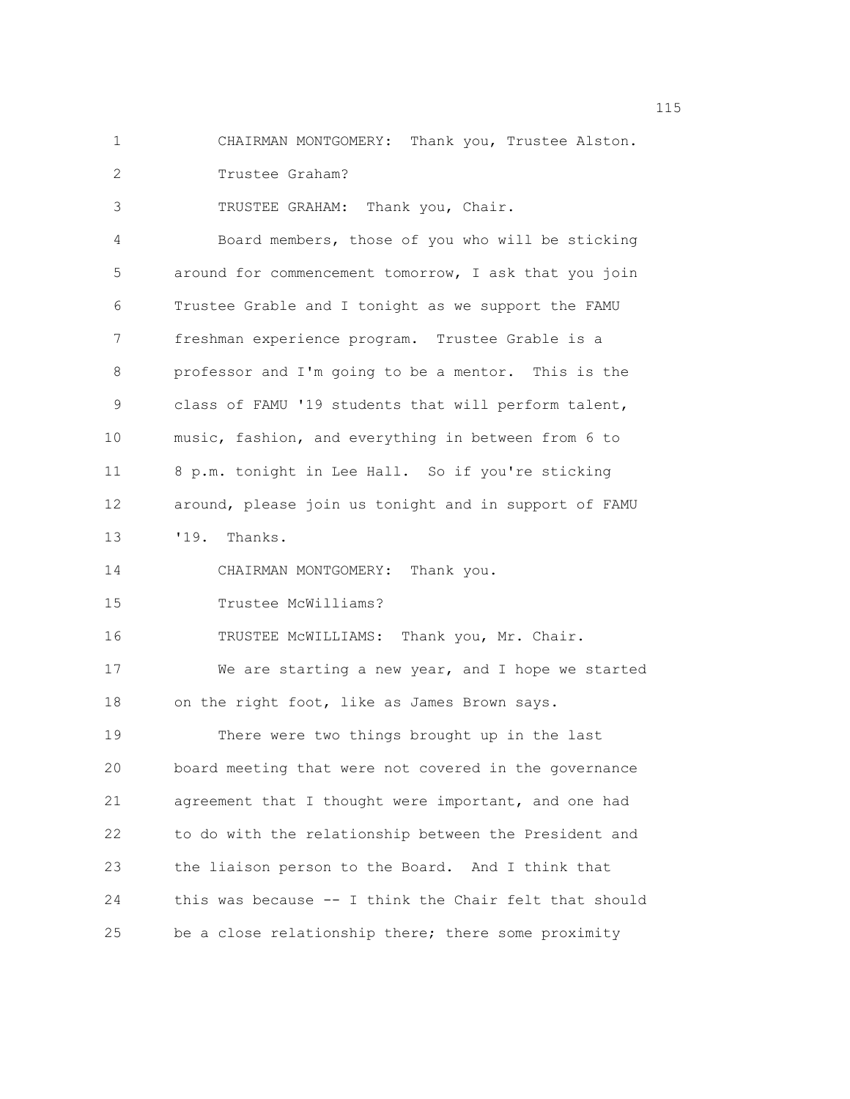1 CHAIRMAN MONTGOMERY: Thank you, Trustee Alston.

2 Trustee Graham?

3 TRUSTEE GRAHAM: Thank you, Chair.

4 Board members, those of you who will be sticking 5 around for commencement tomorrow, I ask that you join 6 Trustee Grable and I tonight as we support the FAMU 7 freshman experience program. Trustee Grable is a 8 professor and I'm going to be a mentor. This is the 9 class of FAMU '19 students that will perform talent, 10 music, fashion, and everything in between from 6 to 11 8 p.m. tonight in Lee Hall. So if you're sticking 12 around, please join us tonight and in support of FAMU 13 '19. Thanks.

14 CHAIRMAN MONTGOMERY: Thank you.

15 Trustee McWilliams?

16 TRUSTEE MCWILLIAMS: Thank you, Mr. Chair.

17 We are starting a new year, and I hope we started 18 on the right foot, like as James Brown says.

19 There were two things brought up in the last 20 board meeting that were not covered in the governance 21 agreement that I thought were important, and one had 22 to do with the relationship between the President and 23 the liaison person to the Board. And I think that 24 this was because -- I think the Chair felt that should 25 be a close relationship there; there some proximity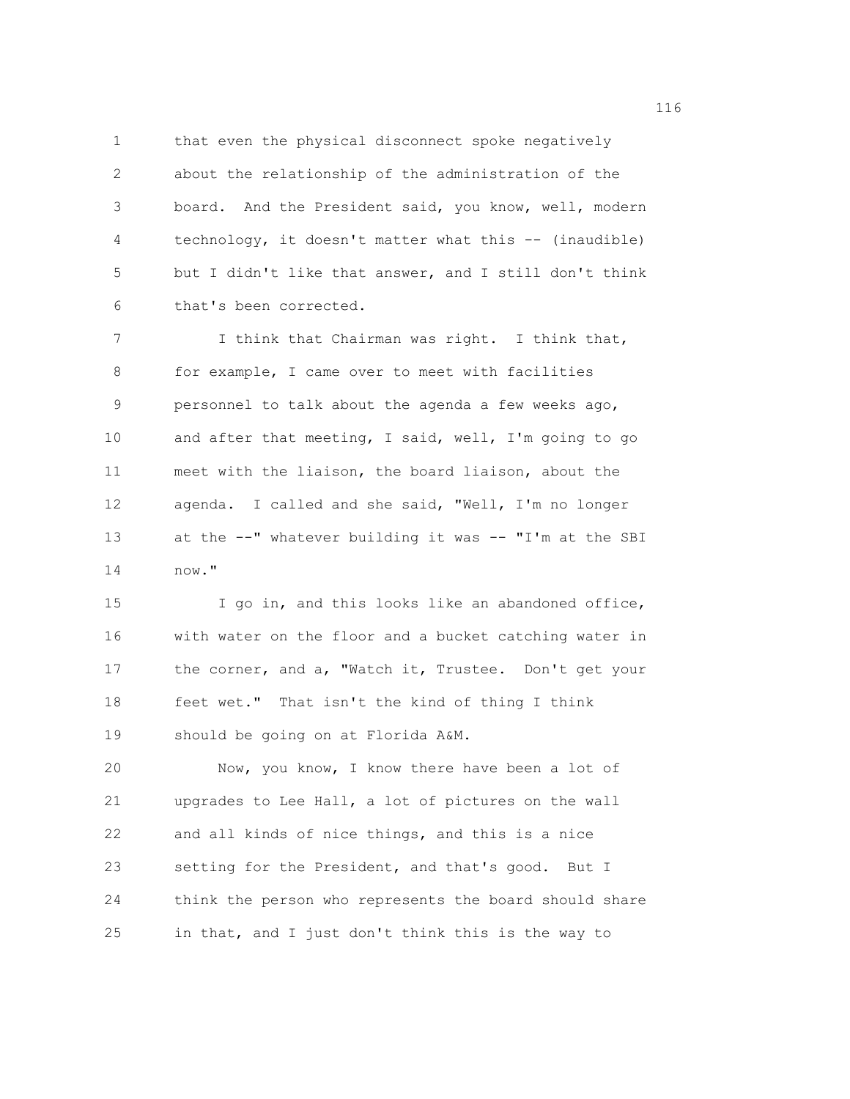1 that even the physical disconnect spoke negatively 2 about the relationship of the administration of the 3 board. And the President said, you know, well, modern 4 technology, it doesn't matter what this -- (inaudible) 5 but I didn't like that answer, and I still don't think 6 that's been corrected.

7 I think that Chairman was right. I think that, 8 for example, I came over to meet with facilities 9 personnel to talk about the agenda a few weeks ago, 10 and after that meeting, I said, well, I'm going to go 11 meet with the liaison, the board liaison, about the 12 agenda. I called and she said, "Well, I'm no longer 13 at the --" whatever building it was -- "I'm at the SBI 14 now."

15 I go in, and this looks like an abandoned office, 16 with water on the floor and a bucket catching water in 17 the corner, and a, "Watch it, Trustee. Don't get your 18 feet wet." That isn't the kind of thing I think 19 should be going on at Florida A&M.

20 Now, you know, I know there have been a lot of 21 upgrades to Lee Hall, a lot of pictures on the wall 22 and all kinds of nice things, and this is a nice 23 setting for the President, and that's good. But I 24 think the person who represents the board should share 25 in that, and I just don't think this is the way to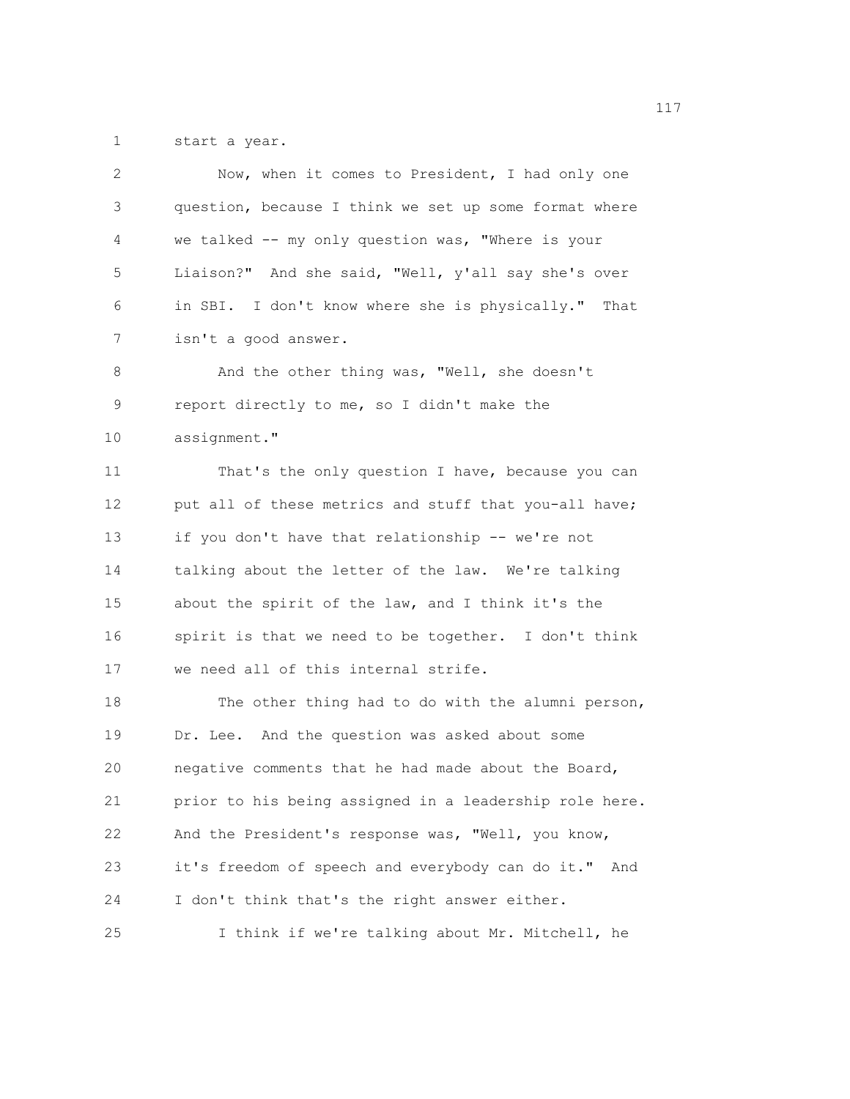1 start a year.

| 2  | Now, when it comes to President, I had only one         |
|----|---------------------------------------------------------|
| 3  | question, because I think we set up some format where   |
| 4  | we talked -- my only question was, "Where is your       |
| 5  | Liaison?" And she said, "Well, y'all say she's over     |
| 6  | in SBI. I don't know where she is physically." That     |
| 7  | isn't a good answer.                                    |
| 8  | And the other thing was, "Well, she doesn't             |
| 9  | report directly to me, so I didn't make the             |
| 10 | assignment."                                            |
| 11 | That's the only question I have, because you can        |
| 12 | put all of these metrics and stuff that you-all have;   |
| 13 | if you don't have that relationship -- we're not        |
| 14 | talking about the letter of the law. We're talking      |
| 15 | about the spirit of the law, and I think it's the       |
| 16 | spirit is that we need to be together. I don't think    |
| 17 | we need all of this internal strife.                    |
| 18 | The other thing had to do with the alumni person,       |
| 19 | Dr. Lee. And the question was asked about some          |
| 20 | negative comments that he had made about the Board,     |
| 21 | prior to his being assigned in a leadership role here.  |
| 22 | And the President's response was, "Well, you know,      |
| 23 | it's freedom of speech and everybody can do it."<br>And |
| 24 | I don't think that's the right answer either.           |
| 25 | I think if we're talking about Mr. Mitchell, he         |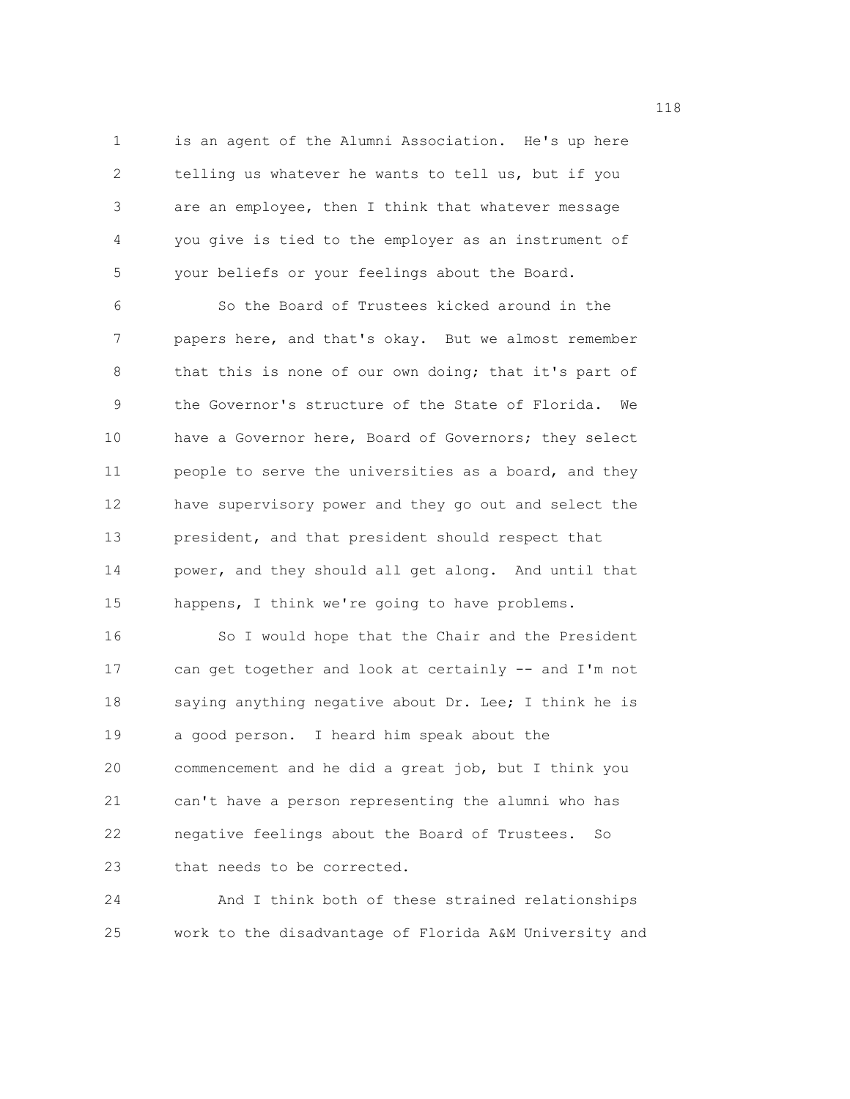1 is an agent of the Alumni Association. He's up here 2 telling us whatever he wants to tell us, but if you 3 are an employee, then I think that whatever message 4 you give is tied to the employer as an instrument of 5 your beliefs or your feelings about the Board.

6 So the Board of Trustees kicked around in the 7 papers here, and that's okay. But we almost remember 8 that this is none of our own doing; that it's part of 9 the Governor's structure of the State of Florida. We 10 have a Governor here, Board of Governors; they select 11 people to serve the universities as a board, and they 12 have supervisory power and they go out and select the 13 president, and that president should respect that 14 power, and they should all get along. And until that 15 happens, I think we're going to have problems.

16 So I would hope that the Chair and the President 17 can get together and look at certainly -- and I'm not 18 saying anything negative about Dr. Lee; I think he is 19 a good person. I heard him speak about the 20 commencement and he did a great job, but I think you 21 can't have a person representing the alumni who has 22 negative feelings about the Board of Trustees. So 23 that needs to be corrected.

24 And I think both of these strained relationships 25 work to the disadvantage of Florida A&M University and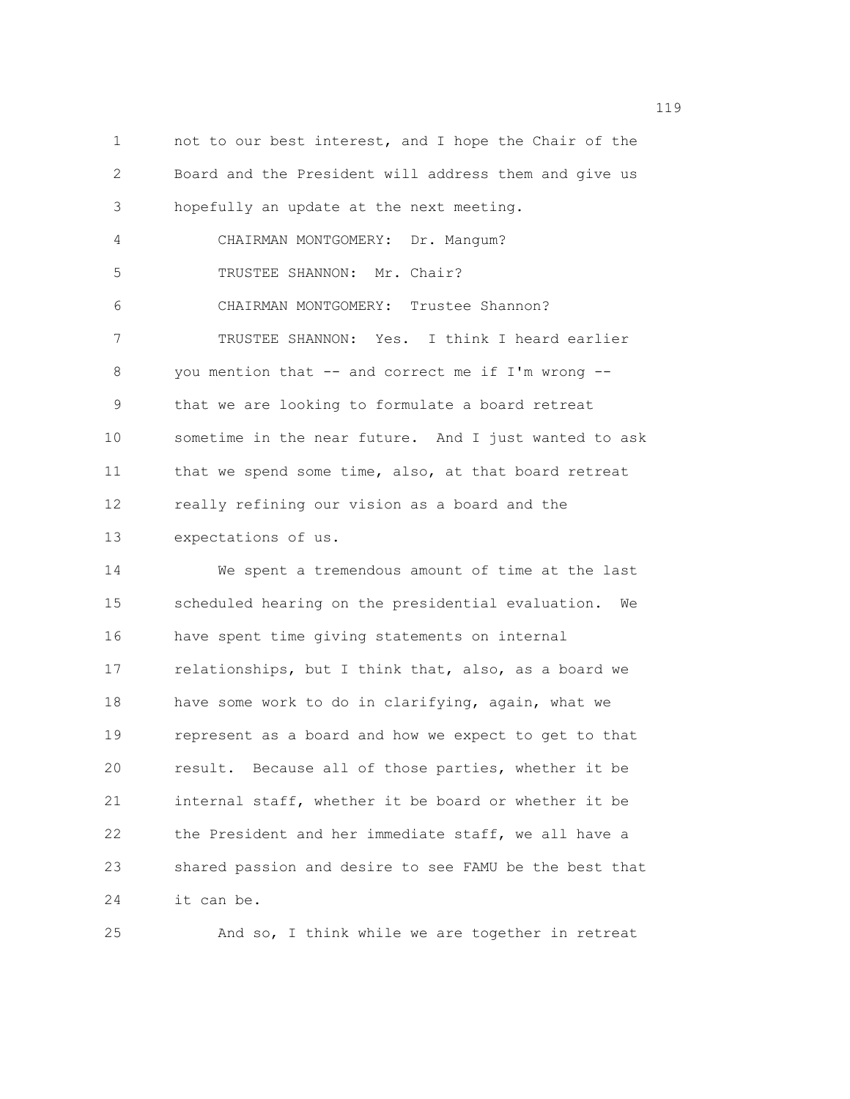1 not to our best interest, and I hope the Chair of the 2 Board and the President will address them and give us 3 hopefully an update at the next meeting. 4 CHAIRMAN MONTGOMERY: Dr. Mangum? 5 TRUSTEE SHANNON: Mr. Chair? 6 CHAIRMAN MONTGOMERY: Trustee Shannon? 7 TRUSTEE SHANNON: Yes. I think I heard earlier 8 you mention that -- and correct me if I'm wrong -- 9 that we are looking to formulate a board retreat 10 sometime in the near future. And I just wanted to ask 11 that we spend some time, also, at that board retreat 12 really refining our vision as a board and the 13 expectations of us. 14 We spent a tremendous amount of time at the last 15 scheduled hearing on the presidential evaluation. We 16 have spent time giving statements on internal 17 relationships, but I think that, also, as a board we 18 have some work to do in clarifying, again, what we 19 represent as a board and how we expect to get to that 20 result. Because all of those parties, whether it be 21 internal staff, whether it be board or whether it be 22 the President and her immediate staff, we all have a 23 shared passion and desire to see FAMU be the best that 24 it can be.

25 And so, I think while we are together in retreat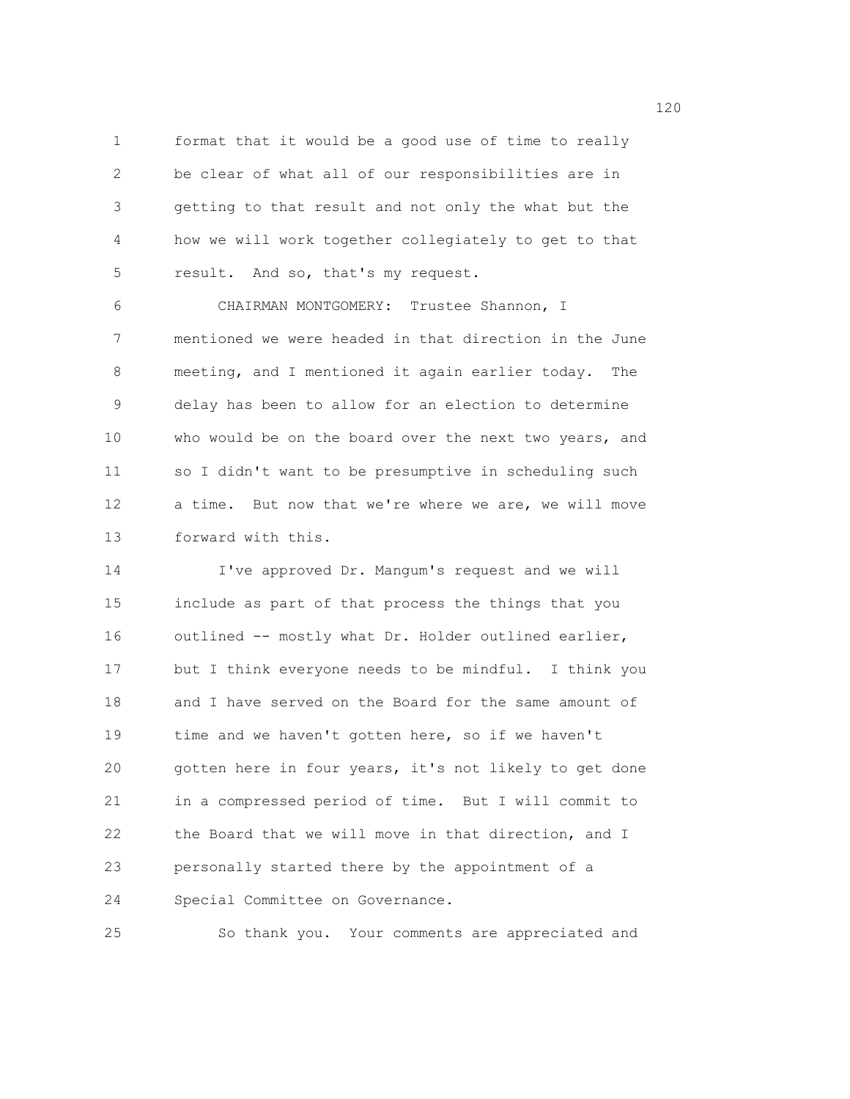1 format that it would be a good use of time to really 2 be clear of what all of our responsibilities are in 3 getting to that result and not only the what but the 4 how we will work together collegiately to get to that 5 result. And so, that's my request.

6 CHAIRMAN MONTGOMERY: Trustee Shannon, I 7 mentioned we were headed in that direction in the June 8 meeting, and I mentioned it again earlier today. The 9 delay has been to allow for an election to determine 10 who would be on the board over the next two years, and 11 so I didn't want to be presumptive in scheduling such 12 a time. But now that we're where we are, we will move 13 forward with this.

14 I've approved Dr. Mangum's request and we will 15 include as part of that process the things that you 16 outlined -- mostly what Dr. Holder outlined earlier, 17 but I think everyone needs to be mindful. I think you 18 and I have served on the Board for the same amount of 19 time and we haven't gotten here, so if we haven't 20 gotten here in four years, it's not likely to get done 21 in a compressed period of time. But I will commit to 22 the Board that we will move in that direction, and I 23 personally started there by the appointment of a 24 Special Committee on Governance.

25 So thank you. Your comments are appreciated and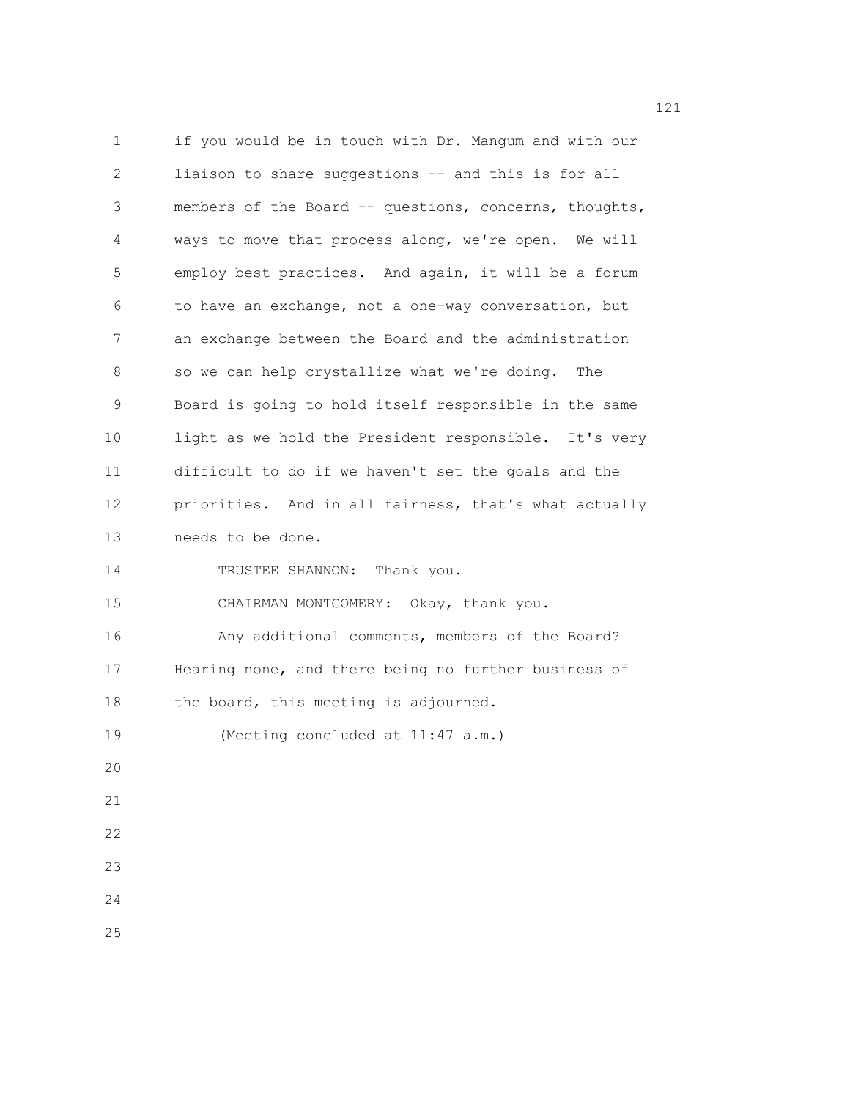1 if you would be in touch with Dr. Mangum and with our 2 liaison to share suggestions -- and this is for all 3 members of the Board -- questions, concerns, thoughts, 4 ways to move that process along, we're open. We will 5 employ best practices. And again, it will be a forum 6 to have an exchange, not a one-way conversation, but 7 an exchange between the Board and the administration 8 so we can help crystallize what we're doing. The 9 Board is going to hold itself responsible in the same 10 light as we hold the President responsible. It's very 11 difficult to do if we haven't set the goals and the 12 priorities. And in all fairness, that's what actually 13 needs to be done. 14 TRUSTEE SHANNON: Thank you. 15 CHAIRMAN MONTGOMERY: Okay, thank you. 16 Any additional comments, members of the Board? 17 Hearing none, and there being no further business of 18 the board, this meeting is adjourned. 19 (Meeting concluded at 11:47 a.m.)  $20$ 21 22 23 24 25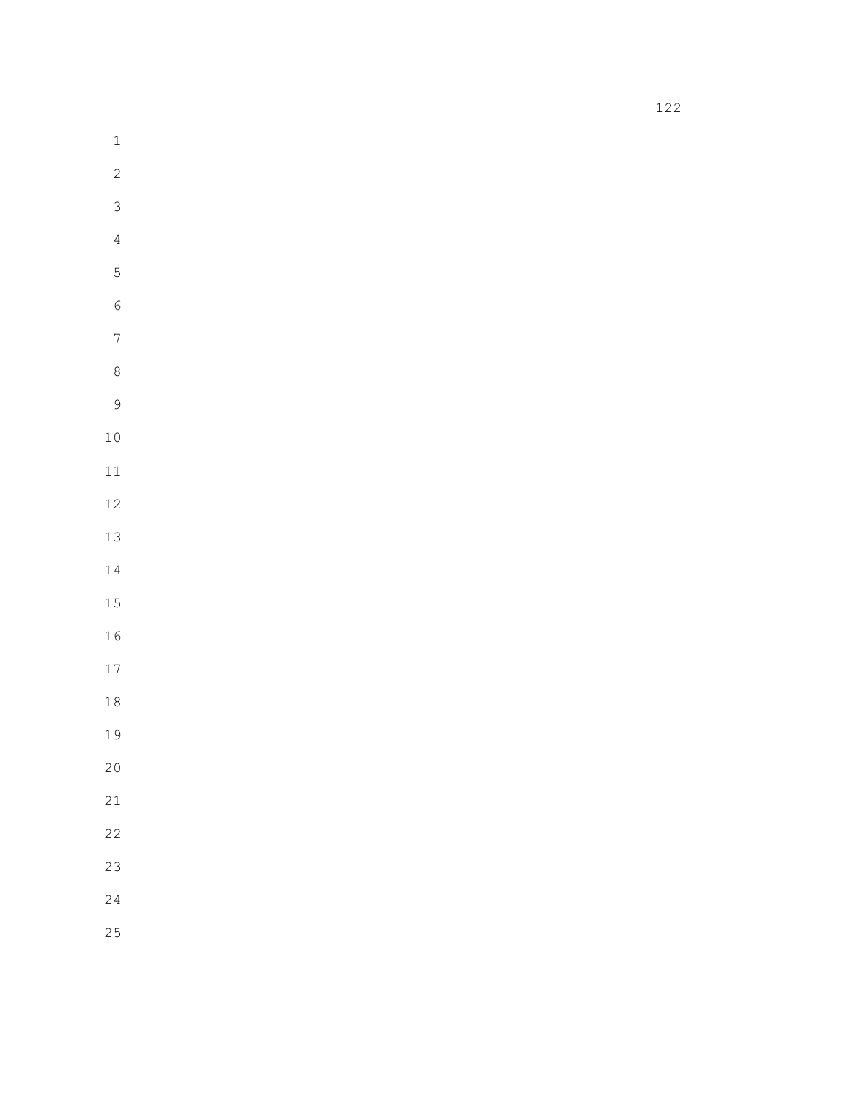- -
- 
- 
- 
- 
- 
- 
- 
- 
- 
- 
- 
- 
- 
- 
- 
- 
- 
- 
- 
- 
- 
- 
-